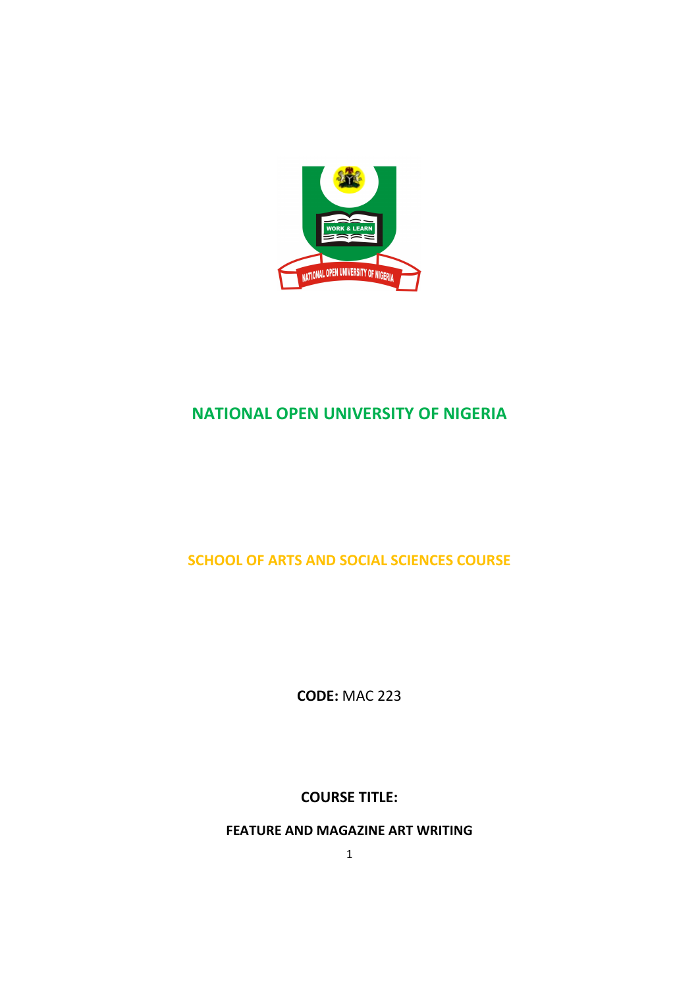

# **NATIONAL OPEN UNIVERSITY OF NIGERIA**

# **SCHOOL OF ARTS AND SOCIAL SCIENCES COURSE**

**CODE:** MAC 223

**COURSE TITLE:** 

**FEATURE AND MAGAZINE ART WRITING**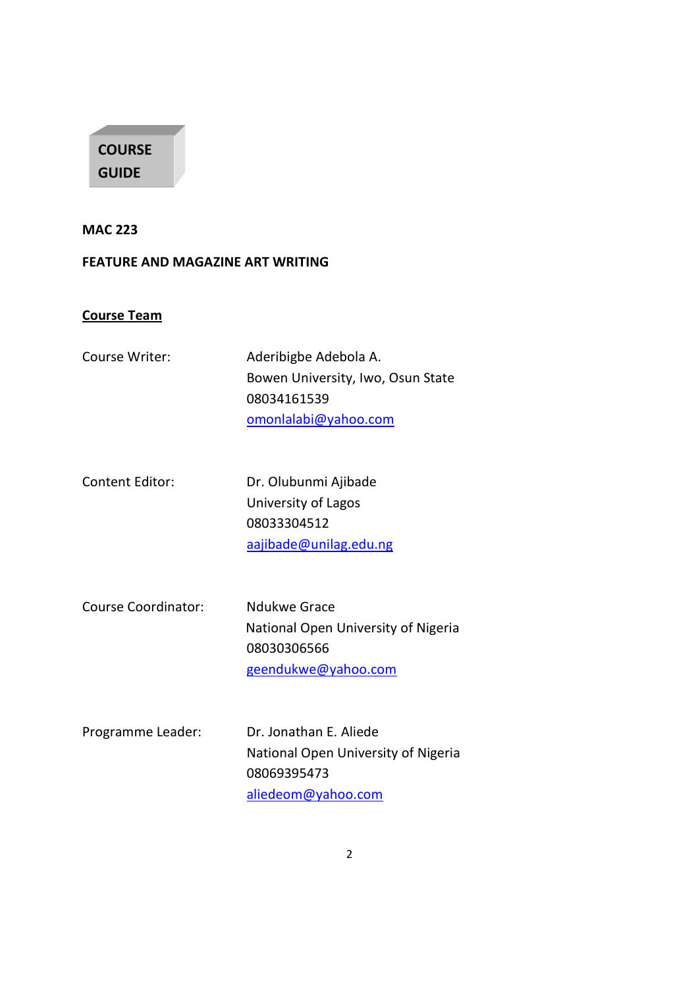# **COURSE GUIDE**

**MAC 223** 

# **FEATURE AND MAGAZINE ART WRITING**

# **Course Team**

Course Writer: Aderibigbe Adebola A. Bowen University, Iwo, Osun State 08034161539 omonlalabi@yahoo.com

Content Editor: Dr. Olubunmi Ajibade University of Lagos 08033304512 aajibade@unilag.edu.ng

| <b>Course Coordinator:</b> | <b>Ndukwe Grace</b>                 |
|----------------------------|-------------------------------------|
|                            | National Open University of Nigeria |
|                            | 08030306566                         |
|                            | geendukwe@yahoo.com                 |

| Programme Leader: | Dr. Jonathan E. Aliede              |
|-------------------|-------------------------------------|
|                   | National Open University of Nigeria |
|                   | 08069395473                         |
|                   | aliedeom@yahoo.com                  |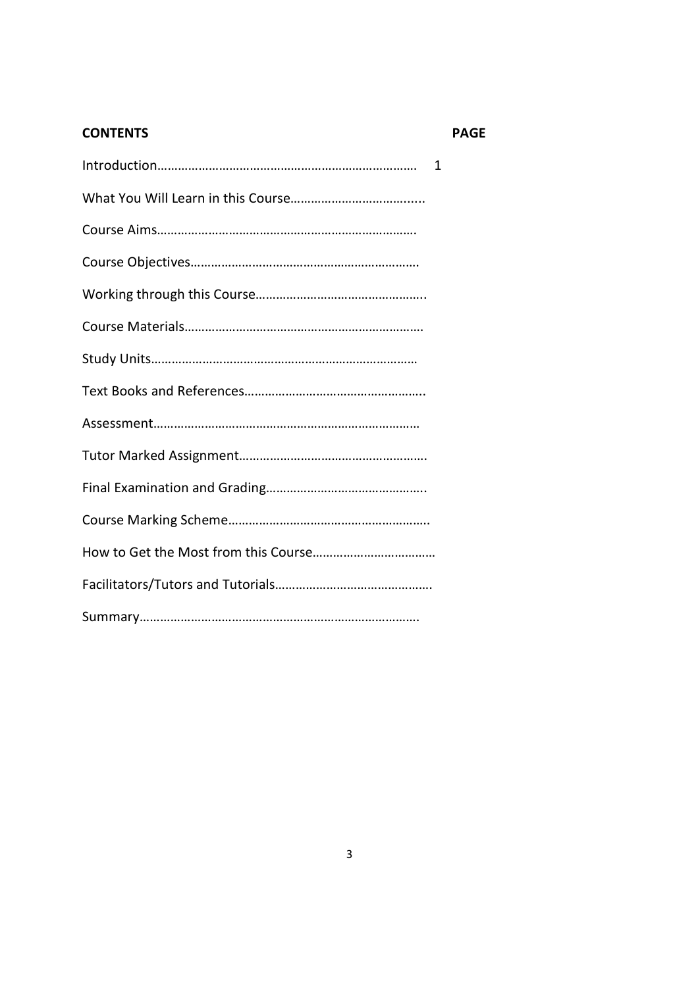# **CONTENTS PAGE**

| 1 |
|---|
|   |
|   |
|   |
|   |
|   |
|   |
|   |
|   |
|   |
|   |
|   |
|   |
|   |
|   |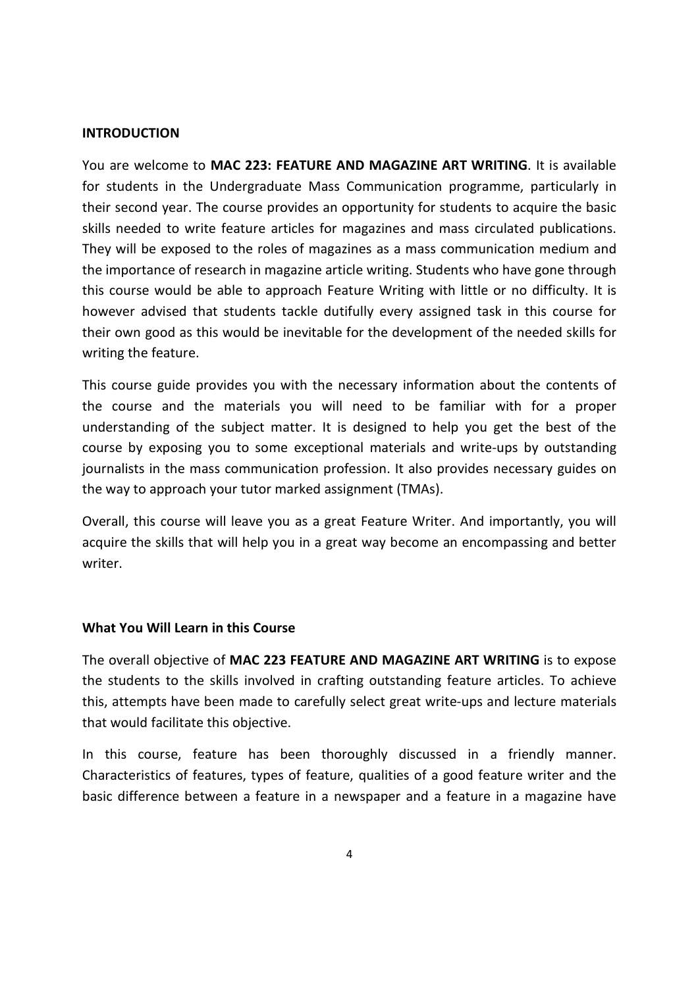#### **INTRODUCTION**

You are welcome to **MAC 223: FEATURE AND MAGAZINE ART WRITING**. It is available for students in the Undergraduate Mass Communication programme, particularly in their second year. The course provides an opportunity for students to acquire the basic skills needed to write feature articles for magazines and mass circulated publications. They will be exposed to the roles of magazines as a mass communication medium and the importance of research in magazine article writing. Students who have gone through this course would be able to approach Feature Writing with little or no difficulty. It is however advised that students tackle dutifully every assigned task in this course for their own good as this would be inevitable for the development of the needed skills for writing the feature.

This course guide provides you with the necessary information about the contents of the course and the materials you will need to be familiar with for a proper understanding of the subject matter. It is designed to help you get the best of the course by exposing you to some exceptional materials and write-ups by outstanding journalists in the mass communication profession. It also provides necessary guides on the way to approach your tutor marked assignment (TMAs).

Overall, this course will leave you as a great Feature Writer. And importantly, you will acquire the skills that will help you in a great way become an encompassing and better writer.

# **What You Will Learn in this Course**

The overall objective of **MAC 223 FEATURE AND MAGAZINE ART WRITING** is to expose the students to the skills involved in crafting outstanding feature articles. To achieve this, attempts have been made to carefully select great write-ups and lecture materials that would facilitate this objective.

In this course, feature has been thoroughly discussed in a friendly manner. Characteristics of features, types of feature, qualities of a good feature writer and the basic difference between a feature in a newspaper and a feature in a magazine have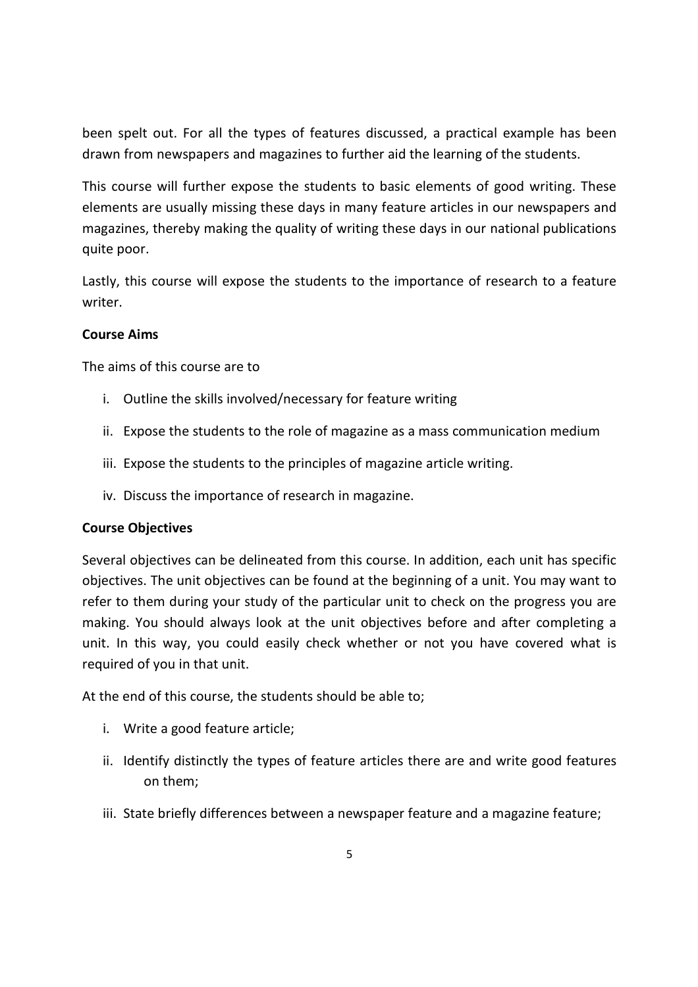been spelt out. For all the types of features discussed, a practical example has been drawn from newspapers and magazines to further aid the learning of the students.

This course will further expose the students to basic elements of good writing. These elements are usually missing these days in many feature articles in our newspapers and magazines, thereby making the quality of writing these days in our national publications quite poor.

Lastly, this course will expose the students to the importance of research to a feature writer.

# **Course Aims**

The aims of this course are to

- i. Outline the skills involved/necessary for feature writing
- ii. Expose the students to the role of magazine as a mass communication medium
- iii. Expose the students to the principles of magazine article writing.
- iv. Discuss the importance of research in magazine.

# **Course Objectives**

Several objectives can be delineated from this course. In addition, each unit has specific objectives. The unit objectives can be found at the beginning of a unit. You may want to refer to them during your study of the particular unit to check on the progress you are making. You should always look at the unit objectives before and after completing a unit. In this way, you could easily check whether or not you have covered what is required of you in that unit.

At the end of this course, the students should be able to;

- i. Write a good feature article;
- ii. Identify distinctly the types of feature articles there are and write good features on them;
- iii. State briefly differences between a newspaper feature and a magazine feature;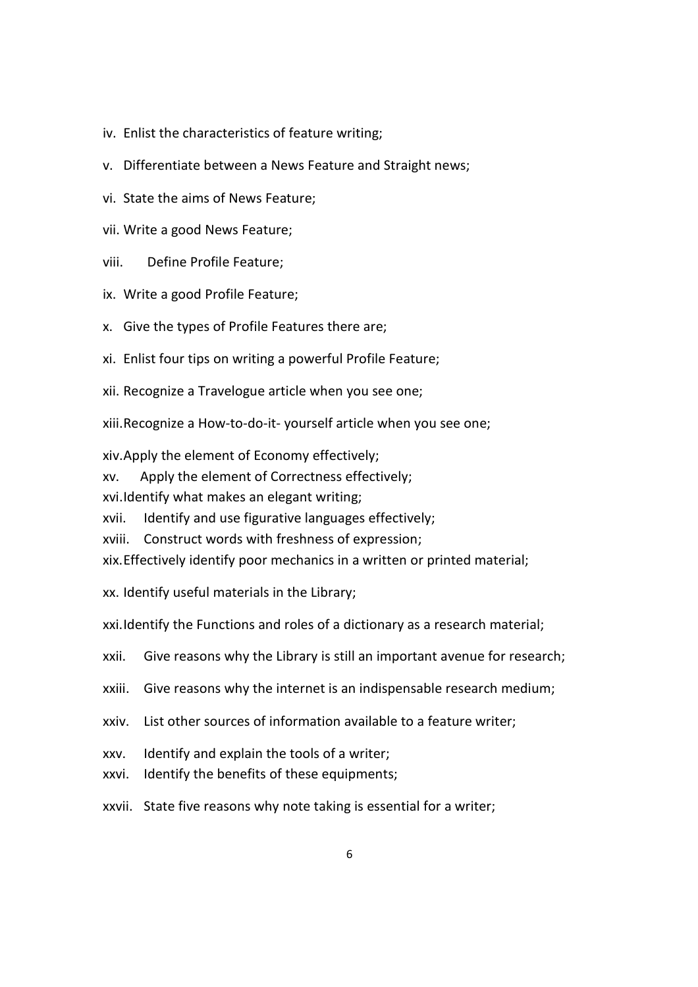- iv. Enlist the characteristics of feature writing;
- v. Differentiate between a News Feature and Straight news;
- vi. State the aims of News Feature;
- vii. Write a good News Feature;
- viii. Define Profile Feature;
- ix. Write a good Profile Feature;
- x. Give the types of Profile Features there are;
- xi. Enlist four tips on writing a powerful Profile Feature;
- xii. Recognize a Travelogue article when you see one;
- xiii.Recognize a How-to-do-it- yourself article when you see one;

xiv.Apply the element of Economy effectively;

- xv. Apply the element of Correctness effectively;
- xvi.Identify what makes an elegant writing;
- xvii. Identify and use figurative languages effectively;
- xviii. Construct words with freshness of expression;

xix.Effectively identify poor mechanics in a written or printed material;

xx. Identify useful materials in the Library;

xxi.Identify the Functions and roles of a dictionary as a research material;

- xxii. Give reasons why the Library is still an important avenue for research;
- xxiii. Give reasons why the internet is an indispensable research medium;
- xxiv. List other sources of information available to a feature writer;
- xxv. Identify and explain the tools of a writer;
- xxvi. Identify the benefits of these equipments;
- xxvii. State five reasons why note taking is essential for a writer;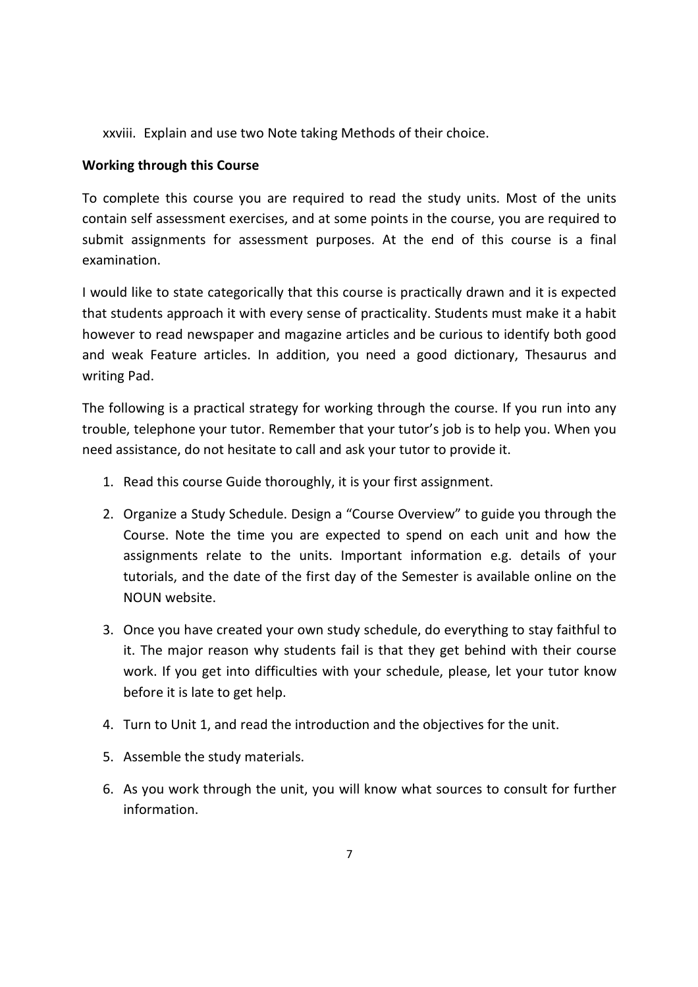xxviii. Explain and use two Note taking Methods of their choice.

# **Working through this Course**

To complete this course you are required to read the study units. Most of the units contain self assessment exercises, and at some points in the course, you are required to submit assignments for assessment purposes. At the end of this course is a final examination.

I would like to state categorically that this course is practically drawn and it is expected that students approach it with every sense of practicality. Students must make it a habit however to read newspaper and magazine articles and be curious to identify both good and weak Feature articles. In addition, you need a good dictionary, Thesaurus and writing Pad.

The following is a practical strategy for working through the course. If you run into any trouble, telephone your tutor. Remember that your tutor's job is to help you. When you need assistance, do not hesitate to call and ask your tutor to provide it.

- 1. Read this course Guide thoroughly, it is your first assignment.
- 2. Organize a Study Schedule. Design a "Course Overview" to guide you through the Course. Note the time you are expected to spend on each unit and how the assignments relate to the units. Important information e.g. details of your tutorials, and the date of the first day of the Semester is available online on the NOUN website.
- 3. Once you have created your own study schedule, do everything to stay faithful to it. The major reason why students fail is that they get behind with their course work. If you get into difficulties with your schedule, please, let your tutor know before it is late to get help.
- 4. Turn to Unit 1, and read the introduction and the objectives for the unit.
- 5. Assemble the study materials.
- 6. As you work through the unit, you will know what sources to consult for further information.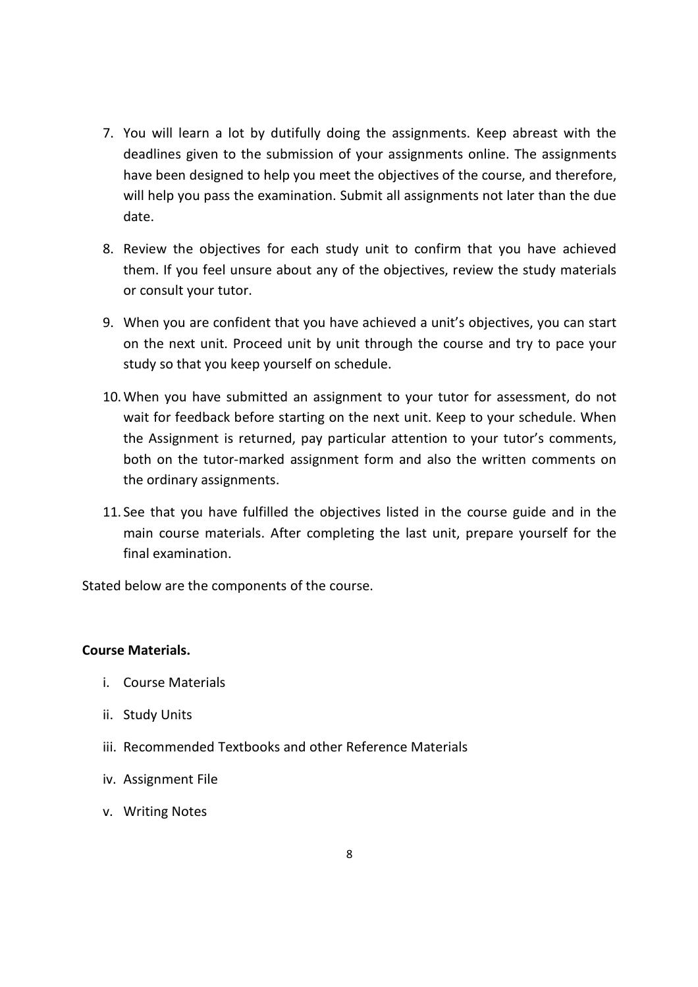- 7. You will learn a lot by dutifully doing the assignments. Keep abreast with the deadlines given to the submission of your assignments online. The assignments have been designed to help you meet the objectives of the course, and therefore, will help you pass the examination. Submit all assignments not later than the due date.
- 8. Review the objectives for each study unit to confirm that you have achieved them. If you feel unsure about any of the objectives, review the study materials or consult your tutor.
- 9. When you are confident that you have achieved a unit's objectives, you can start on the next unit. Proceed unit by unit through the course and try to pace your study so that you keep yourself on schedule.
- 10.When you have submitted an assignment to your tutor for assessment, do not wait for feedback before starting on the next unit. Keep to your schedule. When the Assignment is returned, pay particular attention to your tutor's comments, both on the tutor-marked assignment form and also the written comments on the ordinary assignments.
- 11. See that you have fulfilled the objectives listed in the course guide and in the main course materials. After completing the last unit, prepare yourself for the final examination.

Stated below are the components of the course.

# **Course Materials.**

- i. Course Materials
- ii. Study Units
- iii. Recommended Textbooks and other Reference Materials
- iv. Assignment File
- v. Writing Notes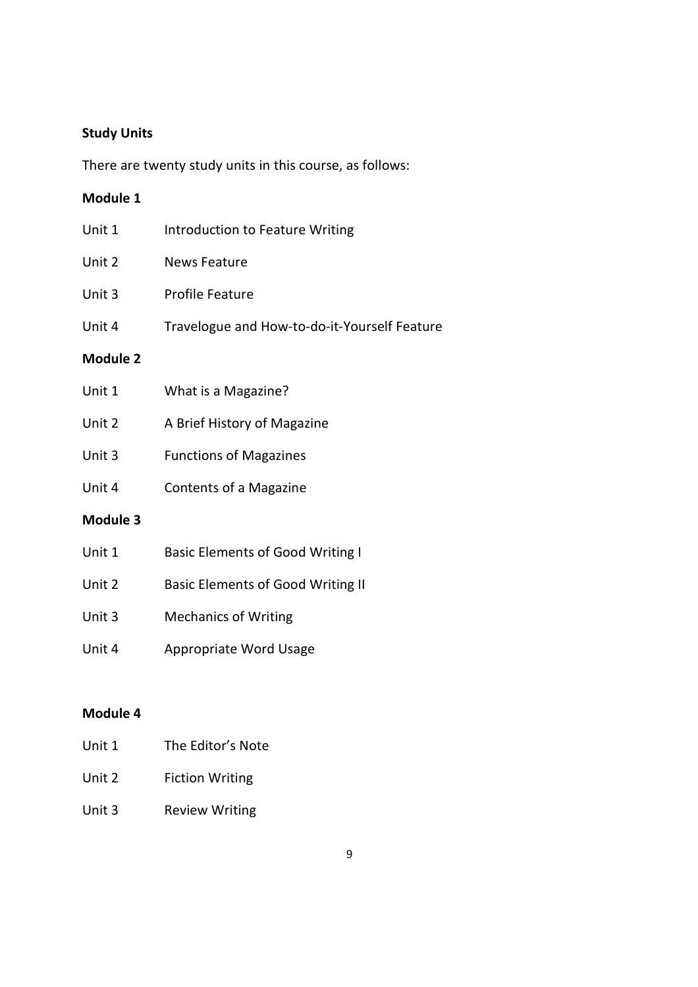# **Study Units**

There are twenty study units in this course, as follows:

# **Module 1**

| Unit 1          | <b>Introduction to Feature Writing</b>       |
|-----------------|----------------------------------------------|
| Unit 2          | News Feature                                 |
| Unit 3          | <b>Profile Feature</b>                       |
| Unit 4          | Travelogue and How-to-do-it-Yourself Feature |
| <b>Module 2</b> |                                              |
| Unit 1          | What is a Magazine?                          |
| Unit 2          | A Brief History of Magazine                  |
| Unit 3          | <b>Functions of Magazines</b>                |
| Unit 4          | Contents of a Magazine                       |
| <b>Module 3</b> |                                              |
| Unit 1          | <b>Basic Elements of Good Writing I</b>      |
| Unit 2          | <b>Basic Elements of Good Writing II</b>     |
| Unit 3          | <b>Mechanics of Writing</b>                  |

Unit 4 Appropriate Word Usage

# **Module 4**

- Unit 1 The Editor's Note
- Unit 2 Fiction Writing
- Unit 3 Review Writing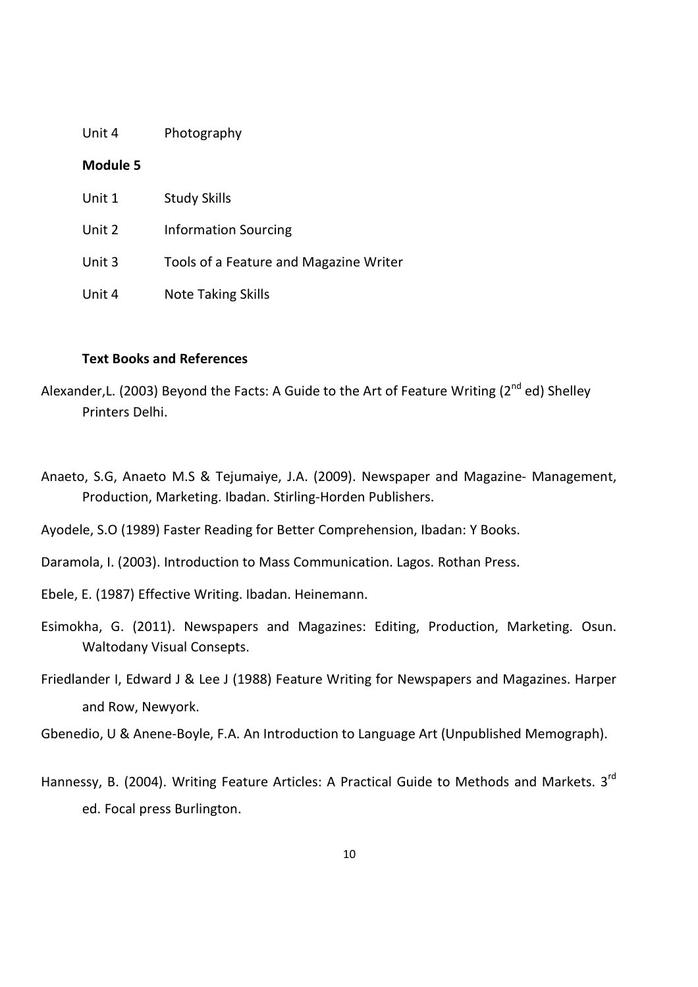| Unit 4   | Photography                            |
|----------|----------------------------------------|
| Module 5 |                                        |
| Unit 1   | <b>Study Skills</b>                    |
| Unit 2   | <b>Information Sourcing</b>            |
| Unit 3   | Tools of a Feature and Magazine Writer |
| Unit 4   | <b>Note Taking Skills</b>              |

#### **Text Books and References**

- Alexander, L. (2003) Beyond the Facts: A Guide to the Art of Feature Writing ( $2^{nd}$  ed) Shelley Printers Delhi.
- Anaeto, S.G, Anaeto M.S & Tejumaiye, J.A. (2009). Newspaper and Magazine- Management, Production, Marketing. Ibadan. Stirling-Horden Publishers.
- Ayodele, S.O (1989) Faster Reading for Better Comprehension, Ibadan: Y Books.
- Daramola, I. (2003). Introduction to Mass Communication. Lagos. Rothan Press.
- Ebele, E. (1987) Effective Writing. Ibadan. Heinemann.
- Esimokha, G. (2011). Newspapers and Magazines: Editing, Production, Marketing. Osun. Waltodany Visual Consepts.
- Friedlander I, Edward J & Lee J (1988) Feature Writing for Newspapers and Magazines. Harper and Row, Newyork.
- Gbenedio, U & Anene-Boyle, F.A. An Introduction to Language Art (Unpublished Memograph).
- Hannessy, B. (2004). Writing Feature Articles: A Practical Guide to Methods and Markets. 3<sup>rd</sup> ed. Focal press Burlington.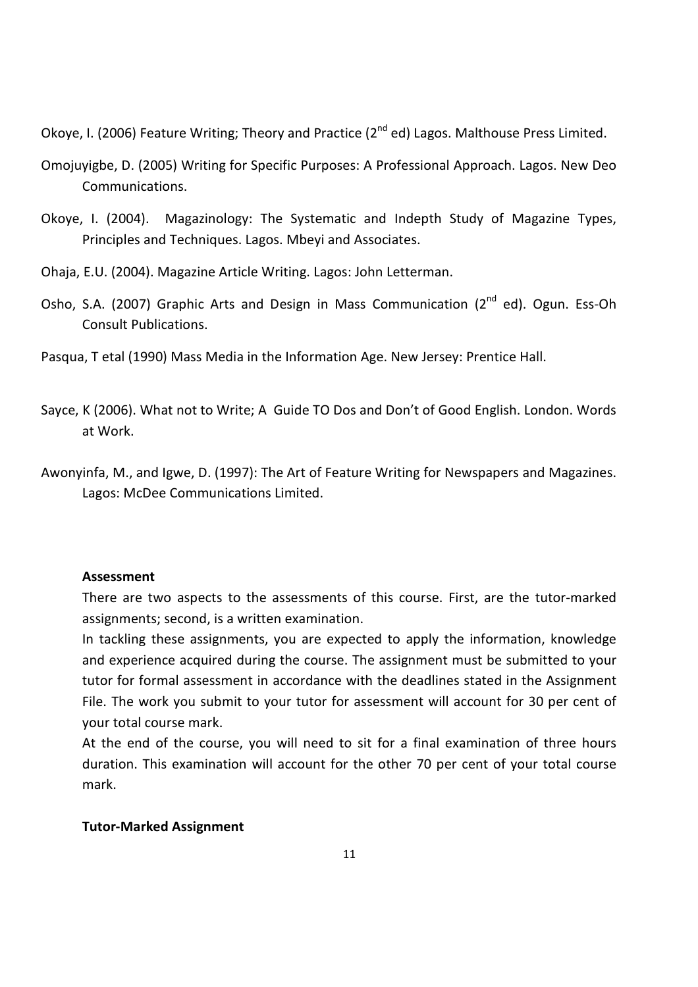Okoye, I. (2006) Feature Writing; Theory and Practice (2<sup>nd</sup> ed) Lagos. Malthouse Press Limited.

- Omojuyigbe, D. (2005) Writing for Specific Purposes: A Professional Approach. Lagos. New Deo Communications.
- Okoye, I. (2004). Magazinology: The Systematic and Indepth Study of Magazine Types, Principles and Techniques. Lagos. Mbeyi and Associates.
- Ohaja, E.U. (2004). Magazine Article Writing. Lagos: John Letterman.
- Osho, S.A. (2007) Graphic Arts and Design in Mass Communication (2<sup>nd</sup> ed). Ogun. Ess-Oh Consult Publications.

Pasqua, T etal (1990) Mass Media in the Information Age. New Jersey: Prentice Hall.

- Sayce, K (2006). What not to Write; A Guide TO Dos and Don't of Good English. London. Words at Work.
- Awonyinfa, M., and Igwe, D. (1997): The Art of Feature Writing for Newspapers and Magazines. Lagos: McDee Communications Limited.

# **Assessment**

There are two aspects to the assessments of this course. First, are the tutor-marked assignments; second, is a written examination.

In tackling these assignments, you are expected to apply the information, knowledge and experience acquired during the course. The assignment must be submitted to your tutor for formal assessment in accordance with the deadlines stated in the Assignment File. The work you submit to your tutor for assessment will account for 30 per cent of your total course mark.

At the end of the course, you will need to sit for a final examination of three hours duration. This examination will account for the other 70 per cent of your total course mark.

# **Tutor-Marked Assignment**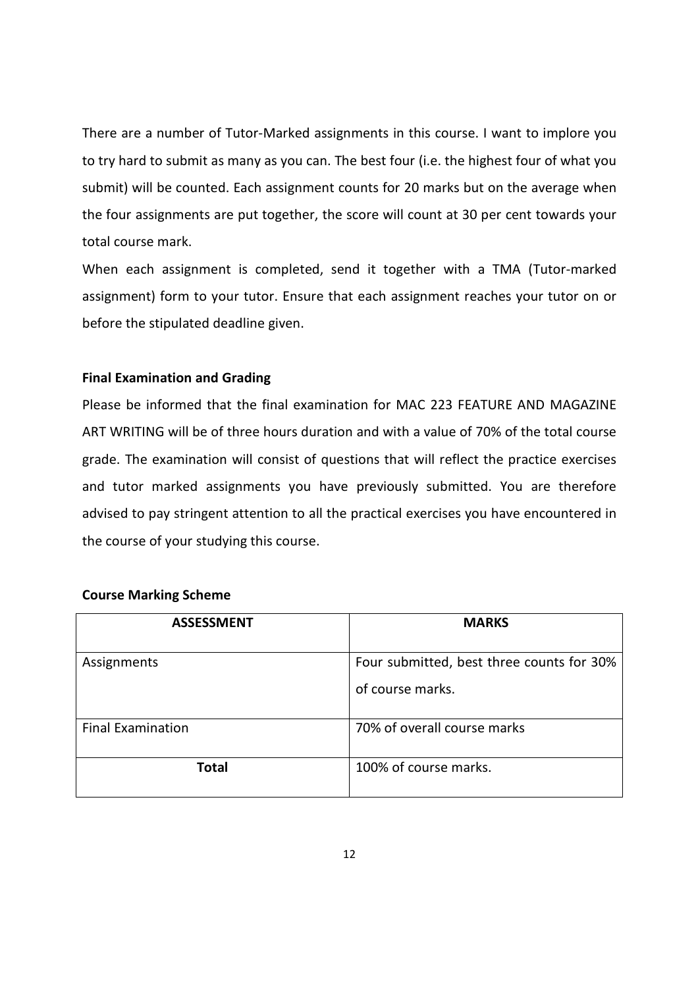There are a number of Tutor-Marked assignments in this course. I want to implore you to try hard to submit as many as you can. The best four (i.e. the highest four of what you submit) will be counted. Each assignment counts for 20 marks but on the average when the four assignments are put together, the score will count at 30 per cent towards your total course mark.

When each assignment is completed, send it together with a TMA (Tutor-marked assignment) form to your tutor. Ensure that each assignment reaches your tutor on or before the stipulated deadline given.

# **Final Examination and Grading**

Please be informed that the final examination for MAC 223 FEATURE AND MAGAZINE ART WRITING will be of three hours duration and with a value of 70% of the total course grade. The examination will consist of questions that will reflect the practice exercises and tutor marked assignments you have previously submitted. You are therefore advised to pay stringent attention to all the practical exercises you have encountered in the course of your studying this course.

# **Course Marking Scheme**

| <b>ASSESSMENT</b>        | <b>MARKS</b>                                                  |
|--------------------------|---------------------------------------------------------------|
| Assignments              | Four submitted, best three counts for 30%<br>of course marks. |
| <b>Final Examination</b> | 70% of overall course marks                                   |
| <b>Total</b>             | 100% of course marks.                                         |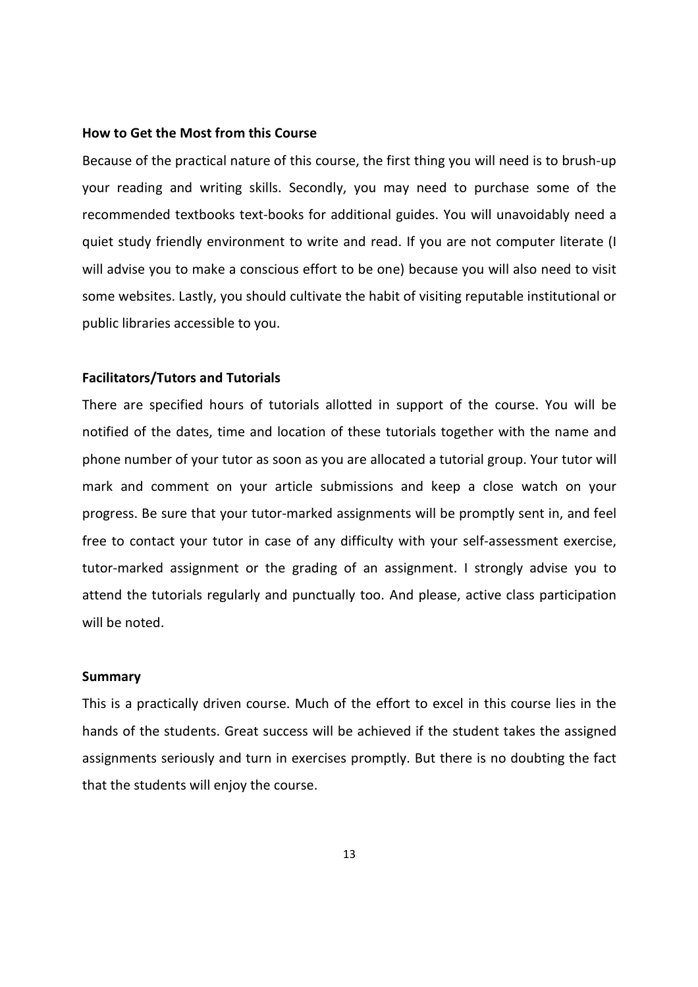#### **How to Get the Most from this Course**

Because of the practical nature of this course, the first thing you will need is to brush-up your reading and writing skills. Secondly, you may need to purchase some of the recommended textbooks text-books for additional guides. You will unavoidably need a quiet study friendly environment to write and read. If you are not computer literate (I will advise you to make a conscious effort to be one) because you will also need to visit some websites. Lastly, you should cultivate the habit of visiting reputable institutional or public libraries accessible to you.

#### **Facilitators/Tutors and Tutorials**

There are specified hours of tutorials allotted in support of the course. You will be notified of the dates, time and location of these tutorials together with the name and phone number of your tutor as soon as you are allocated a tutorial group. Your tutor will mark and comment on your article submissions and keep a close watch on your progress. Be sure that your tutor-marked assignments will be promptly sent in, and feel free to contact your tutor in case of any difficulty with your self-assessment exercise, tutor-marked assignment or the grading of an assignment. I strongly advise you to attend the tutorials regularly and punctually too. And please, active class participation will be noted.

#### **Summary**

This is a practically driven course. Much of the effort to excel in this course lies in the hands of the students. Great success will be achieved if the student takes the assigned assignments seriously and turn in exercises promptly. But there is no doubting the fact that the students will enjoy the course.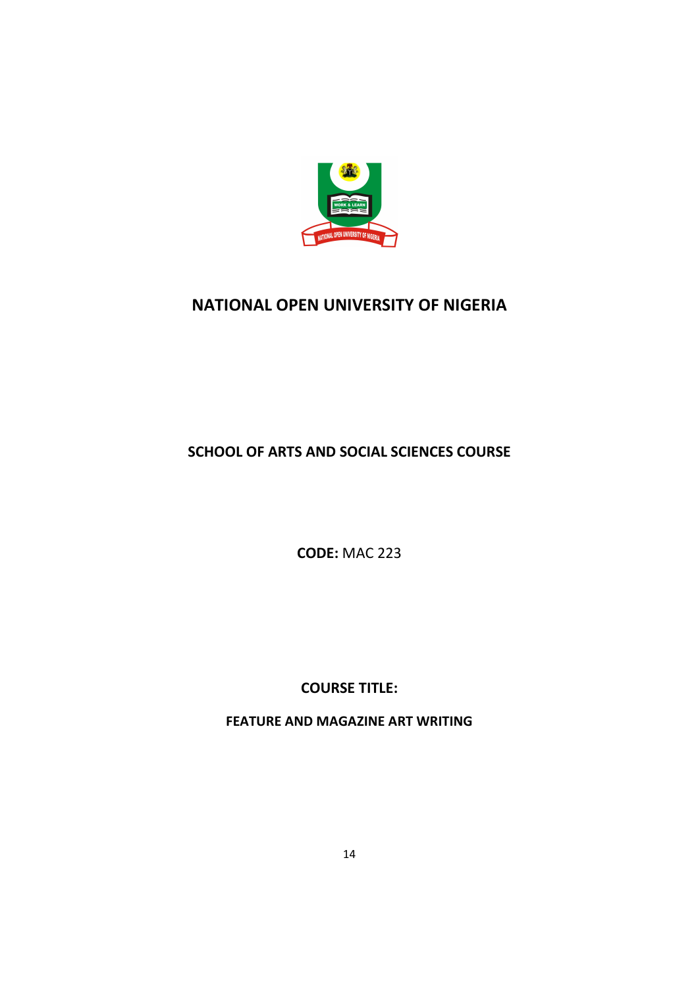

# **NATIONAL OPEN UNIVERSITY OF NIGERIA**

# **SCHOOL OF ARTS AND SOCIAL SCIENCES COURSE**

**CODE:** MAC 223

**COURSE TITLE:** 

**FEATURE AND MAGAZINE ART WRITING**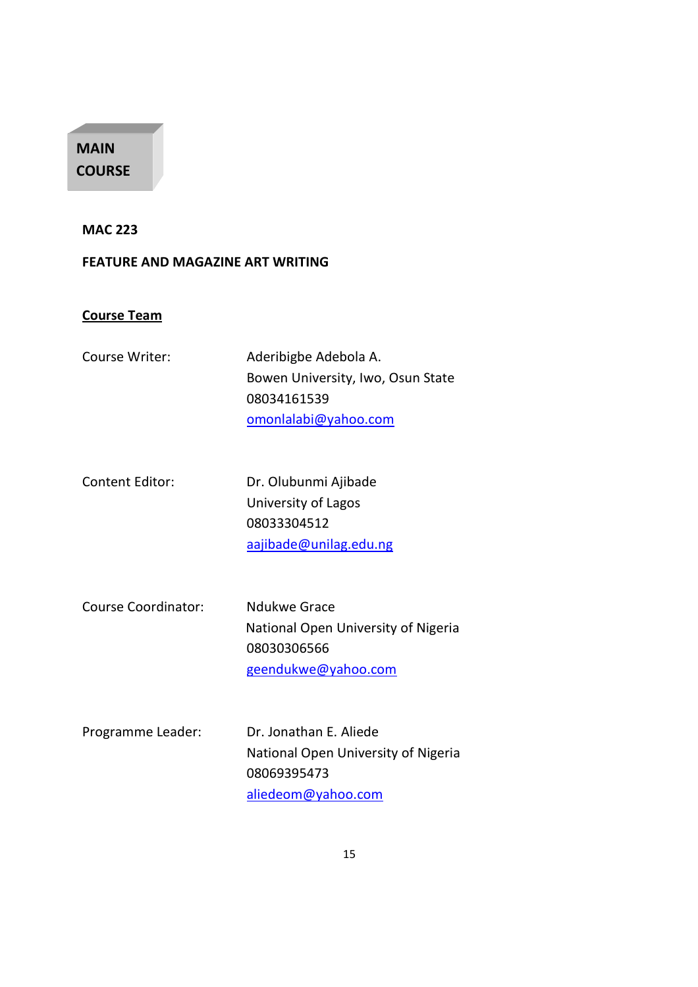# **MAIN COURSE**

**MAC 223** 

### **FEATURE AND MAGAZINE ART WRITING**

# **Course Team**

Course Writer: Aderibigbe Adebola A. Bowen University, Iwo, Osun State 08034161539 omonlalabi@yahoo.com

Content Editor: Dr. Olubunmi Ajibade University of Lagos 08033304512 aajibade@unilag.edu.ng

| Course Coordinator: | <b>Ndukwe Grace</b>                 |
|---------------------|-------------------------------------|
|                     | National Open University of Nigeria |
|                     | 08030306566                         |
|                     | geendukwe@yahoo.com                 |

Programme Leader: Dr. Jonathan E. Aliede National Open University of Nigeria 08069395473 aliedeom@yahoo.com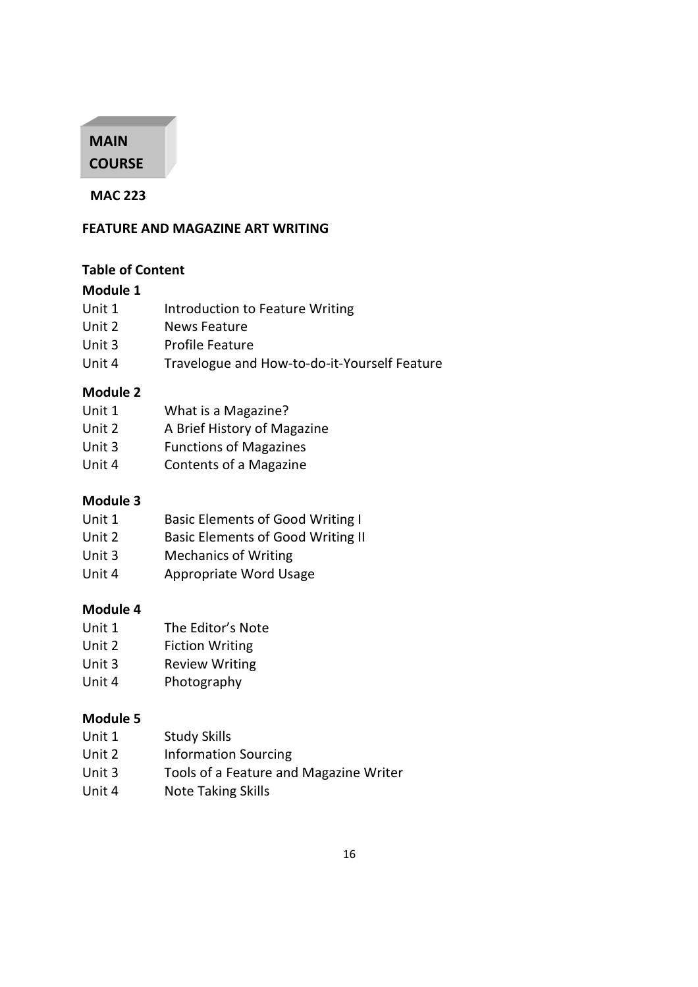# **MAIN COURSE**

# **MAC 223**

# **FEATURE AND MAGAZINE ART WRITING**

# **Table of Content**

# **Module 1**

- Unit 1 Introduction to Feature Writing
- Unit 2 News Feature
- Unit 3 Profile Feature
- Unit 4 Travelogue and How-to-do-it-Yourself Feature

# **Module 2**

- Unit 1 What is a Magazine?
- Unit 2 A Brief History of Magazine
- Unit 3 Functions of Magazines
- Unit 4 Contents of a Magazine

# **Module 3**

| Unit 1 | <b>Basic Elements of Good Writing I</b> |
|--------|-----------------------------------------|
|--------|-----------------------------------------|

- Unit 2 Basic Elements of Good Writing II
- Unit 3 Mechanics of Writing
- Unit 4 Appropriate Word Usage

# **Module 4**

- Unit 1 The Editor's Note
- Unit 2 Fiction Writing
- Unit 3 Review Writing
- Unit 4 Photography

# **Module 5**

- Unit 1 Study Skills
- Unit 2 Information Sourcing
- Unit 3 Tools of a Feature and Magazine Writer
- Unit 4 Note Taking Skills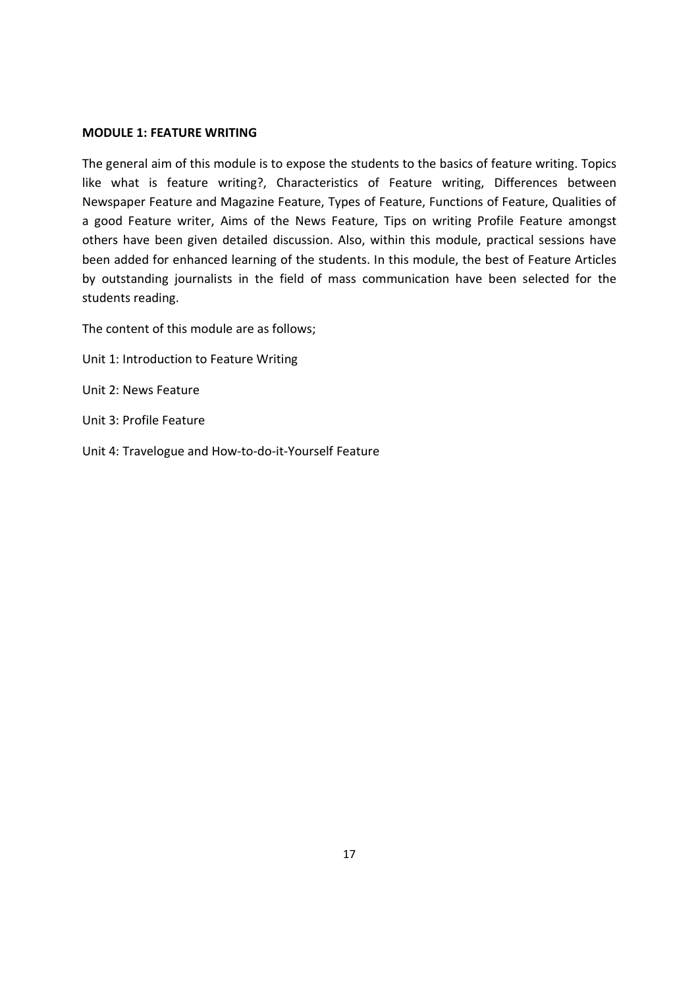#### **MODULE 1: FEATURE WRITING**

The general aim of this module is to expose the students to the basics of feature writing. Topics like what is feature writing?, Characteristics of Feature writing, Differences between Newspaper Feature and Magazine Feature, Types of Feature, Functions of Feature, Qualities of a good Feature writer, Aims of the News Feature, Tips on writing Profile Feature amongst others have been given detailed discussion. Also, within this module, practical sessions have been added for enhanced learning of the students. In this module, the best of Feature Articles by outstanding journalists in the field of mass communication have been selected for the students reading.

The content of this module are as follows;

Unit 1: Introduction to Feature Writing

Unit 2: News Feature

Unit 3: Profile Feature

Unit 4: Travelogue and How-to-do-it-Yourself Feature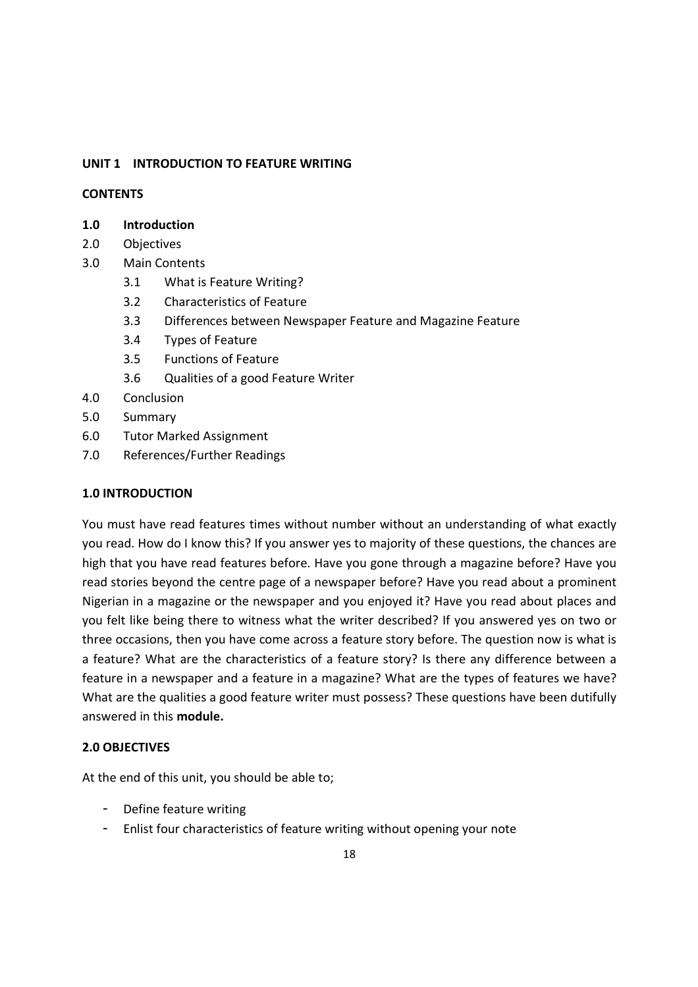# **UNIT 1 INTRODUCTION TO FEATURE WRITING**

### **CONTENTS**

### **1.0 Introduction**

- 2.0 Objectives
- 3.0 Main Contents
	- 3.1 What is Feature Writing?
	- 3.2 Characteristics of Feature
	- 3.3 Differences between Newspaper Feature and Magazine Feature
	- 3.4 Types of Feature
	- 3.5 Functions of Feature
	- 3.6 Qualities of a good Feature Writer
- 4.0 Conclusion
- 5.0 Summary
- 6.0 Tutor Marked Assignment
- 7.0 References/Further Readings

# **1.0 INTRODUCTION**

You must have read features times without number without an understanding of what exactly you read. How do I know this? If you answer yes to majority of these questions, the chances are high that you have read features before. Have you gone through a magazine before? Have you read stories beyond the centre page of a newspaper before? Have you read about a prominent Nigerian in a magazine or the newspaper and you enjoyed it? Have you read about places and you felt like being there to witness what the writer described? If you answered yes on two or three occasions, then you have come across a feature story before. The question now is what is a feature? What are the characteristics of a feature story? Is there any difference between a feature in a newspaper and a feature in a magazine? What are the types of features we have? What are the qualities a good feature writer must possess? These questions have been dutifully answered in this **module.** 

# **2.0 OBJECTIVES**

At the end of this unit, you should be able to;

- Define feature writing
- Enlist four characteristics of feature writing without opening your note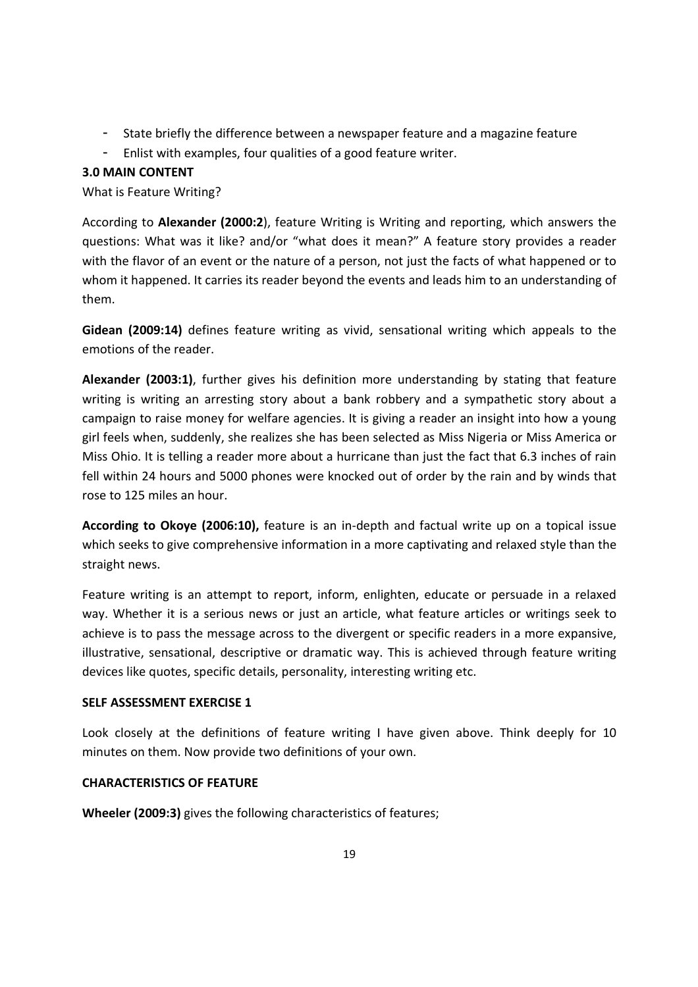- State briefly the difference between a newspaper feature and a magazine feature
- Enlist with examples, four qualities of a good feature writer.

# **3.0 MAIN CONTENT**

What is Feature Writing?

According to **Alexander (2000:2**), feature Writing is Writing and reporting, which answers the questions: What was it like? and/or "what does it mean?" A feature story provides a reader with the flavor of an event or the nature of a person, not just the facts of what happened or to whom it happened. It carries its reader beyond the events and leads him to an understanding of them.

**Gidean (2009:14)** defines feature writing as vivid, sensational writing which appeals to the emotions of the reader.

**Alexander (2003:1)**, further gives his definition more understanding by stating that feature writing is writing an arresting story about a bank robbery and a sympathetic story about a campaign to raise money for welfare agencies. It is giving a reader an insight into how a young girl feels when, suddenly, she realizes she has been selected as Miss Nigeria or Miss America or Miss Ohio. It is telling a reader more about a hurricane than just the fact that 6.3 inches of rain fell within 24 hours and 5000 phones were knocked out of order by the rain and by winds that rose to 125 miles an hour.

**According to Okoye (2006:10),** feature is an in-depth and factual write up on a topical issue which seeks to give comprehensive information in a more captivating and relaxed style than the straight news.

Feature writing is an attempt to report, inform, enlighten, educate or persuade in a relaxed way. Whether it is a serious news or just an article, what feature articles or writings seek to achieve is to pass the message across to the divergent or specific readers in a more expansive, illustrative, sensational, descriptive or dramatic way. This is achieved through feature writing devices like quotes, specific details, personality, interesting writing etc.

# **SELF ASSESSMENT EXERCISE 1**

Look closely at the definitions of feature writing I have given above. Think deeply for 10 minutes on them. Now provide two definitions of your own.

# **CHARACTERISTICS OF FEATURE**

**Wheeler (2009:3)** gives the following characteristics of features;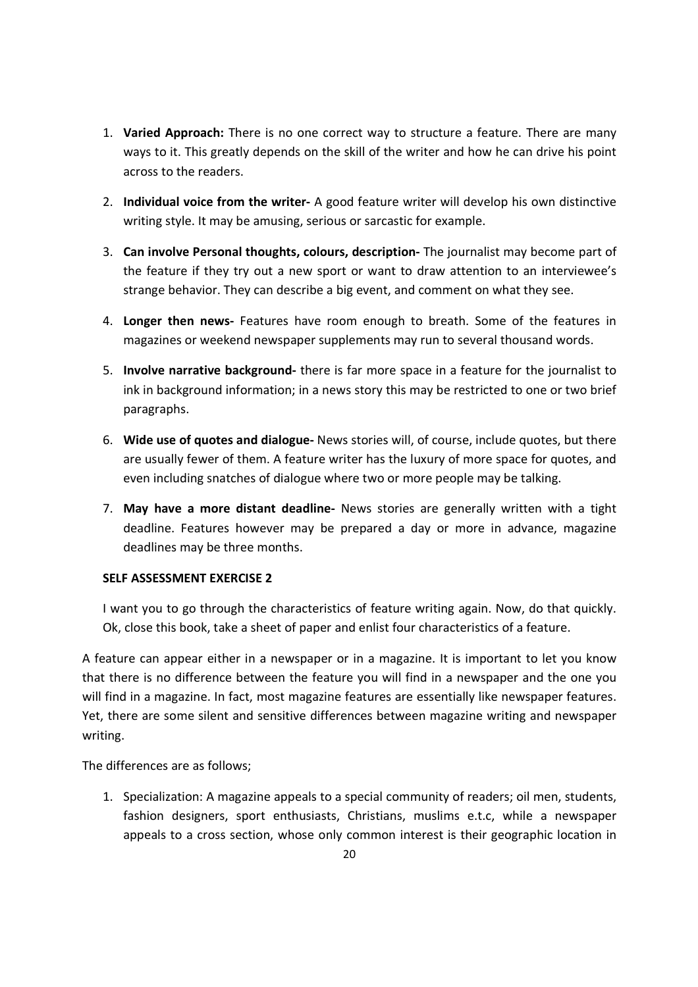- 1. **Varied Approach:** There is no one correct way to structure a feature. There are many ways to it. This greatly depends on the skill of the writer and how he can drive his point across to the readers.
- 2. **Individual voice from the writer-** A good feature writer will develop his own distinctive writing style. It may be amusing, serious or sarcastic for example.
- 3. **Can involve Personal thoughts, colours, description-** The journalist may become part of the feature if they try out a new sport or want to draw attention to an interviewee's strange behavior. They can describe a big event, and comment on what they see.
- 4. **Longer then news-** Features have room enough to breath. Some of the features in magazines or weekend newspaper supplements may run to several thousand words.
- 5. **Involve narrative background-** there is far more space in a feature for the journalist to ink in background information; in a news story this may be restricted to one or two brief paragraphs.
- 6. **Wide use of quotes and dialogue-** News stories will, of course, include quotes, but there are usually fewer of them. A feature writer has the luxury of more space for quotes, and even including snatches of dialogue where two or more people may be talking.
- 7. **May have a more distant deadline-** News stories are generally written with a tight deadline. Features however may be prepared a day or more in advance, magazine deadlines may be three months.

# **SELF ASSESSMENT EXERCISE 2**

I want you to go through the characteristics of feature writing again. Now, do that quickly. Ok, close this book, take a sheet of paper and enlist four characteristics of a feature.

A feature can appear either in a newspaper or in a magazine. It is important to let you know that there is no difference between the feature you will find in a newspaper and the one you will find in a magazine. In fact, most magazine features are essentially like newspaper features. Yet, there are some silent and sensitive differences between magazine writing and newspaper writing.

The differences are as follows;

1. Specialization: A magazine appeals to a special community of readers; oil men, students, fashion designers, sport enthusiasts, Christians, muslims e.t.c, while a newspaper appeals to a cross section, whose only common interest is their geographic location in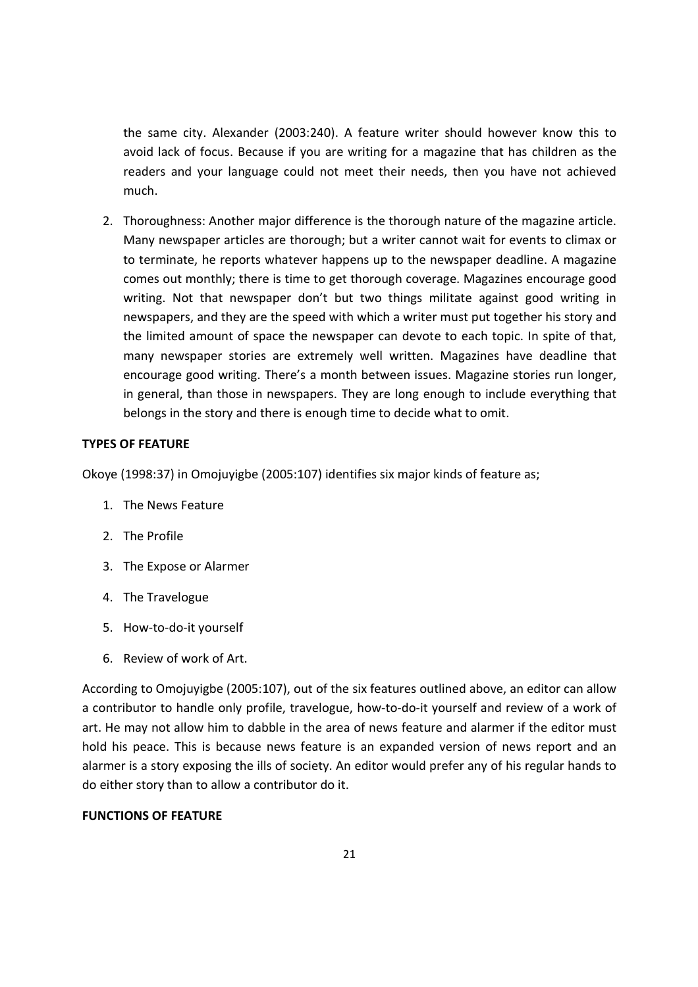the same city. Alexander (2003:240). A feature writer should however know this to avoid lack of focus. Because if you are writing for a magazine that has children as the readers and your language could not meet their needs, then you have not achieved much.

2. Thoroughness: Another major difference is the thorough nature of the magazine article. Many newspaper articles are thorough; but a writer cannot wait for events to climax or to terminate, he reports whatever happens up to the newspaper deadline. A magazine comes out monthly; there is time to get thorough coverage. Magazines encourage good writing. Not that newspaper don't but two things militate against good writing in newspapers, and they are the speed with which a writer must put together his story and the limited amount of space the newspaper can devote to each topic. In spite of that, many newspaper stories are extremely well written. Magazines have deadline that encourage good writing. There's a month between issues. Magazine stories run longer, in general, than those in newspapers. They are long enough to include everything that belongs in the story and there is enough time to decide what to omit.

#### **TYPES OF FEATURE**

Okoye (1998:37) in Omojuyigbe (2005:107) identifies six major kinds of feature as;

- 1. The News Feature
- 2. The Profile
- 3. The Expose or Alarmer
- 4. The Travelogue
- 5. How-to-do-it yourself
- 6. Review of work of Art.

According to Omojuyigbe (2005:107), out of the six features outlined above, an editor can allow a contributor to handle only profile, travelogue, how-to-do-it yourself and review of a work of art. He may not allow him to dabble in the area of news feature and alarmer if the editor must hold his peace. This is because news feature is an expanded version of news report and an alarmer is a story exposing the ills of society. An editor would prefer any of his regular hands to do either story than to allow a contributor do it.

#### **FUNCTIONS OF FEATURE**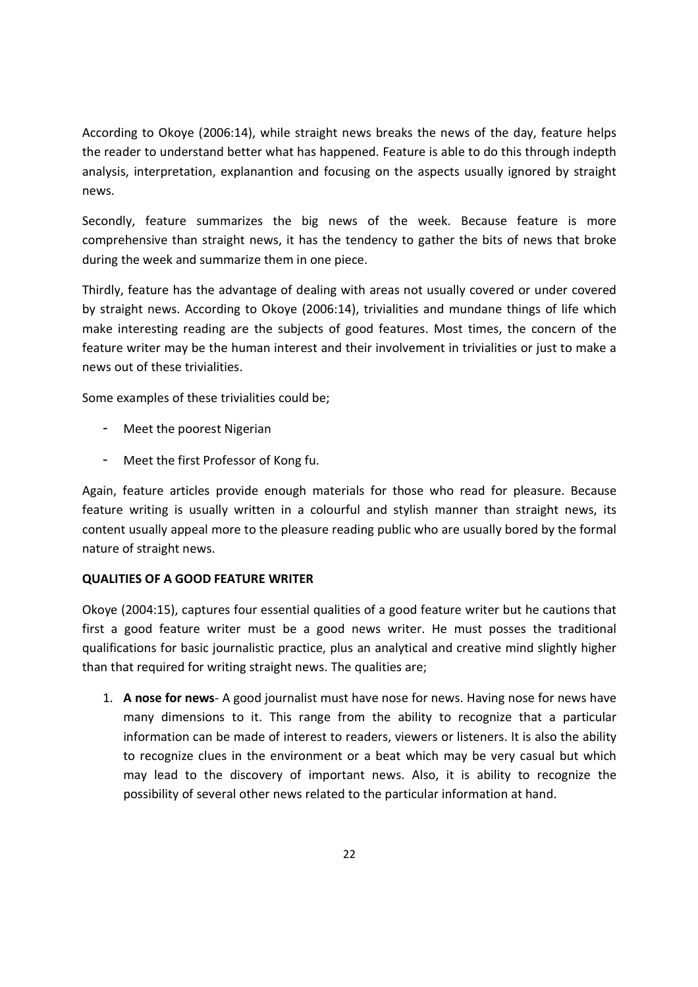According to Okoye (2006:14), while straight news breaks the news of the day, feature helps the reader to understand better what has happened. Feature is able to do this through indepth analysis, interpretation, explanantion and focusing on the aspects usually ignored by straight news.

Secondly, feature summarizes the big news of the week. Because feature is more comprehensive than straight news, it has the tendency to gather the bits of news that broke during the week and summarize them in one piece.

Thirdly, feature has the advantage of dealing with areas not usually covered or under covered by straight news. According to Okoye (2006:14), trivialities and mundane things of life which make interesting reading are the subjects of good features. Most times, the concern of the feature writer may be the human interest and their involvement in trivialities or just to make a news out of these trivialities.

Some examples of these trivialities could be;

- Meet the poorest Nigerian
- Meet the first Professor of Kong fu.

Again, feature articles provide enough materials for those who read for pleasure. Because feature writing is usually written in a colourful and stylish manner than straight news, its content usually appeal more to the pleasure reading public who are usually bored by the formal nature of straight news.

# **QUALITIES OF A GOOD FEATURE WRITER**

Okoye (2004:15), captures four essential qualities of a good feature writer but he cautions that first a good feature writer must be a good news writer. He must posses the traditional qualifications for basic journalistic practice, plus an analytical and creative mind slightly higher than that required for writing straight news. The qualities are;

1. **A nose for news**- A good journalist must have nose for news. Having nose for news have many dimensions to it. This range from the ability to recognize that a particular information can be made of interest to readers, viewers or listeners. It is also the ability to recognize clues in the environment or a beat which may be very casual but which may lead to the discovery of important news. Also, it is ability to recognize the possibility of several other news related to the particular information at hand.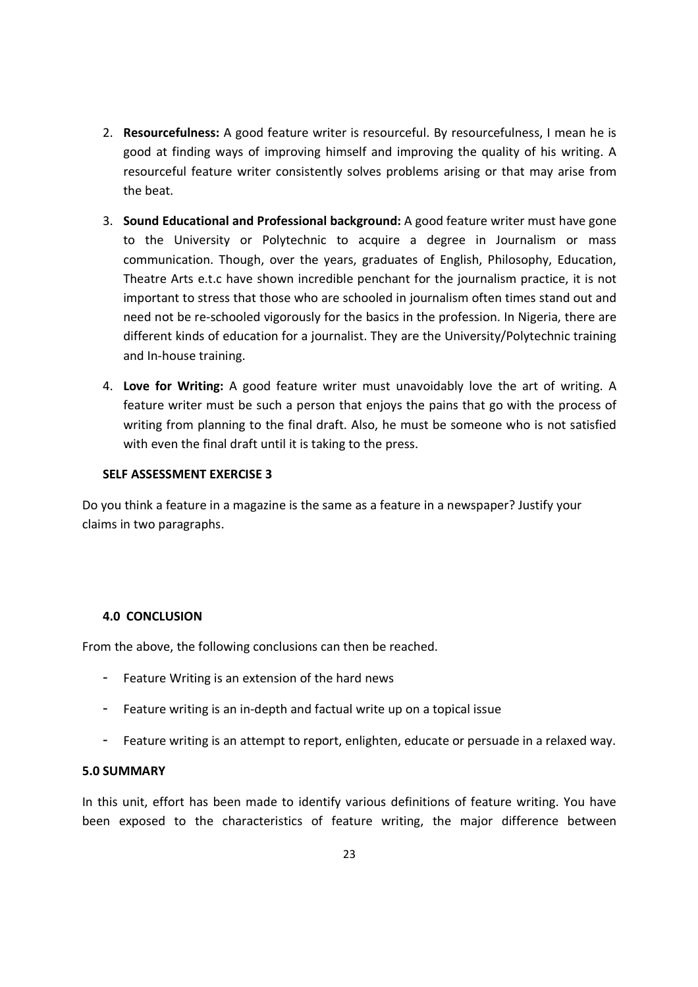- 2. **Resourcefulness:** A good feature writer is resourceful. By resourcefulness, I mean he is good at finding ways of improving himself and improving the quality of his writing. A resourceful feature writer consistently solves problems arising or that may arise from the beat.
- 3. **Sound Educational and Professional background:** A good feature writer must have gone to the University or Polytechnic to acquire a degree in Journalism or mass communication. Though, over the years, graduates of English, Philosophy, Education, Theatre Arts e.t.c have shown incredible penchant for the journalism practice, it is not important to stress that those who are schooled in journalism often times stand out and need not be re-schooled vigorously for the basics in the profession. In Nigeria, there are different kinds of education for a journalist. They are the University/Polytechnic training and In-house training.
- 4. **Love for Writing:** A good feature writer must unavoidably love the art of writing. A feature writer must be such a person that enjoys the pains that go with the process of writing from planning to the final draft. Also, he must be someone who is not satisfied with even the final draft until it is taking to the press.

### **SELF ASSESSMENT EXERCISE 3**

Do you think a feature in a magazine is the same as a feature in a newspaper? Justify your claims in two paragraphs.

### **4.0 CONCLUSION**

From the above, the following conclusions can then be reached.

- Feature Writing is an extension of the hard news
- Feature writing is an in-depth and factual write up on a topical issue
- Feature writing is an attempt to report, enlighten, educate or persuade in a relaxed way.

#### **5.0 SUMMARY**

In this unit, effort has been made to identify various definitions of feature writing. You have been exposed to the characteristics of feature writing, the major difference between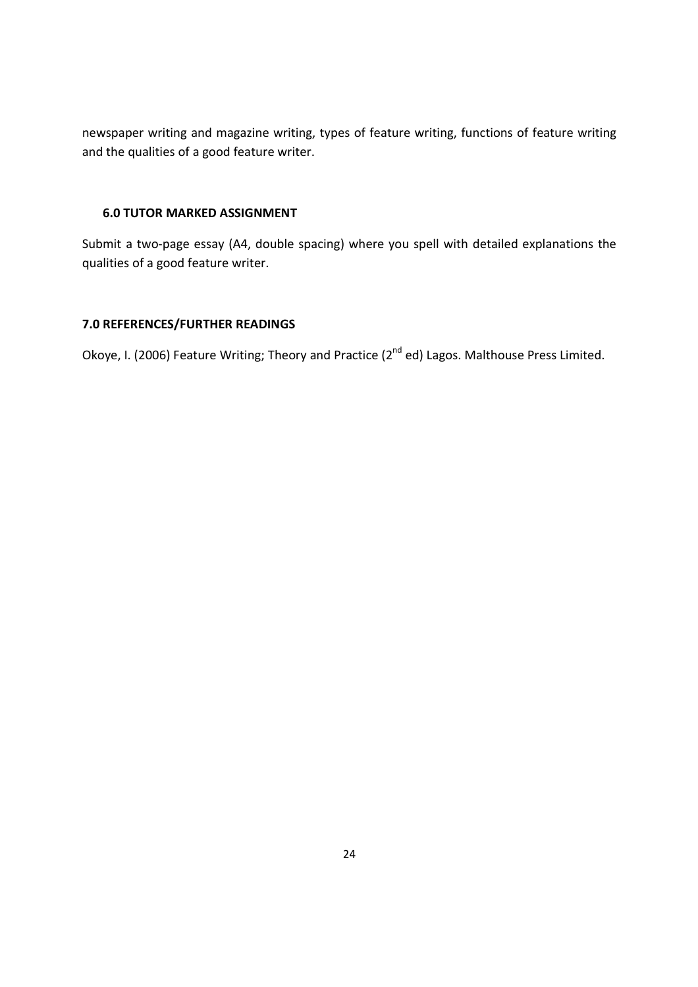newspaper writing and magazine writing, types of feature writing, functions of feature writing and the qualities of a good feature writer.

# **6.0 TUTOR MARKED ASSIGNMENT**

Submit a two-page essay (A4, double spacing) where you spell with detailed explanations the qualities of a good feature writer.

# **7.0 REFERENCES/FURTHER READINGS**

Okoye, I. (2006) Feature Writing; Theory and Practice (2<sup>nd</sup> ed) Lagos. Malthouse Press Limited.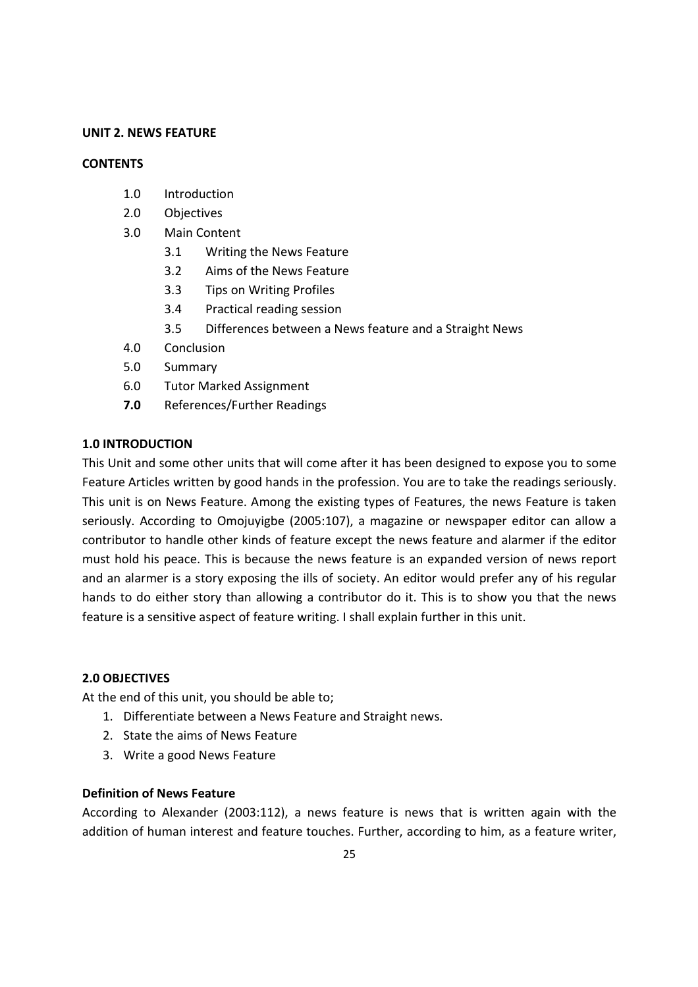#### **UNIT 2. NEWS FEATURE**

#### **CONTENTS**

- 1.0 Introduction
- 2.0 Objectives
- 3.0 Main Content
	- 3.1 Writing the News Feature
	- 3.2 Aims of the News Feature
	- 3.3 Tips on Writing Profiles
	- 3.4 Practical reading session
	- 3.5 Differences between a News feature and a Straight News
- 4.0 Conclusion
- 5.0 Summary
- 6.0 Tutor Marked Assignment
- **7.0** References/Further Readings

#### **1.0 INTRODUCTION**

This Unit and some other units that will come after it has been designed to expose you to some Feature Articles written by good hands in the profession. You are to take the readings seriously. This unit is on News Feature. Among the existing types of Features, the news Feature is taken seriously. According to Omojuyigbe (2005:107), a magazine or newspaper editor can allow a contributor to handle other kinds of feature except the news feature and alarmer if the editor must hold his peace. This is because the news feature is an expanded version of news report and an alarmer is a story exposing the ills of society. An editor would prefer any of his regular hands to do either story than allowing a contributor do it. This is to show you that the news feature is a sensitive aspect of feature writing. I shall explain further in this unit.

### **2.0 OBJECTIVES**

At the end of this unit, you should be able to;

- 1. Differentiate between a News Feature and Straight news.
- 2. State the aims of News Feature
- 3. Write a good News Feature

### **Definition of News Feature**

According to Alexander (2003:112), a news feature is news that is written again with the addition of human interest and feature touches. Further, according to him, as a feature writer,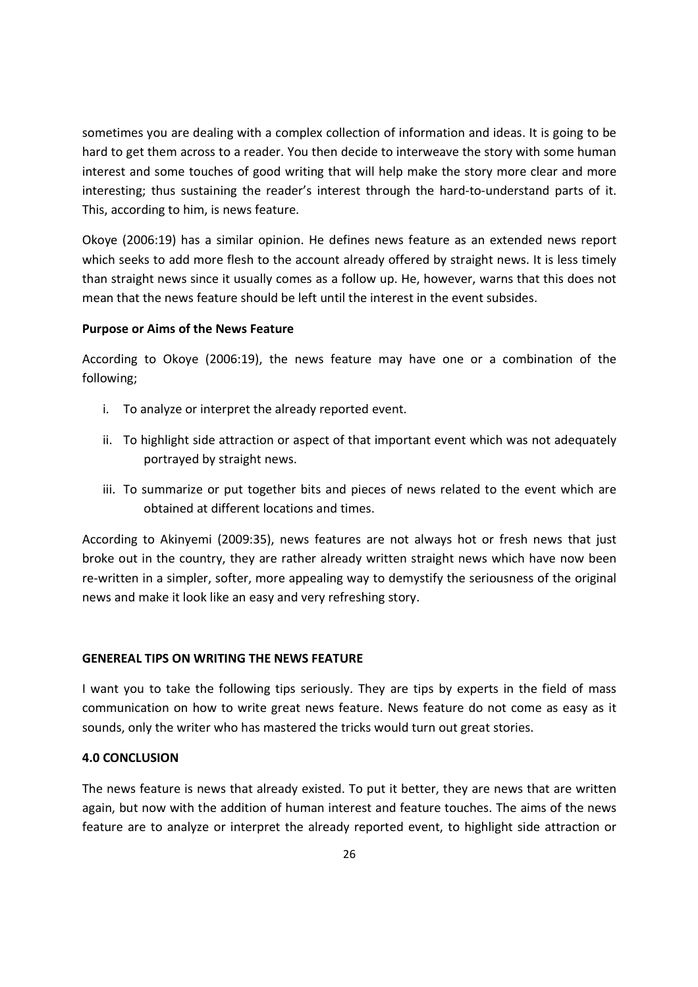sometimes you are dealing with a complex collection of information and ideas. It is going to be hard to get them across to a reader. You then decide to interweave the story with some human interest and some touches of good writing that will help make the story more clear and more interesting; thus sustaining the reader's interest through the hard-to-understand parts of it. This, according to him, is news feature.

Okoye (2006:19) has a similar opinion. He defines news feature as an extended news report which seeks to add more flesh to the account already offered by straight news. It is less timely than straight news since it usually comes as a follow up. He, however, warns that this does not mean that the news feature should be left until the interest in the event subsides.

### **Purpose or Aims of the News Feature**

According to Okoye (2006:19), the news feature may have one or a combination of the following;

- i. To analyze or interpret the already reported event.
- ii. To highlight side attraction or aspect of that important event which was not adequately portrayed by straight news.
- iii. To summarize or put together bits and pieces of news related to the event which are obtained at different locations and times.

According to Akinyemi (2009:35), news features are not always hot or fresh news that just broke out in the country, they are rather already written straight news which have now been re-written in a simpler, softer, more appealing way to demystify the seriousness of the original news and make it look like an easy and very refreshing story.

# **GENEREAL TIPS ON WRITING THE NEWS FEATURE**

I want you to take the following tips seriously. They are tips by experts in the field of mass communication on how to write great news feature. News feature do not come as easy as it sounds, only the writer who has mastered the tricks would turn out great stories.

# **4.0 CONCLUSION**

The news feature is news that already existed. To put it better, they are news that are written again, but now with the addition of human interest and feature touches. The aims of the news feature are to analyze or interpret the already reported event, to highlight side attraction or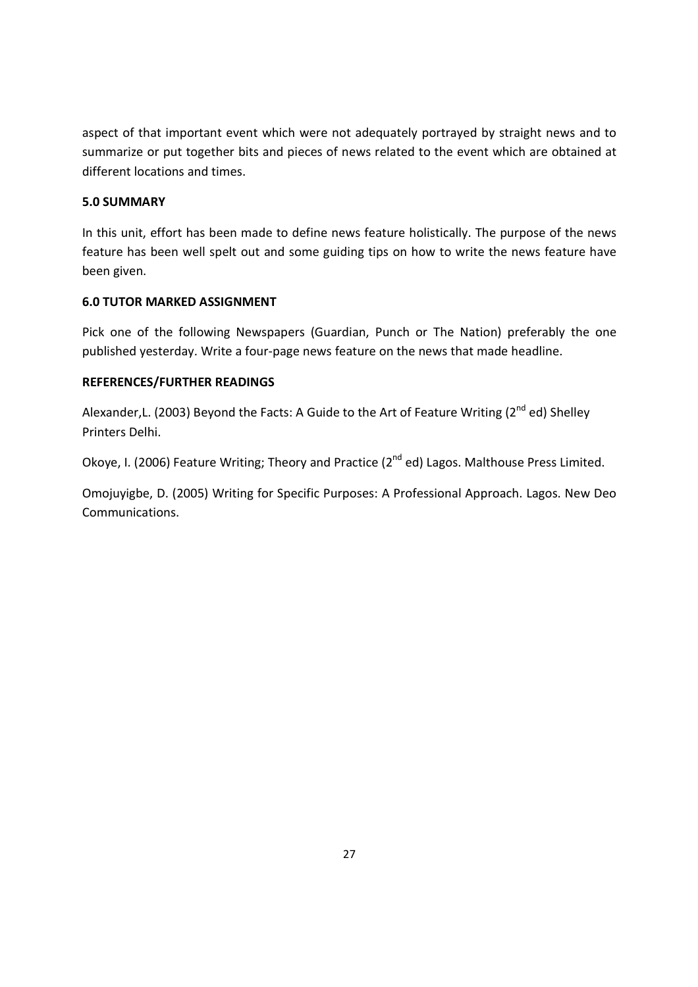aspect of that important event which were not adequately portrayed by straight news and to summarize or put together bits and pieces of news related to the event which are obtained at different locations and times.

### **5.0 SUMMARY**

In this unit, effort has been made to define news feature holistically. The purpose of the news feature has been well spelt out and some guiding tips on how to write the news feature have been given.

### **6.0 TUTOR MARKED ASSIGNMENT**

Pick one of the following Newspapers (Guardian, Punch or The Nation) preferably the one published yesterday. Write a four-page news feature on the news that made headline.

### **REFERENCES/FURTHER READINGS**

Alexander, L. (2003) Beyond the Facts: A Guide to the Art of Feature Writing (2<sup>nd</sup> ed) Shelley Printers Delhi.

Okoye, I. (2006) Feature Writing; Theory and Practice (2<sup>nd</sup> ed) Lagos. Malthouse Press Limited.

Omojuyigbe, D. (2005) Writing for Specific Purposes: A Professional Approach. Lagos. New Deo Communications.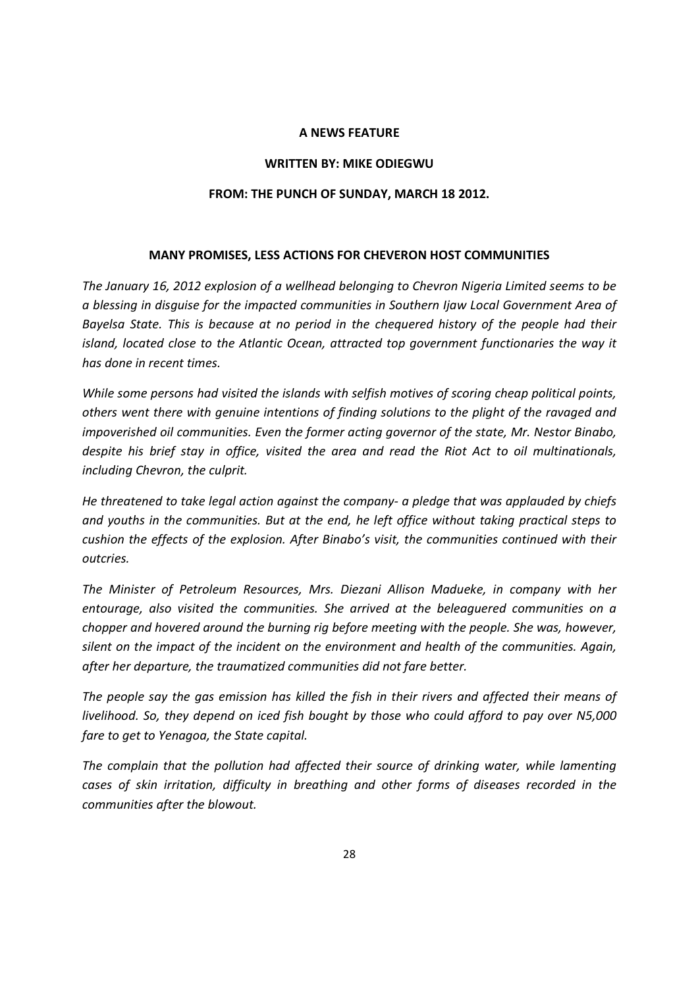#### **A NEWS FEATURE**

#### **WRITTEN BY: MIKE ODIEGWU**

#### **FROM: THE PUNCH OF SUNDAY, MARCH 18 2012.**

#### **MANY PROMISES, LESS ACTIONS FOR CHEVERON HOST COMMUNITIES**

*The January 16, 2012 explosion of a wellhead belonging to Chevron Nigeria Limited seems to be a blessing in disguise for the impacted communities in Southern Ijaw Local Government Area of Bayelsa State. This is because at no period in the chequered history of the people had their*  island, located close to the Atlantic Ocean, attracted top government functionaries the way it *has done in recent times.* 

*While some persons had visited the islands with selfish motives of scoring cheap political points, others went there with genuine intentions of finding solutions to the plight of the ravaged and impoverished oil communities. Even the former acting governor of the state, Mr. Nestor Binabo, despite his brief stay in office, visited the area and read the Riot Act to oil multinationals, including Chevron, the culprit.* 

*He threatened to take legal action against the company- a pledge that was applauded by chiefs and youths in the communities. But at the end, he left office without taking practical steps to cushion the effects of the explosion. After Binabo's visit, the communities continued with their outcries.* 

*The Minister of Petroleum Resources, Mrs. Diezani Allison Madueke, in company with her entourage, also visited the communities. She arrived at the beleaguered communities on a chopper and hovered around the burning rig before meeting with the people. She was, however, silent on the impact of the incident on the environment and health of the communities. Again, after her departure, the traumatized communities did not fare better.* 

*The people say the gas emission has killed the fish in their rivers and affected their means of livelihood. So, they depend on iced fish bought by those who could afford to pay over N5,000 fare to get to Yenagoa, the State capital.* 

*The complain that the pollution had affected their source of drinking water, while lamenting cases of skin irritation, difficulty in breathing and other forms of diseases recorded in the communities after the blowout.*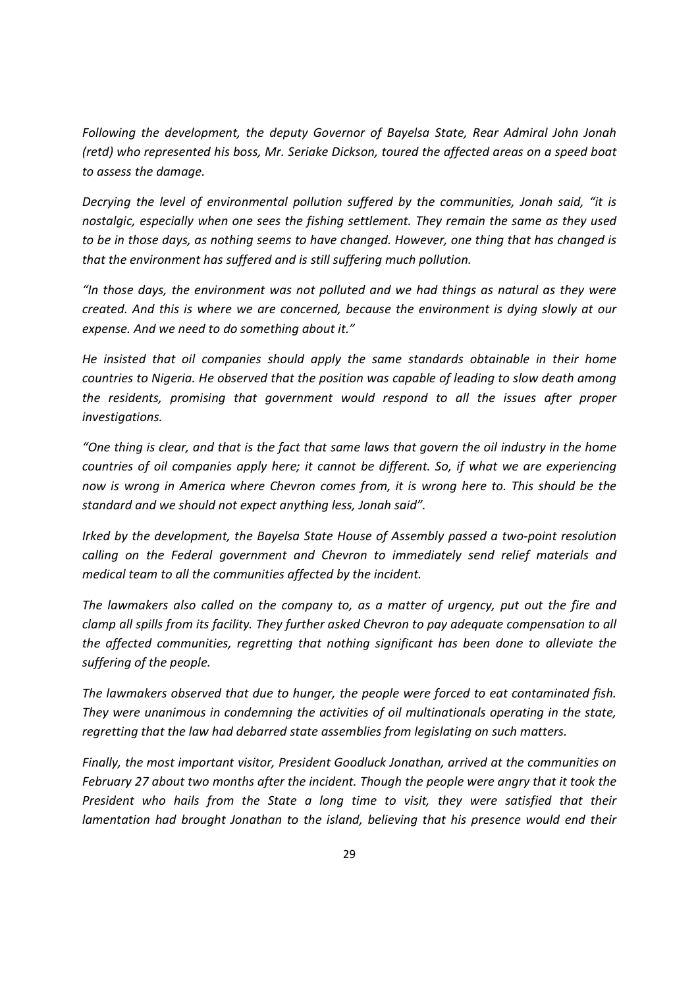*Following the development, the deputy Governor of Bayelsa State, Rear Admiral John Jonah (retd) who represented his boss, Mr. Seriake Dickson, toured the affected areas on a speed boat to assess the damage.* 

*Decrying the level of environmental pollution suffered by the communities, Jonah said, "it is nostalgic, especially when one sees the fishing settlement. They remain the same as they used to be in those days, as nothing seems to have changed. However, one thing that has changed is that the environment has suffered and is still suffering much pollution.* 

*"In those days, the environment was not polluted and we had things as natural as they were created. And this is where we are concerned, because the environment is dying slowly at our expense. And we need to do something about it."* 

*He insisted that oil companies should apply the same standards obtainable in their home countries to Nigeria. He observed that the position was capable of leading to slow death among the residents, promising that government would respond to all the issues after proper investigations.* 

*"One thing is clear, and that is the fact that same laws that govern the oil industry in the home countries of oil companies apply here; it cannot be different. So, if what we are experiencing now is wrong in America where Chevron comes from, it is wrong here to. This should be the standard and we should not expect anything less, Jonah said".* 

*Irked by the development, the Bayelsa State House of Assembly passed a two-point resolution calling on the Federal government and Chevron to immediately send relief materials and medical team to all the communities affected by the incident.* 

*The lawmakers also called on the company to, as a matter of urgency, put out the fire and clamp all spills from its facility. They further asked Chevron to pay adequate compensation to all the affected communities, regretting that nothing significant has been done to alleviate the suffering of the people.* 

*The lawmakers observed that due to hunger, the people were forced to eat contaminated fish. They were unanimous in condemning the activities of oil multinationals operating in the state, regretting that the law had debarred state assemblies from legislating on such matters.* 

*Finally, the most important visitor, President Goodluck Jonathan, arrived at the communities on February 27 about two months after the incident. Though the people were angry that it took the President who hails from the State a long time to visit, they were satisfied that their lamentation had brought Jonathan to the island, believing that his presence would end their*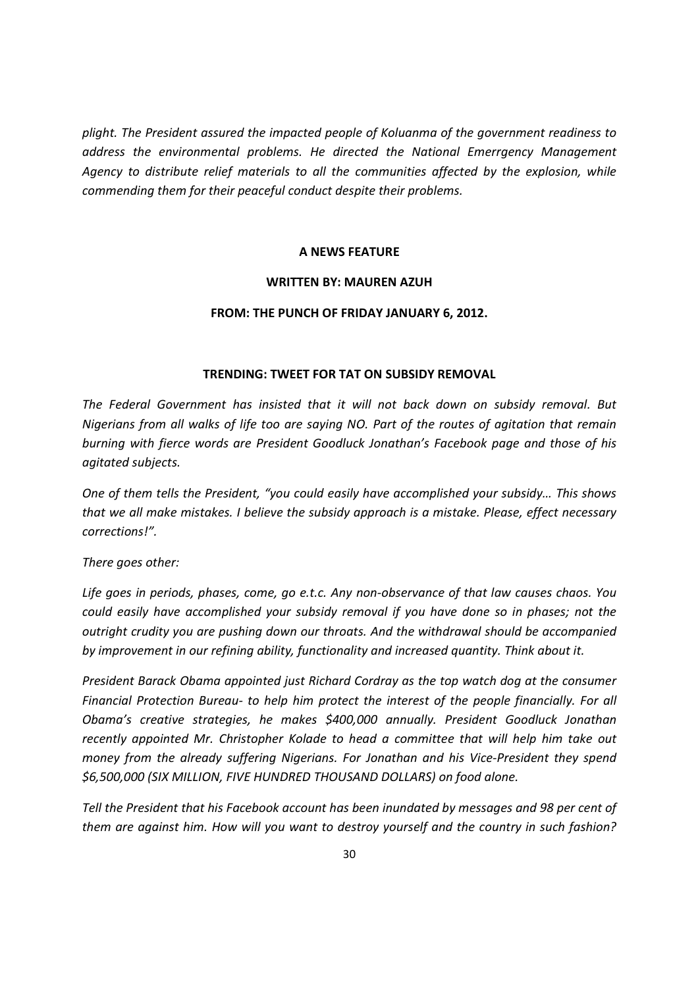*plight. The President assured the impacted people of Koluanma of the government readiness to address the environmental problems. He directed the National Emerrgency Management Agency to distribute relief materials to all the communities affected by the explosion, while commending them for their peaceful conduct despite their problems.* 

#### **A NEWS FEATURE**

#### **WRITTEN BY: MAUREN AZUH**

#### **FROM: THE PUNCH OF FRIDAY JANUARY 6, 2012.**

#### **TRENDING: TWEET FOR TAT ON SUBSIDY REMOVAL**

*The Federal Government has insisted that it will not back down on subsidy removal. But Nigerians from all walks of life too are saying NO. Part of the routes of agitation that remain burning with fierce words are President Goodluck Jonathan's Facebook page and those of his agitated subjects.* 

*One of them tells the President, "you could easily have accomplished your subsidy… This shows that we all make mistakes. I believe the subsidy approach is a mistake. Please, effect necessary corrections!".* 

*There goes other:* 

*Life goes in periods, phases, come, go e.t.c. Any non-observance of that law causes chaos. You could easily have accomplished your subsidy removal if you have done so in phases; not the outright crudity you are pushing down our throats. And the withdrawal should be accompanied by improvement in our refining ability, functionality and increased quantity. Think about it.* 

*President Barack Obama appointed just Richard Cordray as the top watch dog at the consumer Financial Protection Bureau- to help him protect the interest of the people financially. For all Obama's creative strategies, he makes \$400,000 annually. President Goodluck Jonathan recently appointed Mr. Christopher Kolade to head a committee that will help him take out money from the already suffering Nigerians. For Jonathan and his Vice-President they spend \$6,500,000 (SIX MILLION, FIVE HUNDRED THOUSAND DOLLARS) on food alone.* 

*Tell the President that his Facebook account has been inundated by messages and 98 per cent of them are against him. How will you want to destroy yourself and the country in such fashion?*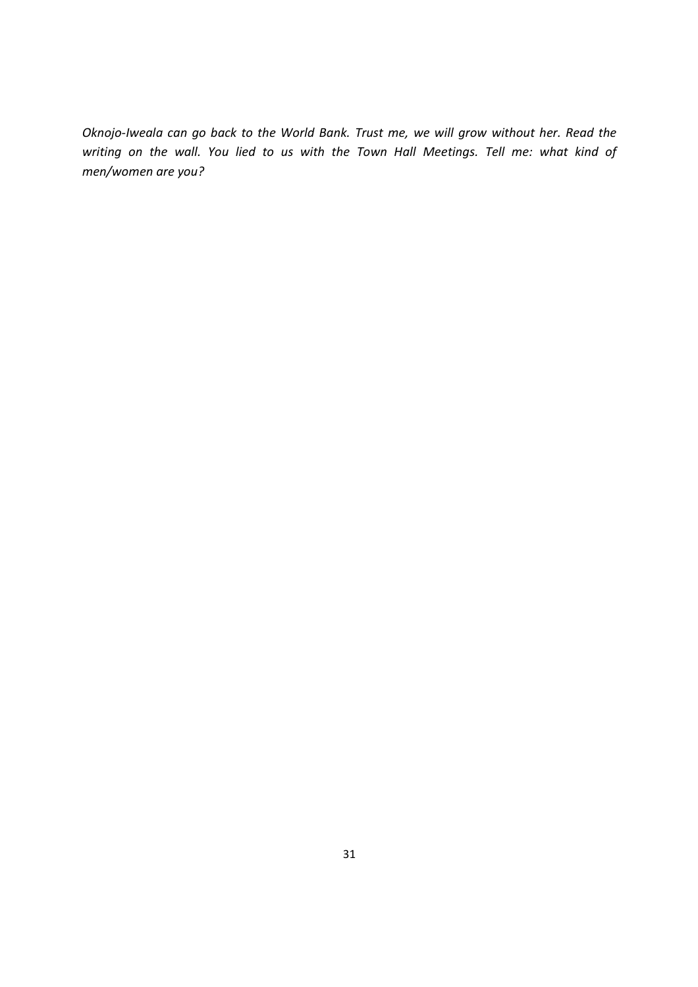*Oknojo-Iweala can go back to the World Bank. Trust me, we will grow without her. Read the writing on the wall. You lied to us with the Town Hall Meetings. Tell me: what kind of men/women are you?*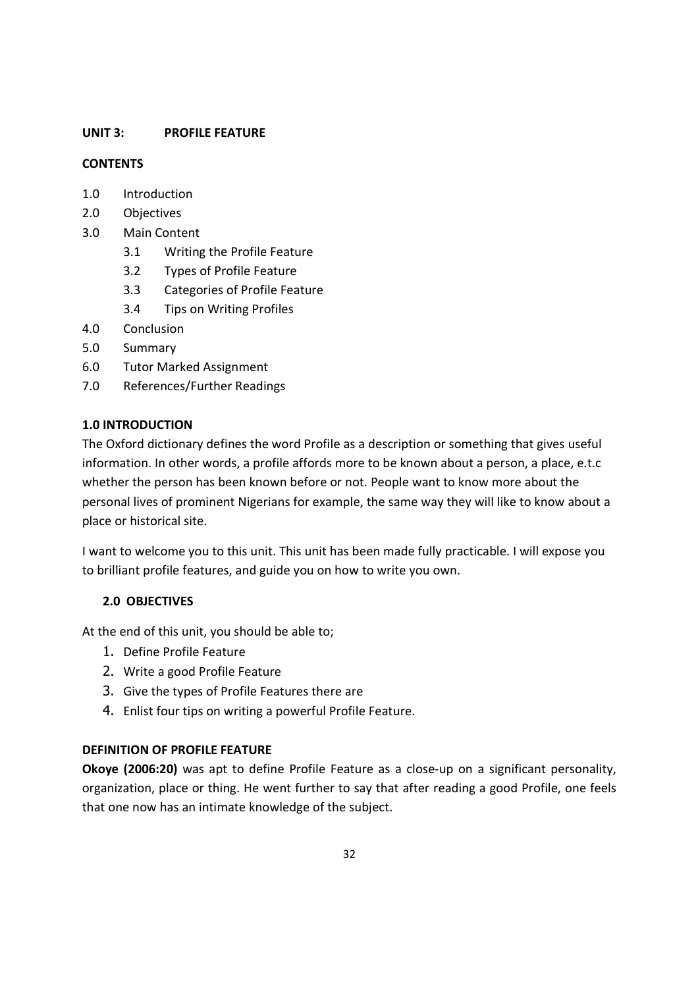# **UNIT 3: PROFILE FEATURE**

# **CONTENTS**

- 1.0 Introduction
- 2.0 Objectives
- 3.0 Main Content
	- 3.1 Writing the Profile Feature
	- 3.2 Types of Profile Feature
	- 3.3 Categories of Profile Feature
	- 3.4 Tips on Writing Profiles
- 4.0 Conclusion
- 5.0 Summary
- 6.0 Tutor Marked Assignment
- 7.0 References/Further Readings

# **1.0 INTRODUCTION**

The Oxford dictionary defines the word Profile as a description or something that gives useful information. In other words, a profile affords more to be known about a person, a place, e.t.c whether the person has been known before or not. People want to know more about the personal lives of prominent Nigerians for example, the same way they will like to know about a place or historical site.

I want to welcome you to this unit. This unit has been made fully practicable. I will expose you to brilliant profile features, and guide you on how to write you own.

# **2.0 OBJECTIVES**

At the end of this unit, you should be able to;

- 1. Define Profile Feature
- 2. Write a good Profile Feature
- 3. Give the types of Profile Features there are
- 4. Enlist four tips on writing a powerful Profile Feature.

# **DEFINITION OF PROFILE FEATURE**

**Okoye (2006:20)** was apt to define Profile Feature as a close-up on a significant personality, organization, place or thing. He went further to say that after reading a good Profile, one feels that one now has an intimate knowledge of the subject.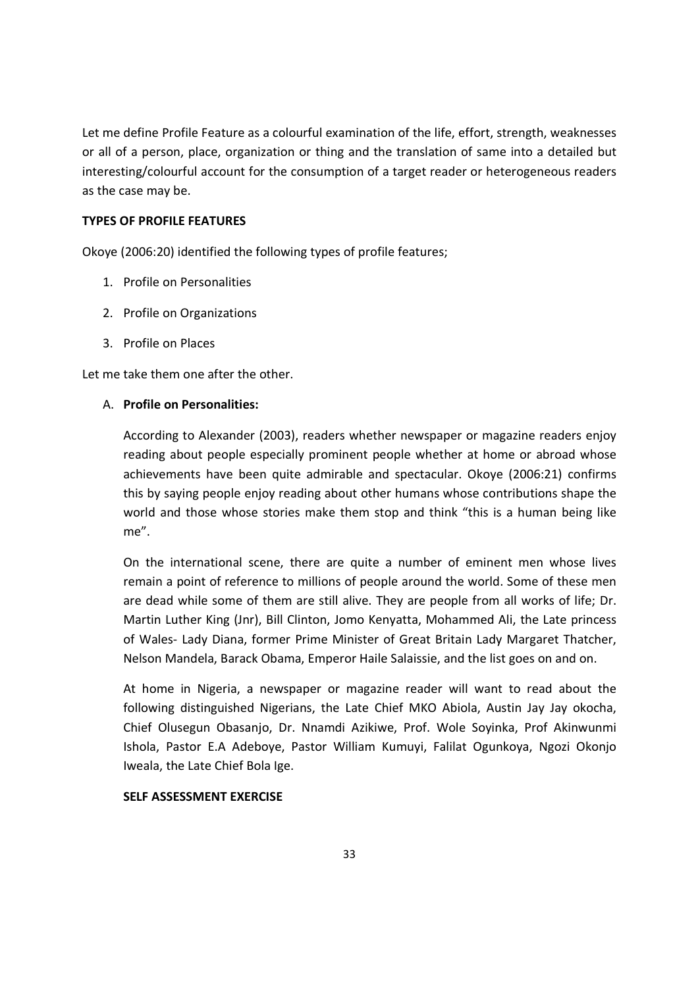Let me define Profile Feature as a colourful examination of the life, effort, strength, weaknesses or all of a person, place, organization or thing and the translation of same into a detailed but interesting/colourful account for the consumption of a target reader or heterogeneous readers as the case may be.

# **TYPES OF PROFILE FEATURES**

Okoye (2006:20) identified the following types of profile features;

- 1. Profile on Personalities
- 2. Profile on Organizations
- 3. Profile on Places

Let me take them one after the other.

# A. **Profile on Personalities:**

According to Alexander (2003), readers whether newspaper or magazine readers enjoy reading about people especially prominent people whether at home or abroad whose achievements have been quite admirable and spectacular. Okoye (2006:21) confirms this by saying people enjoy reading about other humans whose contributions shape the world and those whose stories make them stop and think "this is a human being like me".

On the international scene, there are quite a number of eminent men whose lives remain a point of reference to millions of people around the world. Some of these men are dead while some of them are still alive. They are people from all works of life; Dr. Martin Luther King (Jnr), Bill Clinton, Jomo Kenyatta, Mohammed Ali, the Late princess of Wales- Lady Diana, former Prime Minister of Great Britain Lady Margaret Thatcher, Nelson Mandela, Barack Obama, Emperor Haile Salaissie, and the list goes on and on.

At home in Nigeria, a newspaper or magazine reader will want to read about the following distinguished Nigerians, the Late Chief MKO Abiola, Austin Jay Jay okocha, Chief Olusegun Obasanjo, Dr. Nnamdi Azikiwe, Prof. Wole Soyinka, Prof Akinwunmi Ishola, Pastor E.A Adeboye, Pastor William Kumuyi, Falilat Ogunkoya, Ngozi Okonjo Iweala, the Late Chief Bola Ige.

# **SELF ASSESSMENT EXERCISE**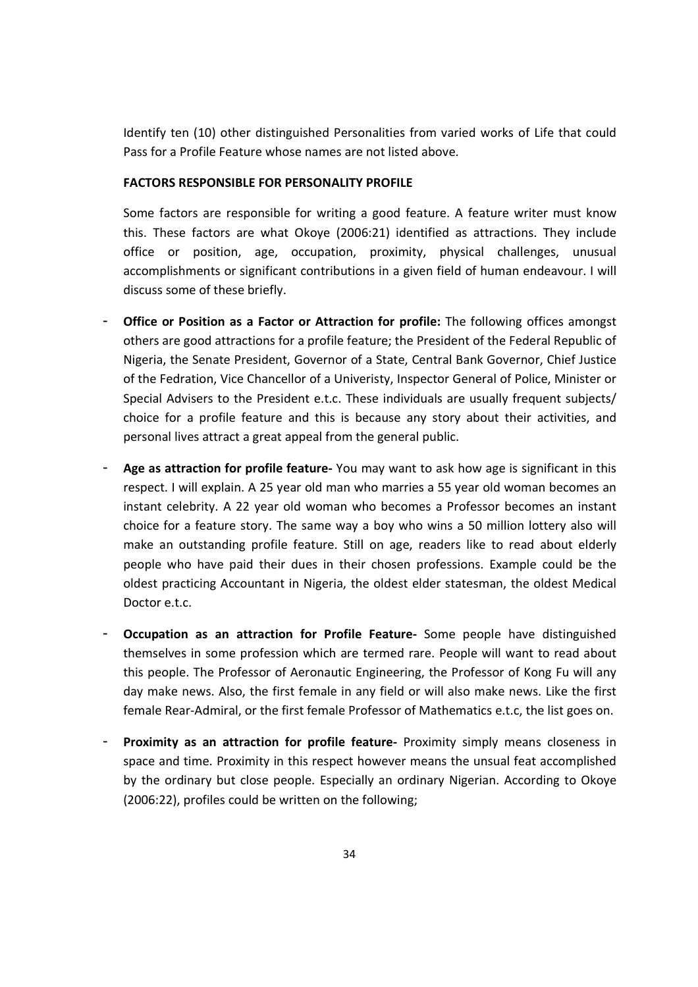Identify ten (10) other distinguished Personalities from varied works of Life that could Pass for a Profile Feature whose names are not listed above.

#### **FACTORS RESPONSIBLE FOR PERSONALITY PROFILE**

Some factors are responsible for writing a good feature. A feature writer must know this. These factors are what Okoye (2006:21) identified as attractions. They include office or position, age, occupation, proximity, physical challenges, unusual accomplishments or significant contributions in a given field of human endeavour. I will discuss some of these briefly.

- **Office or Position as a Factor or Attraction for profile:** The following offices amongst others are good attractions for a profile feature; the President of the Federal Republic of Nigeria, the Senate President, Governor of a State, Central Bank Governor, Chief Justice of the Fedration, Vice Chancellor of a Univeristy, Inspector General of Police, Minister or Special Advisers to the President e.t.c. These individuals are usually frequent subjects/ choice for a profile feature and this is because any story about their activities, and personal lives attract a great appeal from the general public.
- **Age as attraction for profile feature-** You may want to ask how age is significant in this respect. I will explain. A 25 year old man who marries a 55 year old woman becomes an instant celebrity. A 22 year old woman who becomes a Professor becomes an instant choice for a feature story. The same way a boy who wins a 50 million lottery also will make an outstanding profile feature. Still on age, readers like to read about elderly people who have paid their dues in their chosen professions. Example could be the oldest practicing Accountant in Nigeria, the oldest elder statesman, the oldest Medical Doctor e.t.c.
- **Occupation as an attraction for Profile Feature-** Some people have distinguished themselves in some profession which are termed rare. People will want to read about this people. The Professor of Aeronautic Engineering, the Professor of Kong Fu will any day make news. Also, the first female in any field or will also make news. Like the first female Rear-Admiral, or the first female Professor of Mathematics e.t.c, the list goes on.
- **Proximity as an attraction for profile feature-** Proximity simply means closeness in space and time. Proximity in this respect however means the unsual feat accomplished by the ordinary but close people. Especially an ordinary Nigerian. According to Okoye (2006:22), profiles could be written on the following;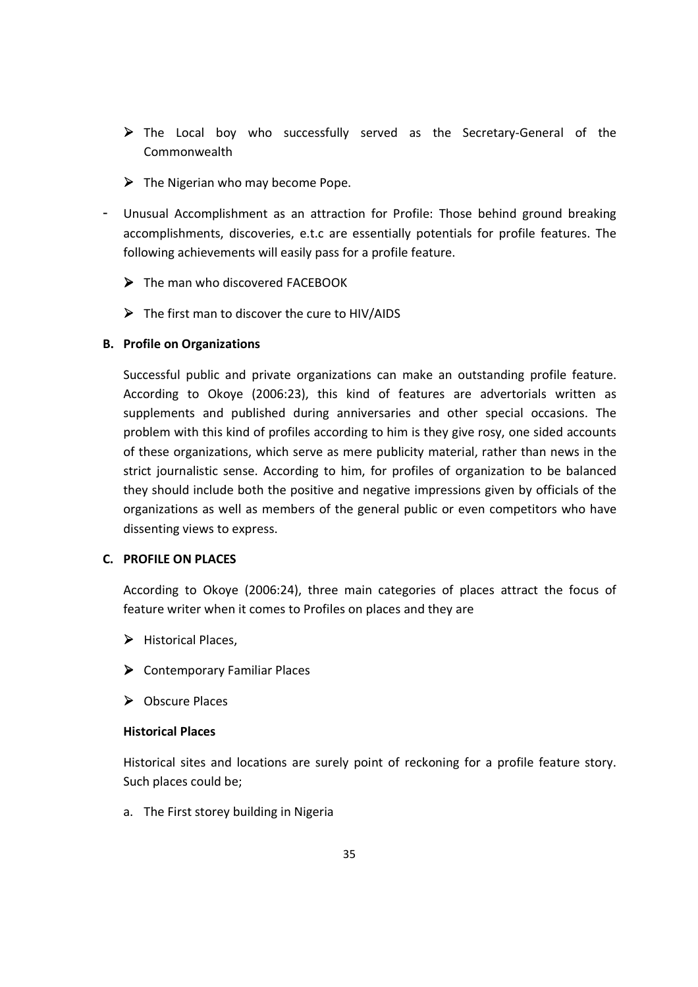- The Local boy who successfully served as the Secretary-General of the Commonwealth
- $\triangleright$  The Nigerian who may become Pope.
- Unusual Accomplishment as an attraction for Profile: Those behind ground breaking accomplishments, discoveries, e.t.c are essentially potentials for profile features. The following achievements will easily pass for a profile feature.
	- $\triangleright$  The man who discovered FACEBOOK
	- $\triangleright$  The first man to discover the cure to HIV/AIDS

# **B. Profile on Organizations**

Successful public and private organizations can make an outstanding profile feature. According to Okoye (2006:23), this kind of features are advertorials written as supplements and published during anniversaries and other special occasions. The problem with this kind of profiles according to him is they give rosy, one sided accounts of these organizations, which serve as mere publicity material, rather than news in the strict journalistic sense. According to him, for profiles of organization to be balanced they should include both the positive and negative impressions given by officials of the organizations as well as members of the general public or even competitors who have dissenting views to express.

# **C. PROFILE ON PLACES**

According to Okoye (2006:24), three main categories of places attract the focus of feature writer when it comes to Profiles on places and they are

- Historical Places,
- ▶ Contemporary Familiar Places
- Obscure Places

#### **Historical Places**

Historical sites and locations are surely point of reckoning for a profile feature story. Such places could be;

a. The First storey building in Nigeria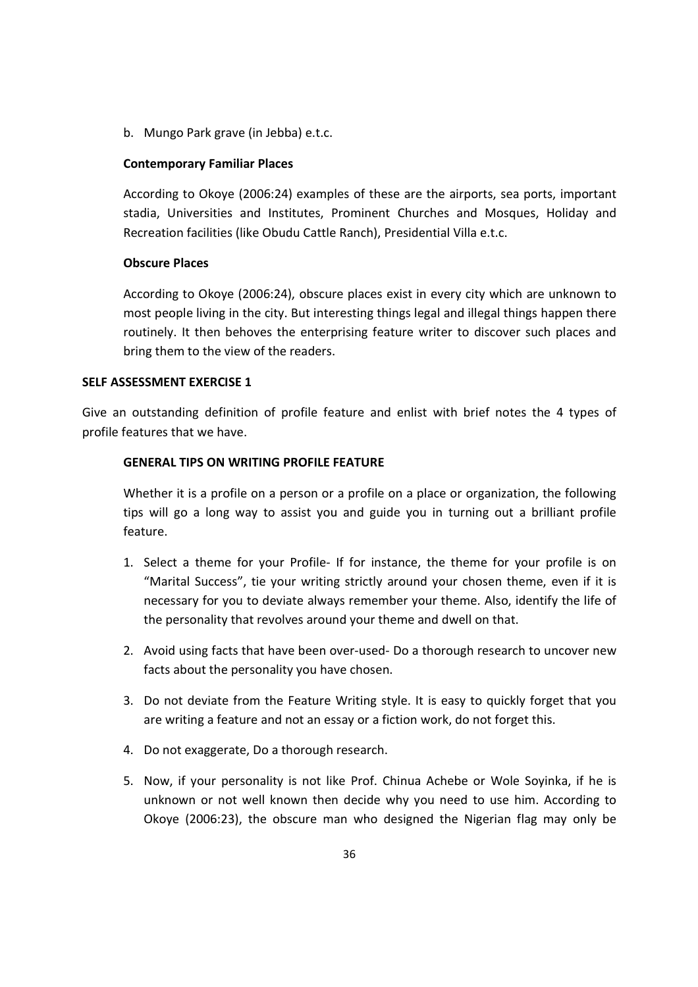b. Mungo Park grave (in Jebba) e.t.c.

#### **Contemporary Familiar Places**

According to Okoye (2006:24) examples of these are the airports, sea ports, important stadia, Universities and Institutes, Prominent Churches and Mosques, Holiday and Recreation facilities (like Obudu Cattle Ranch), Presidential Villa e.t.c.

### **Obscure Places**

According to Okoye (2006:24), obscure places exist in every city which are unknown to most people living in the city. But interesting things legal and illegal things happen there routinely. It then behoves the enterprising feature writer to discover such places and bring them to the view of the readers.

### **SELF ASSESSMENT EXERCISE 1**

Give an outstanding definition of profile feature and enlist with brief notes the 4 types of profile features that we have.

### **GENERAL TIPS ON WRITING PROFILE FEATURE**

Whether it is a profile on a person or a profile on a place or organization, the following tips will go a long way to assist you and guide you in turning out a brilliant profile feature.

- 1. Select a theme for your Profile- If for instance, the theme for your profile is on "Marital Success", tie your writing strictly around your chosen theme, even if it is necessary for you to deviate always remember your theme. Also, identify the life of the personality that revolves around your theme and dwell on that.
- 2. Avoid using facts that have been over-used- Do a thorough research to uncover new facts about the personality you have chosen.
- 3. Do not deviate from the Feature Writing style. It is easy to quickly forget that you are writing a feature and not an essay or a fiction work, do not forget this.
- 4. Do not exaggerate, Do a thorough research.
- 5. Now, if your personality is not like Prof. Chinua Achebe or Wole Soyinka, if he is unknown or not well known then decide why you need to use him. According to Okoye (2006:23), the obscure man who designed the Nigerian flag may only be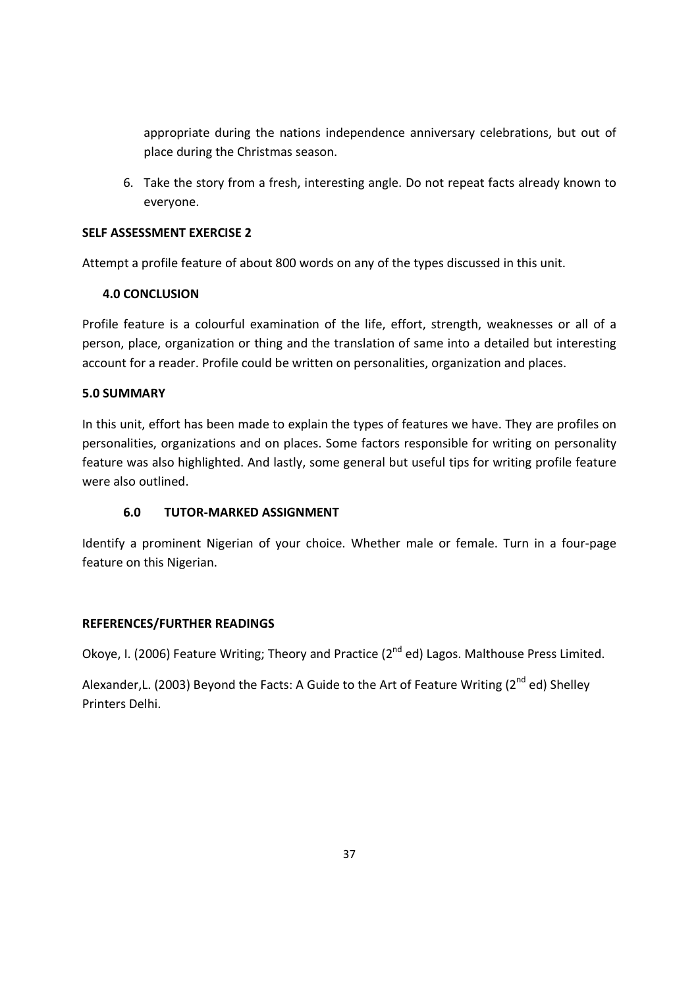appropriate during the nations independence anniversary celebrations, but out of place during the Christmas season.

6. Take the story from a fresh, interesting angle. Do not repeat facts already known to everyone.

# **SELF ASSESSMENT EXERCISE 2**

Attempt a profile feature of about 800 words on any of the types discussed in this unit.

# **4.0 CONCLUSION**

Profile feature is a colourful examination of the life, effort, strength, weaknesses or all of a person, place, organization or thing and the translation of same into a detailed but interesting account for a reader. Profile could be written on personalities, organization and places.

# **5.0 SUMMARY**

In this unit, effort has been made to explain the types of features we have. They are profiles on personalities, organizations and on places. Some factors responsible for writing on personality feature was also highlighted. And lastly, some general but useful tips for writing profile feature were also outlined.

# **6.0 TUTOR-MARKED ASSIGNMENT**

Identify a prominent Nigerian of your choice. Whether male or female. Turn in a four-page feature on this Nigerian.

# **REFERENCES/FURTHER READINGS**

Okoye, I. (2006) Feature Writing; Theory and Practice (2<sup>nd</sup> ed) Lagos. Malthouse Press Limited.

Alexander, L. (2003) Beyond the Facts: A Guide to the Art of Feature Writing ( $2^{nd}$  ed) Shelley Printers Delhi.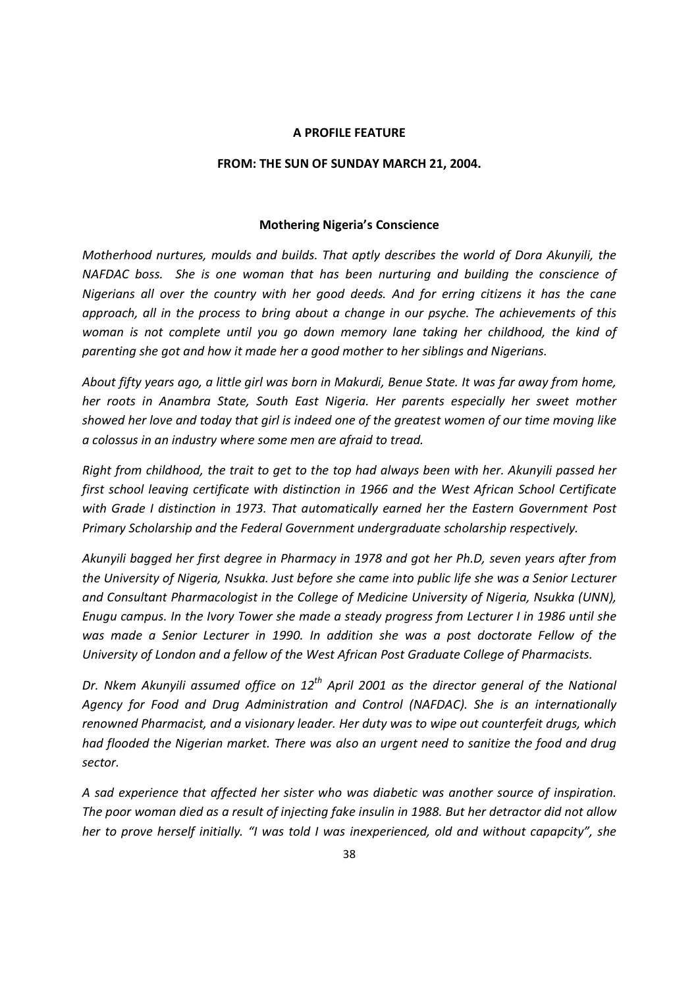#### **A PROFILE FEATURE**

#### **FROM: THE SUN OF SUNDAY MARCH 21, 2004.**

#### **Mothering Nigeria's Conscience**

*Motherhood nurtures, moulds and builds. That aptly describes the world of Dora Akunyili, the NAFDAC boss. She is one woman that has been nurturing and building the conscience of Nigerians all over the country with her good deeds. And for erring citizens it has the cane approach, all in the process to bring about a change in our psyche. The achievements of this woman is not complete until you go down memory lane taking her childhood, the kind of parenting she got and how it made her a good mother to her siblings and Nigerians.* 

*About fifty years ago, a little girl was born in Makurdi, Benue State. It was far away from home, her roots in Anambra State, South East Nigeria. Her parents especially her sweet mother showed her love and today that girl is indeed one of the greatest women of our time moving like a colossus in an industry where some men are afraid to tread.* 

*Right from childhood, the trait to get to the top had always been with her. Akunyili passed her first school leaving certificate with distinction in 1966 and the West African School Certificate with Grade I distinction in 1973. That automatically earned her the Eastern Government Post Primary Scholarship and the Federal Government undergraduate scholarship respectively.* 

*Akunyili bagged her first degree in Pharmacy in 1978 and got her Ph.D, seven years after from the University of Nigeria, Nsukka. Just before she came into public life she was a Senior Lecturer and Consultant Pharmacologist in the College of Medicine University of Nigeria, Nsukka (UNN), Enugu campus. In the Ivory Tower she made a steady progress from Lecturer I in 1986 until she was made a Senior Lecturer in 1990. In addition she was a post doctorate Fellow of the University of London and a fellow of the West African Post Graduate College of Pharmacists.* 

*Dr. Nkem Akunyili assumed office on 12th April 2001 as the director general of the National Agency for Food and Drug Administration and Control (NAFDAC). She is an internationally renowned Pharmacist, and a visionary leader. Her duty was to wipe out counterfeit drugs, which had flooded the Nigerian market. There was also an urgent need to sanitize the food and drug sector.* 

*A sad experience that affected her sister who was diabetic was another source of inspiration. The poor woman died as a result of injecting fake insulin in 1988. But her detractor did not allow her to prove herself initially. "I was told I was inexperienced, old and without capapcity", she*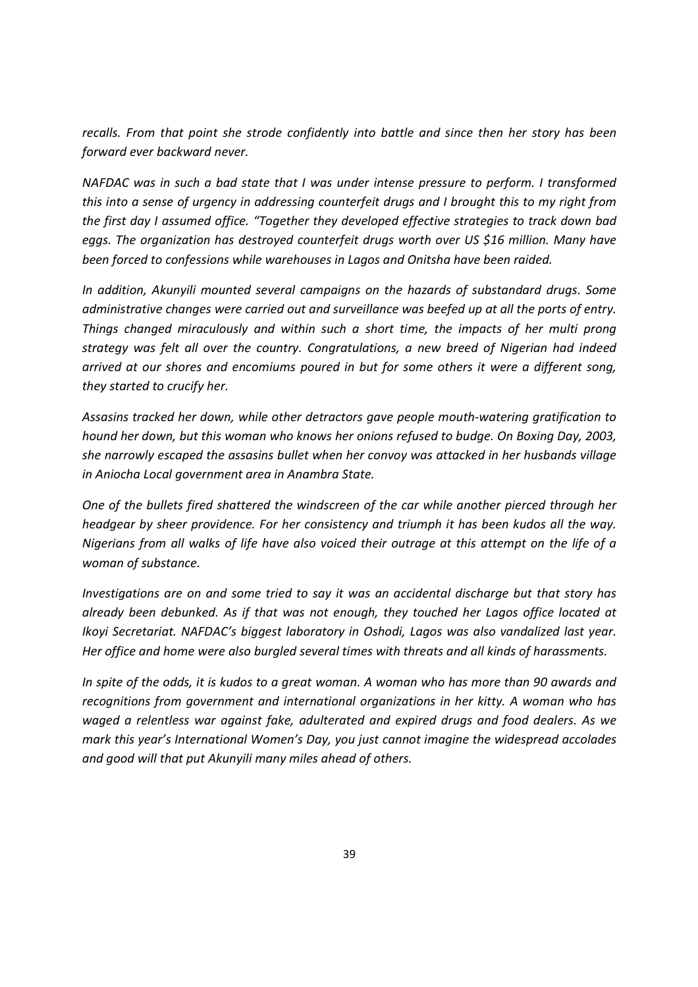*recalls. From that point she strode confidently into battle and since then her story has been forward ever backward never.* 

*NAFDAC was in such a bad state that I was under intense pressure to perform. I transformed this into a sense of urgency in addressing counterfeit drugs and I brought this to my right from the first day I assumed office. "Together they developed effective strategies to track down bad eggs. The organization has destroyed counterfeit drugs worth over US \$16 million. Many have been forced to confessions while warehouses in Lagos and Onitsha have been raided.* 

*In addition, Akunyili mounted several campaigns on the hazards of substandard drugs. Some administrative changes were carried out and surveillance was beefed up at all the ports of entry. Things changed miraculously and within such a short time, the impacts of her multi prong strategy was felt all over the country. Congratulations, a new breed of Nigerian had indeed arrived at our shores and encomiums poured in but for some others it were a different song, they started to crucify her.* 

*Assasins tracked her down, while other detractors gave people mouth-watering gratification to hound her down, but this woman who knows her onions refused to budge. On Boxing Day, 2003, she narrowly escaped the assasins bullet when her convoy was attacked in her husbands village in Aniocha Local government area in Anambra State.* 

*One of the bullets fired shattered the windscreen of the car while another pierced through her headgear by sheer providence. For her consistency and triumph it has been kudos all the way. Nigerians from all walks of life have also voiced their outrage at this attempt on the life of a woman of substance.* 

*Investigations are on and some tried to say it was an accidental discharge but that story has already been debunked. As if that was not enough, they touched her Lagos office located at Ikoyi Secretariat. NAFDAC's biggest laboratory in Oshodi, Lagos was also vandalized last year. Her office and home were also burgled several times with threats and all kinds of harassments.* 

*In spite of the odds, it is kudos to a great woman. A woman who has more than 90 awards and recognitions from government and international organizations in her kitty. A woman who has waged a relentless war against fake, adulterated and expired drugs and food dealers. As we mark this year's International Women's Day, you just cannot imagine the widespread accolades and good will that put Akunyili many miles ahead of others.*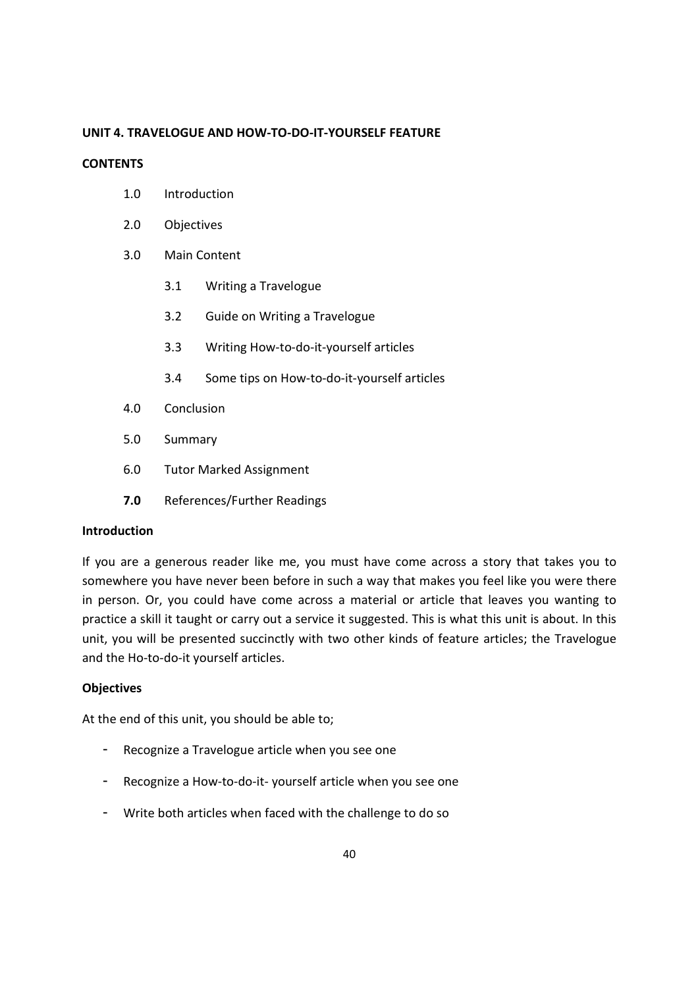## **UNIT 4. TRAVELOGUE AND HOW-TO-DO-IT-YOURSELF FEATURE**

## **CONTENTS**

- 1.0 Introduction
- 2.0 Objectives
- 3.0 Main Content
	- 3.1 Writing a Travelogue
	- 3.2 Guide on Writing a Travelogue
	- 3.3 Writing How-to-do-it-yourself articles
	- 3.4 Some tips on How-to-do-it-yourself articles
- 4.0 Conclusion
- 5.0 Summary
- 6.0 Tutor Marked Assignment
- **7.0** References/Further Readings

### **Introduction**

If you are a generous reader like me, you must have come across a story that takes you to somewhere you have never been before in such a way that makes you feel like you were there in person. Or, you could have come across a material or article that leaves you wanting to practice a skill it taught or carry out a service it suggested. This is what this unit is about. In this unit, you will be presented succinctly with two other kinds of feature articles; the Travelogue and the Ho-to-do-it yourself articles.

### **Objectives**

At the end of this unit, you should be able to;

- Recognize a Travelogue article when you see one
- Recognize a How-to-do-it- yourself article when you see one
- Write both articles when faced with the challenge to do so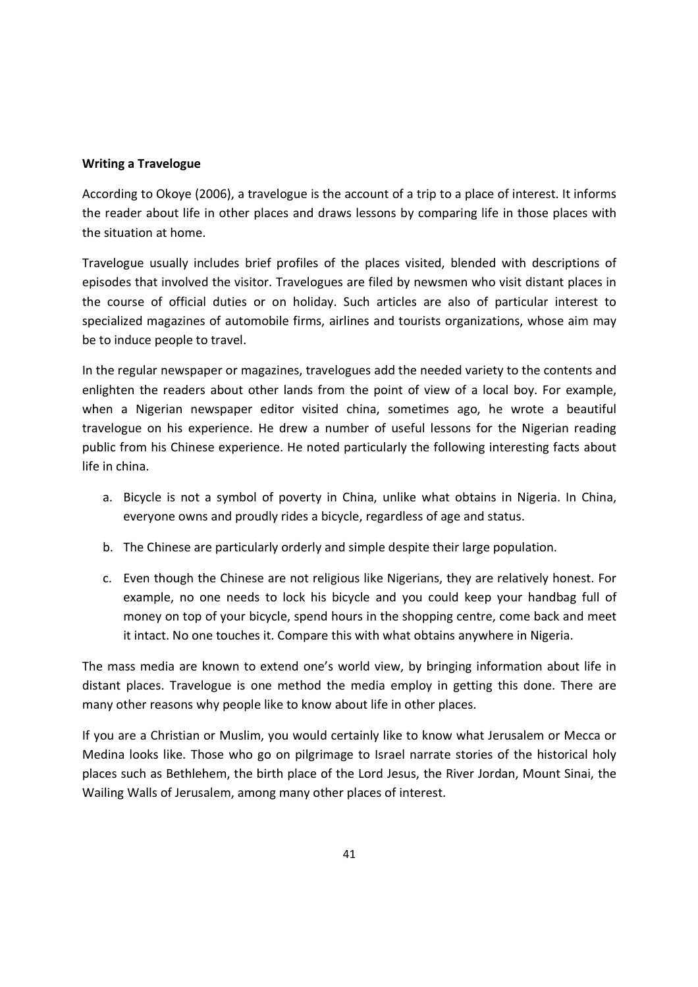## **Writing a Travelogue**

According to Okoye (2006), a travelogue is the account of a trip to a place of interest. It informs the reader about life in other places and draws lessons by comparing life in those places with the situation at home.

Travelogue usually includes brief profiles of the places visited, blended with descriptions of episodes that involved the visitor. Travelogues are filed by newsmen who visit distant places in the course of official duties or on holiday. Such articles are also of particular interest to specialized magazines of automobile firms, airlines and tourists organizations, whose aim may be to induce people to travel.

In the regular newspaper or magazines, travelogues add the needed variety to the contents and enlighten the readers about other lands from the point of view of a local boy. For example, when a Nigerian newspaper editor visited china, sometimes ago, he wrote a beautiful travelogue on his experience. He drew a number of useful lessons for the Nigerian reading public from his Chinese experience. He noted particularly the following interesting facts about life in china.

- a. Bicycle is not a symbol of poverty in China, unlike what obtains in Nigeria. In China, everyone owns and proudly rides a bicycle, regardless of age and status.
- b. The Chinese are particularly orderly and simple despite their large population.
- c. Even though the Chinese are not religious like Nigerians, they are relatively honest. For example, no one needs to lock his bicycle and you could keep your handbag full of money on top of your bicycle, spend hours in the shopping centre, come back and meet it intact. No one touches it. Compare this with what obtains anywhere in Nigeria.

The mass media are known to extend one's world view, by bringing information about life in distant places. Travelogue is one method the media employ in getting this done. There are many other reasons why people like to know about life in other places.

If you are a Christian or Muslim, you would certainly like to know what Jerusalem or Mecca or Medina looks like. Those who go on pilgrimage to Israel narrate stories of the historical holy places such as Bethlehem, the birth place of the Lord Jesus, the River Jordan, Mount Sinai, the Wailing Walls of Jerusalem, among many other places of interest.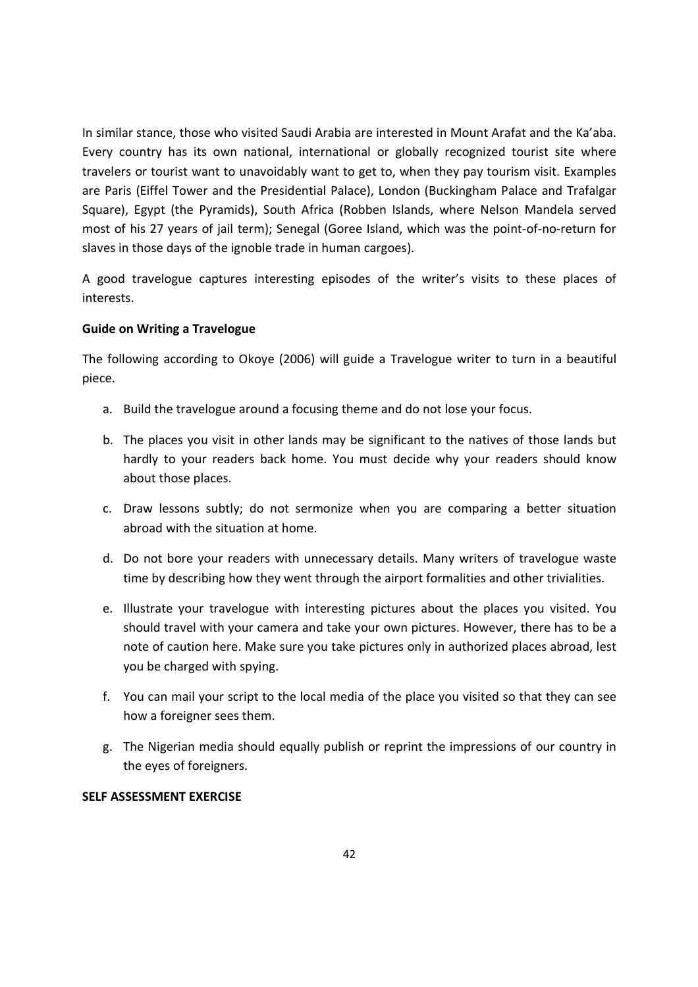In similar stance, those who visited Saudi Arabia are interested in Mount Arafat and the Ka'aba. Every country has its own national, international or globally recognized tourist site where travelers or tourist want to unavoidably want to get to, when they pay tourism visit. Examples are Paris (Eiffel Tower and the Presidential Palace), London (Buckingham Palace and Trafalgar Square), Egypt (the Pyramids), South Africa (Robben Islands, where Nelson Mandela served most of his 27 years of jail term); Senegal (Goree Island, which was the point-of-no-return for slaves in those days of the ignoble trade in human cargoes).

A good travelogue captures interesting episodes of the writer's visits to these places of interests.

## **Guide on Writing a Travelogue**

The following according to Okoye (2006) will guide a Travelogue writer to turn in a beautiful piece.

- a. Build the travelogue around a focusing theme and do not lose your focus.
- b. The places you visit in other lands may be significant to the natives of those lands but hardly to your readers back home. You must decide why your readers should know about those places.
- c. Draw lessons subtly; do not sermonize when you are comparing a better situation abroad with the situation at home.
- d. Do not bore your readers with unnecessary details. Many writers of travelogue waste time by describing how they went through the airport formalities and other trivialities.
- e. Illustrate your travelogue with interesting pictures about the places you visited. You should travel with your camera and take your own pictures. However, there has to be a note of caution here. Make sure you take pictures only in authorized places abroad, lest you be charged with spying.
- f. You can mail your script to the local media of the place you visited so that they can see how a foreigner sees them.
- g. The Nigerian media should equally publish or reprint the impressions of our country in the eyes of foreigners.

# **SELF ASSESSMENT EXERCISE**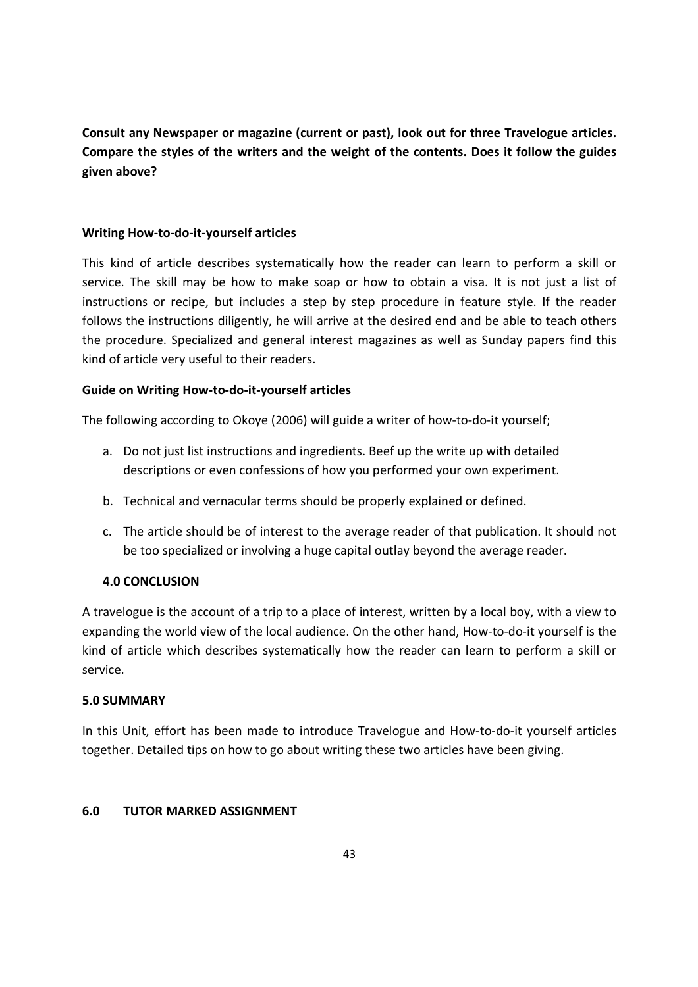**Consult any Newspaper or magazine (current or past), look out for three Travelogue articles. Compare the styles of the writers and the weight of the contents. Does it follow the guides given above?** 

## **Writing How-to-do-it-yourself articles**

This kind of article describes systematically how the reader can learn to perform a skill or service. The skill may be how to make soap or how to obtain a visa. It is not just a list of instructions or recipe, but includes a step by step procedure in feature style. If the reader follows the instructions diligently, he will arrive at the desired end and be able to teach others the procedure. Specialized and general interest magazines as well as Sunday papers find this kind of article very useful to their readers.

## **Guide on Writing How-to-do-it-yourself articles**

The following according to Okoye (2006) will guide a writer of how-to-do-it yourself;

- a. Do not just list instructions and ingredients. Beef up the write up with detailed descriptions or even confessions of how you performed your own experiment.
- b. Technical and vernacular terms should be properly explained or defined.
- c. The article should be of interest to the average reader of that publication. It should not be too specialized or involving a huge capital outlay beyond the average reader.

# **4.0 CONCLUSION**

A travelogue is the account of a trip to a place of interest, written by a local boy, with a view to expanding the world view of the local audience. On the other hand, How-to-do-it yourself is the kind of article which describes systematically how the reader can learn to perform a skill or service.

### **5.0 SUMMARY**

In this Unit, effort has been made to introduce Travelogue and How-to-do-it yourself articles together. Detailed tips on how to go about writing these two articles have been giving.

### **6.0 TUTOR MARKED ASSIGNMENT**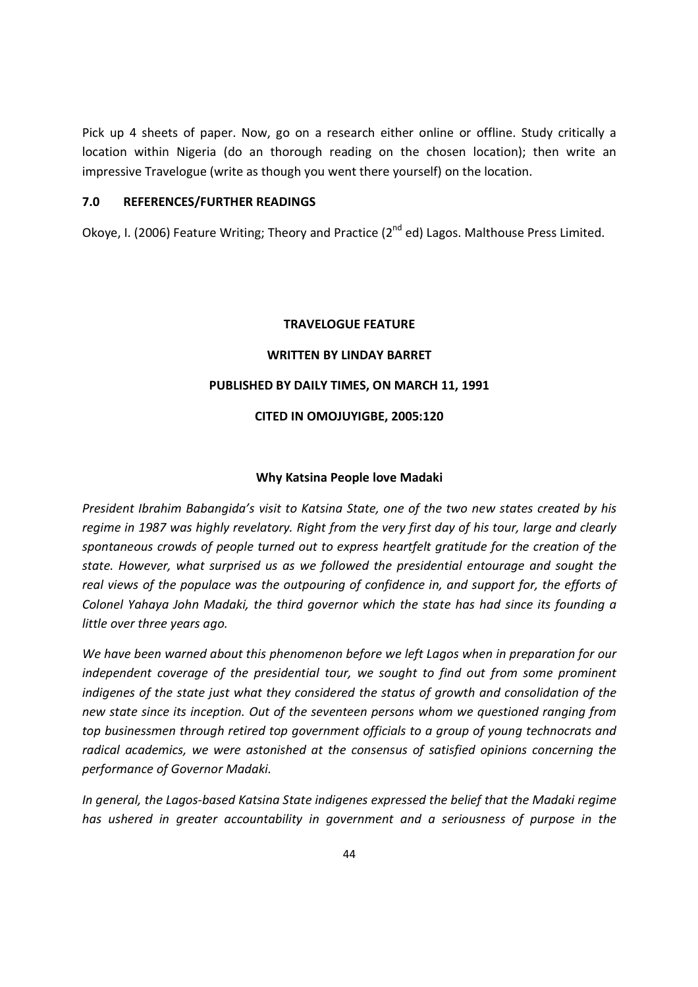Pick up 4 sheets of paper. Now, go on a research either online or offline. Study critically a location within Nigeria (do an thorough reading on the chosen location); then write an impressive Travelogue (write as though you went there yourself) on the location.

#### **7.0 REFERENCES/FURTHER READINGS**

Okoye, I. (2006) Feature Writing; Theory and Practice (2<sup>nd</sup> ed) Lagos. Malthouse Press Limited.

#### **TRAVELOGUE FEATURE**

### **WRITTEN BY LINDAY BARRET**

#### **PUBLISHED BY DAILY TIMES, ON MARCH 11, 1991**

#### **CITED IN OMOJUYIGBE, 2005:120**

#### **Why Katsina People love Madaki**

*President Ibrahim Babangida's visit to Katsina State, one of the two new states created by his regime in 1987 was highly revelatory. Right from the very first day of his tour, large and clearly spontaneous crowds of people turned out to express heartfelt gratitude for the creation of the state. However, what surprised us as we followed the presidential entourage and sought the real views of the populace was the outpouring of confidence in, and support for, the efforts of Colonel Yahaya John Madaki, the third governor which the state has had since its founding a little over three years ago.* 

*We have been warned about this phenomenon before we left Lagos when in preparation for our independent coverage of the presidential tour, we sought to find out from some prominent indigenes of the state just what they considered the status of growth and consolidation of the new state since its inception. Out of the seventeen persons whom we questioned ranging from top businessmen through retired top government officials to a group of young technocrats and radical academics, we were astonished at the consensus of satisfied opinions concerning the performance of Governor Madaki.* 

*In general, the Lagos-based Katsina State indigenes expressed the belief that the Madaki regime has ushered in greater accountability in government and a seriousness of purpose in the*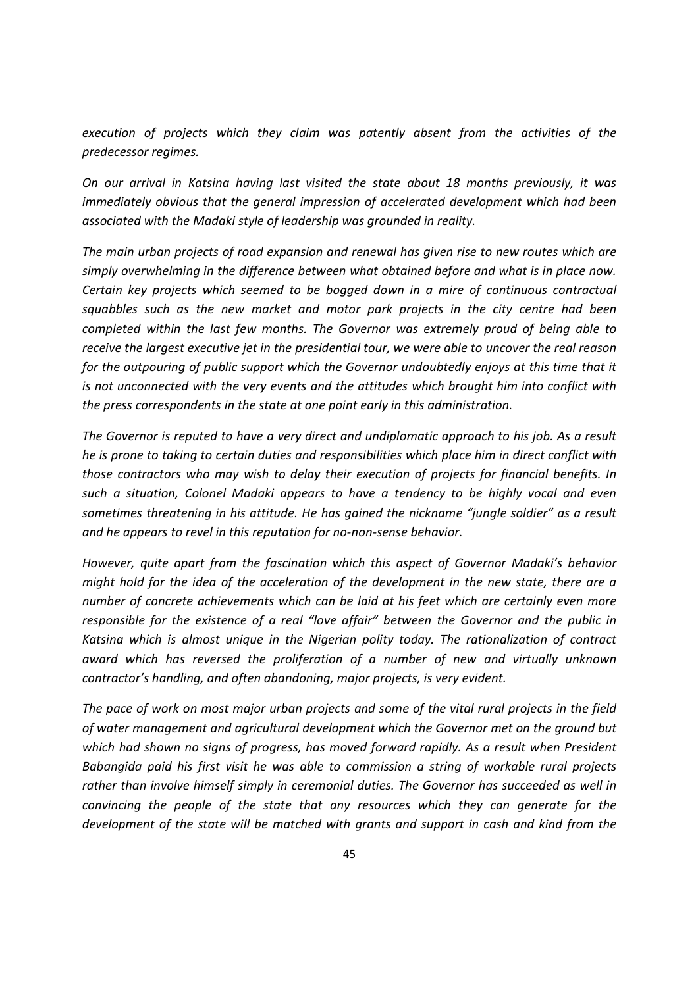*execution of projects which they claim was patently absent from the activities of the predecessor regimes.* 

*On our arrival in Katsina having last visited the state about 18 months previously, it was immediately obvious that the general impression of accelerated development which had been associated with the Madaki style of leadership was grounded in reality.* 

*The main urban projects of road expansion and renewal has given rise to new routes which are simply overwhelming in the difference between what obtained before and what is in place now. Certain key projects which seemed to be bogged down in a mire of continuous contractual squabbles such as the new market and motor park projects in the city centre had been completed within the last few months. The Governor was extremely proud of being able to receive the largest executive jet in the presidential tour, we were able to uncover the real reason*  for the outpouring of public support which the Governor undoubtedly enjoys at this time that it *is not unconnected with the very events and the attitudes which brought him into conflict with the press correspondents in the state at one point early in this administration.* 

*The Governor is reputed to have a very direct and undiplomatic approach to his job. As a result he is prone to taking to certain duties and responsibilities which place him in direct conflict with those contractors who may wish to delay their execution of projects for financial benefits. In such a situation, Colonel Madaki appears to have a tendency to be highly vocal and even sometimes threatening in his attitude. He has gained the nickname "jungle soldier" as a result and he appears to revel in this reputation for no-non-sense behavior.* 

*However, quite apart from the fascination which this aspect of Governor Madaki's behavior might hold for the idea of the acceleration of the development in the new state, there are a number of concrete achievements which can be laid at his feet which are certainly even more responsible for the existence of a real "love affair" between the Governor and the public in Katsina which is almost unique in the Nigerian polity today. The rationalization of contract award which has reversed the proliferation of a number of new and virtually unknown contractor's handling, and often abandoning, major projects, is very evident.* 

*The pace of work on most major urban projects and some of the vital rural projects in the field of water management and agricultural development which the Governor met on the ground but which had shown no signs of progress, has moved forward rapidly. As a result when President Babangida paid his first visit he was able to commission a string of workable rural projects rather than involve himself simply in ceremonial duties. The Governor has succeeded as well in convincing the people of the state that any resources which they can generate for the development of the state will be matched with grants and support in cash and kind from the*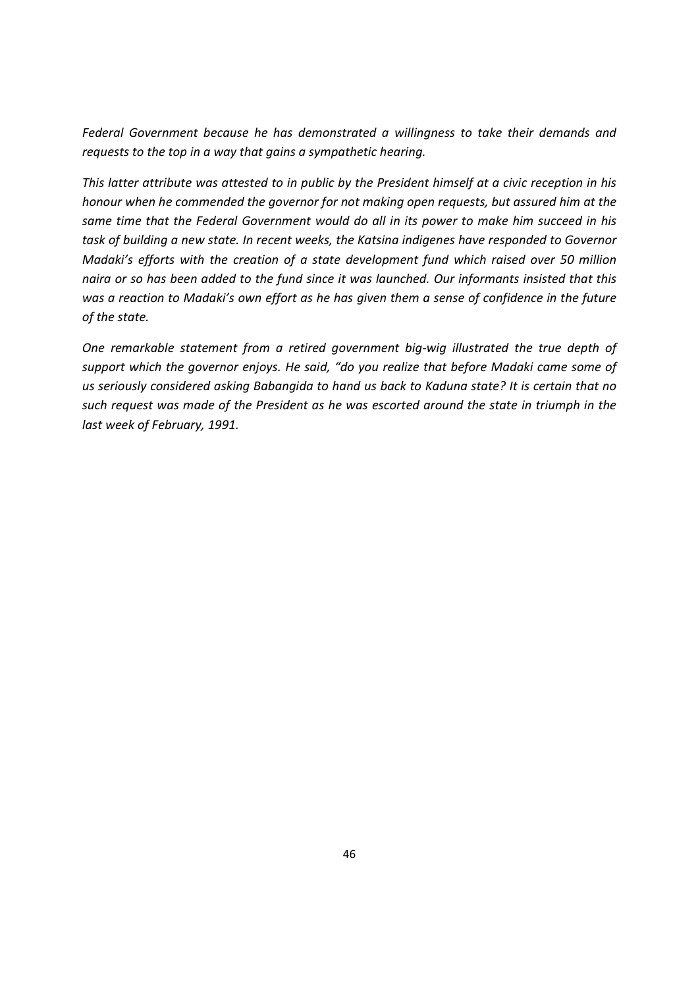*Federal Government because he has demonstrated a willingness to take their demands and requests to the top in a way that gains a sympathetic hearing.* 

*This latter attribute was attested to in public by the President himself at a civic reception in his honour when he commended the governor for not making open requests, but assured him at the same time that the Federal Government would do all in its power to make him succeed in his task of building a new state. In recent weeks, the Katsina indigenes have responded to Governor Madaki's efforts with the creation of a state development fund which raised over 50 million naira or so has been added to the fund since it was launched. Our informants insisted that this was a reaction to Madaki's own effort as he has given them a sense of confidence in the future of the state.* 

*One remarkable statement from a retired government big-wig illustrated the true depth of support which the governor enjoys. He said, "do you realize that before Madaki came some of us seriously considered asking Babangida to hand us back to Kaduna state? It is certain that no such request was made of the President as he was escorted around the state in triumph in the last week of February, 1991.*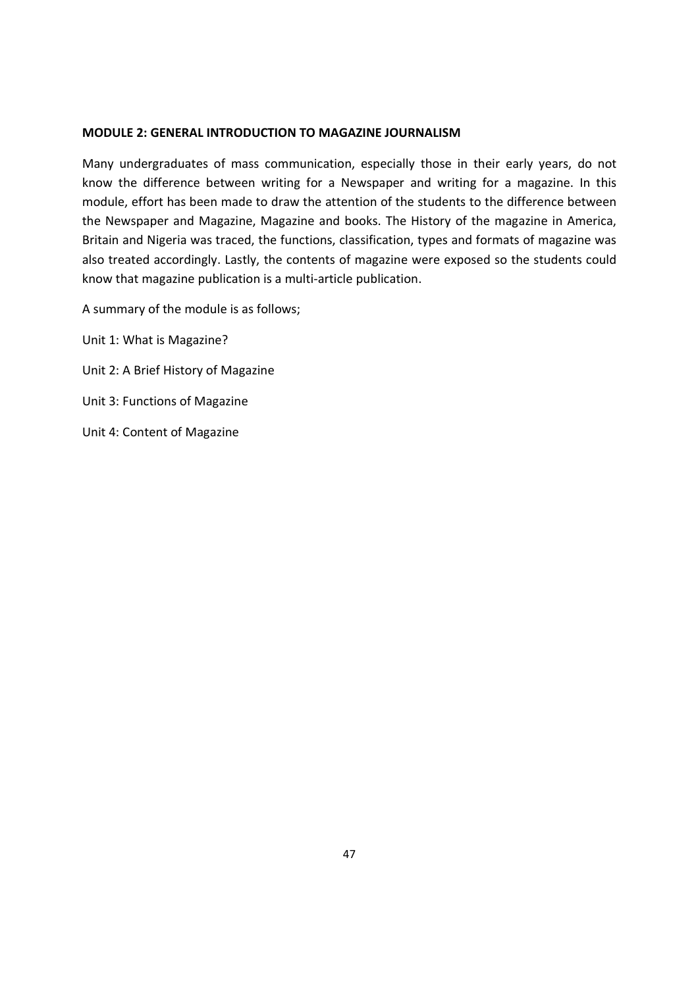### **MODULE 2: GENERAL INTRODUCTION TO MAGAZINE JOURNALISM**

Many undergraduates of mass communication, especially those in their early years, do not know the difference between writing for a Newspaper and writing for a magazine. In this module, effort has been made to draw the attention of the students to the difference between the Newspaper and Magazine, Magazine and books. The History of the magazine in America, Britain and Nigeria was traced, the functions, classification, types and formats of magazine was also treated accordingly. Lastly, the contents of magazine were exposed so the students could know that magazine publication is a multi-article publication.

A summary of the module is as follows;

Unit 1: What is Magazine? Unit 2: A Brief History of Magazine

Unit 3: Functions of Magazine

Unit 4: Content of Magazine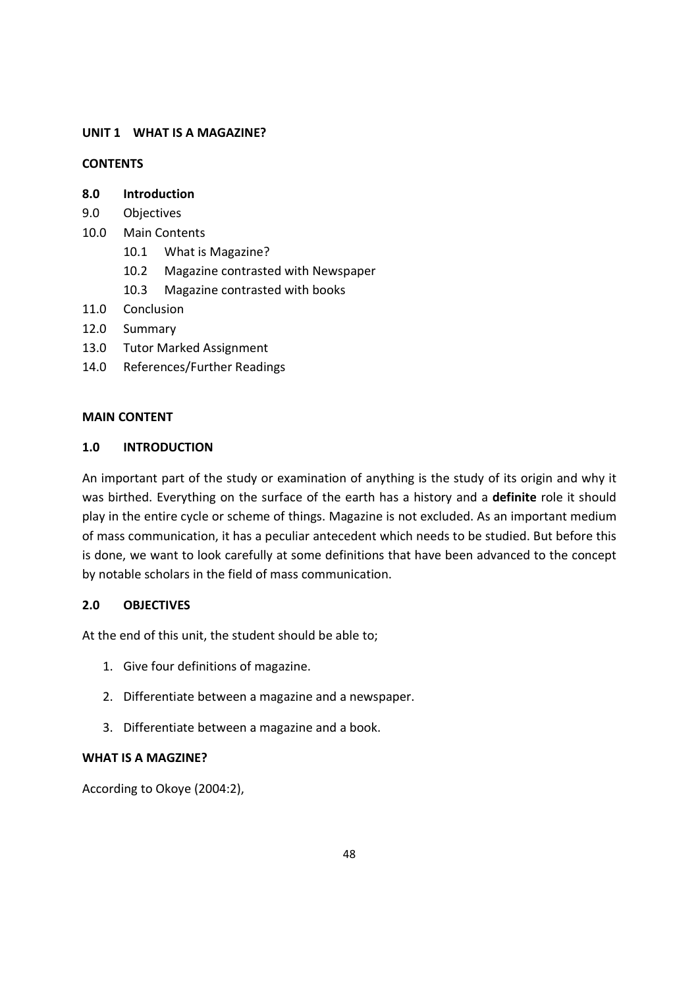## **UNIT 1 WHAT IS A MAGAZINE?**

### **CONTENTS**

## **8.0 Introduction**

- 9.0 Objectives
- 10.0 Main Contents
	- 10.1 What is Magazine?
	- 10.2 Magazine contrasted with Newspaper
	- 10.3 Magazine contrasted with books
- 11.0 Conclusion
- 12.0 Summary
- 13.0 Tutor Marked Assignment
- 14.0 References/Further Readings

## **MAIN CONTENT**

## **1.0 INTRODUCTION**

An important part of the study or examination of anything is the study of its origin and why it was birthed. Everything on the surface of the earth has a history and a **definite** role it should play in the entire cycle or scheme of things. Magazine is not excluded. As an important medium of mass communication, it has a peculiar antecedent which needs to be studied. But before this is done, we want to look carefully at some definitions that have been advanced to the concept by notable scholars in the field of mass communication.

# **2.0 OBJECTIVES**

At the end of this unit, the student should be able to;

- 1. Give four definitions of magazine.
- 2. Differentiate between a magazine and a newspaper.
- 3. Differentiate between a magazine and a book.

### **WHAT IS A MAGZINE?**

According to Okoye (2004:2),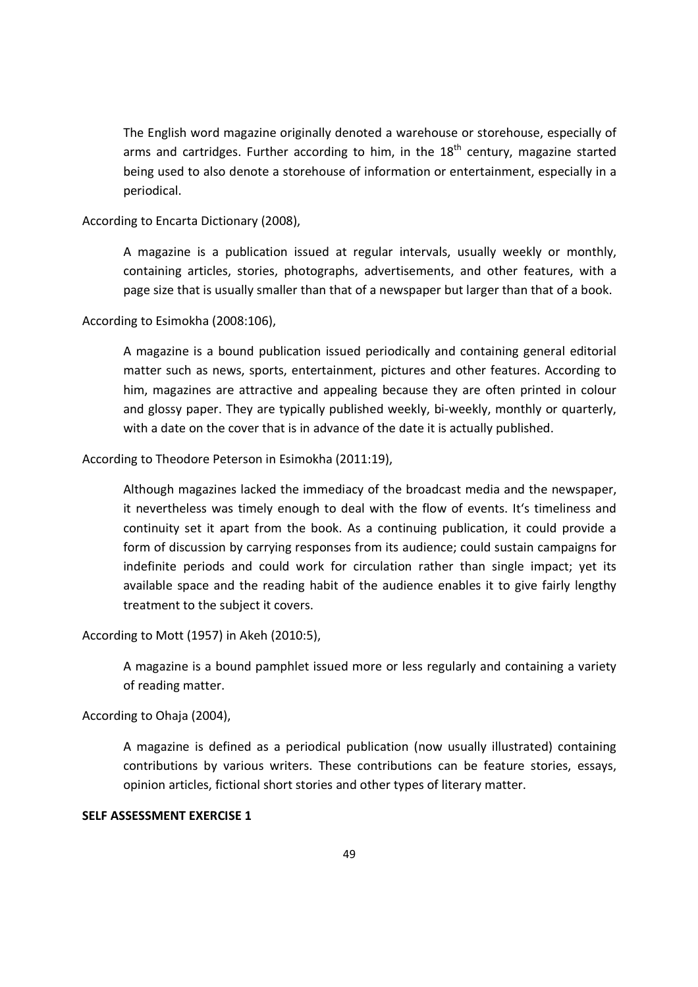The English word magazine originally denoted a warehouse or storehouse, especially of arms and cartridges. Further according to him, in the  $18<sup>th</sup>$  century, magazine started being used to also denote a storehouse of information or entertainment, especially in a periodical.

According to Encarta Dictionary (2008),

A magazine is a publication issued at regular intervals, usually weekly or monthly, containing articles, stories, photographs, advertisements, and other features, with a page size that is usually smaller than that of a newspaper but larger than that of a book.

According to Esimokha (2008:106),

A magazine is a bound publication issued periodically and containing general editorial matter such as news, sports, entertainment, pictures and other features. According to him, magazines are attractive and appealing because they are often printed in colour and glossy paper. They are typically published weekly, bi-weekly, monthly or quarterly, with a date on the cover that is in advance of the date it is actually published.

According to Theodore Peterson in Esimokha (2011:19),

Although magazines lacked the immediacy of the broadcast media and the newspaper, it nevertheless was timely enough to deal with the flow of events. It's timeliness and continuity set it apart from the book. As a continuing publication, it could provide a form of discussion by carrying responses from its audience; could sustain campaigns for indefinite periods and could work for circulation rather than single impact; yet its available space and the reading habit of the audience enables it to give fairly lengthy treatment to the subject it covers.

According to Mott (1957) in Akeh (2010:5),

A magazine is a bound pamphlet issued more or less regularly and containing a variety of reading matter.

According to Ohaja (2004),

A magazine is defined as a periodical publication (now usually illustrated) containing contributions by various writers. These contributions can be feature stories, essays, opinion articles, fictional short stories and other types of literary matter.

### **SELF ASSESSMENT EXERCISE 1**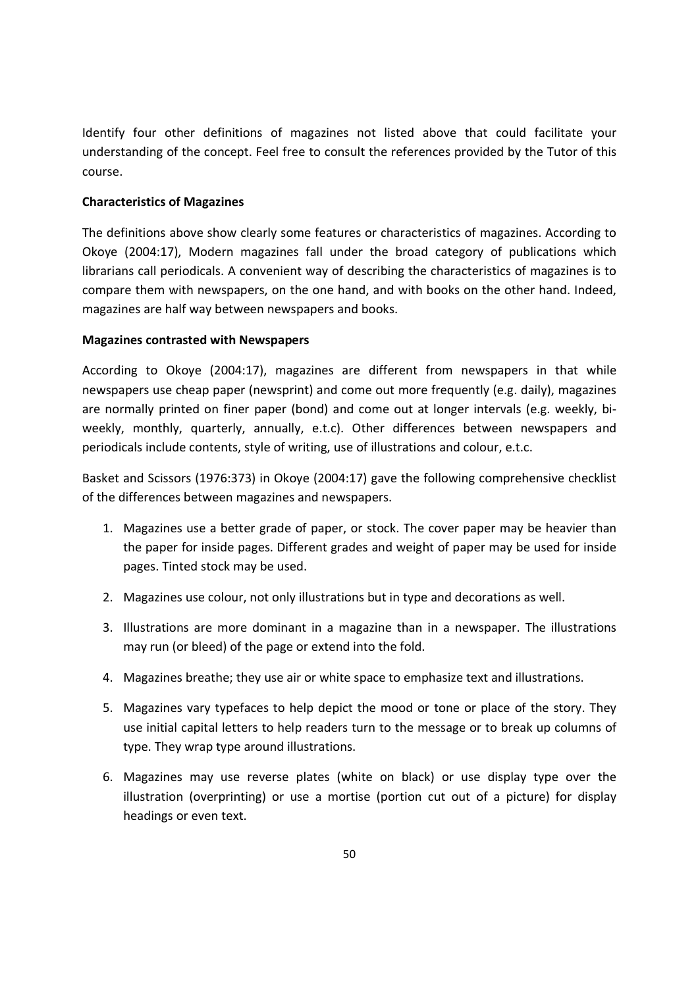Identify four other definitions of magazines not listed above that could facilitate your understanding of the concept. Feel free to consult the references provided by the Tutor of this course.

# **Characteristics of Magazines**

The definitions above show clearly some features or characteristics of magazines. According to Okoye (2004:17), Modern magazines fall under the broad category of publications which librarians call periodicals. A convenient way of describing the characteristics of magazines is to compare them with newspapers, on the one hand, and with books on the other hand. Indeed, magazines are half way between newspapers and books.

# **Magazines contrasted with Newspapers**

According to Okoye (2004:17), magazines are different from newspapers in that while newspapers use cheap paper (newsprint) and come out more frequently (e.g. daily), magazines are normally printed on finer paper (bond) and come out at longer intervals (e.g. weekly, biweekly, monthly, quarterly, annually, e.t.c). Other differences between newspapers and periodicals include contents, style of writing, use of illustrations and colour, e.t.c.

Basket and Scissors (1976:373) in Okoye (2004:17) gave the following comprehensive checklist of the differences between magazines and newspapers.

- 1. Magazines use a better grade of paper, or stock. The cover paper may be heavier than the paper for inside pages. Different grades and weight of paper may be used for inside pages. Tinted stock may be used.
- 2. Magazines use colour, not only illustrations but in type and decorations as well.
- 3. Illustrations are more dominant in a magazine than in a newspaper. The illustrations may run (or bleed) of the page or extend into the fold.
- 4. Magazines breathe; they use air or white space to emphasize text and illustrations.
- 5. Magazines vary typefaces to help depict the mood or tone or place of the story. They use initial capital letters to help readers turn to the message or to break up columns of type. They wrap type around illustrations.
- 6. Magazines may use reverse plates (white on black) or use display type over the illustration (overprinting) or use a mortise (portion cut out of a picture) for display headings or even text.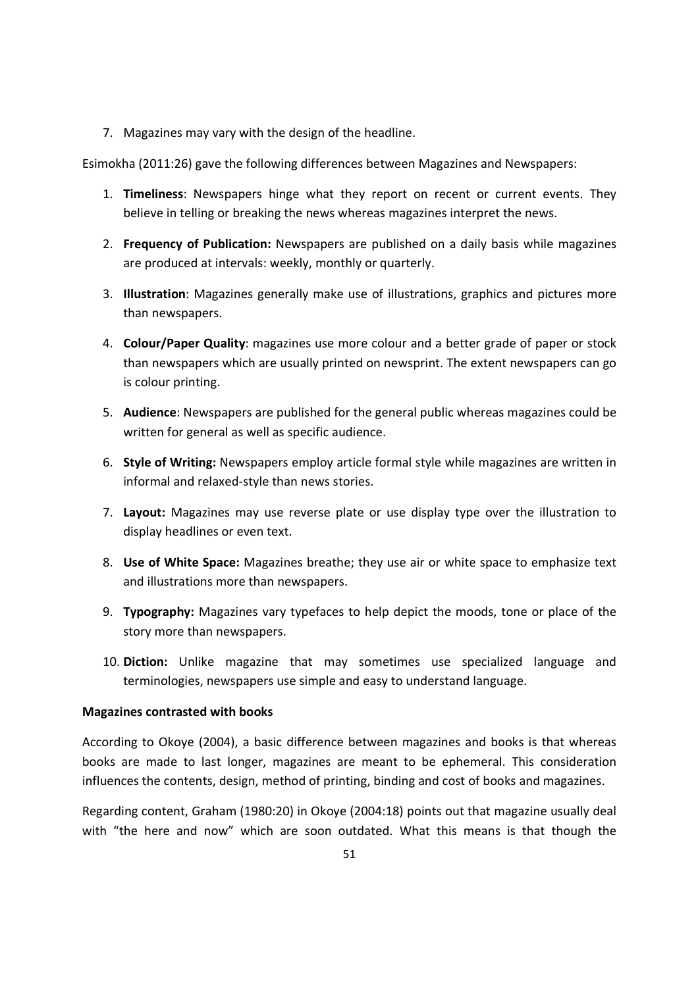7. Magazines may vary with the design of the headline.

Esimokha (2011:26) gave the following differences between Magazines and Newspapers:

- 1. **Timeliness**: Newspapers hinge what they report on recent or current events. They believe in telling or breaking the news whereas magazines interpret the news.
- 2. **Frequency of Publication:** Newspapers are published on a daily basis while magazines are produced at intervals: weekly, monthly or quarterly.
- 3. **Illustration**: Magazines generally make use of illustrations, graphics and pictures more than newspapers.
- 4. **Colour/Paper Quality**: magazines use more colour and a better grade of paper or stock than newspapers which are usually printed on newsprint. The extent newspapers can go is colour printing.
- 5. **Audience**: Newspapers are published for the general public whereas magazines could be written for general as well as specific audience.
- 6. **Style of Writing:** Newspapers employ article formal style while magazines are written in informal and relaxed-style than news stories.
- 7. **Layout:** Magazines may use reverse plate or use display type over the illustration to display headlines or even text.
- 8. **Use of White Space:** Magazines breathe; they use air or white space to emphasize text and illustrations more than newspapers.
- 9. **Typography:** Magazines vary typefaces to help depict the moods, tone or place of the story more than newspapers.
- 10. **Diction:** Unlike magazine that may sometimes use specialized language and terminologies, newspapers use simple and easy to understand language.

### **Magazines contrasted with books**

According to Okoye (2004), a basic difference between magazines and books is that whereas books are made to last longer, magazines are meant to be ephemeral. This consideration influences the contents, design, method of printing, binding and cost of books and magazines.

Regarding content, Graham (1980:20) in Okoye (2004:18) points out that magazine usually deal with "the here and now" which are soon outdated. What this means is that though the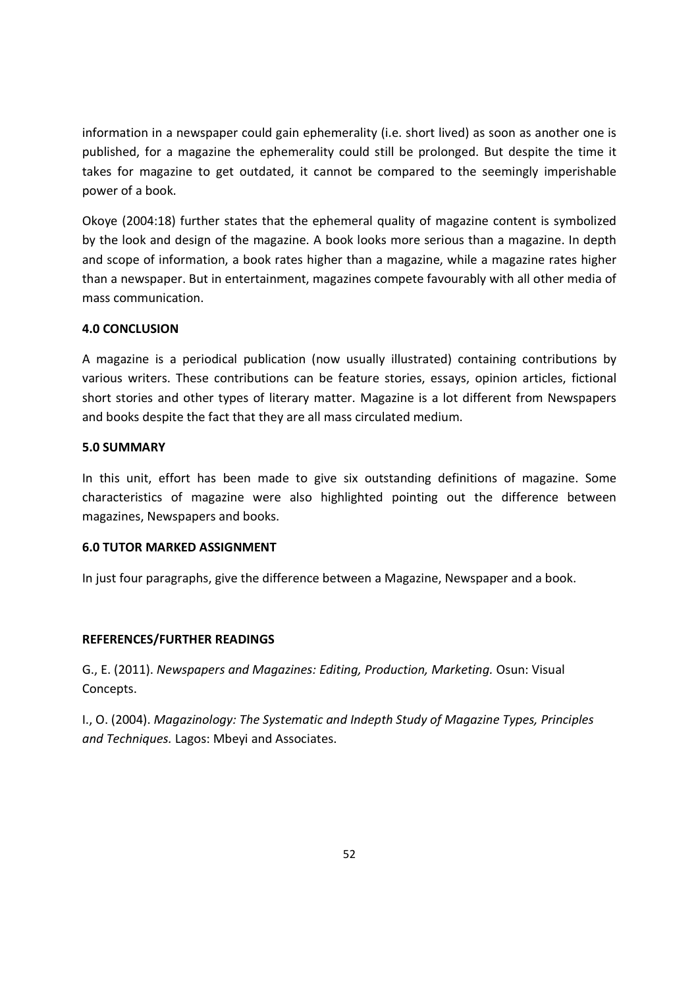information in a newspaper could gain ephemerality (i.e. short lived) as soon as another one is published, for a magazine the ephemerality could still be prolonged. But despite the time it takes for magazine to get outdated, it cannot be compared to the seemingly imperishable power of a book.

Okoye (2004:18) further states that the ephemeral quality of magazine content is symbolized by the look and design of the magazine. A book looks more serious than a magazine. In depth and scope of information, a book rates higher than a magazine, while a magazine rates higher than a newspaper. But in entertainment, magazines compete favourably with all other media of mass communication.

# **4.0 CONCLUSION**

A magazine is a periodical publication (now usually illustrated) containing contributions by various writers. These contributions can be feature stories, essays, opinion articles, fictional short stories and other types of literary matter. Magazine is a lot different from Newspapers and books despite the fact that they are all mass circulated medium.

## **5.0 SUMMARY**

In this unit, effort has been made to give six outstanding definitions of magazine. Some characteristics of magazine were also highlighted pointing out the difference between magazines, Newspapers and books.

# **6.0 TUTOR MARKED ASSIGNMENT**

In just four paragraphs, give the difference between a Magazine, Newspaper and a book.

# **REFERENCES/FURTHER READINGS**

G., E. (2011). *Newspapers and Magazines: Editing, Production, Marketing.* Osun: Visual Concepts.

I., O. (2004). *Magazinology: The Systematic and Indepth Study of Magazine Types, Principles and Techniques.* Lagos: Mbeyi and Associates.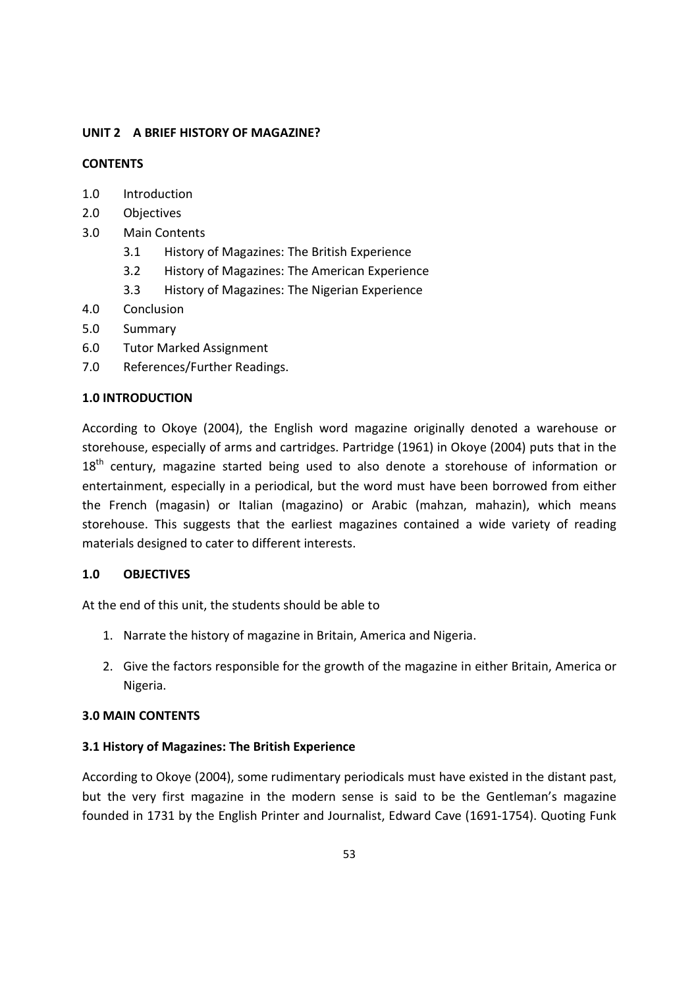## **UNIT 2 A BRIEF HISTORY OF MAGAZINE?**

## **CONTENTS**

- 1.0 Introduction
- 2.0 Objectives
- 3.0 Main Contents
	- 3.1 History of Magazines: The British Experience
	- 3.2 History of Magazines: The American Experience
	- 3.3 History of Magazines: The Nigerian Experience
- 4.0 Conclusion
- 5.0 Summary
- 6.0 Tutor Marked Assignment
- 7.0 References/Further Readings.

## **1.0 INTRODUCTION**

According to Okoye (2004), the English word magazine originally denoted a warehouse or storehouse, especially of arms and cartridges. Partridge (1961) in Okoye (2004) puts that in the  $18<sup>th</sup>$  century, magazine started being used to also denote a storehouse of information or entertainment, especially in a periodical, but the word must have been borrowed from either the French (magasin) or Italian (magazino) or Arabic (mahzan, mahazin), which means storehouse. This suggests that the earliest magazines contained a wide variety of reading materials designed to cater to different interests.

### **1.0 OBJECTIVES**

At the end of this unit, the students should be able to

- 1. Narrate the history of magazine in Britain, America and Nigeria.
- 2. Give the factors responsible for the growth of the magazine in either Britain, America or Nigeria.

### **3.0 MAIN CONTENTS**

### **3.1 History of Magazines: The British Experience**

According to Okoye (2004), some rudimentary periodicals must have existed in the distant past, but the very first magazine in the modern sense is said to be the Gentleman's magazine founded in 1731 by the English Printer and Journalist, Edward Cave (1691-1754). Quoting Funk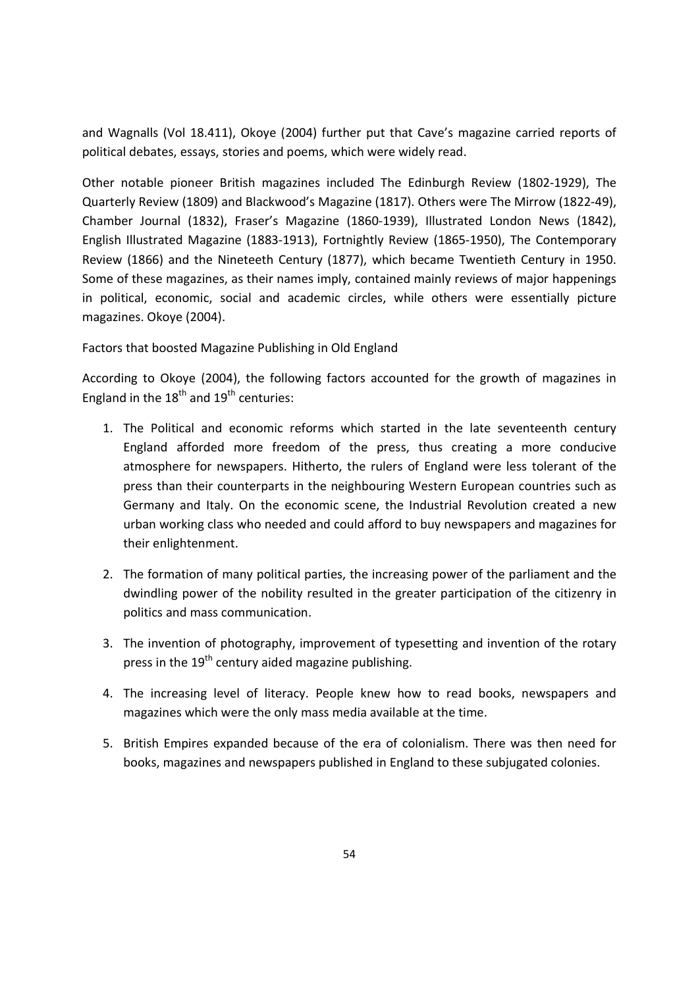and Wagnalls (Vol 18.411), Okoye (2004) further put that Cave's magazine carried reports of political debates, essays, stories and poems, which were widely read.

Other notable pioneer British magazines included The Edinburgh Review (1802-1929), The Quarterly Review (1809) and Blackwood's Magazine (1817). Others were The Mirrow (1822-49), Chamber Journal (1832), Fraser's Magazine (1860-1939), Illustrated London News (1842), English Illustrated Magazine (1883-1913), Fortnightly Review (1865-1950), The Contemporary Review (1866) and the Nineteeth Century (1877), which became Twentieth Century in 1950. Some of these magazines, as their names imply, contained mainly reviews of major happenings in political, economic, social and academic circles, while others were essentially picture magazines. Okoye (2004).

Factors that boosted Magazine Publishing in Old England

According to Okoye (2004), the following factors accounted for the growth of magazines in England in the  $18<sup>th</sup>$  and  $19<sup>th</sup>$  centuries:

- 1. The Political and economic reforms which started in the late seventeenth century England afforded more freedom of the press, thus creating a more conducive atmosphere for newspapers. Hitherto, the rulers of England were less tolerant of the press than their counterparts in the neighbouring Western European countries such as Germany and Italy. On the economic scene, the Industrial Revolution created a new urban working class who needed and could afford to buy newspapers and magazines for their enlightenment.
- 2. The formation of many political parties, the increasing power of the parliament and the dwindling power of the nobility resulted in the greater participation of the citizenry in politics and mass communication.
- 3. The invention of photography, improvement of typesetting and invention of the rotary press in the 19<sup>th</sup> century aided magazine publishing.
- 4. The increasing level of literacy. People knew how to read books, newspapers and magazines which were the only mass media available at the time.
- 5. British Empires expanded because of the era of colonialism. There was then need for books, magazines and newspapers published in England to these subjugated colonies.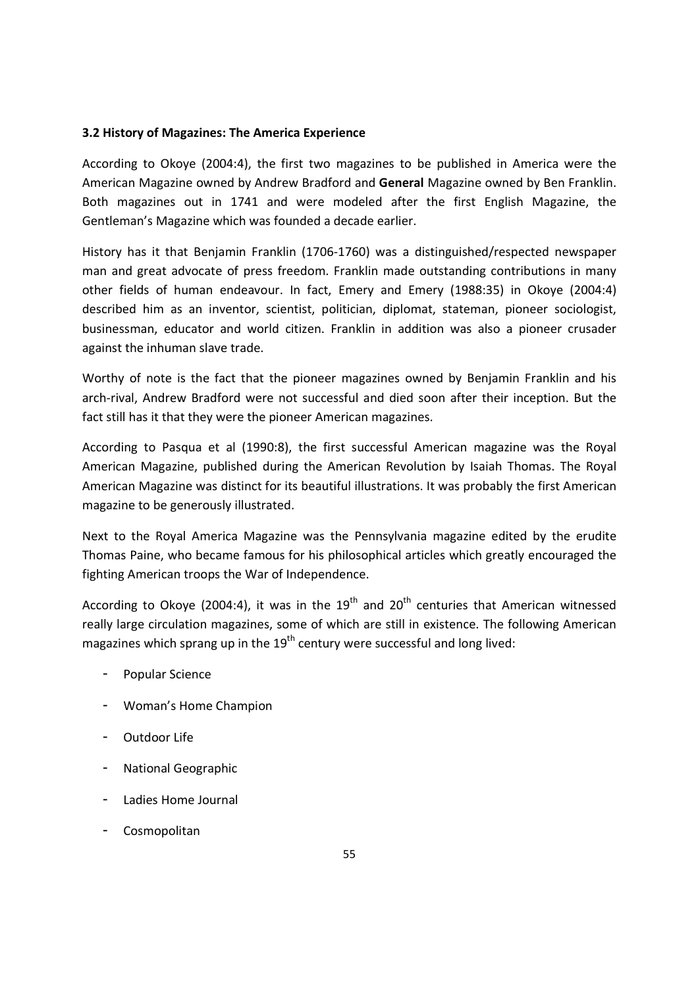## **3.2 History of Magazines: The America Experience**

According to Okoye (2004:4), the first two magazines to be published in America were the American Magazine owned by Andrew Bradford and **General** Magazine owned by Ben Franklin. Both magazines out in 1741 and were modeled after the first English Magazine, the Gentleman's Magazine which was founded a decade earlier.

History has it that Benjamin Franklin (1706-1760) was a distinguished/respected newspaper man and great advocate of press freedom. Franklin made outstanding contributions in many other fields of human endeavour. In fact, Emery and Emery (1988:35) in Okoye (2004:4) described him as an inventor, scientist, politician, diplomat, stateman, pioneer sociologist, businessman, educator and world citizen. Franklin in addition was also a pioneer crusader against the inhuman slave trade.

Worthy of note is the fact that the pioneer magazines owned by Benjamin Franklin and his arch-rival, Andrew Bradford were not successful and died soon after their inception. But the fact still has it that they were the pioneer American magazines.

According to Pasqua et al (1990:8), the first successful American magazine was the Royal American Magazine, published during the American Revolution by Isaiah Thomas. The Royal American Magazine was distinct for its beautiful illustrations. It was probably the first American magazine to be generously illustrated.

Next to the Royal America Magazine was the Pennsylvania magazine edited by the erudite Thomas Paine, who became famous for his philosophical articles which greatly encouraged the fighting American troops the War of Independence.

According to Okove (2004:4), it was in the 19<sup>th</sup> and 20<sup>th</sup> centuries that American witnessed really large circulation magazines, some of which are still in existence. The following American magazines which sprang up in the  $19<sup>th</sup>$  century were successful and long lived:

- Popular Science
- Woman's Home Champion
- Outdoor Life
- National Geographic
- Ladies Home Journal
- Cosmopolitan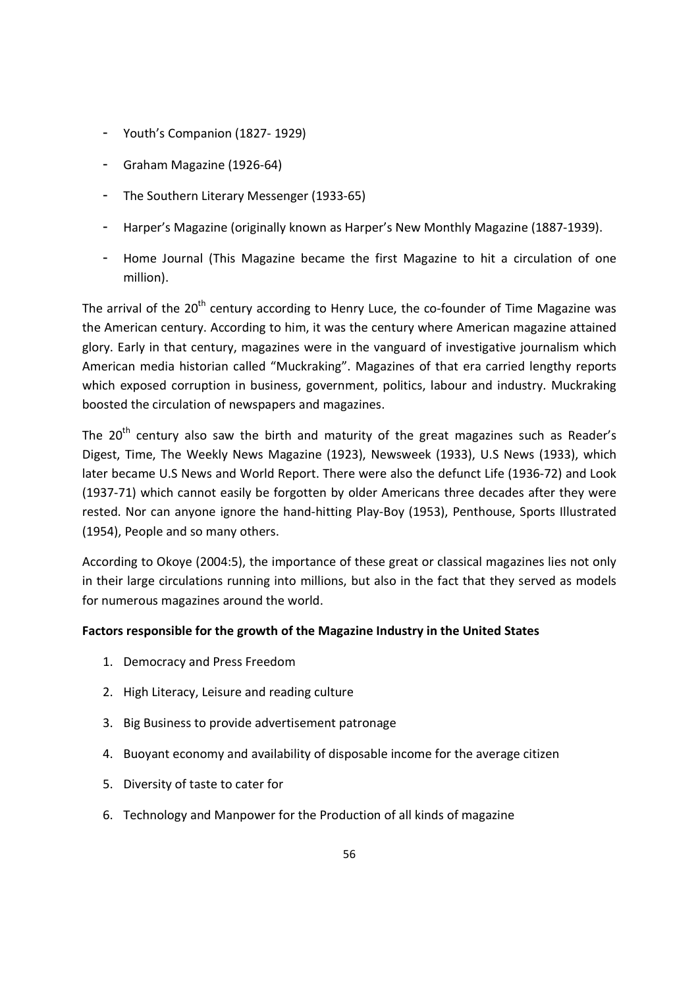- Youth's Companion (1827- 1929)
- Graham Magazine (1926-64)
- The Southern Literary Messenger (1933-65)
- Harper's Magazine (originally known as Harper's New Monthly Magazine (1887-1939).
- Home Journal (This Magazine became the first Magazine to hit a circulation of one million).

The arrival of the  $20<sup>th</sup>$  century according to Henry Luce, the co-founder of Time Magazine was the American century. According to him, it was the century where American magazine attained glory. Early in that century, magazines were in the vanguard of investigative journalism which American media historian called "Muckraking". Magazines of that era carried lengthy reports which exposed corruption in business, government, politics, labour and industry. Muckraking boosted the circulation of newspapers and magazines.

The  $20<sup>th</sup>$  century also saw the birth and maturity of the great magazines such as Reader's Digest, Time, The Weekly News Magazine (1923), Newsweek (1933), U.S News (1933), which later became U.S News and World Report. There were also the defunct Life (1936-72) and Look (1937-71) which cannot easily be forgotten by older Americans three decades after they were rested. Nor can anyone ignore the hand-hitting Play-Boy (1953), Penthouse, Sports Illustrated (1954), People and so many others.

According to Okoye (2004:5), the importance of these great or classical magazines lies not only in their large circulations running into millions, but also in the fact that they served as models for numerous magazines around the world.

# **Factors responsible for the growth of the Magazine Industry in the United States**

- 1. Democracy and Press Freedom
- 2. High Literacy, Leisure and reading culture
- 3. Big Business to provide advertisement patronage
- 4. Buoyant economy and availability of disposable income for the average citizen
- 5. Diversity of taste to cater for
- 6. Technology and Manpower for the Production of all kinds of magazine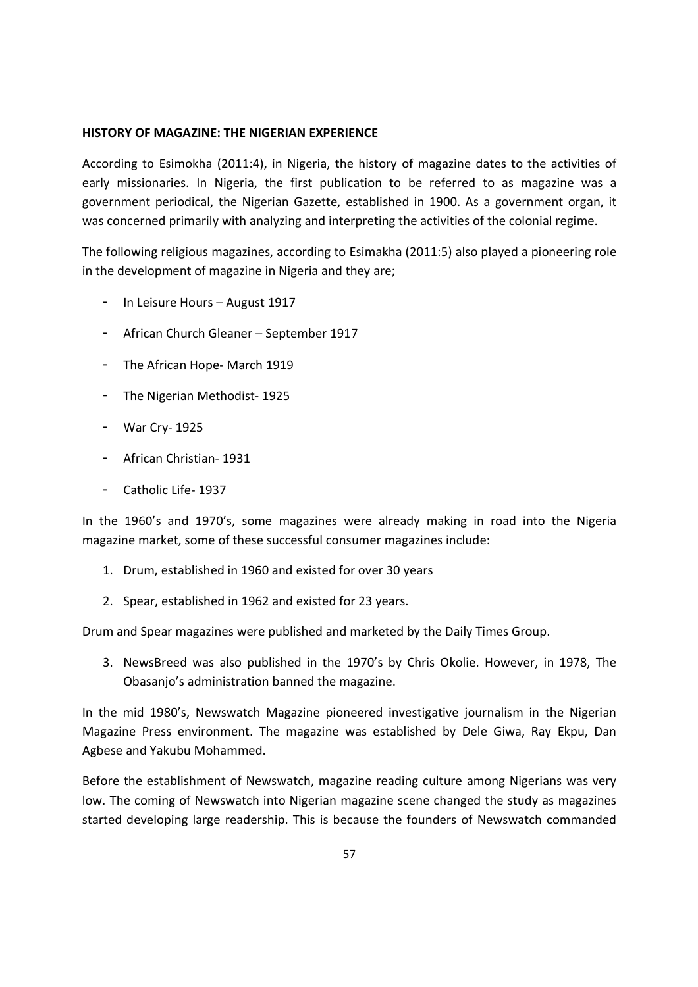#### **HISTORY OF MAGAZINE: THE NIGERIAN EXPERIENCE**

According to Esimokha (2011:4), in Nigeria, the history of magazine dates to the activities of early missionaries. In Nigeria, the first publication to be referred to as magazine was a government periodical, the Nigerian Gazette, established in 1900. As a government organ, it was concerned primarily with analyzing and interpreting the activities of the colonial regime.

The following religious magazines, according to Esimakha (2011:5) also played a pioneering role in the development of magazine in Nigeria and they are;

- In Leisure Hours August 1917
- African Church Gleaner September 1917
- The African Hope- March 1919
- The Nigerian Methodist- 1925
- War Cry- 1925
- African Christian- 1931
- Catholic Life- 1937

In the 1960's and 1970's, some magazines were already making in road into the Nigeria magazine market, some of these successful consumer magazines include:

- 1. Drum, established in 1960 and existed for over 30 years
- 2. Spear, established in 1962 and existed for 23 years.

Drum and Spear magazines were published and marketed by the Daily Times Group.

3. NewsBreed was also published in the 1970's by Chris Okolie. However, in 1978, The Obasanjo's administration banned the magazine.

In the mid 1980's, Newswatch Magazine pioneered investigative journalism in the Nigerian Magazine Press environment. The magazine was established by Dele Giwa, Ray Ekpu, Dan Agbese and Yakubu Mohammed.

Before the establishment of Newswatch, magazine reading culture among Nigerians was very low. The coming of Newswatch into Nigerian magazine scene changed the study as magazines started developing large readership. This is because the founders of Newswatch commanded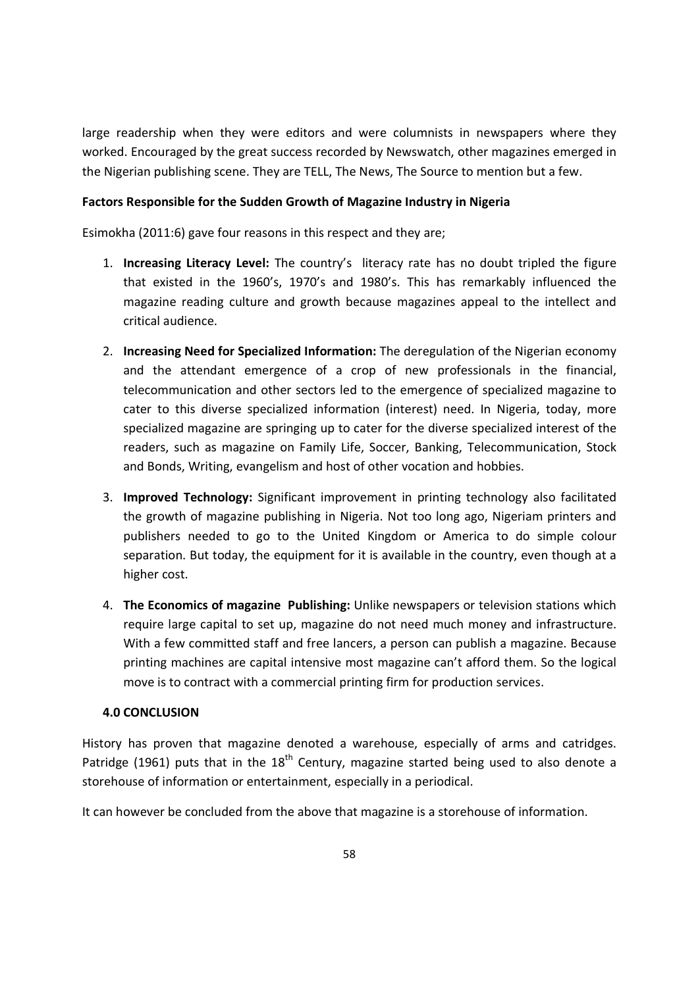large readership when they were editors and were columnists in newspapers where they worked. Encouraged by the great success recorded by Newswatch, other magazines emerged in the Nigerian publishing scene. They are TELL, The News, The Source to mention but a few.

## **Factors Responsible for the Sudden Growth of Magazine Industry in Nigeria**

Esimokha (2011:6) gave four reasons in this respect and they are;

- 1. **Increasing Literacy Level:** The country's literacy rate has no doubt tripled the figure that existed in the 1960's, 1970's and 1980's. This has remarkably influenced the magazine reading culture and growth because magazines appeal to the intellect and critical audience.
- 2. **Increasing Need for Specialized Information:** The deregulation of the Nigerian economy and the attendant emergence of a crop of new professionals in the financial, telecommunication and other sectors led to the emergence of specialized magazine to cater to this diverse specialized information (interest) need. In Nigeria, today, more specialized magazine are springing up to cater for the diverse specialized interest of the readers, such as magazine on Family Life, Soccer, Banking, Telecommunication, Stock and Bonds, Writing, evangelism and host of other vocation and hobbies.
- 3. **Improved Technology:** Significant improvement in printing technology also facilitated the growth of magazine publishing in Nigeria. Not too long ago, Nigeriam printers and publishers needed to go to the United Kingdom or America to do simple colour separation. But today, the equipment for it is available in the country, even though at a higher cost.
- 4. **The Economics of magazine Publishing:** Unlike newspapers or television stations which require large capital to set up, magazine do not need much money and infrastructure. With a few committed staff and free lancers, a person can publish a magazine. Because printing machines are capital intensive most magazine can't afford them. So the logical move is to contract with a commercial printing firm for production services.

### **4.0 CONCLUSION**

History has proven that magazine denoted a warehouse, especially of arms and catridges. Patridge (1961) puts that in the  $18<sup>th</sup>$  Century, magazine started being used to also denote a storehouse of information or entertainment, especially in a periodical.

It can however be concluded from the above that magazine is a storehouse of information.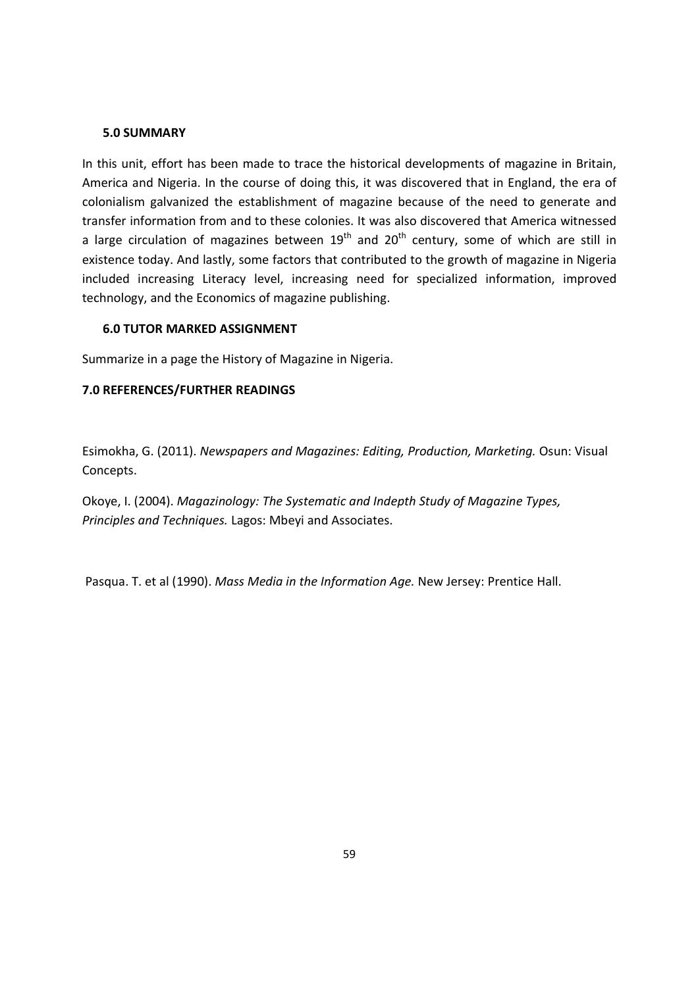#### **5.0 SUMMARY**

In this unit, effort has been made to trace the historical developments of magazine in Britain, America and Nigeria. In the course of doing this, it was discovered that in England, the era of colonialism galvanized the establishment of magazine because of the need to generate and transfer information from and to these colonies. It was also discovered that America witnessed a large circulation of magazines between  $19<sup>th</sup>$  and  $20<sup>th</sup>$  century, some of which are still in existence today. And lastly, some factors that contributed to the growth of magazine in Nigeria included increasing Literacy level, increasing need for specialized information, improved technology, and the Economics of magazine publishing.

#### **6.0 TUTOR MARKED ASSIGNMENT**

Summarize in a page the History of Magazine in Nigeria.

#### **7.0 REFERENCES/FURTHER READINGS**

Esimokha, G. (2011). *Newspapers and Magazines: Editing, Production, Marketing.* Osun: Visual Concepts.

Okoye, I. (2004). *Magazinology: The Systematic and Indepth Study of Magazine Types, Principles and Techniques.* Lagos: Mbeyi and Associates.

Pasqua. T. et al (1990). *Mass Media in the Information Age.* New Jersey: Prentice Hall.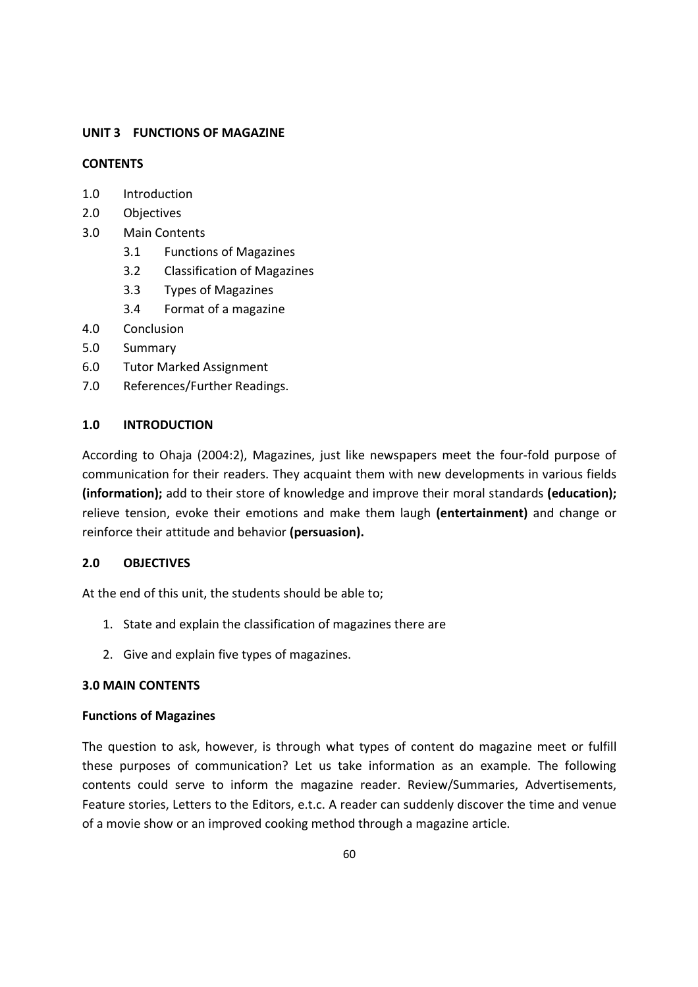## **UNIT 3 FUNCTIONS OF MAGAZINE**

### **CONTENTS**

- 1.0 Introduction
- 2.0 Objectives
- 3.0 Main Contents
	- 3.1 Functions of Magazines
	- 3.2 Classification of Magazines
	- 3.3 Types of Magazines
	- 3.4 Format of a magazine
- 4.0 Conclusion
- 5.0 Summary
- 6.0 Tutor Marked Assignment
- 7.0 References/Further Readings.

### **1.0 INTRODUCTION**

According to Ohaja (2004:2), Magazines, just like newspapers meet the four-fold purpose of communication for their readers. They acquaint them with new developments in various fields **(information);** add to their store of knowledge and improve their moral standards **(education);**  relieve tension, evoke their emotions and make them laugh **(entertainment)** and change or reinforce their attitude and behavior **(persuasion).** 

### **2.0 OBJECTIVES**

At the end of this unit, the students should be able to;

- 1. State and explain the classification of magazines there are
- 2. Give and explain five types of magazines.

# **3.0 MAIN CONTENTS**

### **Functions of Magazines**

The question to ask, however, is through what types of content do magazine meet or fulfill these purposes of communication? Let us take information as an example. The following contents could serve to inform the magazine reader. Review/Summaries, Advertisements, Feature stories, Letters to the Editors, e.t.c. A reader can suddenly discover the time and venue of a movie show or an improved cooking method through a magazine article.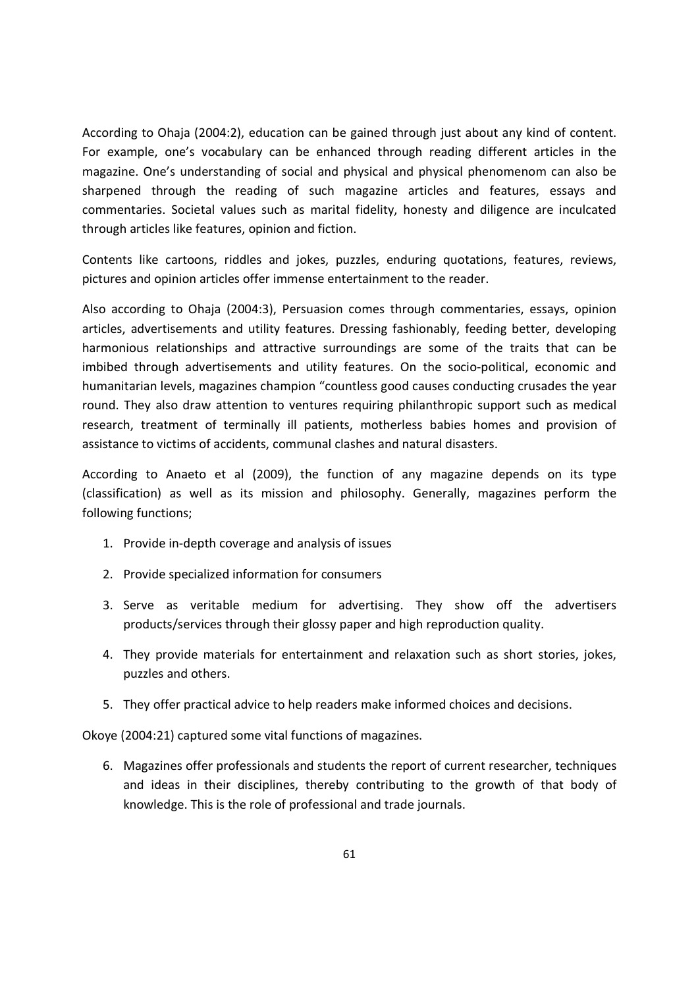According to Ohaja (2004:2), education can be gained through just about any kind of content. For example, one's vocabulary can be enhanced through reading different articles in the magazine. One's understanding of social and physical and physical phenomenom can also be sharpened through the reading of such magazine articles and features, essays and commentaries. Societal values such as marital fidelity, honesty and diligence are inculcated through articles like features, opinion and fiction.

Contents like cartoons, riddles and jokes, puzzles, enduring quotations, features, reviews, pictures and opinion articles offer immense entertainment to the reader.

Also according to Ohaja (2004:3), Persuasion comes through commentaries, essays, opinion articles, advertisements and utility features. Dressing fashionably, feeding better, developing harmonious relationships and attractive surroundings are some of the traits that can be imbibed through advertisements and utility features. On the socio-political, economic and humanitarian levels, magazines champion "countless good causes conducting crusades the year round. They also draw attention to ventures requiring philanthropic support such as medical research, treatment of terminally ill patients, motherless babies homes and provision of assistance to victims of accidents, communal clashes and natural disasters.

According to Anaeto et al (2009), the function of any magazine depends on its type (classification) as well as its mission and philosophy. Generally, magazines perform the following functions;

- 1. Provide in-depth coverage and analysis of issues
- 2. Provide specialized information for consumers
- 3. Serve as veritable medium for advertising. They show off the advertisers products/services through their glossy paper and high reproduction quality.
- 4. They provide materials for entertainment and relaxation such as short stories, jokes, puzzles and others.
- 5. They offer practical advice to help readers make informed choices and decisions.

Okoye (2004:21) captured some vital functions of magazines.

6. Magazines offer professionals and students the report of current researcher, techniques and ideas in their disciplines, thereby contributing to the growth of that body of knowledge. This is the role of professional and trade journals.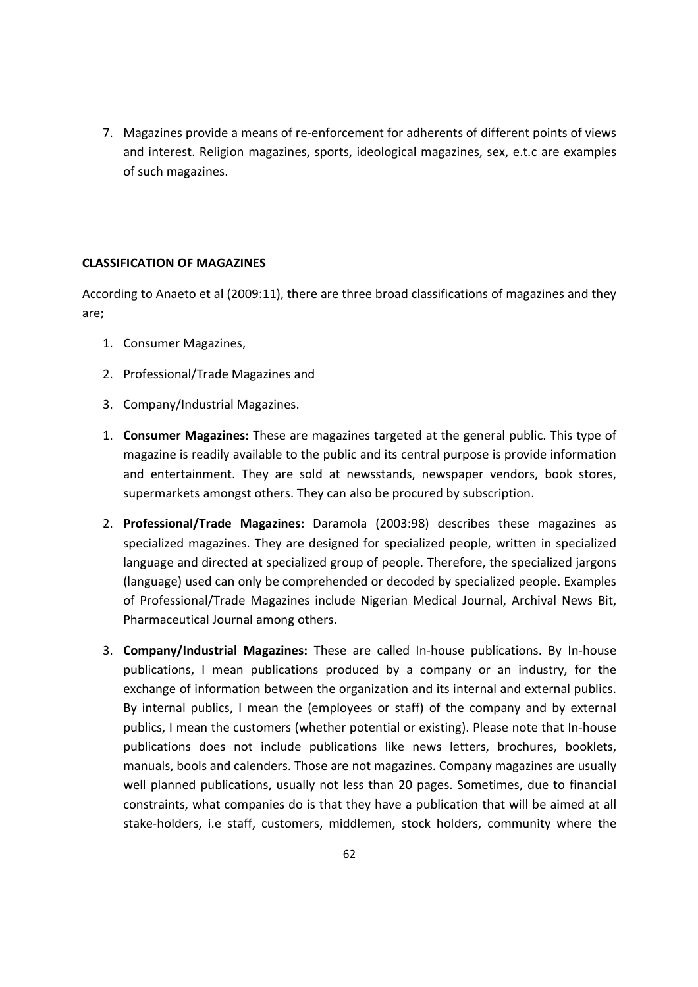7. Magazines provide a means of re-enforcement for adherents of different points of views and interest. Religion magazines, sports, ideological magazines, sex, e.t.c are examples of such magazines.

## **CLASSIFICATION OF MAGAZINES**

According to Anaeto et al (2009:11), there are three broad classifications of magazines and they are;

- 1. Consumer Magazines,
- 2. Professional/Trade Magazines and
- 3. Company/Industrial Magazines.
- 1. **Consumer Magazines:** These are magazines targeted at the general public. This type of magazine is readily available to the public and its central purpose is provide information and entertainment. They are sold at newsstands, newspaper vendors, book stores, supermarkets amongst others. They can also be procured by subscription.
- 2. **Professional/Trade Magazines:** Daramola (2003:98) describes these magazines as specialized magazines. They are designed for specialized people, written in specialized language and directed at specialized group of people. Therefore, the specialized jargons (language) used can only be comprehended or decoded by specialized people. Examples of Professional/Trade Magazines include Nigerian Medical Journal, Archival News Bit, Pharmaceutical Journal among others.
- 3. **Company/Industrial Magazines:** These are called In-house publications. By In-house publications, I mean publications produced by a company or an industry, for the exchange of information between the organization and its internal and external publics. By internal publics, I mean the (employees or staff) of the company and by external publics, I mean the customers (whether potential or existing). Please note that In-house publications does not include publications like news letters, brochures, booklets, manuals, bools and calenders. Those are not magazines. Company magazines are usually well planned publications, usually not less than 20 pages. Sometimes, due to financial constraints, what companies do is that they have a publication that will be aimed at all stake-holders, i.e staff, customers, middlemen, stock holders, community where the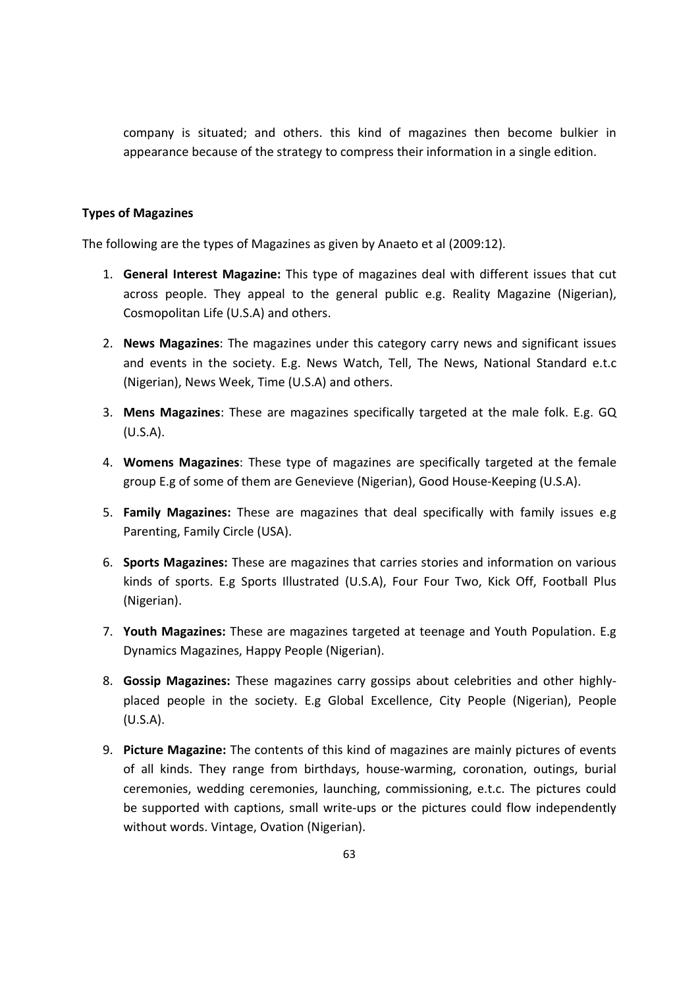company is situated; and others. this kind of magazines then become bulkier in appearance because of the strategy to compress their information in a single edition.

### **Types of Magazines**

The following are the types of Magazines as given by Anaeto et al (2009:12).

- 1. **General Interest Magazine:** This type of magazines deal with different issues that cut across people. They appeal to the general public e.g. Reality Magazine (Nigerian), Cosmopolitan Life (U.S.A) and others.
- 2. **News Magazines**: The magazines under this category carry news and significant issues and events in the society. E.g. News Watch, Tell, The News, National Standard e.t.c (Nigerian), News Week, Time (U.S.A) and others.
- 3. **Mens Magazines**: These are magazines specifically targeted at the male folk. E.g. GQ (U.S.A).
- 4. **Womens Magazines**: These type of magazines are specifically targeted at the female group E.g of some of them are Genevieve (Nigerian), Good House-Keeping (U.S.A).
- 5. **Family Magazines:** These are magazines that deal specifically with family issues e.g Parenting, Family Circle (USA).
- 6. **Sports Magazines:** These are magazines that carries stories and information on various kinds of sports. E.g Sports Illustrated (U.S.A), Four Four Two, Kick Off, Football Plus (Nigerian).
- 7. **Youth Magazines:** These are magazines targeted at teenage and Youth Population. E.g Dynamics Magazines, Happy People (Nigerian).
- 8. **Gossip Magazines:** These magazines carry gossips about celebrities and other highlyplaced people in the society. E.g Global Excellence, City People (Nigerian), People (U.S.A).
- 9. **Picture Magazine:** The contents of this kind of magazines are mainly pictures of events of all kinds. They range from birthdays, house-warming, coronation, outings, burial ceremonies, wedding ceremonies, launching, commissioning, e.t.c. The pictures could be supported with captions, small write-ups or the pictures could flow independently without words. Vintage, Ovation (Nigerian).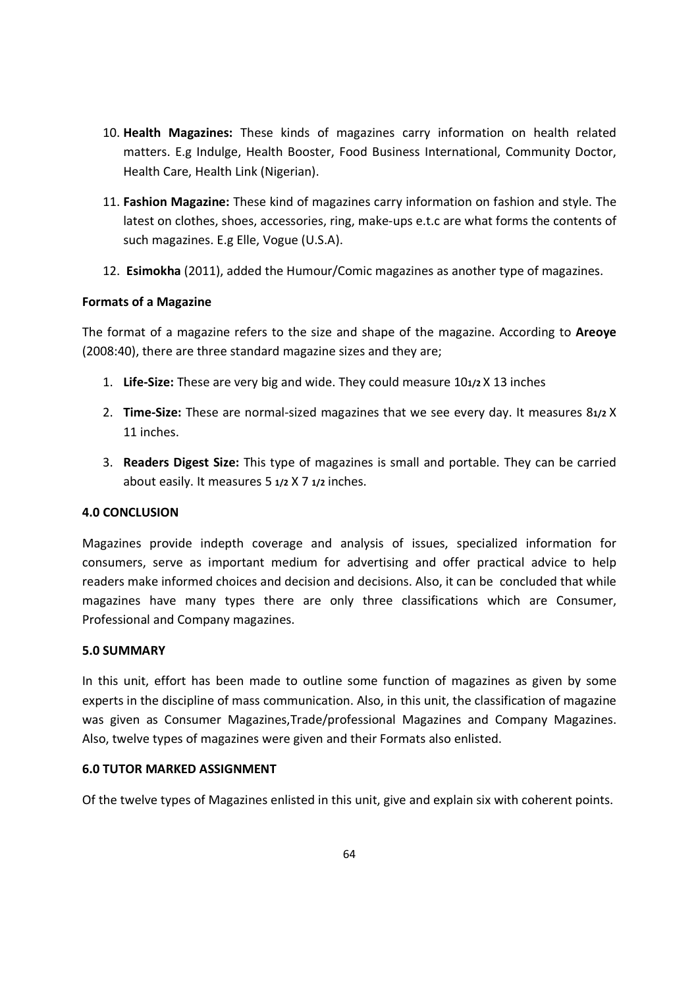- 10. **Health Magazines:** These kinds of magazines carry information on health related matters. E.g Indulge, Health Booster, Food Business International, Community Doctor, Health Care, Health Link (Nigerian).
- 11. **Fashion Magazine:** These kind of magazines carry information on fashion and style. The latest on clothes, shoes, accessories, ring, make-ups e.t.c are what forms the contents of such magazines. E.g Elle, Vogue (U.S.A).
- 12. **Esimokha** (2011), added the Humour/Comic magazines as another type of magazines.

# **Formats of a Magazine**

The format of a magazine refers to the size and shape of the magazine. According to **Areoye** (2008:40), there are three standard magazine sizes and they are;

- 1. **Life-Size:** These are very big and wide. They could measure 10**1/2** X 13 inches
- 2. **Time-Size:** These are normal-sized magazines that we see every day. It measures 8**1/2** X 11 inches.
- 3. **Readers Digest Size:** This type of magazines is small and portable. They can be carried about easily. It measures 5 **1/2** X 7 **1/2** inches.

# **4.0 CONCLUSION**

Magazines provide indepth coverage and analysis of issues, specialized information for consumers, serve as important medium for advertising and offer practical advice to help readers make informed choices and decision and decisions. Also, it can be concluded that while magazines have many types there are only three classifications which are Consumer, Professional and Company magazines.

# **5.0 SUMMARY**

In this unit, effort has been made to outline some function of magazines as given by some experts in the discipline of mass communication. Also, in this unit, the classification of magazine was given as Consumer Magazines,Trade/professional Magazines and Company Magazines. Also, twelve types of magazines were given and their Formats also enlisted.

# **6.0 TUTOR MARKED ASSIGNMENT**

Of the twelve types of Magazines enlisted in this unit, give and explain six with coherent points.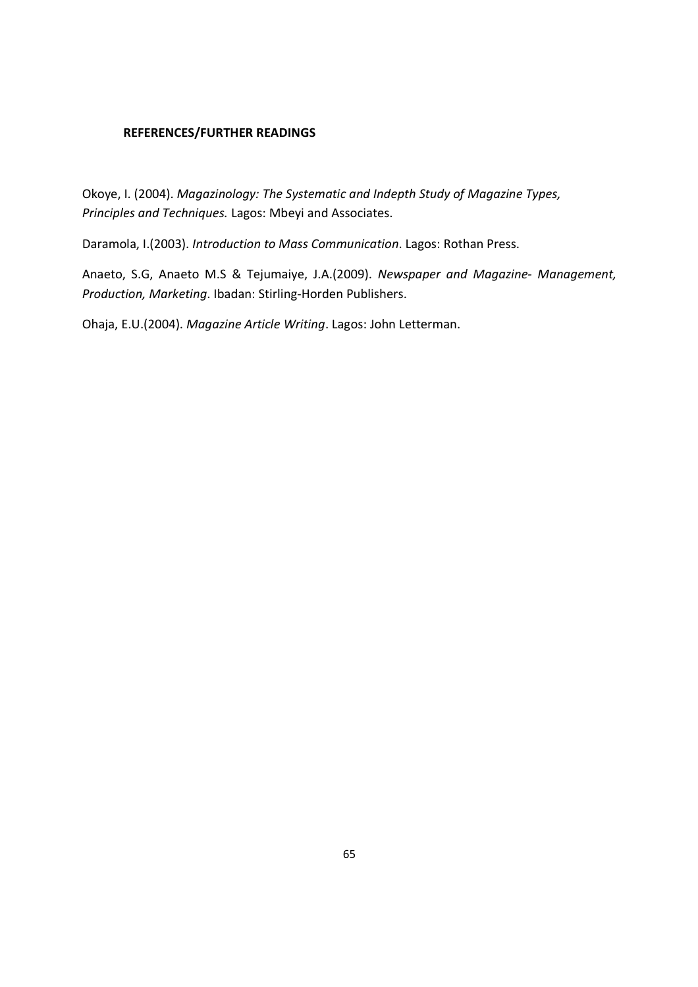## **REFERENCES/FURTHER READINGS**

Okoye, I. (2004). *Magazinology: The Systematic and Indepth Study of Magazine Types, Principles and Techniques.* Lagos: Mbeyi and Associates.

Daramola, I.(2003). *Introduction to Mass Communication*. Lagos: Rothan Press.

Anaeto, S.G, Anaeto M.S & Tejumaiye, J.A.(2009). *Newspaper and Magazine- Management, Production, Marketing*. Ibadan: Stirling-Horden Publishers.

Ohaja, E.U.(2004). *Magazine Article Writing*. Lagos: John Letterman.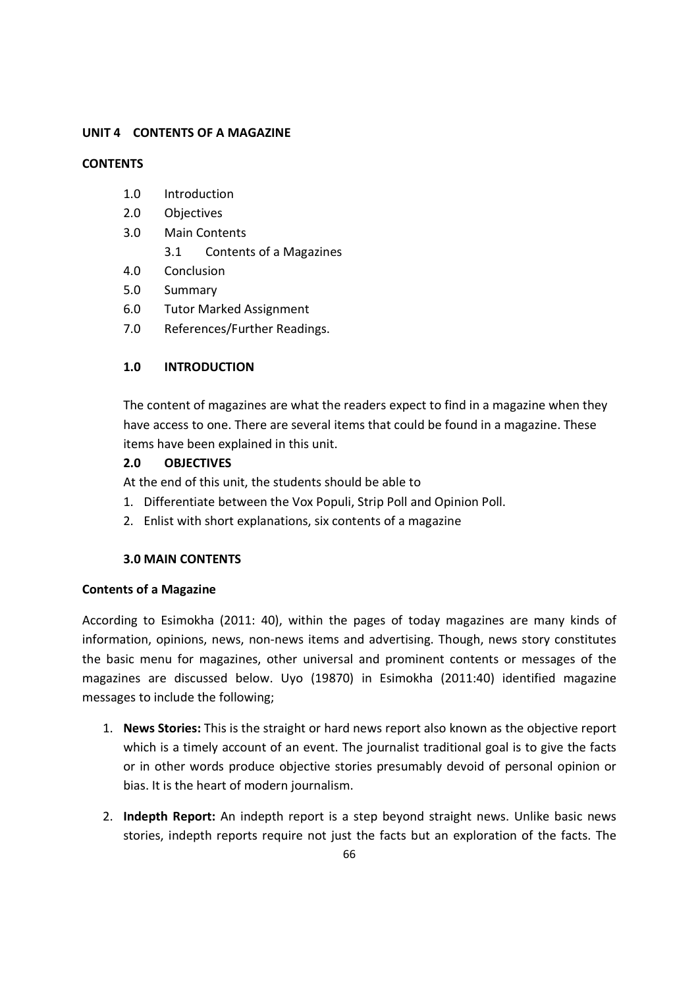### **UNIT 4 CONTENTS OF A MAGAZINE**

## **CONTENTS**

- 1.0 Introduction
- 2.0 Objectives
- 3.0 Main Contents
	- 3.1 Contents of a Magazines
- 4.0 Conclusion
- 5.0 Summary
- 6.0 Tutor Marked Assignment
- 7.0 References/Further Readings.

# **1.0 INTRODUCTION**

The content of magazines are what the readers expect to find in a magazine when they have access to one. There are several items that could be found in a magazine. These items have been explained in this unit.

## **2.0 OBJECTIVES**

At the end of this unit, the students should be able to

- 1. Differentiate between the Vox Populi, Strip Poll and Opinion Poll.
- 2. Enlist with short explanations, six contents of a magazine

### **3.0 MAIN CONTENTS**

### **Contents of a Magazine**

According to Esimokha (2011: 40), within the pages of today magazines are many kinds of information, opinions, news, non-news items and advertising. Though, news story constitutes the basic menu for magazines, other universal and prominent contents or messages of the magazines are discussed below. Uyo (19870) in Esimokha (2011:40) identified magazine messages to include the following;

- 1. **News Stories:** This is the straight or hard news report also known as the objective report which is a timely account of an event. The journalist traditional goal is to give the facts or in other words produce objective stories presumably devoid of personal opinion or bias. It is the heart of modern journalism.
- 2. **Indepth Report:** An indepth report is a step beyond straight news. Unlike basic news stories, indepth reports require not just the facts but an exploration of the facts. The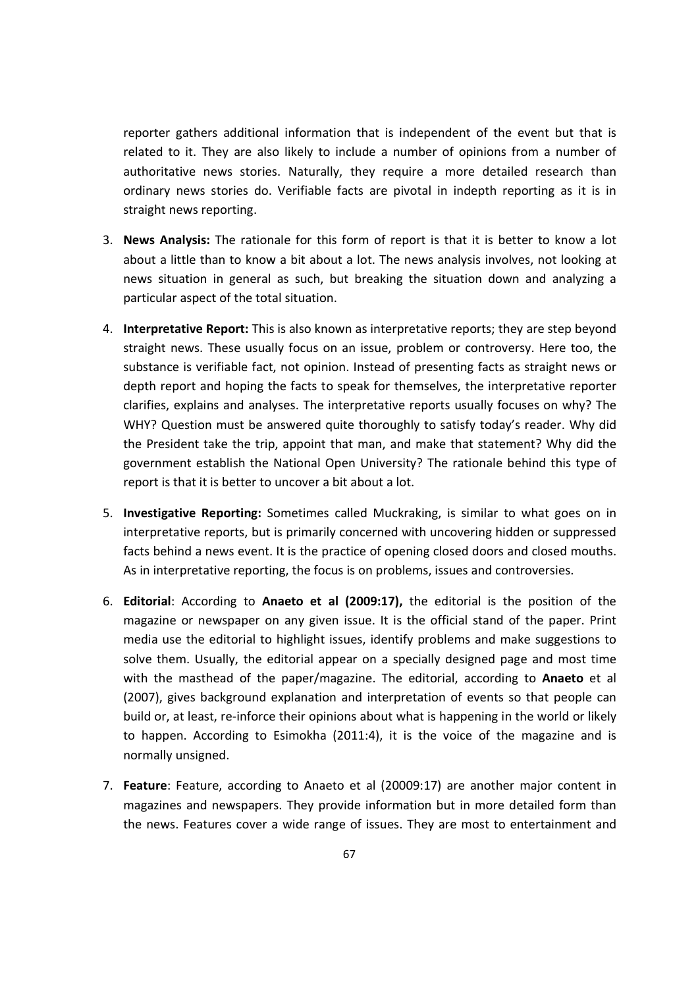reporter gathers additional information that is independent of the event but that is related to it. They are also likely to include a number of opinions from a number of authoritative news stories. Naturally, they require a more detailed research than ordinary news stories do. Verifiable facts are pivotal in indepth reporting as it is in straight news reporting.

- 3. **News Analysis:** The rationale for this form of report is that it is better to know a lot about a little than to know a bit about a lot. The news analysis involves, not looking at news situation in general as such, but breaking the situation down and analyzing a particular aspect of the total situation.
- 4. **Interpretative Report:** This is also known as interpretative reports; they are step beyond straight news. These usually focus on an issue, problem or controversy. Here too, the substance is verifiable fact, not opinion. Instead of presenting facts as straight news or depth report and hoping the facts to speak for themselves, the interpretative reporter clarifies, explains and analyses. The interpretative reports usually focuses on why? The WHY? Question must be answered quite thoroughly to satisfy today's reader. Why did the President take the trip, appoint that man, and make that statement? Why did the government establish the National Open University? The rationale behind this type of report is that it is better to uncover a bit about a lot.
- 5. **Investigative Reporting:** Sometimes called Muckraking, is similar to what goes on in interpretative reports, but is primarily concerned with uncovering hidden or suppressed facts behind a news event. It is the practice of opening closed doors and closed mouths. As in interpretative reporting, the focus is on problems, issues and controversies.
- 6. **Editorial**: According to **Anaeto et al (2009:17),** the editorial is the position of the magazine or newspaper on any given issue. It is the official stand of the paper. Print media use the editorial to highlight issues, identify problems and make suggestions to solve them. Usually, the editorial appear on a specially designed page and most time with the masthead of the paper/magazine. The editorial, according to **Anaeto** et al (2007), gives background explanation and interpretation of events so that people can build or, at least, re-inforce their opinions about what is happening in the world or likely to happen. According to Esimokha (2011:4), it is the voice of the magazine and is normally unsigned.
- 7. **Feature**: Feature, according to Anaeto et al (20009:17) are another major content in magazines and newspapers. They provide information but in more detailed form than the news. Features cover a wide range of issues. They are most to entertainment and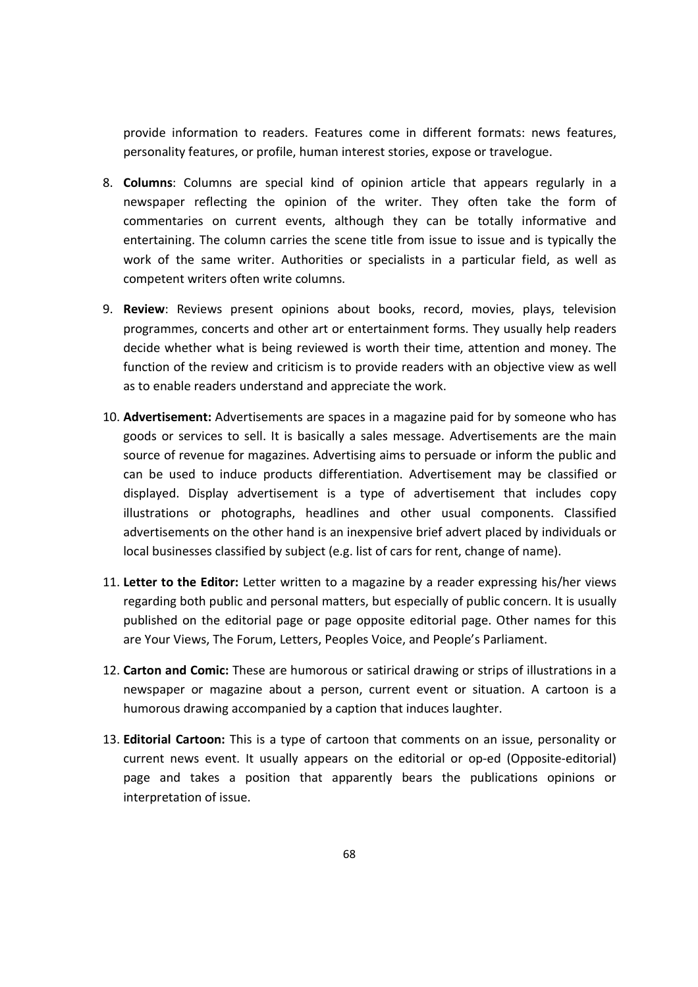provide information to readers. Features come in different formats: news features, personality features, or profile, human interest stories, expose or travelogue.

- 8. **Columns**: Columns are special kind of opinion article that appears regularly in a newspaper reflecting the opinion of the writer. They often take the form of commentaries on current events, although they can be totally informative and entertaining. The column carries the scene title from issue to issue and is typically the work of the same writer. Authorities or specialists in a particular field, as well as competent writers often write columns.
- 9. **Review**: Reviews present opinions about books, record, movies, plays, television programmes, concerts and other art or entertainment forms. They usually help readers decide whether what is being reviewed is worth their time, attention and money. The function of the review and criticism is to provide readers with an objective view as well as to enable readers understand and appreciate the work.
- 10. **Advertisement:** Advertisements are spaces in a magazine paid for by someone who has goods or services to sell. It is basically a sales message. Advertisements are the main source of revenue for magazines. Advertising aims to persuade or inform the public and can be used to induce products differentiation. Advertisement may be classified or displayed. Display advertisement is a type of advertisement that includes copy illustrations or photographs, headlines and other usual components. Classified advertisements on the other hand is an inexpensive brief advert placed by individuals or local businesses classified by subject (e.g. list of cars for rent, change of name).
- 11. **Letter to the Editor:** Letter written to a magazine by a reader expressing his/her views regarding both public and personal matters, but especially of public concern. It is usually published on the editorial page or page opposite editorial page. Other names for this are Your Views, The Forum, Letters, Peoples Voice, and People's Parliament.
- 12. **Carton and Comic:** These are humorous or satirical drawing or strips of illustrations in a newspaper or magazine about a person, current event or situation. A cartoon is a humorous drawing accompanied by a caption that induces laughter.
- 13. **Editorial Cartoon:** This is a type of cartoon that comments on an issue, personality or current news event. It usually appears on the editorial or op-ed (Opposite-editorial) page and takes a position that apparently bears the publications opinions or interpretation of issue.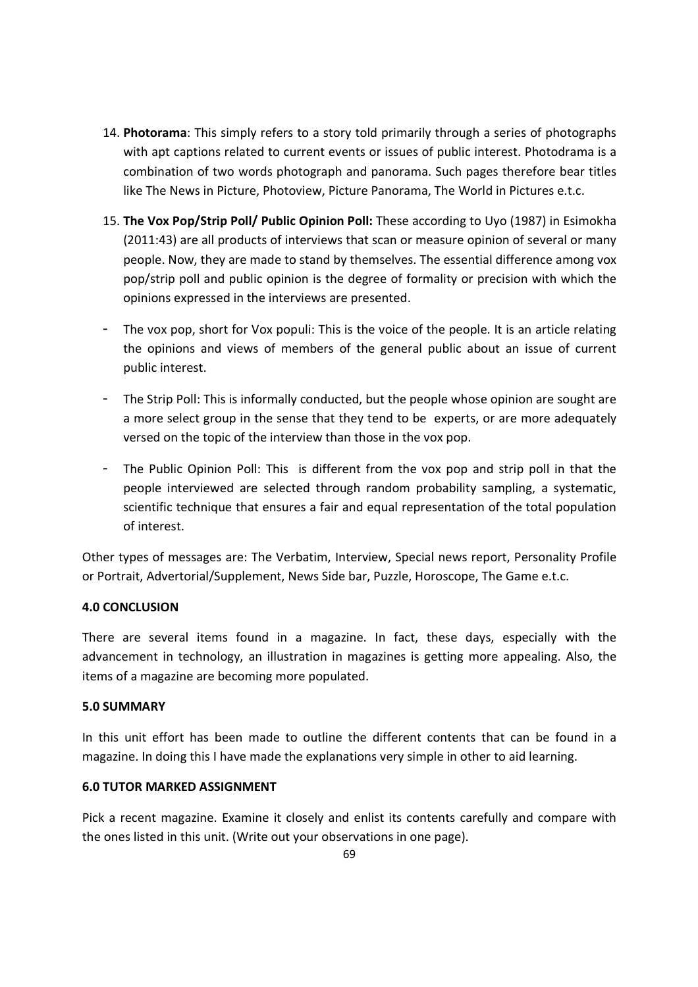- 14. **Photorama**: This simply refers to a story told primarily through a series of photographs with apt captions related to current events or issues of public interest. Photodrama is a combination of two words photograph and panorama. Such pages therefore bear titles like The News in Picture, Photoview, Picture Panorama, The World in Pictures e.t.c.
- 15. **The Vox Pop/Strip Poll/ Public Opinion Poll:** These according to Uyo (1987) in Esimokha (2011:43) are all products of interviews that scan or measure opinion of several or many people. Now, they are made to stand by themselves. The essential difference among vox pop/strip poll and public opinion is the degree of formality or precision with which the opinions expressed in the interviews are presented.
- The vox pop, short for Vox populi: This is the voice of the people. It is an article relating the opinions and views of members of the general public about an issue of current public interest.
- The Strip Poll: This is informally conducted, but the people whose opinion are sought are a more select group in the sense that they tend to be experts, or are more adequately versed on the topic of the interview than those in the vox pop.
- The Public Opinion Poll: This is different from the vox pop and strip poll in that the people interviewed are selected through random probability sampling, a systematic, scientific technique that ensures a fair and equal representation of the total population of interest.

Other types of messages are: The Verbatim, Interview, Special news report, Personality Profile or Portrait, Advertorial/Supplement, News Side bar, Puzzle, Horoscope, The Game e.t.c.

# **4.0 CONCLUSION**

There are several items found in a magazine. In fact, these days, especially with the advancement in technology, an illustration in magazines is getting more appealing. Also, the items of a magazine are becoming more populated.

# **5.0 SUMMARY**

In this unit effort has been made to outline the different contents that can be found in a magazine. In doing this I have made the explanations very simple in other to aid learning.

# **6.0 TUTOR MARKED ASSIGNMENT**

Pick a recent magazine. Examine it closely and enlist its contents carefully and compare with the ones listed in this unit. (Write out your observations in one page).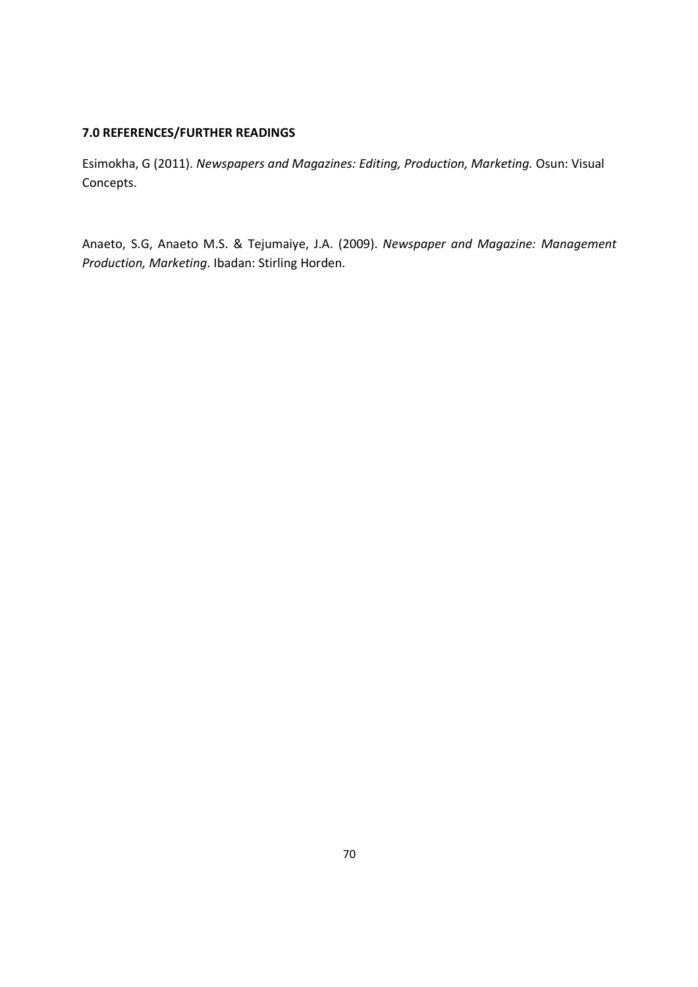## **7.0 REFERENCES/FURTHER READINGS**

Esimokha, G (2011). *Newspapers and Magazines: Editing, Production, Marketing.* Osun: Visual Concepts.

Anaeto, S.G, Anaeto M.S. & Tejumaiye, J.A. (2009). *Newspaper and Magazine: Management Production, Marketing*. Ibadan: Stirling Horden.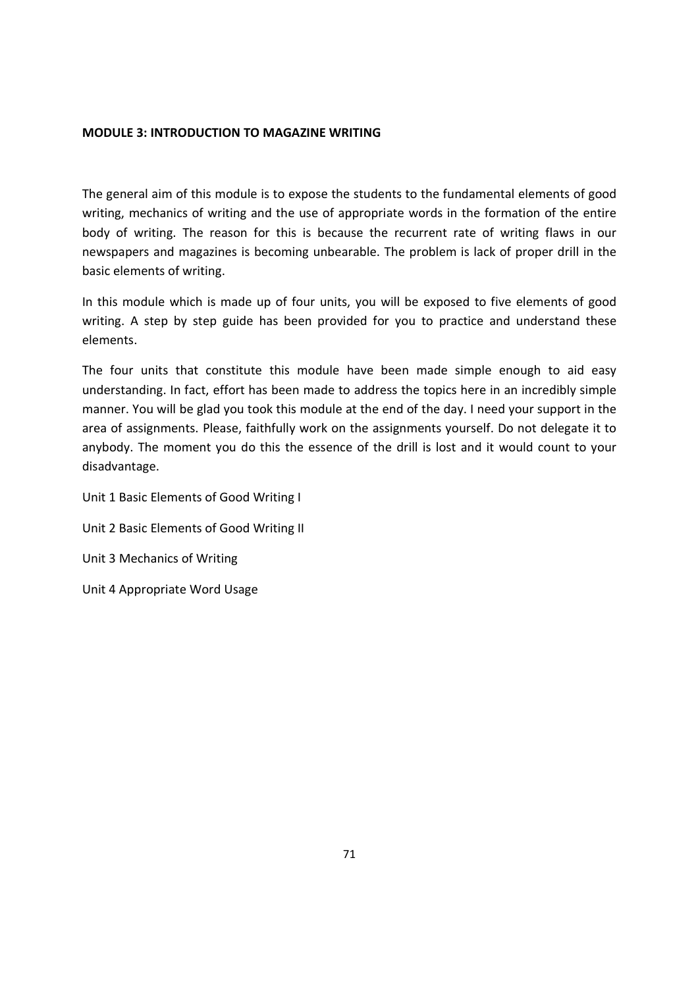## **MODULE 3: INTRODUCTION TO MAGAZINE WRITING**

The general aim of this module is to expose the students to the fundamental elements of good writing, mechanics of writing and the use of appropriate words in the formation of the entire body of writing. The reason for this is because the recurrent rate of writing flaws in our newspapers and magazines is becoming unbearable. The problem is lack of proper drill in the basic elements of writing.

In this module which is made up of four units, you will be exposed to five elements of good writing. A step by step guide has been provided for you to practice and understand these elements.

The four units that constitute this module have been made simple enough to aid easy understanding. In fact, effort has been made to address the topics here in an incredibly simple manner. You will be glad you took this module at the end of the day. I need your support in the area of assignments. Please, faithfully work on the assignments yourself. Do not delegate it to anybody. The moment you do this the essence of the drill is lost and it would count to your disadvantage.

Unit 1 Basic Elements of Good Writing I Unit 2 Basic Elements of Good Writing II Unit 3 Mechanics of Writing Unit 4 Appropriate Word Usage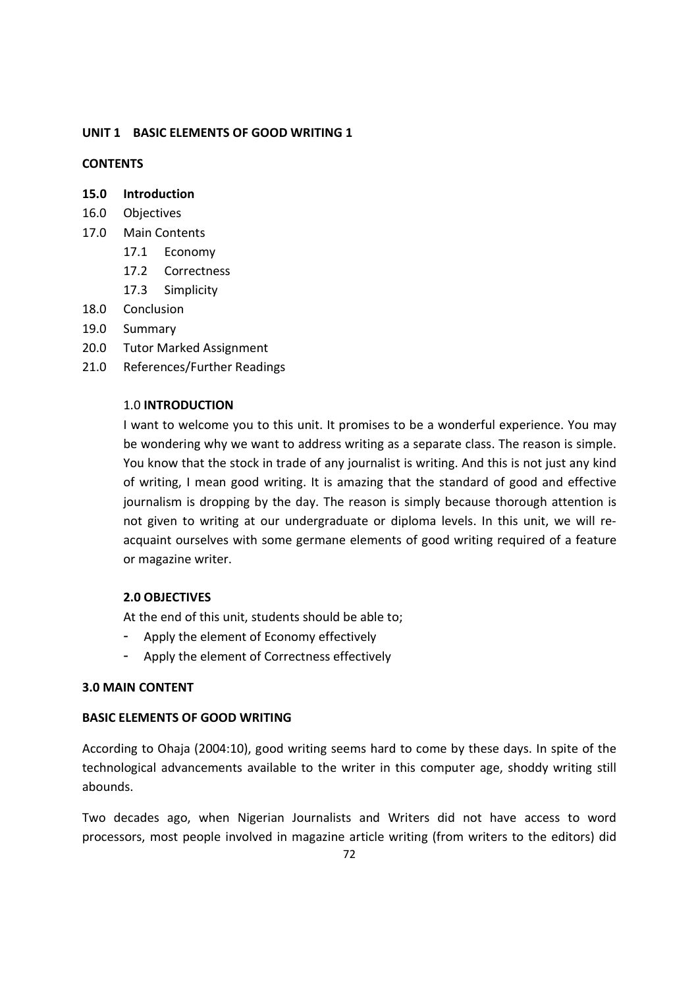## **UNIT 1 BASIC ELEMENTS OF GOOD WRITING 1**

### **CONTENTS**

## **15.0 Introduction**

- 16.0 Objectives
- 17.0 Main Contents
	- 17.1 Economy
	- 17.2 Correctness
	- 17.3 Simplicity
- 18.0 Conclusion
- 19.0 Summary
- 20.0 Tutor Marked Assignment
- 21.0 References/Further Readings

## 1.0 **INTRODUCTION**

I want to welcome you to this unit. It promises to be a wonderful experience. You may be wondering why we want to address writing as a separate class. The reason is simple. You know that the stock in trade of any journalist is writing. And this is not just any kind of writing, I mean good writing. It is amazing that the standard of good and effective journalism is dropping by the day. The reason is simply because thorough attention is not given to writing at our undergraduate or diploma levels. In this unit, we will reacquaint ourselves with some germane elements of good writing required of a feature or magazine writer.

# **2.0 OBJECTIVES**

At the end of this unit, students should be able to;

- Apply the element of Economy effectively
- Apply the element of Correctness effectively

### **3.0 MAIN CONTENT**

### **BASIC ELEMENTS OF GOOD WRITING**

According to Ohaja (2004:10), good writing seems hard to come by these days. In spite of the technological advancements available to the writer in this computer age, shoddy writing still abounds.

Two decades ago, when Nigerian Journalists and Writers did not have access to word processors, most people involved in magazine article writing (from writers to the editors) did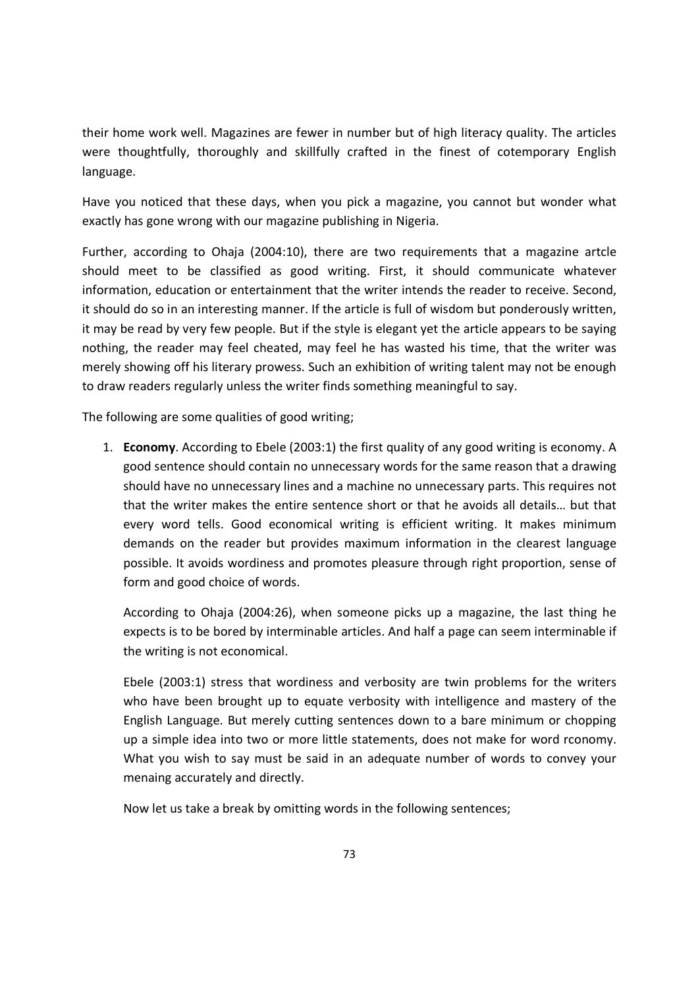their home work well. Magazines are fewer in number but of high literacy quality. The articles were thoughtfully, thoroughly and skillfully crafted in the finest of cotemporary English language.

Have you noticed that these days, when you pick a magazine, you cannot but wonder what exactly has gone wrong with our magazine publishing in Nigeria.

Further, according to Ohaja (2004:10), there are two requirements that a magazine artcle should meet to be classified as good writing. First, it should communicate whatever information, education or entertainment that the writer intends the reader to receive. Second, it should do so in an interesting manner. If the article is full of wisdom but ponderously written, it may be read by very few people. But if the style is elegant yet the article appears to be saying nothing, the reader may feel cheated, may feel he has wasted his time, that the writer was merely showing off his literary prowess. Such an exhibition of writing talent may not be enough to draw readers regularly unless the writer finds something meaningful to say.

The following are some qualities of good writing;

1. **Economy**. According to Ebele (2003:1) the first quality of any good writing is economy. A good sentence should contain no unnecessary words for the same reason that a drawing should have no unnecessary lines and a machine no unnecessary parts. This requires not that the writer makes the entire sentence short or that he avoids all details… but that every word tells. Good economical writing is efficient writing. It makes minimum demands on the reader but provides maximum information in the clearest language possible. It avoids wordiness and promotes pleasure through right proportion, sense of form and good choice of words.

According to Ohaja (2004:26), when someone picks up a magazine, the last thing he expects is to be bored by interminable articles. And half a page can seem interminable if the writing is not economical.

Ebele (2003:1) stress that wordiness and verbosity are twin problems for the writers who have been brought up to equate verbosity with intelligence and mastery of the English Language. But merely cutting sentences down to a bare minimum or chopping up a simple idea into two or more little statements, does not make for word rconomy. What you wish to say must be said in an adequate number of words to convey your menaing accurately and directly.

Now let us take a break by omitting words in the following sentences;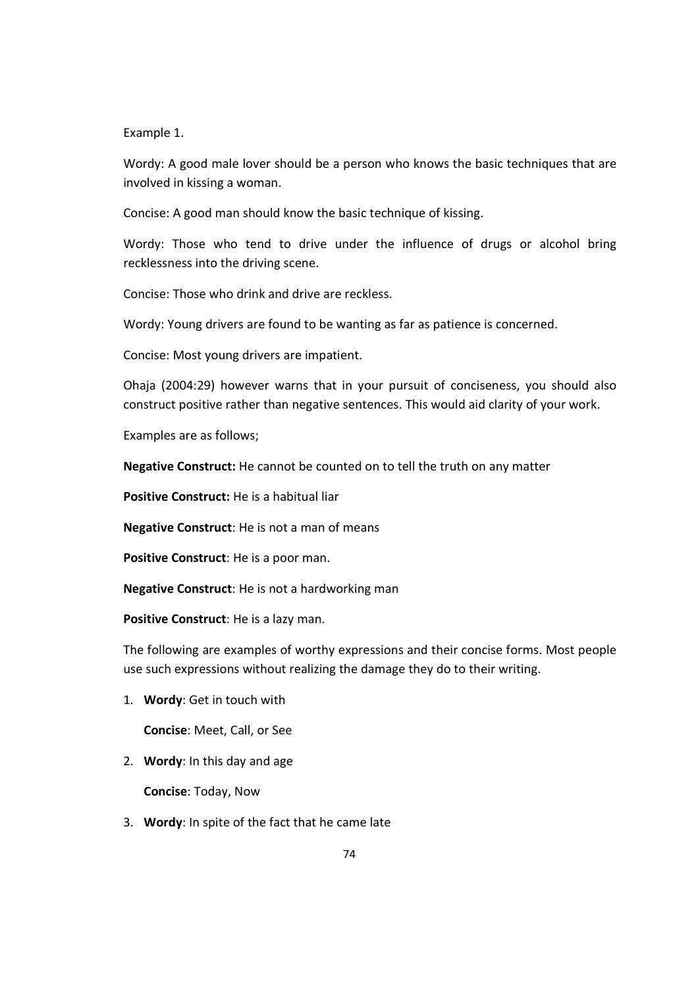Example 1.

Wordy: A good male lover should be a person who knows the basic techniques that are involved in kissing a woman.

Concise: A good man should know the basic technique of kissing.

Wordy: Those who tend to drive under the influence of drugs or alcohol bring recklessness into the driving scene.

Concise: Those who drink and drive are reckless.

Wordy: Young drivers are found to be wanting as far as patience is concerned.

Concise: Most young drivers are impatient.

Ohaja (2004:29) however warns that in your pursuit of conciseness, you should also construct positive rather than negative sentences. This would aid clarity of your work.

Examples are as follows;

**Negative Construct:** He cannot be counted on to tell the truth on any matter

**Positive Construct:** He is a habitual liar

**Negative Construct**: He is not a man of means

**Positive Construct**: He is a poor man.

**Negative Construct**: He is not a hardworking man

**Positive Construct**: He is a lazy man.

The following are examples of worthy expressions and their concise forms. Most people use such expressions without realizing the damage they do to their writing.

1. **Wordy**: Get in touch with

**Concise**: Meet, Call, or See

2. **Wordy**: In this day and age

**Concise**: Today, Now

3. **Wordy**: In spite of the fact that he came late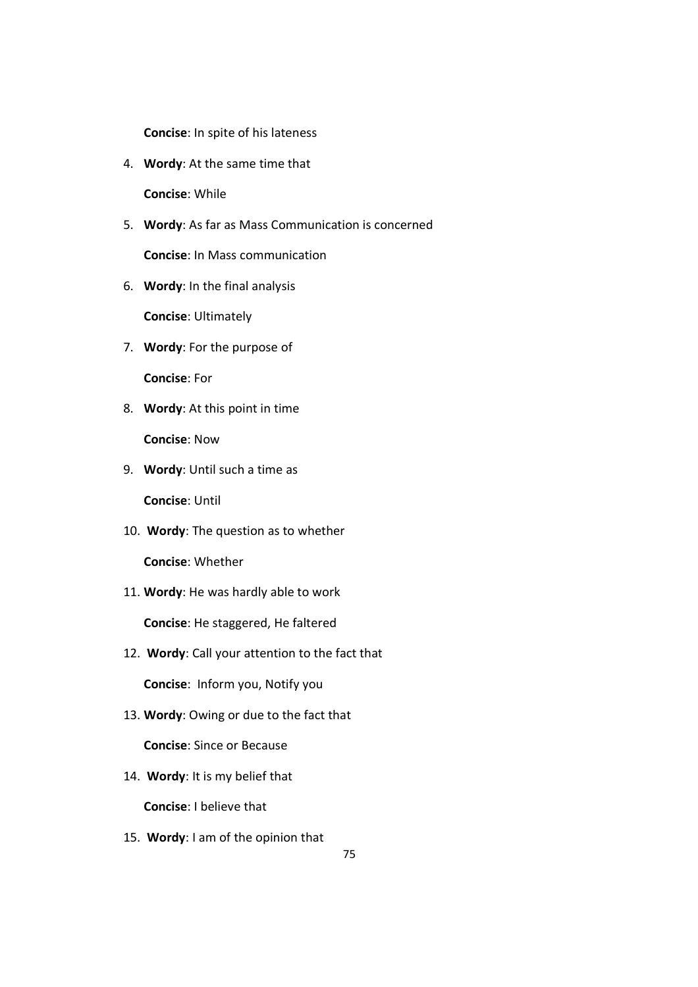**Concise**: In spite of his lateness

- 4. **Wordy**: At the same time that **Concise**: While
- 5. **Wordy**: As far as Mass Communication is concerned

**Concise**: In Mass communication

6. **Wordy**: In the final analysis

**Concise**: Ultimately

7. **Wordy**: For the purpose of

**Concise**: For

8. **Wordy**: At this point in time

**Concise**: Now

9. **Wordy**: Until such a time as

**Concise**: Until

10. **Wordy**: The question as to whether

**Concise**: Whether

11. **Wordy**: He was hardly able to work

**Concise**: He staggered, He faltered

12. **Wordy**: Call your attention to the fact that

**Concise**: Inform you, Notify you

13. **Wordy**: Owing or due to the fact that

**Concise**: Since or Because

14. **Wordy**: It is my belief that

**Concise**: I believe that

15. **Wordy**: I am of the opinion that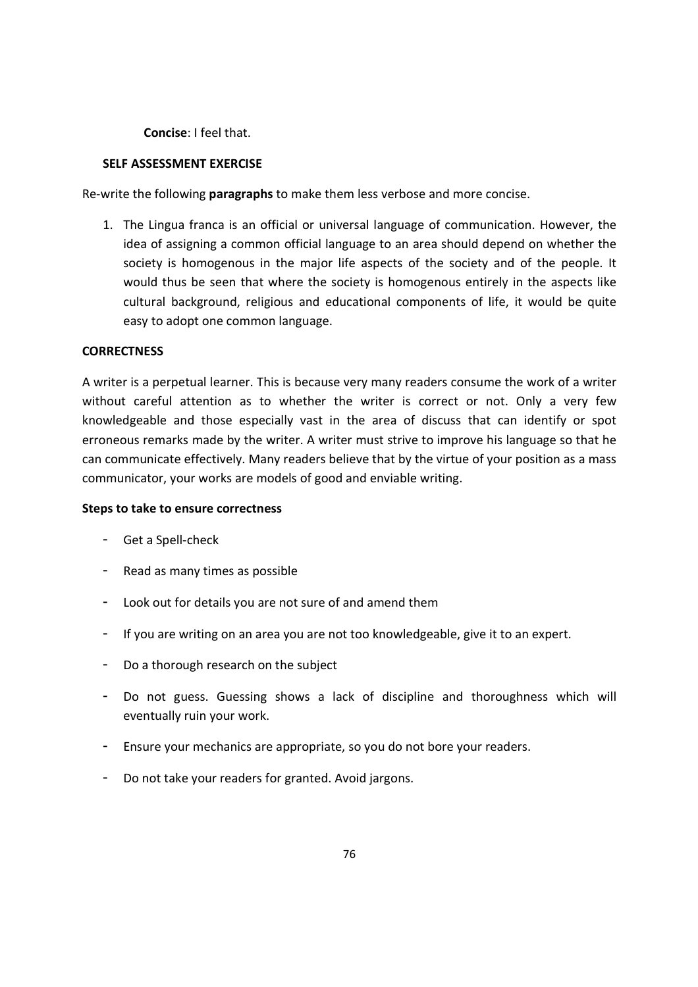### **Concise**: I feel that.

# **SELF ASSESSMENT EXERCISE**

Re-write the following **paragraphs** to make them less verbose and more concise.

1. The Lingua franca is an official or universal language of communication. However, the idea of assigning a common official language to an area should depend on whether the society is homogenous in the major life aspects of the society and of the people. It would thus be seen that where the society is homogenous entirely in the aspects like cultural background, religious and educational components of life, it would be quite easy to adopt one common language.

#### **CORRECTNESS**

A writer is a perpetual learner. This is because very many readers consume the work of a writer without careful attention as to whether the writer is correct or not. Only a very few knowledgeable and those especially vast in the area of discuss that can identify or spot erroneous remarks made by the writer. A writer must strive to improve his language so that he can communicate effectively. Many readers believe that by the virtue of your position as a mass communicator, your works are models of good and enviable writing.

#### **Steps to take to ensure correctness**

- Get a Spell-check
- Read as many times as possible
- Look out for details you are not sure of and amend them
- If you are writing on an area you are not too knowledgeable, give it to an expert.
- Do a thorough research on the subject
- Do not guess. Guessing shows a lack of discipline and thoroughness which will eventually ruin your work.
- Ensure your mechanics are appropriate, so you do not bore your readers.
- Do not take your readers for granted. Avoid jargons.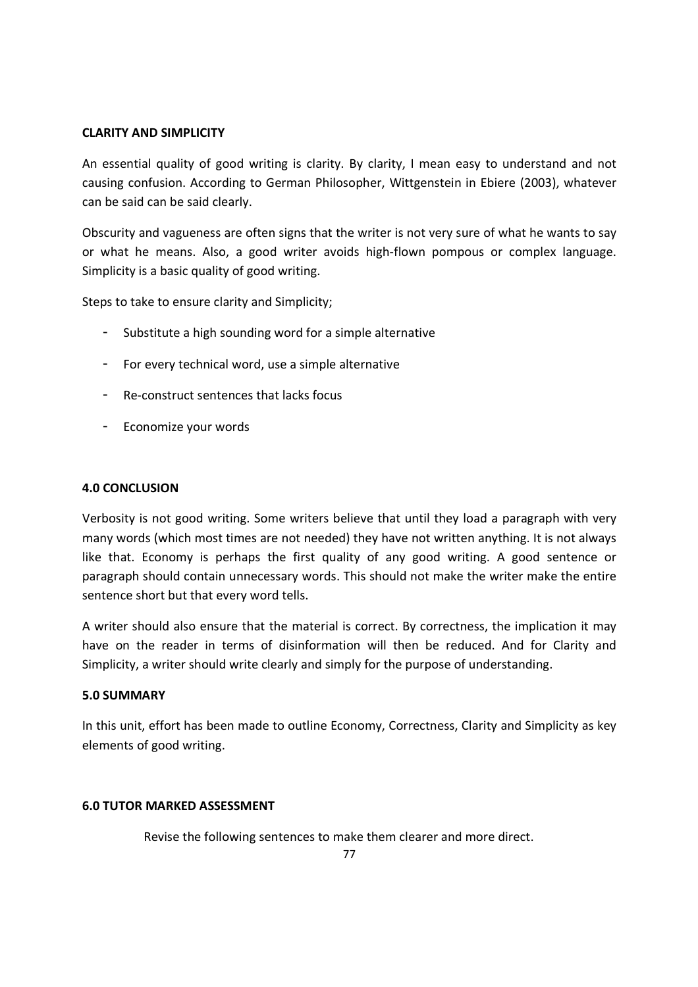#### **CLARITY AND SIMPLICITY**

An essential quality of good writing is clarity. By clarity, I mean easy to understand and not causing confusion. According to German Philosopher, Wittgenstein in Ebiere (2003), whatever can be said can be said clearly.

Obscurity and vagueness are often signs that the writer is not very sure of what he wants to say or what he means. Also, a good writer avoids high-flown pompous or complex language. Simplicity is a basic quality of good writing.

Steps to take to ensure clarity and Simplicity;

- Substitute a high sounding word for a simple alternative
- For every technical word, use a simple alternative
- Re-construct sentences that lacks focus
- Economize your words

#### **4.0 CONCLUSION**

Verbosity is not good writing. Some writers believe that until they load a paragraph with very many words (which most times are not needed) they have not written anything. It is not always like that. Economy is perhaps the first quality of any good writing. A good sentence or paragraph should contain unnecessary words. This should not make the writer make the entire sentence short but that every word tells.

A writer should also ensure that the material is correct. By correctness, the implication it may have on the reader in terms of disinformation will then be reduced. And for Clarity and Simplicity, a writer should write clearly and simply for the purpose of understanding.

#### **5.0 SUMMARY**

In this unit, effort has been made to outline Economy, Correctness, Clarity and Simplicity as key elements of good writing.

#### **6.0 TUTOR MARKED ASSESSMENT**

Revise the following sentences to make them clearer and more direct.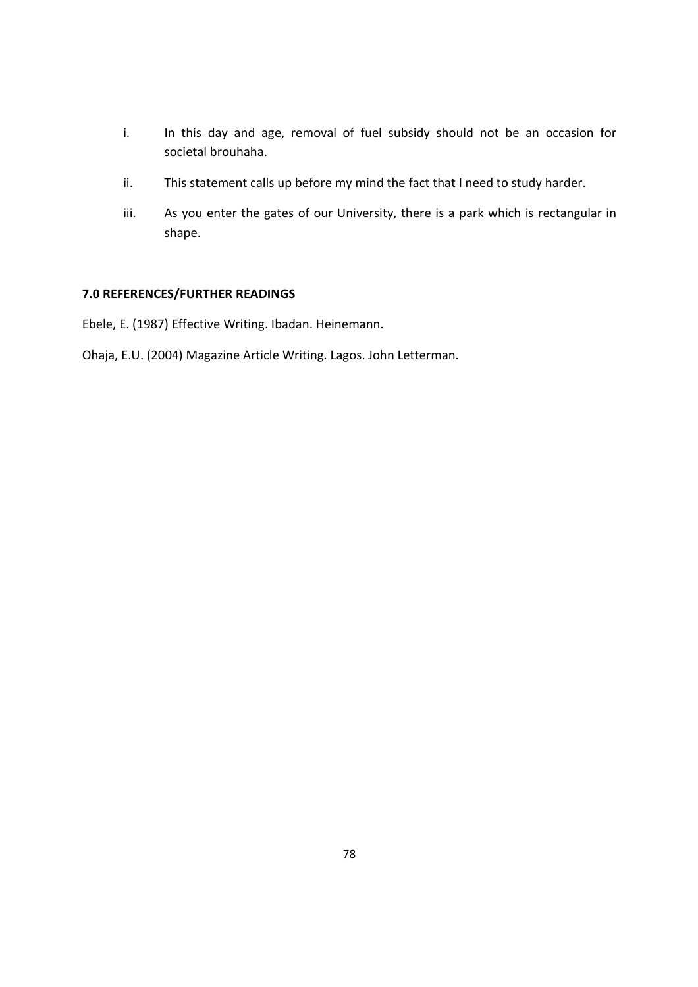- i. In this day and age, removal of fuel subsidy should not be an occasion for societal brouhaha.
- ii. This statement calls up before my mind the fact that I need to study harder.
- iii. As you enter the gates of our University, there is a park which is rectangular in shape.

### **7.0 REFERENCES/FURTHER READINGS**

Ebele, E. (1987) Effective Writing. Ibadan. Heinemann.

Ohaja, E.U. (2004) Magazine Article Writing. Lagos. John Letterman.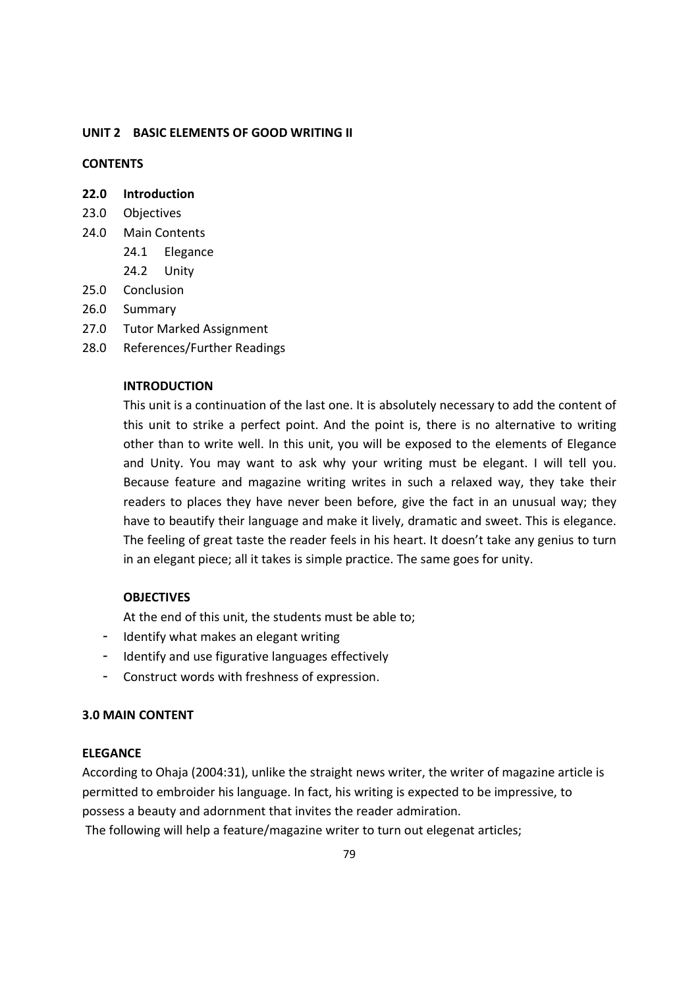#### **UNIT 2 BASIC ELEMENTS OF GOOD WRITING II**

#### **CONTENTS**

#### **22.0 Introduction**

- 23.0 Objectives
- 24.0 Main Contents
	- 24.1 Elegance
	- 24.2 Unity
- 25.0 Conclusion
- 26.0 Summary
- 27.0 Tutor Marked Assignment
- 28.0 References/Further Readings

### **INTRODUCTION**

This unit is a continuation of the last one. It is absolutely necessary to add the content of this unit to strike a perfect point. And the point is, there is no alternative to writing other than to write well. In this unit, you will be exposed to the elements of Elegance and Unity. You may want to ask why your writing must be elegant. I will tell you. Because feature and magazine writing writes in such a relaxed way, they take their readers to places they have never been before, give the fact in an unusual way; they have to beautify their language and make it lively, dramatic and sweet. This is elegance. The feeling of great taste the reader feels in his heart. It doesn't take any genius to turn in an elegant piece; all it takes is simple practice. The same goes for unity.

#### **OBJECTIVES**

At the end of this unit, the students must be able to;

- Identify what makes an elegant writing
- Identify and use figurative languages effectively
- Construct words with freshness of expression.

#### **3.0 MAIN CONTENT**

#### **ELEGANCE**

According to Ohaja (2004:31), unlike the straight news writer, the writer of magazine article is permitted to embroider his language. In fact, his writing is expected to be impressive, to possess a beauty and adornment that invites the reader admiration.

The following will help a feature/magazine writer to turn out elegenat articles;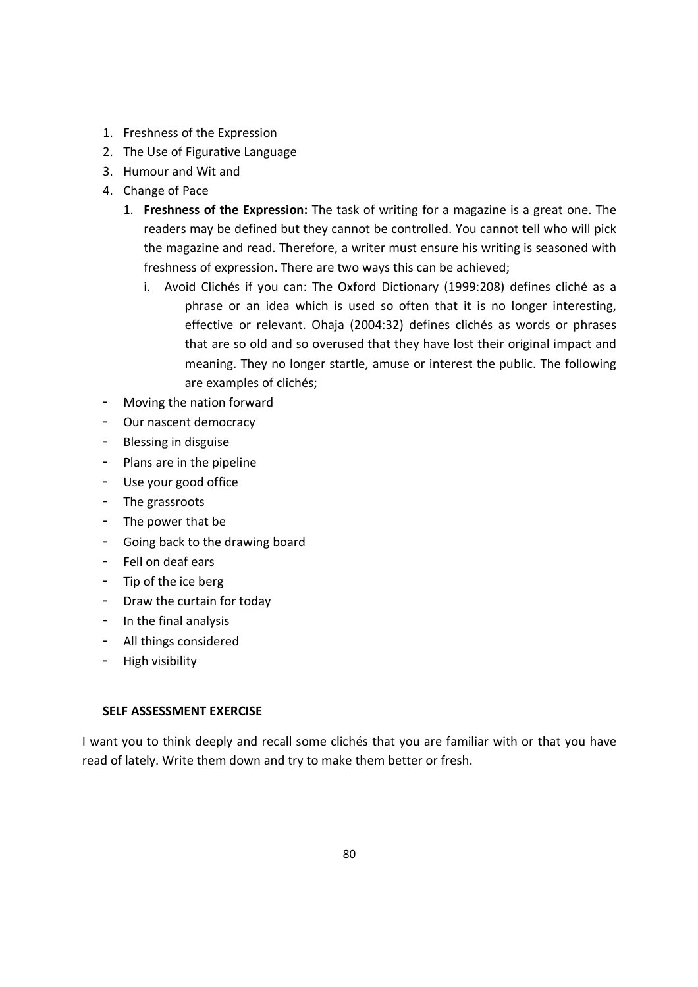- 1. Freshness of the Expression
- 2. The Use of Figurative Language
- 3. Humour and Wit and
- 4. Change of Pace
	- 1. **Freshness of the Expression:** The task of writing for a magazine is a great one. The readers may be defined but they cannot be controlled. You cannot tell who will pick the magazine and read. Therefore, a writer must ensure his writing is seasoned with freshness of expression. There are two ways this can be achieved;
		- i. Avoid Clichés if you can: The Oxford Dictionary (1999:208) defines cliché as a phrase or an idea which is used so often that it is no longer interesting, effective or relevant. Ohaja (2004:32) defines clichés as words or phrases that are so old and so overused that they have lost their original impact and meaning. They no longer startle, amuse or interest the public. The following are examples of clichés;
- Moving the nation forward
- Our nascent democracy
- Blessing in disguise
- Plans are in the pipeline
- Use your good office
- The grassroots
- The power that be
- Going back to the drawing board
- Fell on deaf ears
- Tip of the ice berg
- Draw the curtain for today
- In the final analysis
- All things considered
- High visibility

## **SELF ASSESSMENT EXERCISE**

I want you to think deeply and recall some clichés that you are familiar with or that you have read of lately. Write them down and try to make them better or fresh.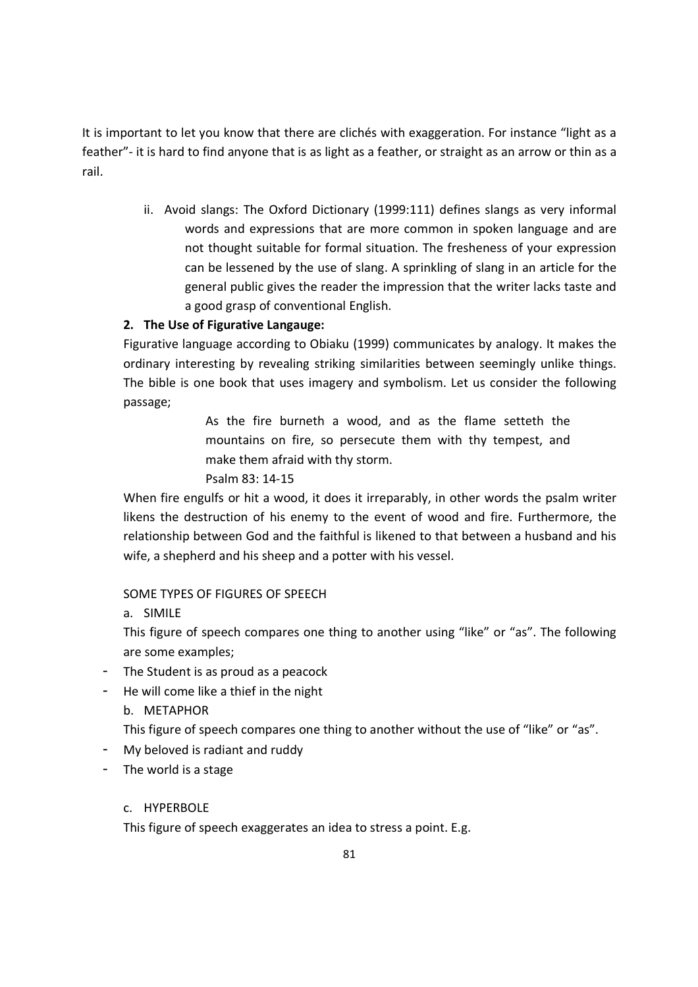It is important to let you know that there are clichés with exaggeration. For instance "light as a feather"- it is hard to find anyone that is as light as a feather, or straight as an arrow or thin as a rail.

> ii. Avoid slangs: The Oxford Dictionary (1999:111) defines slangs as very informal words and expressions that are more common in spoken language and are not thought suitable for formal situation. The fresheness of your expression can be lessened by the use of slang. A sprinkling of slang in an article for the general public gives the reader the impression that the writer lacks taste and a good grasp of conventional English.

# **2. The Use of Figurative Langauge:**

Figurative language according to Obiaku (1999) communicates by analogy. It makes the ordinary interesting by revealing striking similarities between seemingly unlike things. The bible is one book that uses imagery and symbolism. Let us consider the following passage;

> As the fire burneth a wood, and as the flame setteth the mountains on fire, so persecute them with thy tempest, and make them afraid with thy storm.

## Psalm 83: 14-15

When fire engulfs or hit a wood, it does it irreparably, in other words the psalm writer likens the destruction of his enemy to the event of wood and fire. Furthermore, the relationship between God and the faithful is likened to that between a husband and his wife, a shepherd and his sheep and a potter with his vessel.

## SOME TYPES OF FIGURES OF SPEECH

a. SIMILE

This figure of speech compares one thing to another using "like" or "as". The following are some examples;

- The Student is as proud as a peacock
- He will come like a thief in the night
	- b. METAPHOR

This figure of speech compares one thing to another without the use of "like" or "as".

- My beloved is radiant and ruddy
- The world is a stage

# c. HYPERBOLE

This figure of speech exaggerates an idea to stress a point. E.g.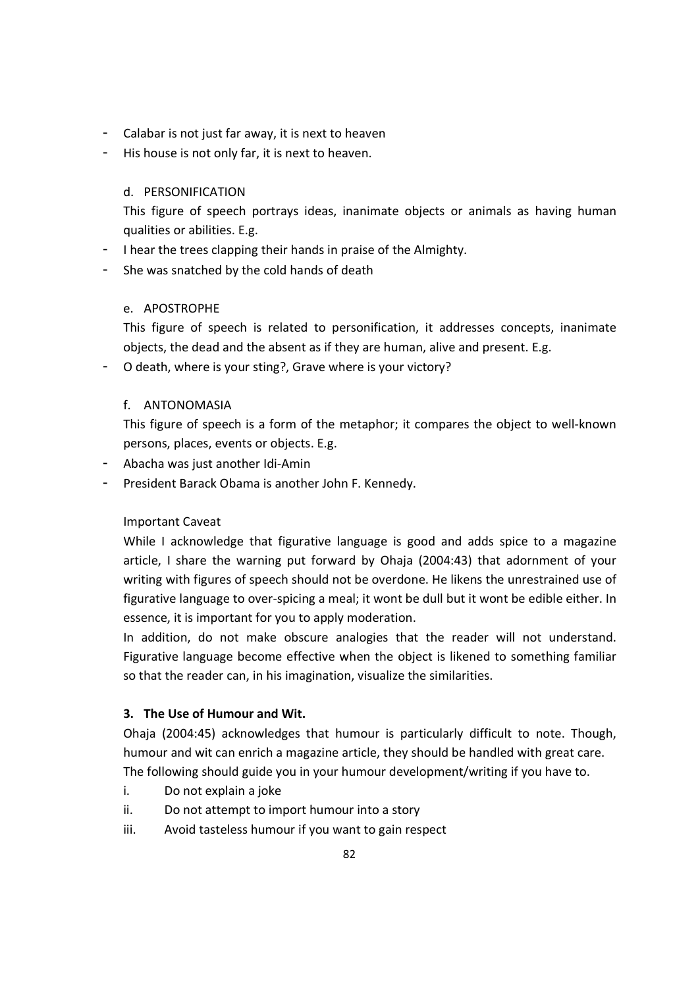- Calabar is not just far away, it is next to heaven
- His house is not only far, it is next to heaven.

## d. PERSONIFICATION

This figure of speech portrays ideas, inanimate objects or animals as having human qualities or abilities. E.g.

- I hear the trees clapping their hands in praise of the Almighty.
- She was snatched by the cold hands of death

# e. APOSTROPHE

This figure of speech is related to personification, it addresses concepts, inanimate objects, the dead and the absent as if they are human, alive and present. E.g.

- O death, where is your sting?, Grave where is your victory?

# f. ANTONOMASIA

This figure of speech is a form of the metaphor; it compares the object to well-known persons, places, events or objects. E.g.

- Abacha was just another Idi-Amin
- President Barack Obama is another John F. Kennedy.

## Important Caveat

While I acknowledge that figurative language is good and adds spice to a magazine article, I share the warning put forward by Ohaja (2004:43) that adornment of your writing with figures of speech should not be overdone. He likens the unrestrained use of figurative language to over-spicing a meal; it wont be dull but it wont be edible either. In essence, it is important for you to apply moderation.

In addition, do not make obscure analogies that the reader will not understand. Figurative language become effective when the object is likened to something familiar so that the reader can, in his imagination, visualize the similarities.

# **3. The Use of Humour and Wit.**

Ohaja (2004:45) acknowledges that humour is particularly difficult to note. Though, humour and wit can enrich a magazine article, they should be handled with great care. The following should guide you in your humour development/writing if you have to.

- i. Do not explain a joke
- ii. Do not attempt to import humour into a story
- iii. Avoid tasteless humour if you want to gain respect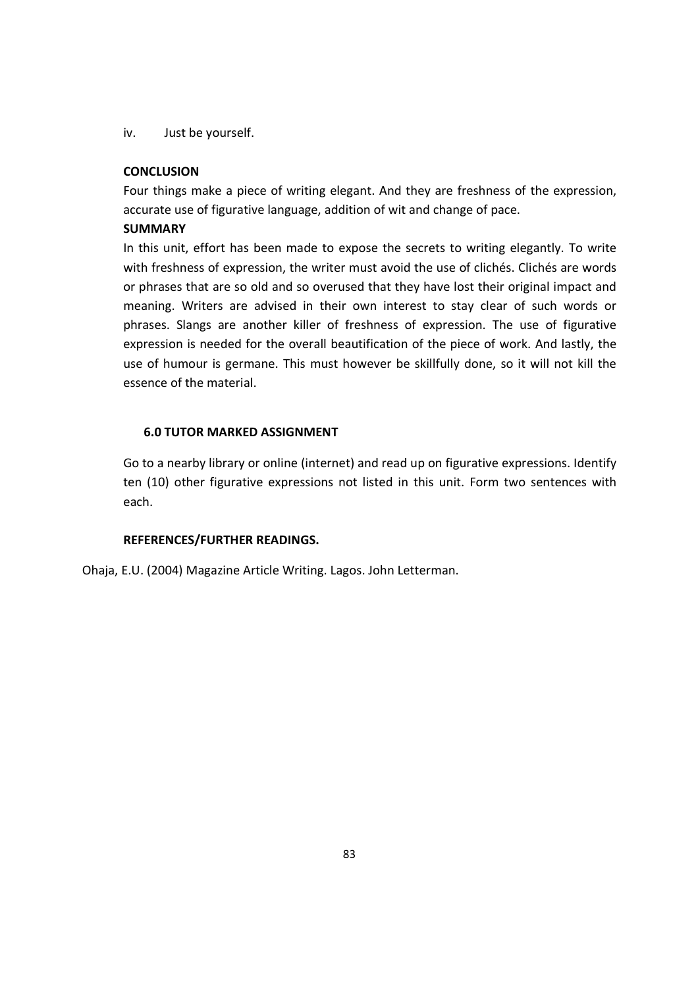#### iv. Just be yourself.

#### **CONCLUSION**

Four things make a piece of writing elegant. And they are freshness of the expression, accurate use of figurative language, addition of wit and change of pace.

#### **SUMMARY**

In this unit, effort has been made to expose the secrets to writing elegantly. To write with freshness of expression, the writer must avoid the use of clichés. Clichés are words or phrases that are so old and so overused that they have lost their original impact and meaning. Writers are advised in their own interest to stay clear of such words or phrases. Slangs are another killer of freshness of expression. The use of figurative expression is needed for the overall beautification of the piece of work. And lastly, the use of humour is germane. This must however be skillfully done, so it will not kill the essence of the material.

#### **6.0 TUTOR MARKED ASSIGNMENT**

Go to a nearby library or online (internet) and read up on figurative expressions. Identify ten (10) other figurative expressions not listed in this unit. Form two sentences with each.

#### **REFERENCES/FURTHER READINGS.**

Ohaja, E.U. (2004) Magazine Article Writing. Lagos. John Letterman.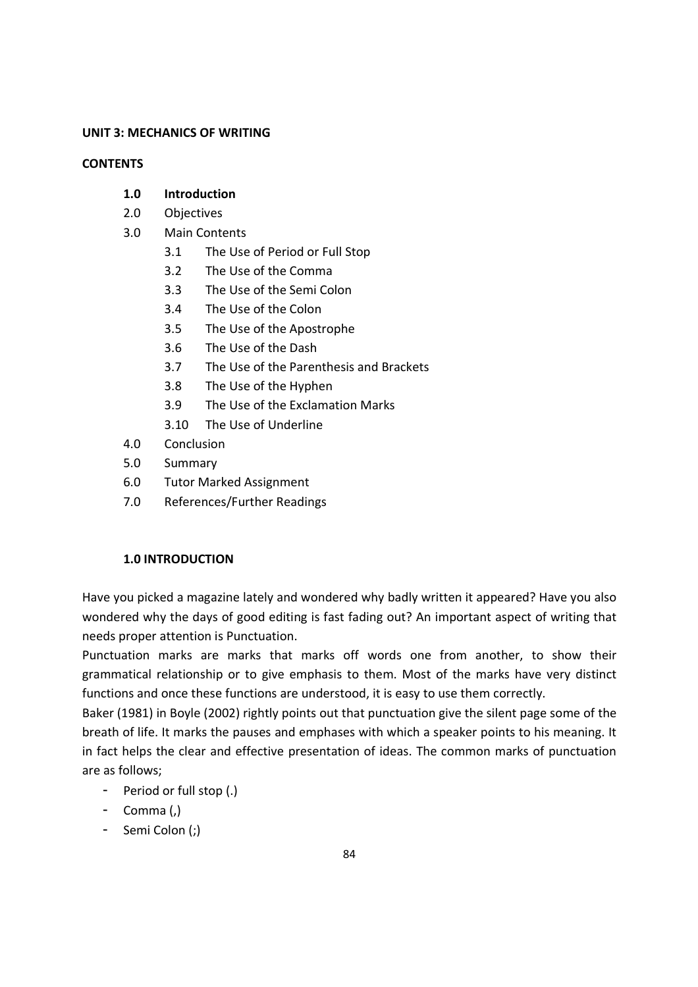### **UNIT 3: MECHANICS OF WRITING**

### **CONTENTS**

## **1.0 Introduction**

- 2.0 Objectives
- 3.0 Main Contents
	- 3.1 The Use of Period or Full Stop
	- 3.2 The Use of the Comma
	- 3.3 The Use of the Semi Colon
	- 3.4 The Use of the Colon
	- 3.5 The Use of the Apostrophe
	- 3.6 The Use of the Dash
	- 3.7 The Use of the Parenthesis and Brackets
	- 3.8 The Use of the Hyphen
	- 3.9 The Use of the Exclamation Marks
	- 3.10 The Use of Underline
- 4.0 Conclusion
- 5.0 Summary
- 6.0 Tutor Marked Assignment
- 7.0 References/Further Readings

## **1.0 INTRODUCTION**

Have you picked a magazine lately and wondered why badly written it appeared? Have you also wondered why the days of good editing is fast fading out? An important aspect of writing that needs proper attention is Punctuation.

Punctuation marks are marks that marks off words one from another, to show their grammatical relationship or to give emphasis to them. Most of the marks have very distinct functions and once these functions are understood, it is easy to use them correctly.

Baker (1981) in Boyle (2002) rightly points out that punctuation give the silent page some of the breath of life. It marks the pauses and emphases with which a speaker points to his meaning. It in fact helps the clear and effective presentation of ideas. The common marks of punctuation are as follows;

- Period or full stop (.)
- Comma (,)
- Semi Colon (;)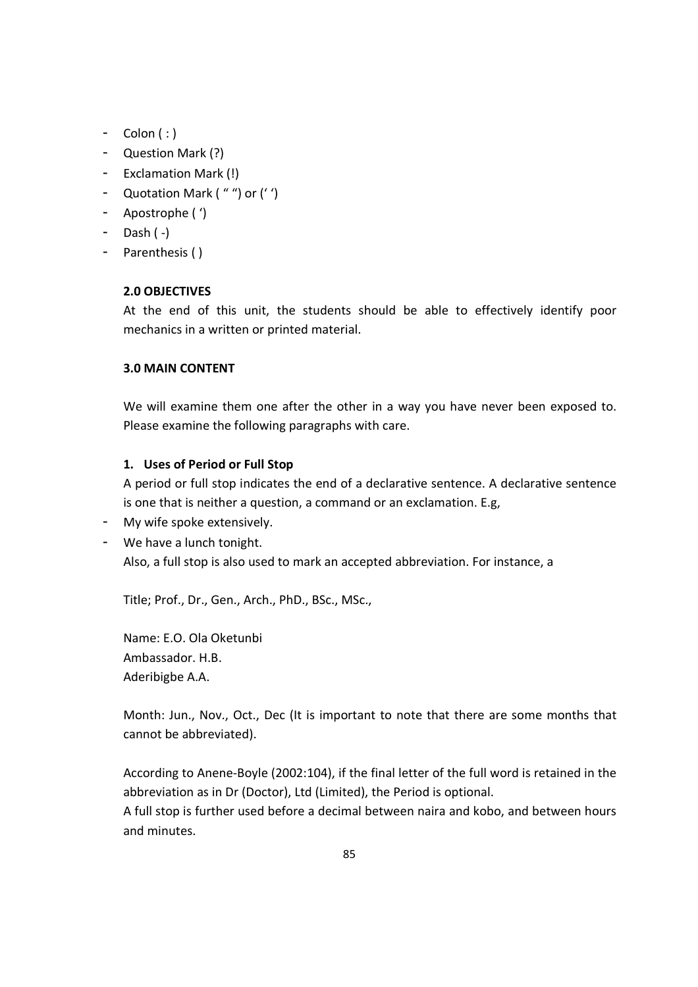- Colon  $(:)$
- Question Mark (?)
- Exclamation Mark (!)
- Quotation Mark ( " ") or (' ')
- Apostrophe ( ')
- Dash ( -)
- Parenthesis ( )

## **2.0 OBJECTIVES**

At the end of this unit, the students should be able to effectively identify poor mechanics in a written or printed material.

### **3.0 MAIN CONTENT**

We will examine them one after the other in a way you have never been exposed to. Please examine the following paragraphs with care.

### **1. Uses of Period or Full Stop**

A period or full stop indicates the end of a declarative sentence. A declarative sentence is one that is neither a question, a command or an exclamation. E.g,

- My wife spoke extensively.
- We have a lunch tonight.

Also, a full stop is also used to mark an accepted abbreviation. For instance, a

Title; Prof., Dr., Gen., Arch., PhD., BSc., MSc.,

Name: E.O. Ola Oketunbi Ambassador. H.B. Aderibigbe A.A.

Month: Jun., Nov., Oct., Dec (It is important to note that there are some months that cannot be abbreviated).

According to Anene-Boyle (2002:104), if the final letter of the full word is retained in the abbreviation as in Dr (Doctor), Ltd (Limited), the Period is optional.

A full stop is further used before a decimal between naira and kobo, and between hours and minutes.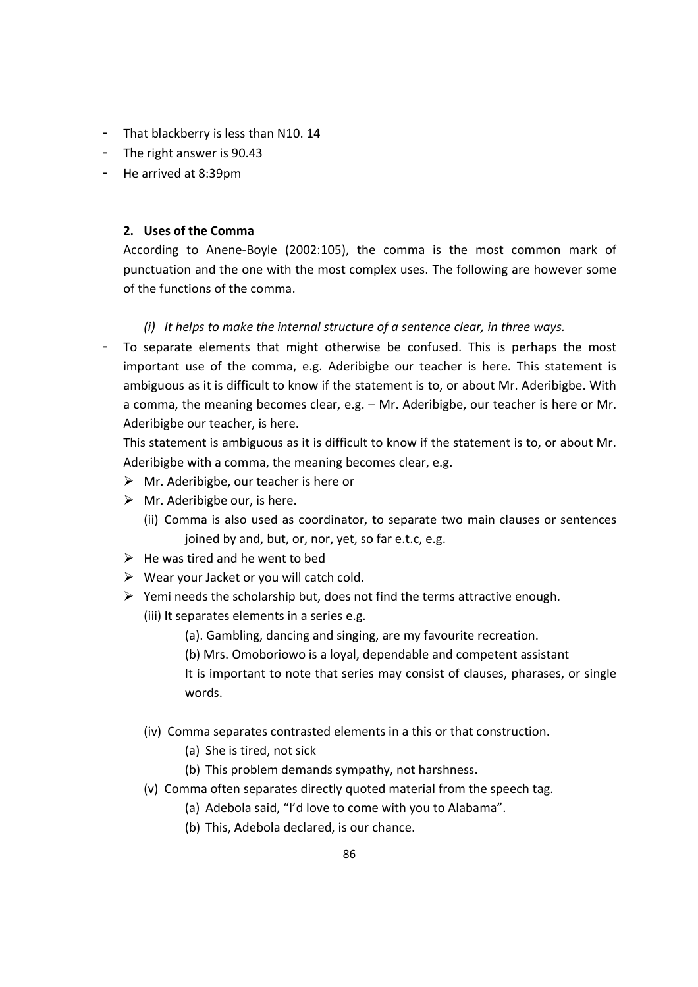- That blackberry is less than N10. 14
- The right answer is 90.43
- He arrived at 8:39pm

## **2. Uses of the Comma**

According to Anene-Boyle (2002:105), the comma is the most common mark of punctuation and the one with the most complex uses. The following are however some of the functions of the comma.

# *(i) It helps to make the internal structure of a sentence clear, in three ways.*

- To separate elements that might otherwise be confused. This is perhaps the most important use of the comma, e.g. Aderibigbe our teacher is here. This statement is ambiguous as it is difficult to know if the statement is to, or about Mr. Aderibigbe. With a comma, the meaning becomes clear, e.g. – Mr. Aderibigbe, our teacher is here or Mr. Aderibigbe our teacher, is here.

This statement is ambiguous as it is difficult to know if the statement is to, or about Mr. Aderibigbe with a comma, the meaning becomes clear, e.g.

- $\triangleright$  Mr. Aderibigbe, our teacher is here or
- $\triangleright$  Mr. Aderibigbe our, is here.
	- (ii) Comma is also used as coordinator, to separate two main clauses or sentences ioined by and, but, or, nor, yet, so far e.t.c, e.g.
- $\triangleright$  He was tired and he went to bed
- $\triangleright$  Wear your Jacket or you will catch cold.
- $\triangleright$  Yemi needs the scholarship but, does not find the terms attractive enough. (iii) It separates elements in a series e.g.
	- (a). Gambling, dancing and singing, are my favourite recreation.
	- (b) Mrs. Omoboriowo is a loyal, dependable and competent assistant

It is important to note that series may consist of clauses, pharases, or single words.

- (iv) Comma separates contrasted elements in a this or that construction.
	- (a) She is tired, not sick
	- (b) This problem demands sympathy, not harshness.
- (v) Comma often separates directly quoted material from the speech tag.
	- (a) Adebola said, "I'd love to come with you to Alabama".
	- (b) This, Adebola declared, is our chance.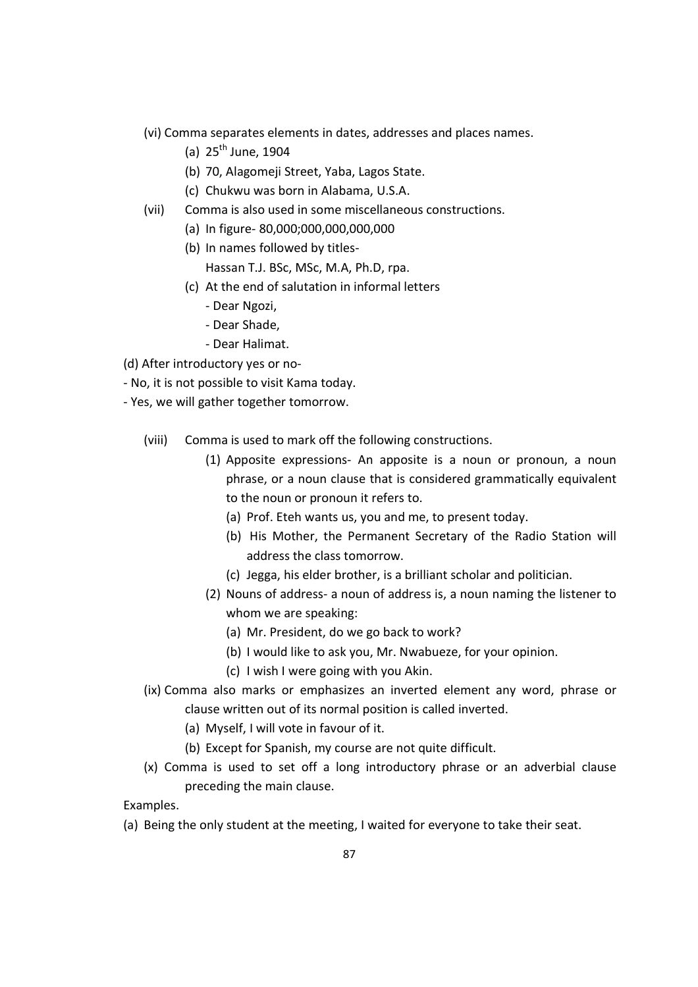- (vi) Comma separates elements in dates, addresses and places names.
	- (a)  $25^{th}$  June, 1904
	- (b) 70, Alagomeji Street, Yaba, Lagos State.
	- (c) Chukwu was born in Alabama, U.S.A.
- (vii) Comma is also used in some miscellaneous constructions.
	- (a) In figure- 80,000;000,000,000,000
	- (b) In names followed by titles-Hassan T.J. BSc, MSc, M.A, Ph.D, rpa.
	- (c) At the end of salutation in informal letters
		- Dear Ngozi,
		- Dear Shade,
		- Dear Halimat.

(d) After introductory yes or no-

- No, it is not possible to visit Kama today.
- Yes, we will gather together tomorrow.
	- (viii) Comma is used to mark off the following constructions.
		- (1) Apposite expressions- An apposite is a noun or pronoun, a noun phrase, or a noun clause that is considered grammatically equivalent to the noun or pronoun it refers to.
			- (a) Prof. Eteh wants us, you and me, to present today.
			- (b) His Mother, the Permanent Secretary of the Radio Station will address the class tomorrow.
			- (c) Jegga, his elder brother, is a brilliant scholar and politician.
		- (2) Nouns of address- a noun of address is, a noun naming the listener to whom we are speaking:
			- (a) Mr. President, do we go back to work?
			- (b) I would like to ask you, Mr. Nwabueze, for your opinion.
			- (c) I wish I were going with you Akin.
	- (ix) Comma also marks or emphasizes an inverted element any word, phrase or clause written out of its normal position is called inverted.
		- (a) Myself, I will vote in favour of it.
		- (b) Except for Spanish, my course are not quite difficult.
	- (x) Comma is used to set off a long introductory phrase or an adverbial clause preceding the main clause.

Examples.

(a) Being the only student at the meeting, I waited for everyone to take their seat.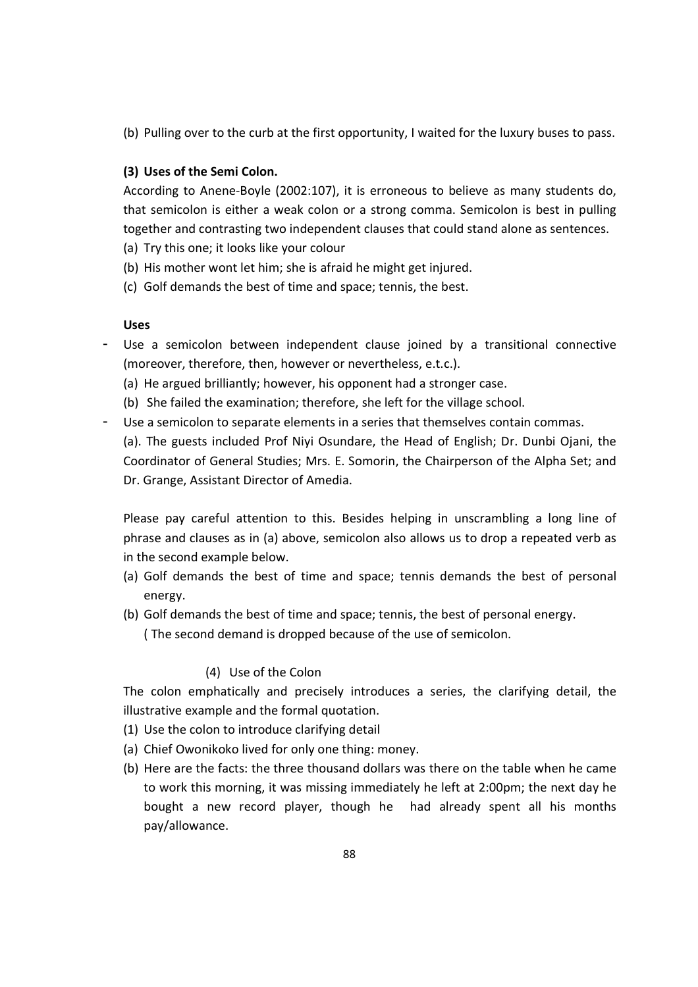(b) Pulling over to the curb at the first opportunity, I waited for the luxury buses to pass.

## **(3) Uses of the Semi Colon.**

According to Anene-Boyle (2002:107), it is erroneous to believe as many students do, that semicolon is either a weak colon or a strong comma. Semicolon is best in pulling together and contrasting two independent clauses that could stand alone as sentences.

(a) Try this one; it looks like your colour

- (b) His mother wont let him; she is afraid he might get injured.
- (c) Golf demands the best of time and space; tennis, the best.

### **Uses**

- Use a semicolon between independent clause joined by a transitional connective (moreover, therefore, then, however or nevertheless, e.t.c.).
	- (a) He argued brilliantly; however, his opponent had a stronger case.
	- (b) She failed the examination; therefore, she left for the village school.
- Use a semicolon to separate elements in a series that themselves contain commas. (a). The guests included Prof Niyi Osundare, the Head of English; Dr. Dunbi Ojani, the Coordinator of General Studies; Mrs. E. Somorin, the Chairperson of the Alpha Set; and Dr. Grange, Assistant Director of Amedia.

Please pay careful attention to this. Besides helping in unscrambling a long line of phrase and clauses as in (a) above, semicolon also allows us to drop a repeated verb as in the second example below.

- (a) Golf demands the best of time and space; tennis demands the best of personal energy.
- (b) Golf demands the best of time and space; tennis, the best of personal energy. ( The second demand is dropped because of the use of semicolon.

## (4) Use of the Colon

The colon emphatically and precisely introduces a series, the clarifying detail, the illustrative example and the formal quotation.

- (1) Use the colon to introduce clarifying detail
- (a) Chief Owonikoko lived for only one thing: money.
- (b) Here are the facts: the three thousand dollars was there on the table when he came to work this morning, it was missing immediately he left at 2:00pm; the next day he bought a new record player, though he had already spent all his months pay/allowance.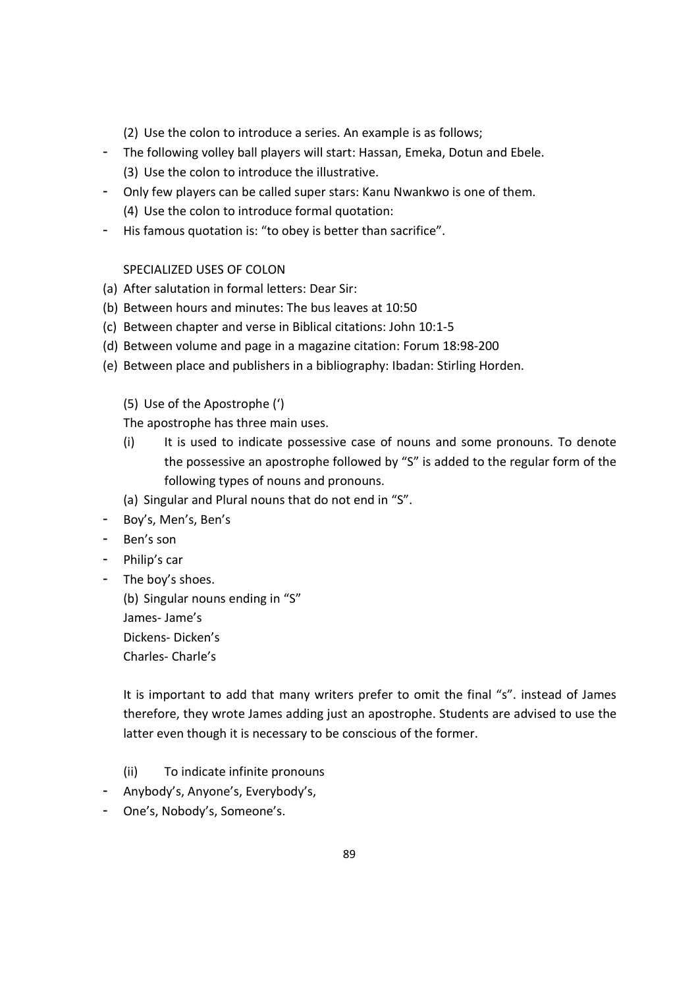- (2) Use the colon to introduce a series. An example is as follows;
- The following volley ball players will start: Hassan, Emeka, Dotun and Ebele. (3) Use the colon to introduce the illustrative.
- Only few players can be called super stars: Kanu Nwankwo is one of them. (4) Use the colon to introduce formal quotation:
- His famous quotation is: "to obey is better than sacrifice".

# SPECIALIZED USES OF COLON

- (a) After salutation in formal letters: Dear Sir:
- (b) Between hours and minutes: The bus leaves at 10:50
- (c) Between chapter and verse in Biblical citations: John 10:1-5
- (d) Between volume and page in a magazine citation: Forum 18:98-200
- (e) Between place and publishers in a bibliography: Ibadan: Stirling Horden.

(5) Use of the Apostrophe (')

The apostrophe has three main uses.

- (i) It is used to indicate possessive case of nouns and some pronouns. To denote the possessive an apostrophe followed by "S" is added to the regular form of the following types of nouns and pronouns.
- (a) Singular and Plural nouns that do not end in "S".
- Boy's, Men's, Ben's
- Ben's son
- Philip's car
- The boy's shoes.

(b) Singular nouns ending in "S" James- Jame's

Dickens- Dicken's

Charles- Charle's

It is important to add that many writers prefer to omit the final "s". instead of James therefore, they wrote James adding just an apostrophe. Students are advised to use the latter even though it is necessary to be conscious of the former.

- (ii) To indicate infinite pronouns
- Anybody's, Anyone's, Everybody's,
- One's, Nobody's, Someone's.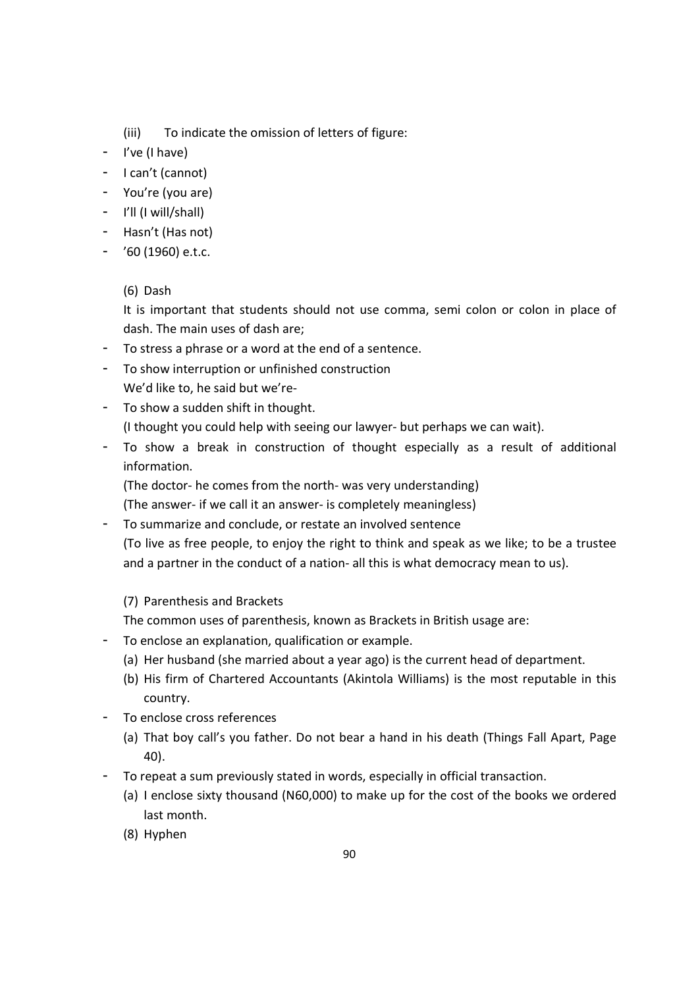(iii) To indicate the omission of letters of figure:

- I've (I have)
- I can't (cannot)
- You're (you are)
- I'll (I will/shall)
- Hasn't (Has not)
- '60 (1960) e.t.c.

(6) Dash

It is important that students should not use comma, semi colon or colon in place of dash. The main uses of dash are;

- To stress a phrase or a word at the end of a sentence.
- To show interruption or unfinished construction We'd like to, he said but we're-
- To show a sudden shift in thought. (I thought you could help with seeing our lawyer- but perhaps we can wait).
- To show a break in construction of thought especially as a result of additional information.

(The doctor- he comes from the north- was very understanding)

(The answer- if we call it an answer- is completely meaningless)

- To summarize and conclude, or restate an involved sentence (To live as free people, to enjoy the right to think and speak as we like; to be a trustee and a partner in the conduct of a nation- all this is what democracy mean to us).

(7) Parenthesis and Brackets

The common uses of parenthesis, known as Brackets in British usage are:

- To enclose an explanation, qualification or example.
	- (a) Her husband (she married about a year ago) is the current head of department.
	- (b) His firm of Chartered Accountants (Akintola Williams) is the most reputable in this country.
- To enclose cross references
	- (a) That boy call's you father. Do not bear a hand in his death (Things Fall Apart, Page 40).
- To repeat a sum previously stated in words, especially in official transaction.
	- (a) I enclose sixty thousand (N60,000) to make up for the cost of the books we ordered last month.
	- (8) Hyphen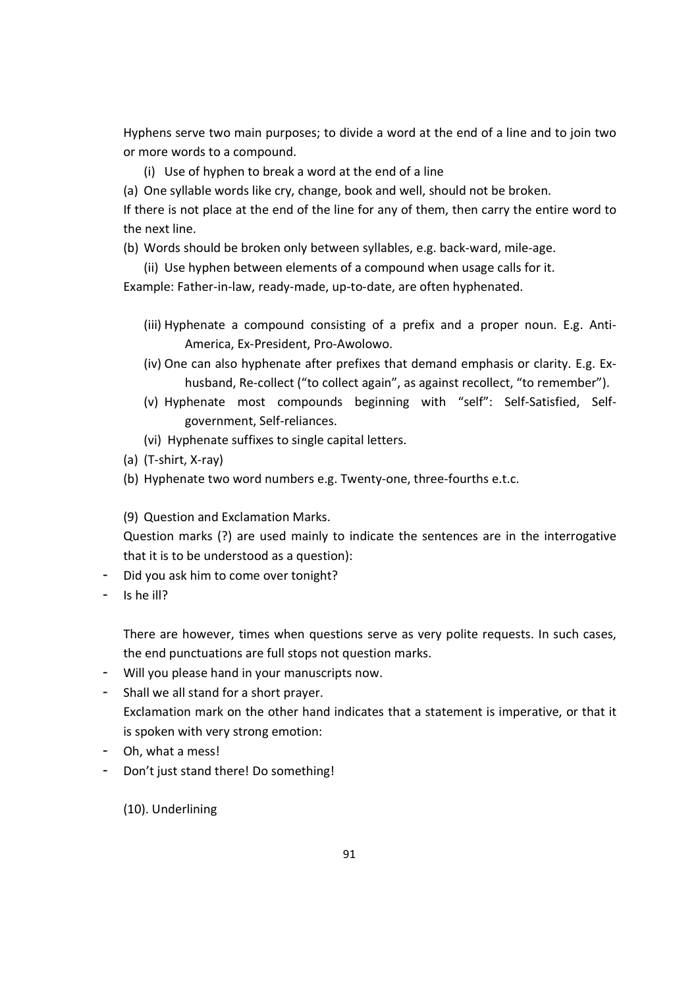Hyphens serve two main purposes; to divide a word at the end of a line and to join two or more words to a compound.

- (i) Use of hyphen to break a word at the end of a line
- (a) One syllable words like cry, change, book and well, should not be broken.

If there is not place at the end of the line for any of them, then carry the entire word to the next line.

(b) Words should be broken only between syllables, e.g. back-ward, mile-age.

(ii) Use hyphen between elements of a compound when usage calls for it.

Example: Father-in-law, ready-made, up-to-date, are often hyphenated.

- (iii) Hyphenate a compound consisting of a prefix and a proper noun. E.g. Anti-America, Ex-President, Pro-Awolowo.
- (iv) One can also hyphenate after prefixes that demand emphasis or clarity. E.g. Exhusband, Re-collect ("to collect again", as against recollect, "to remember").
- (v) Hyphenate most compounds beginning with "self": Self-Satisfied, Selfgovernment, Self-reliances.
- (vi) Hyphenate suffixes to single capital letters.
- (a) (T-shirt, X-ray)
- (b) Hyphenate two word numbers e.g. Twenty-one, three-fourths e.t.c.

(9) Question and Exclamation Marks.

Question marks (?) are used mainly to indicate the sentences are in the interrogative that it is to be understood as a question):

- Did you ask him to come over tonight?
- Is he ill?

There are however, times when questions serve as very polite requests. In such cases, the end punctuations are full stops not question marks.

- Will you please hand in your manuscripts now.
- Shall we all stand for a short prayer. Exclamation mark on the other hand indicates that a statement is imperative, or that it is spoken with very strong emotion:
- Oh, what a mess!
- Don't just stand there! Do something!

(10). Underlining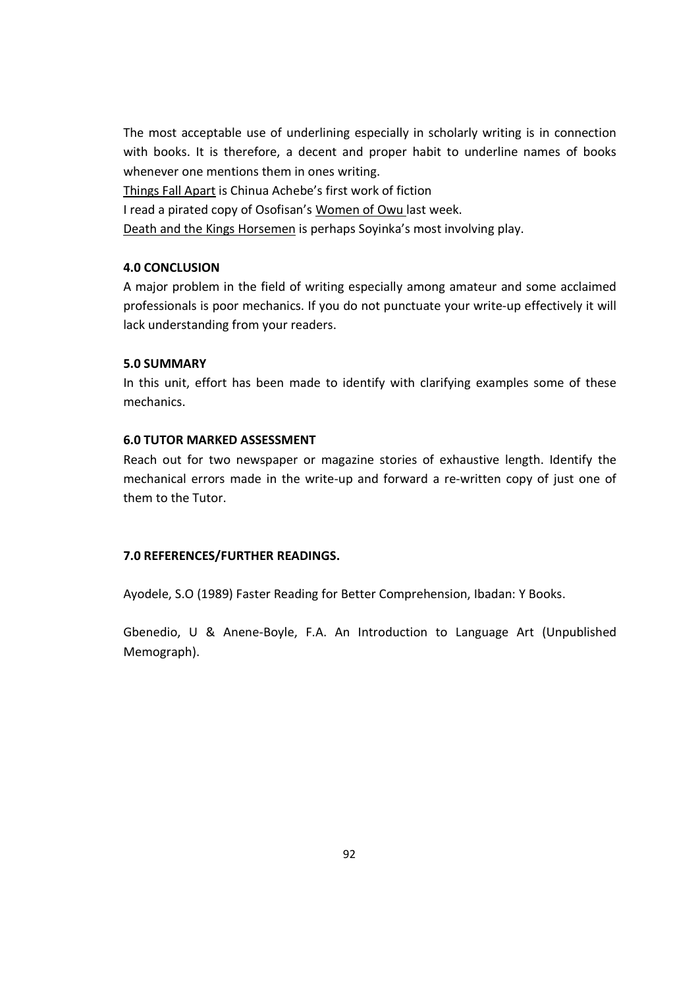The most acceptable use of underlining especially in scholarly writing is in connection with books. It is therefore, a decent and proper habit to underline names of books whenever one mentions them in ones writing.

Things Fall Apart is Chinua Achebe's first work of fiction I read a pirated copy of Osofisan's Women of Owu last week. Death and the Kings Horsemen is perhaps Soyinka's most involving play.

## **4.0 CONCLUSION**

A major problem in the field of writing especially among amateur and some acclaimed professionals is poor mechanics. If you do not punctuate your write-up effectively it will lack understanding from your readers.

### **5.0 SUMMARY**

In this unit, effort has been made to identify with clarifying examples some of these mechanics.

### **6.0 TUTOR MARKED ASSESSMENT**

Reach out for two newspaper or magazine stories of exhaustive length. Identify the mechanical errors made in the write-up and forward a re-written copy of just one of them to the Tutor.

## **7.0 REFERENCES/FURTHER READINGS.**

Ayodele, S.O (1989) Faster Reading for Better Comprehension, Ibadan: Y Books.

Gbenedio, U & Anene-Boyle, F.A. An Introduction to Language Art (Unpublished Memograph).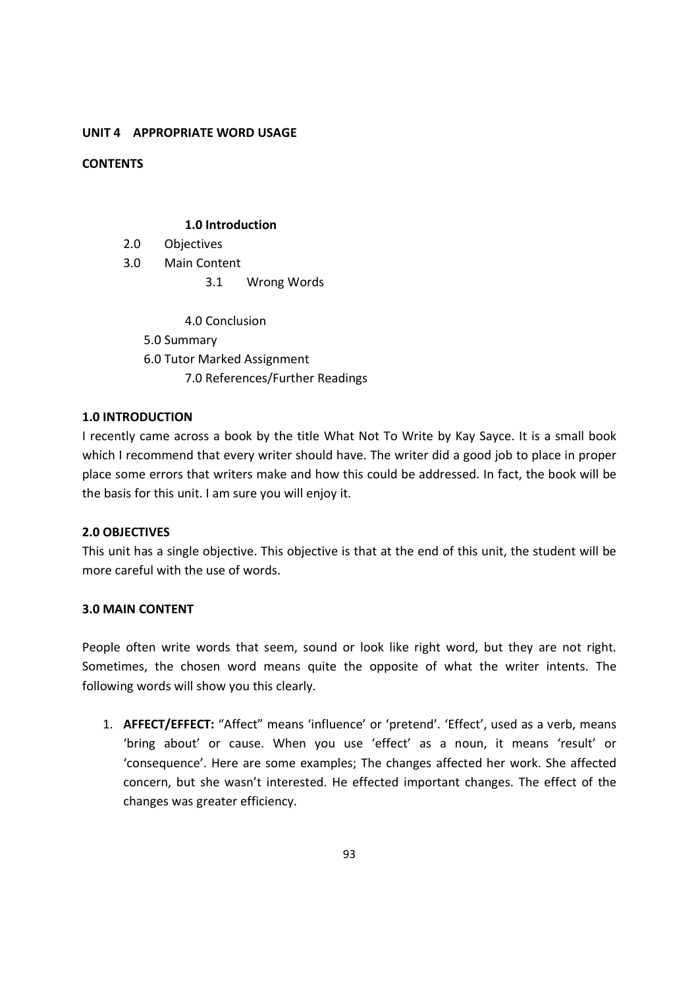#### **UNIT 4 APPROPRIATE WORD USAGE**

**CONTENTS** 

### **1.0 Introduction**

- 2.0 Objectives
- 3.0 Main Content
	- 3.1 Wrong Words

4.0 Conclusion 5.0 Summary 6.0 Tutor Marked Assignment 7.0 References/Further Readings

#### **1.0 INTRODUCTION**

I recently came across a book by the title What Not To Write by Kay Sayce. It is a small book which I recommend that every writer should have. The writer did a good job to place in proper place some errors that writers make and how this could be addressed. In fact, the book will be the basis for this unit. I am sure you will enjoy it.

#### **2.0 OBJECTIVES**

This unit has a single objective. This objective is that at the end of this unit, the student will be more careful with the use of words.

#### **3.0 MAIN CONTENT**

People often write words that seem, sound or look like right word, but they are not right. Sometimes, the chosen word means quite the opposite of what the writer intents. The following words will show you this clearly.

1. **AFFECT/EFFECT:** "Affect" means 'influence' or 'pretend'. 'Effect', used as a verb, means 'bring about' or cause. When you use 'effect' as a noun, it means 'result' or 'consequence'. Here are some examples; The changes affected her work. She affected concern, but she wasn't interested. He effected important changes. The effect of the changes was greater efficiency.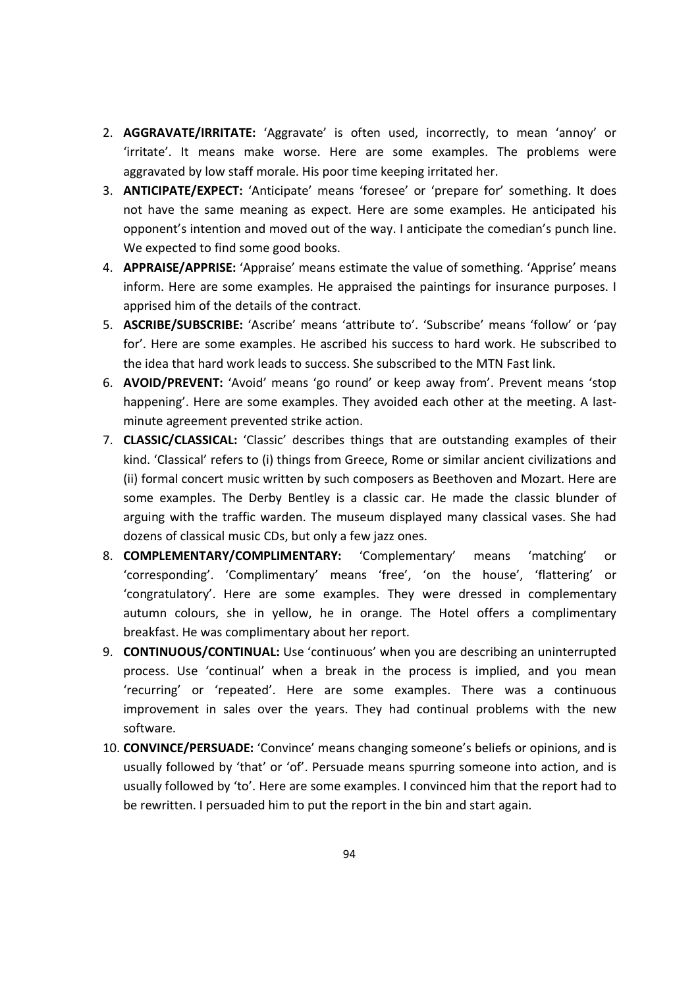- 2. **AGGRAVATE/IRRITATE:** 'Aggravate' is often used, incorrectly, to mean 'annoy' or 'irritate'. It means make worse. Here are some examples. The problems were aggravated by low staff morale. His poor time keeping irritated her.
- 3. **ANTICIPATE/EXPECT:** 'Anticipate' means 'foresee' or 'prepare for' something. It does not have the same meaning as expect. Here are some examples. He anticipated his opponent's intention and moved out of the way. I anticipate the comedian's punch line. We expected to find some good books.
- 4. **APPRAISE/APPRISE:** 'Appraise' means estimate the value of something. 'Apprise' means inform. Here are some examples. He appraised the paintings for insurance purposes. I apprised him of the details of the contract.
- 5. **ASCRIBE/SUBSCRIBE:** 'Ascribe' means 'attribute to'. 'Subscribe' means 'follow' or 'pay for'. Here are some examples. He ascribed his success to hard work. He subscribed to the idea that hard work leads to success. She subscribed to the MTN Fast link.
- 6. **AVOID/PREVENT:** 'Avoid' means 'go round' or keep away from'. Prevent means 'stop happening'. Here are some examples. They avoided each other at the meeting. A lastminute agreement prevented strike action.
- 7. **CLASSIC/CLASSICAL:** 'Classic' describes things that are outstanding examples of their kind. 'Classical' refers to (i) things from Greece, Rome or similar ancient civilizations and (ii) formal concert music written by such composers as Beethoven and Mozart. Here are some examples. The Derby Bentley is a classic car. He made the classic blunder of arguing with the traffic warden. The museum displayed many classical vases. She had dozens of classical music CDs, but only a few jazz ones.
- 8. **COMPLEMENTARY/COMPLIMENTARY:** 'Complementary' means 'matching' or 'corresponding'. 'Complimentary' means 'free', 'on the house', 'flattering' or 'congratulatory'. Here are some examples. They were dressed in complementary autumn colours, she in yellow, he in orange. The Hotel offers a complimentary breakfast. He was complimentary about her report.
- 9. **CONTINUOUS/CONTINUAL:** Use 'continuous' when you are describing an uninterrupted process. Use 'continual' when a break in the process is implied, and you mean 'recurring' or 'repeated'. Here are some examples. There was a continuous improvement in sales over the years. They had continual problems with the new software.
- 10. **CONVINCE/PERSUADE:** 'Convince' means changing someone's beliefs or opinions, and is usually followed by 'that' or 'of'. Persuade means spurring someone into action, and is usually followed by 'to'. Here are some examples. I convinced him that the report had to be rewritten. I persuaded him to put the report in the bin and start again.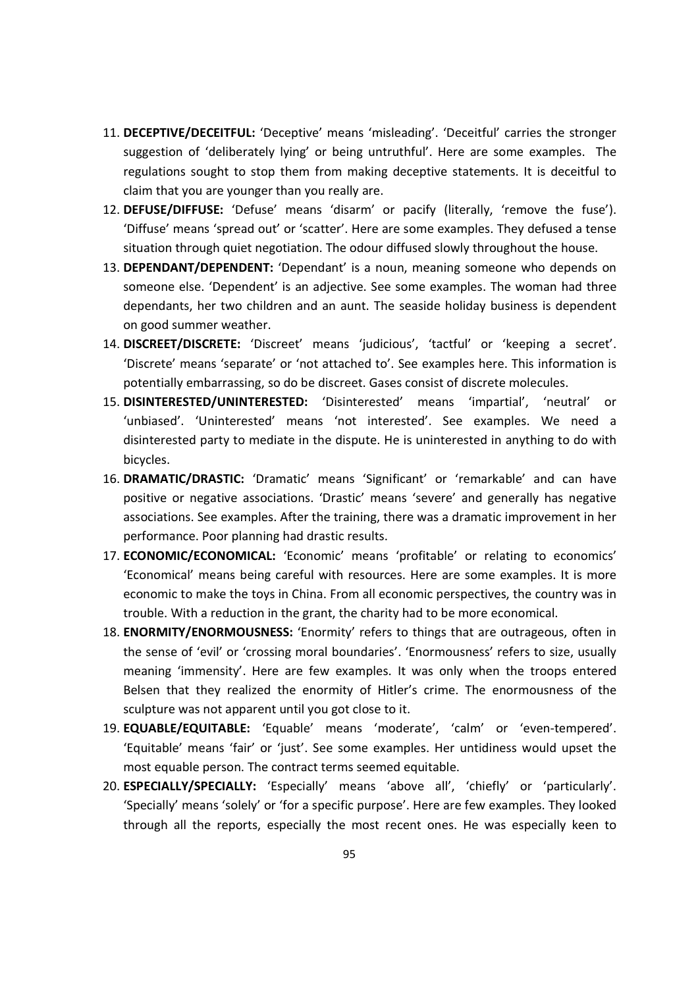- 11. **DECEPTIVE/DECEITFUL:** 'Deceptive' means 'misleading'. 'Deceitful' carries the stronger suggestion of 'deliberately lying' or being untruthful'. Here are some examples. The regulations sought to stop them from making deceptive statements. It is deceitful to claim that you are younger than you really are.
- 12. **DEFUSE/DIFFUSE:** 'Defuse' means 'disarm' or pacify (literally, 'remove the fuse'). 'Diffuse' means 'spread out' or 'scatter'. Here are some examples. They defused a tense situation through quiet negotiation. The odour diffused slowly throughout the house.
- 13. **DEPENDANT/DEPENDENT:** 'Dependant' is a noun, meaning someone who depends on someone else. 'Dependent' is an adjective. See some examples. The woman had three dependants, her two children and an aunt. The seaside holiday business is dependent on good summer weather.
- 14. **DISCREET/DISCRETE:** 'Discreet' means 'judicious', 'tactful' or 'keeping a secret'. 'Discrete' means 'separate' or 'not attached to'. See examples here. This information is potentially embarrassing, so do be discreet. Gases consist of discrete molecules.
- 15. **DISINTERESTED/UNINTERESTED:** 'Disinterested' means 'impartial', 'neutral' or 'unbiased'. 'Uninterested' means 'not interested'. See examples. We need a disinterested party to mediate in the dispute. He is uninterested in anything to do with bicycles.
- 16. **DRAMATIC/DRASTIC:** 'Dramatic' means 'Significant' or 'remarkable' and can have positive or negative associations. 'Drastic' means 'severe' and generally has negative associations. See examples. After the training, there was a dramatic improvement in her performance. Poor planning had drastic results.
- 17. **ECONOMIC/ECONOMICAL:** 'Economic' means 'profitable' or relating to economics' 'Economical' means being careful with resources. Here are some examples. It is more economic to make the toys in China. From all economic perspectives, the country was in trouble. With a reduction in the grant, the charity had to be more economical.
- 18. **ENORMITY/ENORMOUSNESS:** 'Enormity' refers to things that are outrageous, often in the sense of 'evil' or 'crossing moral boundaries'. 'Enormousness' refers to size, usually meaning 'immensity'. Here are few examples. It was only when the troops entered Belsen that they realized the enormity of Hitler's crime. The enormousness of the sculpture was not apparent until you got close to it.
- 19. **EQUABLE/EQUITABLE:** 'Equable' means 'moderate', 'calm' or 'even-tempered'. 'Equitable' means 'fair' or 'just'. See some examples. Her untidiness would upset the most equable person. The contract terms seemed equitable.
- 20. **ESPECIALLY/SPECIALLY:** 'Especially' means 'above all', 'chiefly' or 'particularly'. 'Specially' means 'solely' or 'for a specific purpose'. Here are few examples. They looked through all the reports, especially the most recent ones. He was especially keen to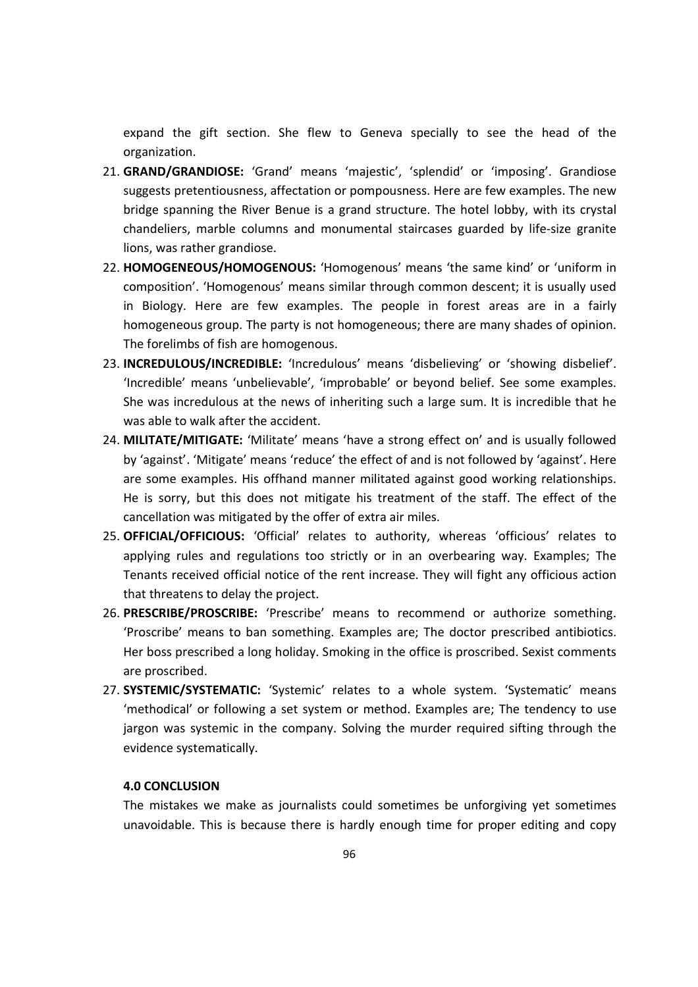expand the gift section. She flew to Geneva specially to see the head of the organization.

- 21. **GRAND/GRANDIOSE:** 'Grand' means 'majestic', 'splendid' or 'imposing'. Grandiose suggests pretentiousness, affectation or pompousness. Here are few examples. The new bridge spanning the River Benue is a grand structure. The hotel lobby, with its crystal chandeliers, marble columns and monumental staircases guarded by life-size granite lions, was rather grandiose.
- 22. **HOMOGENEOUS/HOMOGENOUS:** 'Homogenous' means 'the same kind' or 'uniform in composition'. 'Homogenous' means similar through common descent; it is usually used in Biology. Here are few examples. The people in forest areas are in a fairly homogeneous group. The party is not homogeneous; there are many shades of opinion. The forelimbs of fish are homogenous.
- 23. **INCREDULOUS/INCREDIBLE:** 'Incredulous' means 'disbelieving' or 'showing disbelief'. 'Incredible' means 'unbelievable', 'improbable' or beyond belief. See some examples. She was incredulous at the news of inheriting such a large sum. It is incredible that he was able to walk after the accident.
- 24. **MILITATE/MITIGATE:** 'Militate' means 'have a strong effect on' and is usually followed by 'against'. 'Mitigate' means 'reduce' the effect of and is not followed by 'against'. Here are some examples. His offhand manner militated against good working relationships. He is sorry, but this does not mitigate his treatment of the staff. The effect of the cancellation was mitigated by the offer of extra air miles.
- 25. **OFFICIAL/OFFICIOUS:** 'Official' relates to authority, whereas 'officious' relates to applying rules and regulations too strictly or in an overbearing way. Examples; The Tenants received official notice of the rent increase. They will fight any officious action that threatens to delay the project.
- 26. **PRESCRIBE/PROSCRIBE:** 'Prescribe' means to recommend or authorize something. 'Proscribe' means to ban something. Examples are; The doctor prescribed antibiotics. Her boss prescribed a long holiday. Smoking in the office is proscribed. Sexist comments are proscribed.
- 27. **SYSTEMIC/SYSTEMATIC:** 'Systemic' relates to a whole system. 'Systematic' means 'methodical' or following a set system or method. Examples are; The tendency to use jargon was systemic in the company. Solving the murder required sifting through the evidence systematically.

#### **4.0 CONCLUSION**

The mistakes we make as journalists could sometimes be unforgiving yet sometimes unavoidable. This is because there is hardly enough time for proper editing and copy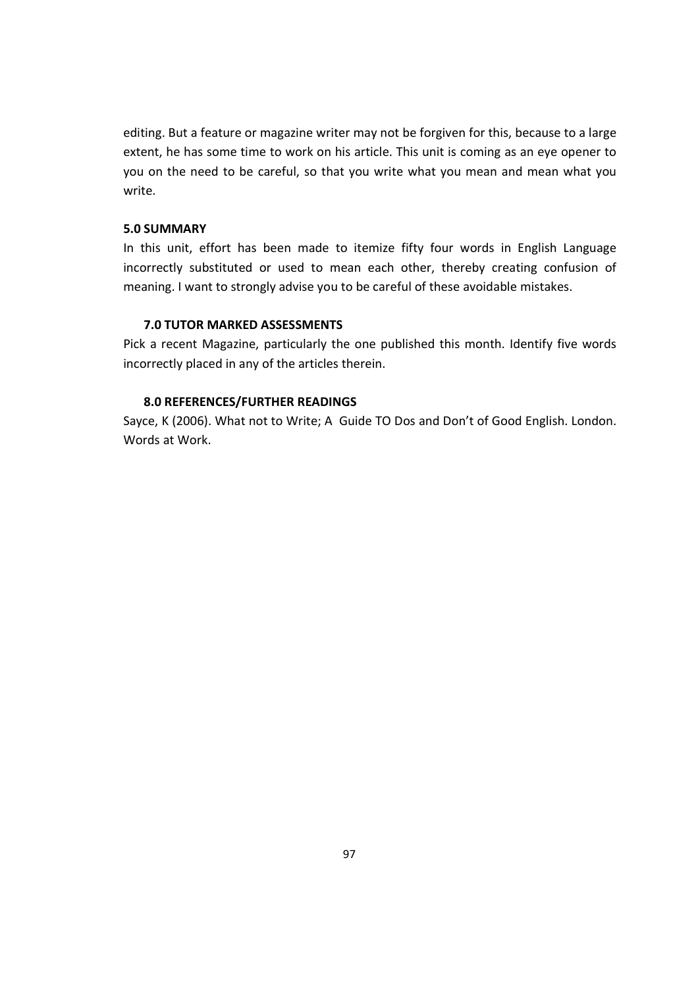editing. But a feature or magazine writer may not be forgiven for this, because to a large extent, he has some time to work on his article. This unit is coming as an eye opener to you on the need to be careful, so that you write what you mean and mean what you write.

### **5.0 SUMMARY**

In this unit, effort has been made to itemize fifty four words in English Language incorrectly substituted or used to mean each other, thereby creating confusion of meaning. I want to strongly advise you to be careful of these avoidable mistakes.

#### **7.0 TUTOR MARKED ASSESSMENTS**

Pick a recent Magazine, particularly the one published this month. Identify five words incorrectly placed in any of the articles therein.

#### **8.0 REFERENCES/FURTHER READINGS**

Sayce, K (2006). What not to Write; A Guide TO Dos and Don't of Good English. London. Words at Work.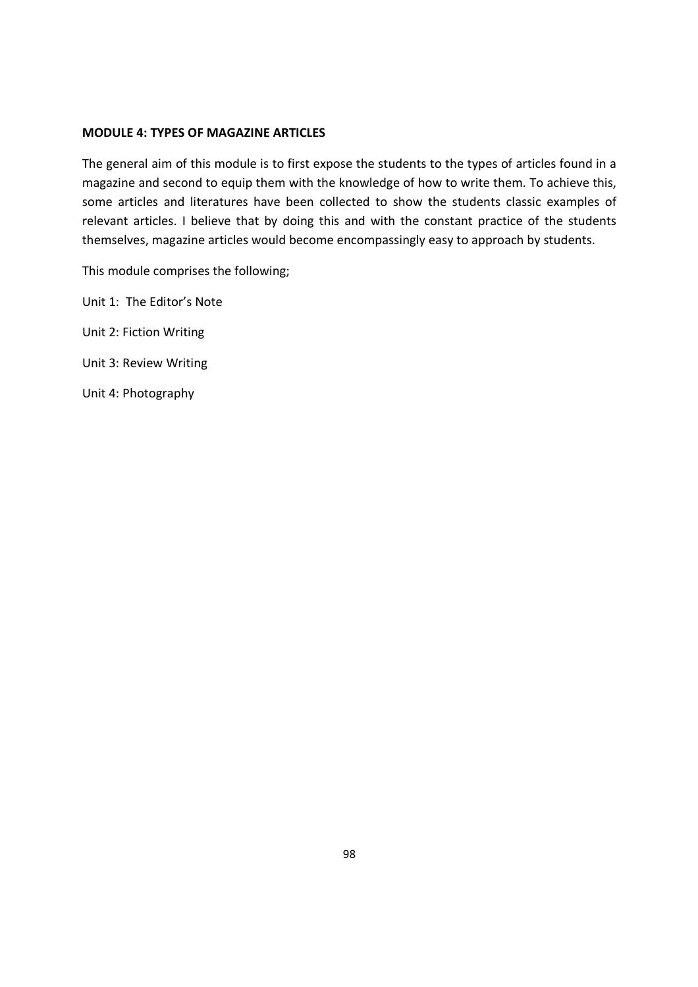#### **MODULE 4: TYPES OF MAGAZINE ARTICLES**

The general aim of this module is to first expose the students to the types of articles found in a magazine and second to equip them with the knowledge of how to write them. To achieve this, some articles and literatures have been collected to show the students classic examples of relevant articles. I believe that by doing this and with the constant practice of the students themselves, magazine articles would become encompassingly easy to approach by students.

This module comprises the following;

Unit 1: The Editor's Note Unit 2: Fiction Writing Unit 3: Review Writing Unit 4: Photography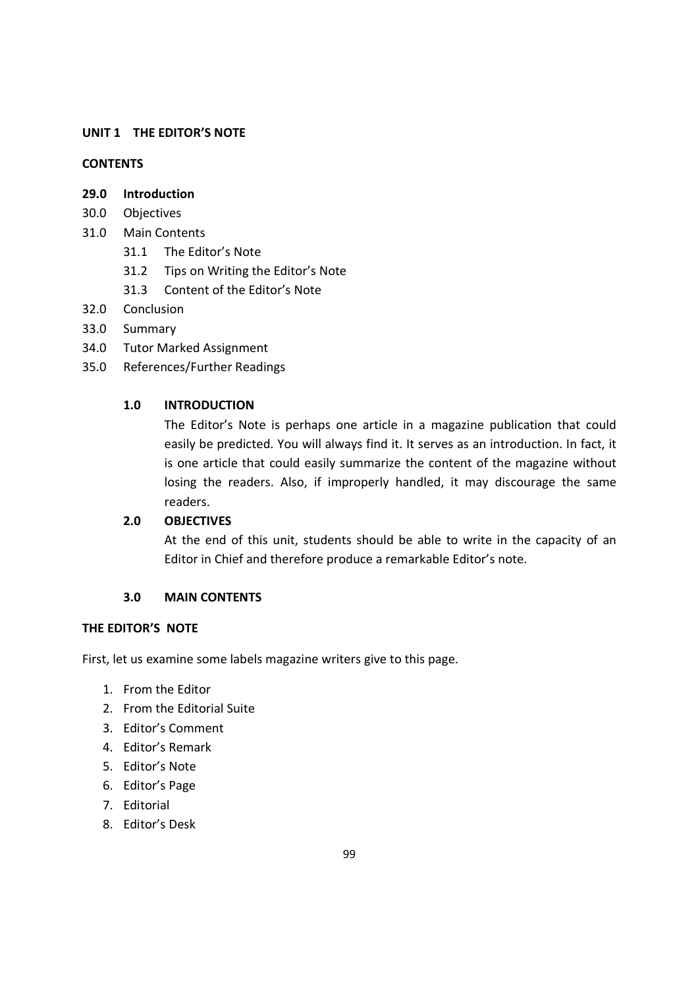### **UNIT 1 THE EDITOR'S NOTE**

#### **CONTENTS**

### **29.0 Introduction**

- 30.0 Objectives
- 31.0 Main Contents
	- 31.1 The Editor's Note
	- 31.2 Tips on Writing the Editor's Note
	- 31.3 Content of the Editor's Note
- 32.0 Conclusion
- 33.0 Summary
- 34.0 Tutor Marked Assignment
- 35.0 References/Further Readings

### **1.0 INTRODUCTION**

The Editor's Note is perhaps one article in a magazine publication that could easily be predicted. You will always find it. It serves as an introduction. In fact, it is one article that could easily summarize the content of the magazine without losing the readers. Also, if improperly handled, it may discourage the same readers.

## **2.0 OBJECTIVES**

At the end of this unit, students should be able to write in the capacity of an Editor in Chief and therefore produce a remarkable Editor's note.

### **3.0 MAIN CONTENTS**

#### **THE EDITOR'S NOTE**

First, let us examine some labels magazine writers give to this page.

- 1. From the Editor
- 2. From the Editorial Suite
- 3. Editor's Comment
- 4. Editor's Remark
- 5. Editor's Note
- 6. Editor's Page
- 7. Editorial
- 8. Editor's Desk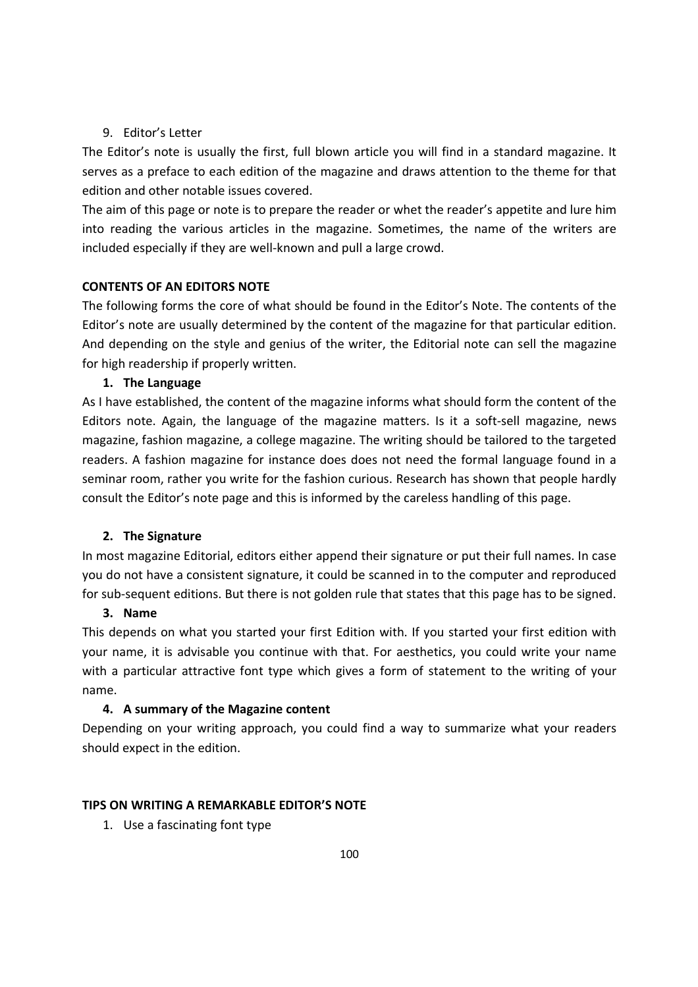## 9. Editor's Letter

The Editor's note is usually the first, full blown article you will find in a standard magazine. It serves as a preface to each edition of the magazine and draws attention to the theme for that edition and other notable issues covered.

The aim of this page or note is to prepare the reader or whet the reader's appetite and lure him into reading the various articles in the magazine. Sometimes, the name of the writers are included especially if they are well-known and pull a large crowd.

# **CONTENTS OF AN EDITORS NOTE**

The following forms the core of what should be found in the Editor's Note. The contents of the Editor's note are usually determined by the content of the magazine for that particular edition. And depending on the style and genius of the writer, the Editorial note can sell the magazine for high readership if properly written.

## **1. The Language**

As I have established, the content of the magazine informs what should form the content of the Editors note. Again, the language of the magazine matters. Is it a soft-sell magazine, news magazine, fashion magazine, a college magazine. The writing should be tailored to the targeted readers. A fashion magazine for instance does does not need the formal language found in a seminar room, rather you write for the fashion curious. Research has shown that people hardly consult the Editor's note page and this is informed by the careless handling of this page.

# **2. The Signature**

In most magazine Editorial, editors either append their signature or put their full names. In case you do not have a consistent signature, it could be scanned in to the computer and reproduced for sub-sequent editions. But there is not golden rule that states that this page has to be signed.

## **3. Name**

This depends on what you started your first Edition with. If you started your first edition with your name, it is advisable you continue with that. For aesthetics, you could write your name with a particular attractive font type which gives a form of statement to the writing of your name.

## **4. A summary of the Magazine content**

Depending on your writing approach, you could find a way to summarize what your readers should expect in the edition.

## **TIPS ON WRITING A REMARKABLE EDITOR'S NOTE**

1. Use a fascinating font type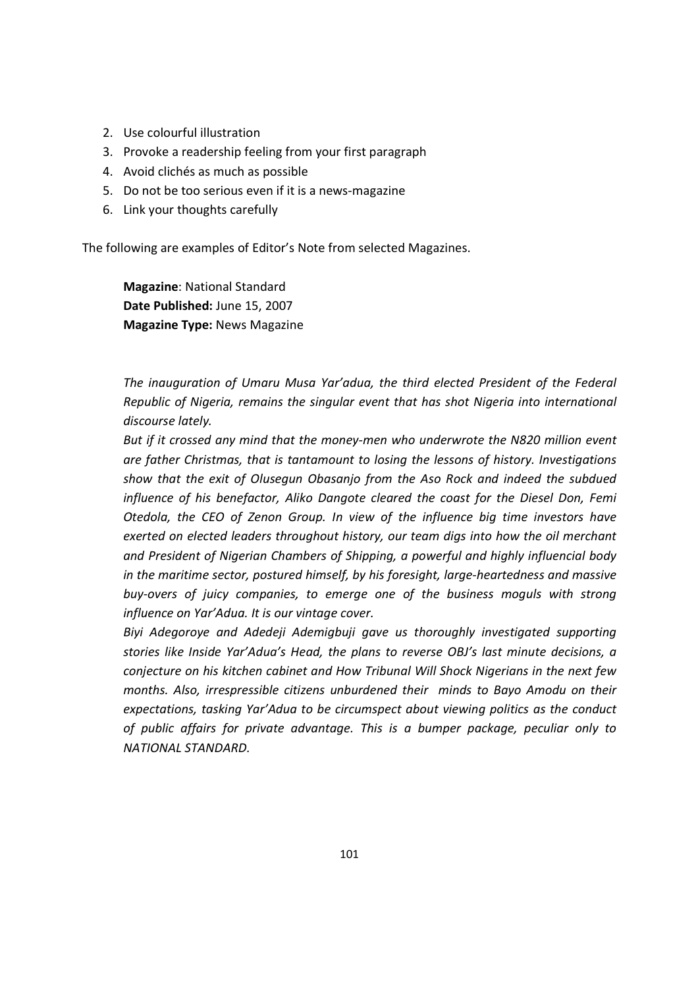- 2. Use colourful illustration
- 3. Provoke a readership feeling from your first paragraph
- 4. Avoid clichés as much as possible
- 5. Do not be too serious even if it is a news-magazine
- 6. Link your thoughts carefully

The following are examples of Editor's Note from selected Magazines.

**Magazine**: National Standard **Date Published:** June 15, 2007 **Magazine Type:** News Magazine

*The inauguration of Umaru Musa Yar'adua, the third elected President of the Federal Republic of Nigeria, remains the singular event that has shot Nigeria into international discourse lately.* 

*But if it crossed any mind that the money-men who underwrote the N820 million event are father Christmas, that is tantamount to losing the lessons of history. Investigations show that the exit of Olusegun Obasanjo from the Aso Rock and indeed the subdued influence of his benefactor, Aliko Dangote cleared the coast for the Diesel Don, Femi Otedola, the CEO of Zenon Group. In view of the influence big time investors have exerted on elected leaders throughout history, our team digs into how the oil merchant and President of Nigerian Chambers of Shipping, a powerful and highly influencial body in the maritime sector, postured himself, by his foresight, large-heartedness and massive buy-overs of juicy companies, to emerge one of the business moguls with strong influence on Yar'Adua. It is our vintage cover.* 

*Biyi Adegoroye and Adedeji Ademigbuji gave us thoroughly investigated supporting stories like Inside Yar'Adua's Head, the plans to reverse OBJ's last minute decisions, a conjecture on his kitchen cabinet and How Tribunal Will Shock Nigerians in the next few months. Also, irrespressible citizens unburdened their minds to Bayo Amodu on their expectations, tasking Yar'Adua to be circumspect about viewing politics as the conduct of public affairs for private advantage. This is a bumper package, peculiar only to NATIONAL STANDARD.*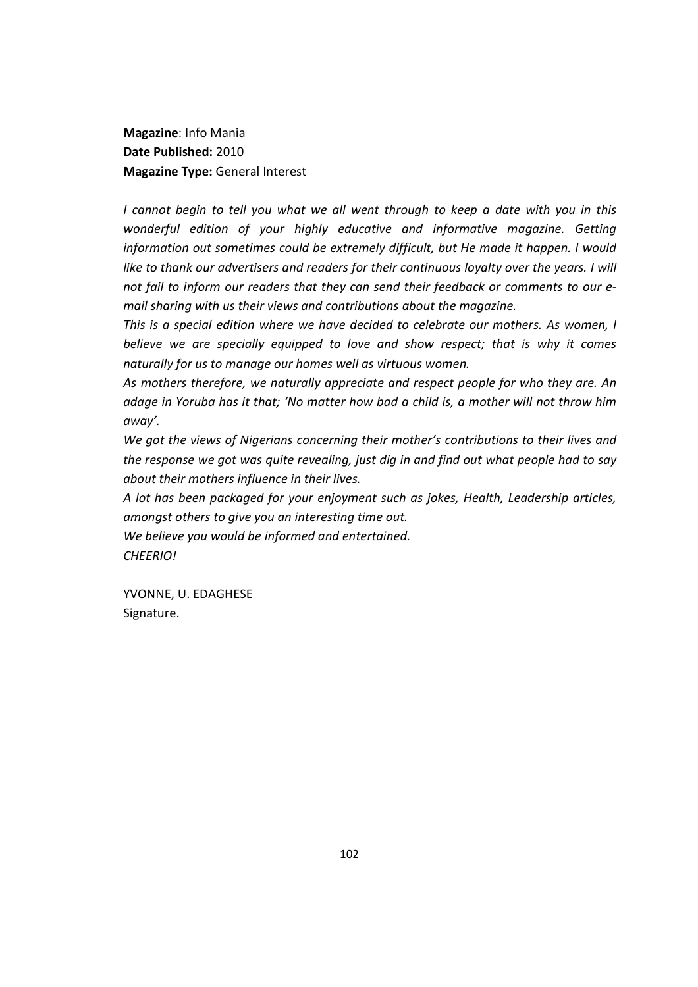**Magazine**: Info Mania **Date Published:** 2010 **Magazine Type:** General Interest

*I cannot begin to tell you what we all went through to keep a date with you in this wonderful edition of your highly educative and informative magazine. Getting information out sometimes could be extremely difficult, but He made it happen. I would like to thank our advertisers and readers for their continuous loyalty over the years. I will not fail to inform our readers that they can send their feedback or comments to our email sharing with us their views and contributions about the magazine.* 

*This is a special edition where we have decided to celebrate our mothers. As women, I believe we are specially equipped to love and show respect; that is why it comes naturally for us to manage our homes well as virtuous women.* 

*As mothers therefore, we naturally appreciate and respect people for who they are. An adage in Yoruba has it that; 'No matter how bad a child is, a mother will not throw him away'.* 

*We got the views of Nigerians concerning their mother's contributions to their lives and the response we got was quite revealing, just dig in and find out what people had to say about their mothers influence in their lives.* 

*A lot has been packaged for your enjoyment such as jokes, Health, Leadership articles, amongst others to give you an interesting time out. We believe you would be informed and entertained. CHEERIO!* 

YVONNE, U. EDAGHESE Signature.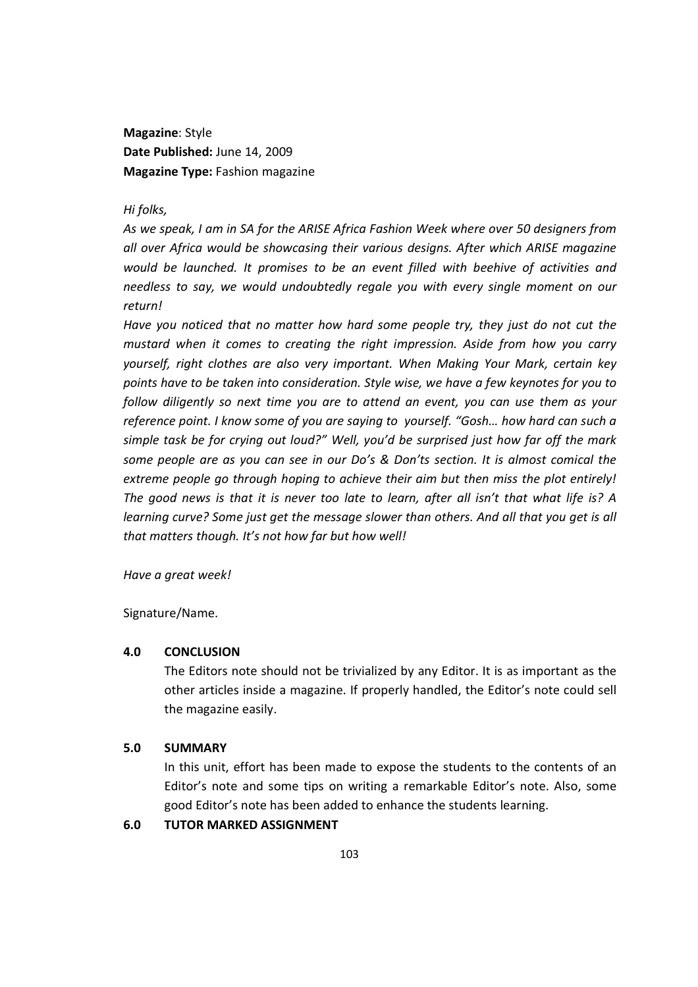**Magazine**: Style **Date Published:** June 14, 2009 **Magazine Type:** Fashion magazine

#### *Hi folks,*

*As we speak, I am in SA for the ARISE Africa Fashion Week where over 50 designers from all over Africa would be showcasing their various designs. After which ARISE magazine would be launched. It promises to be an event filled with beehive of activities and needless to say, we would undoubtedly regale you with every single moment on our return!* 

*Have you noticed that no matter how hard some people try, they just do not cut the mustard when it comes to creating the right impression. Aside from how you carry yourself, right clothes are also very important. When Making Your Mark, certain key points have to be taken into consideration. Style wise, we have a few keynotes for you to follow diligently so next time you are to attend an event, you can use them as your reference point. I know some of you are saying to yourself. "Gosh… how hard can such a simple task be for crying out loud?" Well, you'd be surprised just how far off the mark some people are as you can see in our Do's & Don'ts section. It is almost comical the extreme people go through hoping to achieve their aim but then miss the plot entirely! The good news is that it is never too late to learn, after all isn't that what life is? A learning curve? Some just get the message slower than others. And all that you get is all that matters though. It's not how far but how well!*

*Have a great week!* 

Signature/Name.

#### **4.0 CONCLUSION**

The Editors note should not be trivialized by any Editor. It is as important as the other articles inside a magazine. If properly handled, the Editor's note could sell the magazine easily.

#### **5.0 SUMMARY**

In this unit, effort has been made to expose the students to the contents of an Editor's note and some tips on writing a remarkable Editor's note. Also, some good Editor's note has been added to enhance the students learning.

#### **6.0 TUTOR MARKED ASSIGNMENT**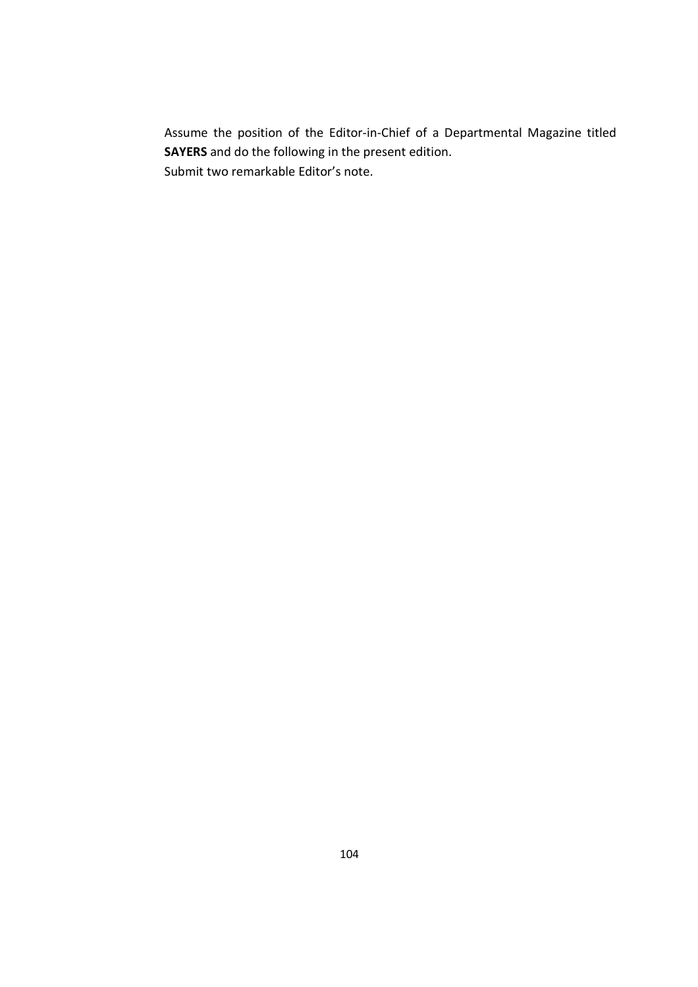Assume the position of the Editor-in-Chief of a Departmental Magazine titled **SAYERS** and do the following in the present edition. Submit two remarkable Editor's note.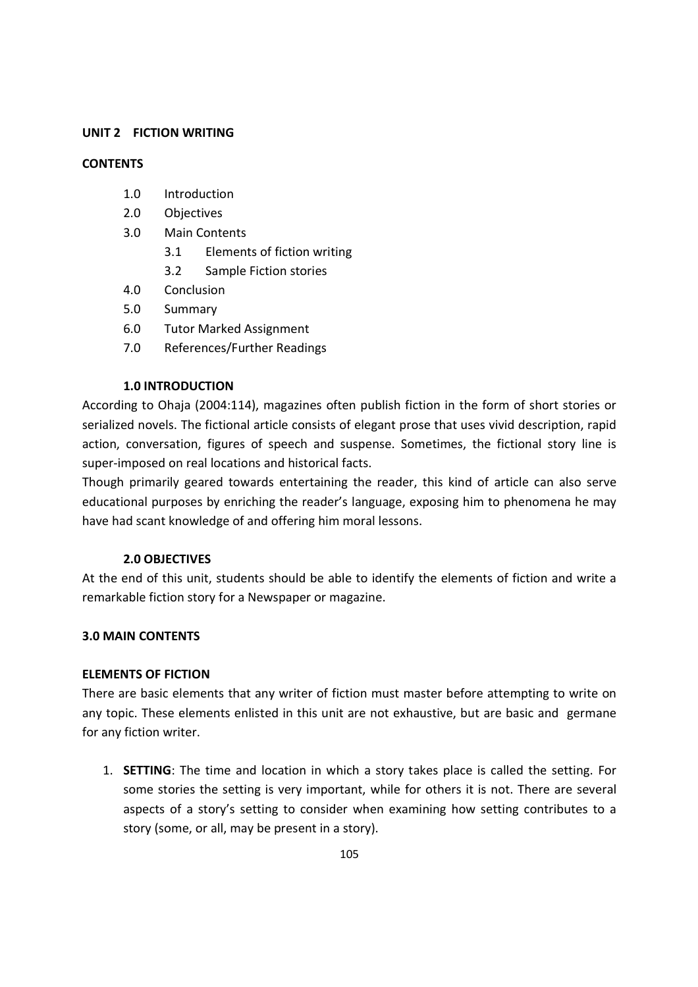#### **UNIT 2 FICTION WRITING**

#### **CONTENTS**

- 1.0 Introduction
- 2.0 Objectives
- 3.0 Main Contents
	- 3.1 Elements of fiction writing
	- 3.2 Sample Fiction stories
- 4.0 Conclusion
- 5.0 Summary
- 6.0 Tutor Marked Assignment
- 7.0 References/Further Readings

## **1.0 INTRODUCTION**

According to Ohaja (2004:114), magazines often publish fiction in the form of short stories or serialized novels. The fictional article consists of elegant prose that uses vivid description, rapid action, conversation, figures of speech and suspense. Sometimes, the fictional story line is super-imposed on real locations and historical facts.

Though primarily geared towards entertaining the reader, this kind of article can also serve educational purposes by enriching the reader's language, exposing him to phenomena he may have had scant knowledge of and offering him moral lessons.

## **2.0 OBJECTIVES**

At the end of this unit, students should be able to identify the elements of fiction and write a remarkable fiction story for a Newspaper or magazine.

## **3.0 MAIN CONTENTS**

## **ELEMENTS OF FICTION**

There are basic elements that any writer of fiction must master before attempting to write on any topic. These elements enlisted in this unit are not exhaustive, but are basic and germane for any fiction writer.

1. **SETTING**: The time and location in which a story takes place is called the setting. For some stories the setting is very important, while for others it is not. There are several aspects of a story's setting to consider when examining how setting contributes to a story (some, or all, may be present in a story).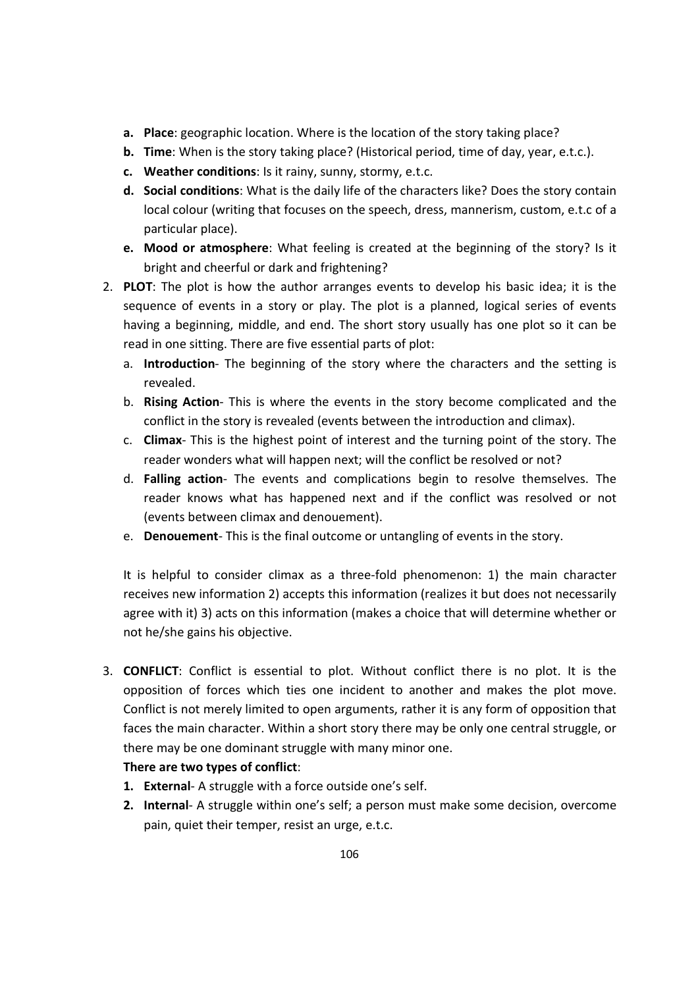- **a. Place**: geographic location. Where is the location of the story taking place?
- **b. Time**: When is the story taking place? (Historical period, time of day, year, e.t.c.).
- **c. Weather conditions**: Is it rainy, sunny, stormy, e.t.c.
- **d. Social conditions**: What is the daily life of the characters like? Does the story contain local colour (writing that focuses on the speech, dress, mannerism, custom, e.t.c of a particular place).
- **e. Mood or atmosphere**: What feeling is created at the beginning of the story? Is it bright and cheerful or dark and frightening?
- 2. **PLOT**: The plot is how the author arranges events to develop his basic idea; it is the sequence of events in a story or play. The plot is a planned, logical series of events having a beginning, middle, and end. The short story usually has one plot so it can be read in one sitting. There are five essential parts of plot:
	- a. **Introduction** The beginning of the story where the characters and the setting is revealed.
	- b. **Rising Action** This is where the events in the story become complicated and the conflict in the story is revealed (events between the introduction and climax).
	- c. **Climax** This is the highest point of interest and the turning point of the story. The reader wonders what will happen next; will the conflict be resolved or not?
	- d. **Falling action** The events and complications begin to resolve themselves. The reader knows what has happened next and if the conflict was resolved or not (events between climax and denouement).
	- e. **Denouement** This is the final outcome or untangling of events in the story.

It is helpful to consider climax as a three-fold phenomenon: 1) the main character receives new information 2) accepts this information (realizes it but does not necessarily agree with it) 3) acts on this information (makes a choice that will determine whether or not he/she gains his objective.

3. **CONFLICT**: Conflict is essential to plot. Without conflict there is no plot. It is the opposition of forces which ties one incident to another and makes the plot move. Conflict is not merely limited to open arguments, rather it is any form of opposition that faces the main character. Within a short story there may be only one central struggle, or there may be one dominant struggle with many minor one.

# **There are two types of conflict**:

- **1. External** A struggle with a force outside one's self.
- **2. Internal** A struggle within one's self; a person must make some decision, overcome pain, quiet their temper, resist an urge, e.t.c.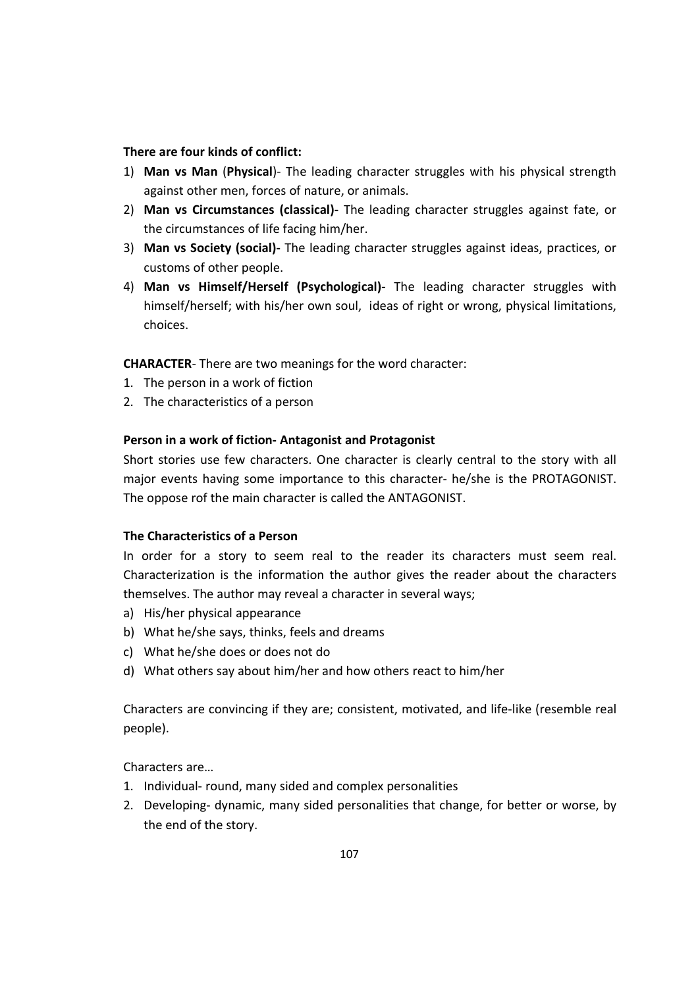## **There are four kinds of conflict:**

- 1) **Man vs Man** (**Physical**)- The leading character struggles with his physical strength against other men, forces of nature, or animals.
- 2) **Man vs Circumstances (classical)-** The leading character struggles against fate, or the circumstances of life facing him/her.
- 3) **Man vs Society (social)-** The leading character struggles against ideas, practices, or customs of other people.
- 4) **Man vs Himself/Herself (Psychological)-** The leading character struggles with himself/herself; with his/her own soul, ideas of right or wrong, physical limitations, choices.

**CHARACTER**- There are two meanings for the word character:

- 1. The person in a work of fiction
- 2. The characteristics of a person

# **Person in a work of fiction- Antagonist and Protagonist**

Short stories use few characters. One character is clearly central to the story with all major events having some importance to this character- he/she is the PROTAGONIST. The oppose rof the main character is called the ANTAGONIST.

## **The Characteristics of a Person**

In order for a story to seem real to the reader its characters must seem real. Characterization is the information the author gives the reader about the characters themselves. The author may reveal a character in several ways;

- a) His/her physical appearance
- b) What he/she says, thinks, feels and dreams
- c) What he/she does or does not do
- d) What others say about him/her and how others react to him/her

Characters are convincing if they are; consistent, motivated, and life-like (resemble real people).

Characters are…

- 1. Individual- round, many sided and complex personalities
- 2. Developing- dynamic, many sided personalities that change, for better or worse, by the end of the story.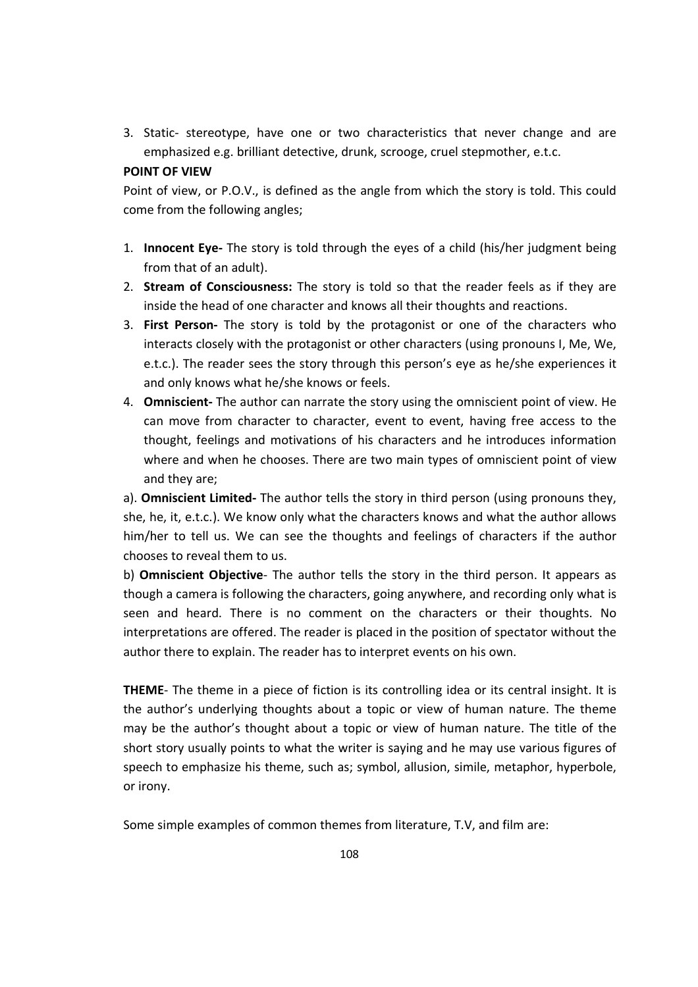3. Static- stereotype, have one or two characteristics that never change and are emphasized e.g. brilliant detective, drunk, scrooge, cruel stepmother, e.t.c.

## **POINT OF VIEW**

Point of view, or P.O.V., is defined as the angle from which the story is told. This could come from the following angles;

- 1. **Innocent Eye-** The story is told through the eyes of a child (his/her judgment being from that of an adult).
- 2. **Stream of Consciousness:** The story is told so that the reader feels as if they are inside the head of one character and knows all their thoughts and reactions.
- 3. **First Person-** The story is told by the protagonist or one of the characters who interacts closely with the protagonist or other characters (using pronouns I, Me, We, e.t.c.). The reader sees the story through this person's eye as he/she experiences it and only knows what he/she knows or feels.
- 4. **Omniscient-** The author can narrate the story using the omniscient point of view. He can move from character to character, event to event, having free access to the thought, feelings and motivations of his characters and he introduces information where and when he chooses. There are two main types of omniscient point of view and they are;

a). **Omniscient Limited-** The author tells the story in third person (using pronouns they, she, he, it, e.t.c.). We know only what the characters knows and what the author allows him/her to tell us. We can see the thoughts and feelings of characters if the author chooses to reveal them to us.

b) **Omniscient Objective**- The author tells the story in the third person. It appears as though a camera is following the characters, going anywhere, and recording only what is seen and heard. There is no comment on the characters or their thoughts. No interpretations are offered. The reader is placed in the position of spectator without the author there to explain. The reader has to interpret events on his own.

**THEME**- The theme in a piece of fiction is its controlling idea or its central insight. It is the author's underlying thoughts about a topic or view of human nature. The theme may be the author's thought about a topic or view of human nature. The title of the short story usually points to what the writer is saying and he may use various figures of speech to emphasize his theme, such as; symbol, allusion, simile, metaphor, hyperbole, or irony.

Some simple examples of common themes from literature, T.V, and film are: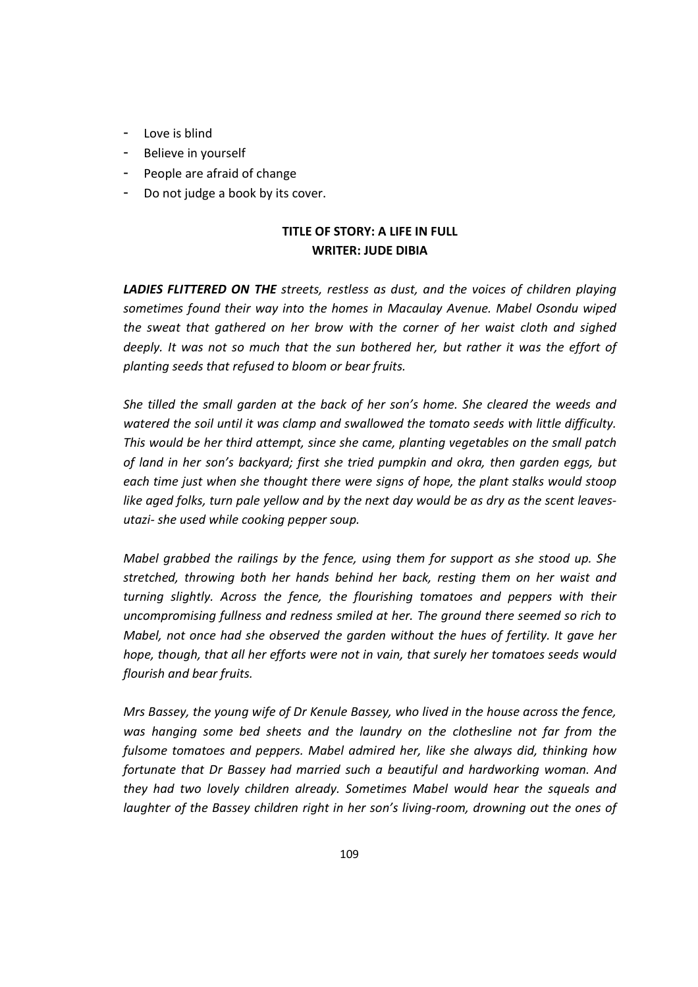- Love is blind
- Believe in yourself
- People are afraid of change
- Do not judge a book by its cover.

# **TITLE OF STORY: A LIFE IN FULL WRITER: JUDE DIBIA**

*LADIES FLITTERED ON THE streets, restless as dust, and the voices of children playing sometimes found their way into the homes in Macaulay Avenue. Mabel Osondu wiped the sweat that gathered on her brow with the corner of her waist cloth and sighed deeply. It was not so much that the sun bothered her, but rather it was the effort of planting seeds that refused to bloom or bear fruits.* 

*She tilled the small garden at the back of her son's home. She cleared the weeds and watered the soil until it was clamp and swallowed the tomato seeds with little difficulty. This would be her third attempt, since she came, planting vegetables on the small patch of land in her son's backyard; first she tried pumpkin and okra, then garden eggs, but each time just when she thought there were signs of hope, the plant stalks would stoop like aged folks, turn pale yellow and by the next day would be as dry as the scent leavesutazi- she used while cooking pepper soup.* 

*Mabel grabbed the railings by the fence, using them for support as she stood up. She stretched, throwing both her hands behind her back, resting them on her waist and turning slightly. Across the fence, the flourishing tomatoes and peppers with their uncompromising fullness and redness smiled at her. The ground there seemed so rich to Mabel, not once had she observed the garden without the hues of fertility. It gave her hope, though, that all her efforts were not in vain, that surely her tomatoes seeds would flourish and bear fruits.* 

*Mrs Bassey, the young wife of Dr Kenule Bassey, who lived in the house across the fence, was hanging some bed sheets and the laundry on the clothesline not far from the fulsome tomatoes and peppers. Mabel admired her, like she always did, thinking how fortunate that Dr Bassey had married such a beautiful and hardworking woman. And they had two lovely children already. Sometimes Mabel would hear the squeals and laughter of the Bassey children right in her son's living-room, drowning out the ones of*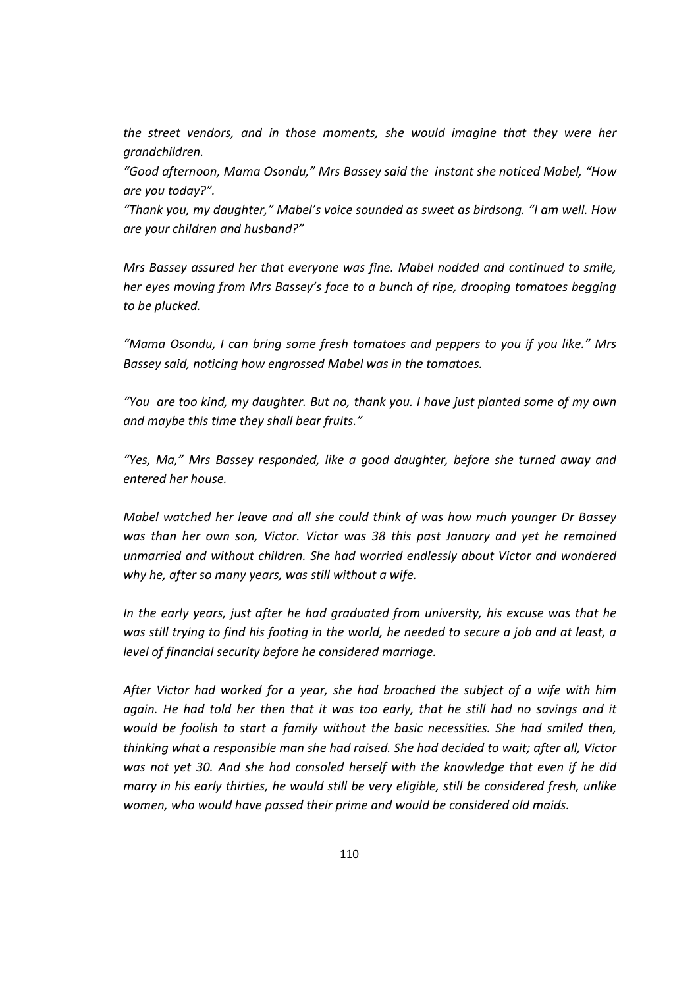*the street vendors, and in those moments, she would imagine that they were her grandchildren.* 

*"Good afternoon, Mama Osondu," Mrs Bassey said the instant she noticed Mabel, "How are you today?".* 

*"Thank you, my daughter," Mabel's voice sounded as sweet as birdsong. "I am well. How are your children and husband?"* 

*Mrs Bassey assured her that everyone was fine. Mabel nodded and continued to smile, her eyes moving from Mrs Bassey's face to a bunch of ripe, drooping tomatoes begging to be plucked.* 

*"Mama Osondu, I can bring some fresh tomatoes and peppers to you if you like." Mrs Bassey said, noticing how engrossed Mabel was in the tomatoes.* 

*"You are too kind, my daughter. But no, thank you. I have just planted some of my own and maybe this time they shall bear fruits."* 

*"Yes, Ma," Mrs Bassey responded, like a good daughter, before she turned away and entered her house.* 

*Mabel watched her leave and all she could think of was how much younger Dr Bassey was than her own son, Victor. Victor was 38 this past January and yet he remained unmarried and without children. She had worried endlessly about Victor and wondered why he, after so many years, was still without a wife.* 

*In the early years, just after he had graduated from university, his excuse was that he was still trying to find his footing in the world, he needed to secure a job and at least, a level of financial security before he considered marriage.* 

*After Victor had worked for a year, she had broached the subject of a wife with him again. He had told her then that it was too early, that he still had no savings and it would be foolish to start a family without the basic necessities. She had smiled then, thinking what a responsible man she had raised. She had decided to wait; after all, Victor was not yet 30. And she had consoled herself with the knowledge that even if he did marry in his early thirties, he would still be very eligible, still be considered fresh, unlike women, who would have passed their prime and would be considered old maids.*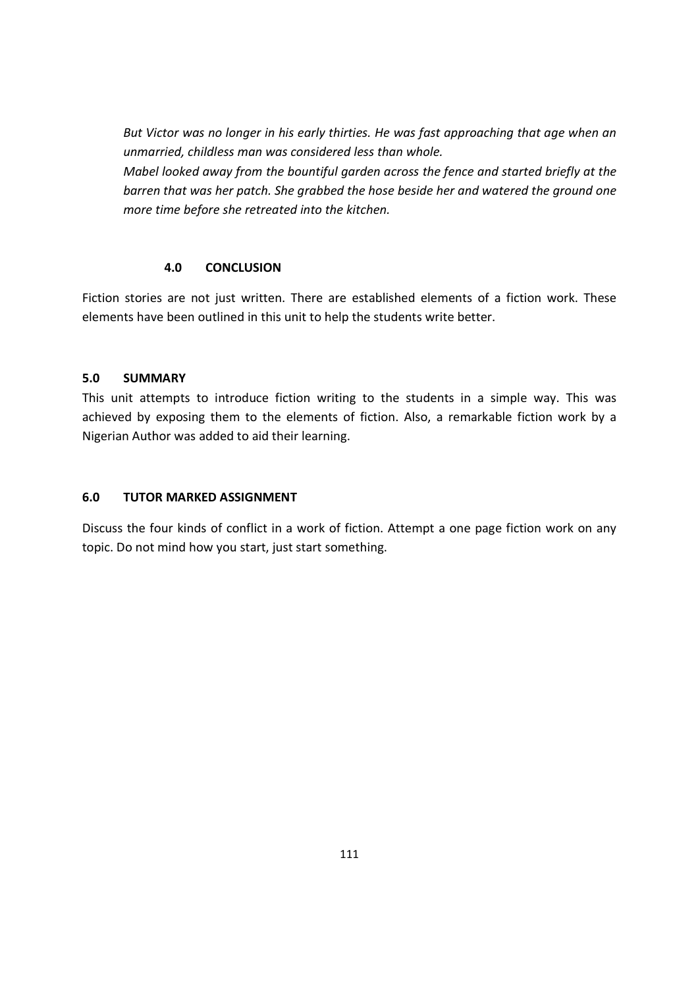*But Victor was no longer in his early thirties. He was fast approaching that age when an unmarried, childless man was considered less than whole. Mabel looked away from the bountiful garden across the fence and started briefly at the barren that was her patch. She grabbed the hose beside her and watered the ground one more time before she retreated into the kitchen.* 

## **4.0 CONCLUSION**

Fiction stories are not just written. There are established elements of a fiction work. These elements have been outlined in this unit to help the students write better.

## **5.0 SUMMARY**

This unit attempts to introduce fiction writing to the students in a simple way. This was achieved by exposing them to the elements of fiction. Also, a remarkable fiction work by a Nigerian Author was added to aid their learning.

## **6.0 TUTOR MARKED ASSIGNMENT**

Discuss the four kinds of conflict in a work of fiction. Attempt a one page fiction work on any topic. Do not mind how you start, just start something.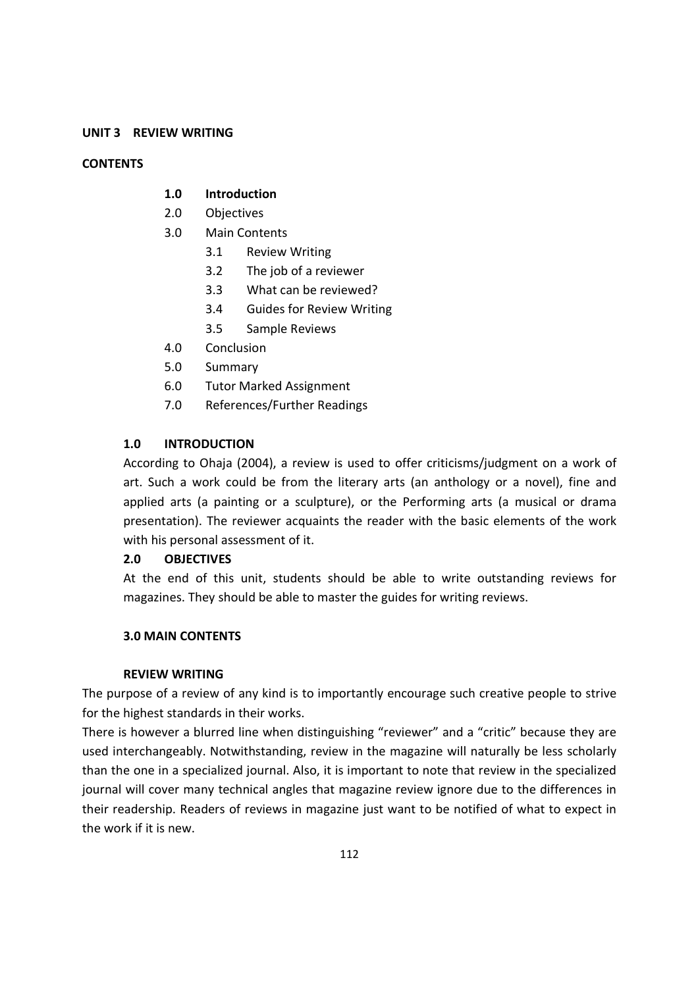## **UNIT 3 REVIEW WRITING**

## **CONTENTS**

## **1.0 Introduction**

- 2.0 Objectives
- 3.0 Main Contents
	- 3.1 Review Writing
	- 3.2 The job of a reviewer
	- 3.3 What can be reviewed?
	- 3.4 Guides for Review Writing
	- 3.5 Sample Reviews
- 4.0 Conclusion
- 5.0 Summary
- 6.0 Tutor Marked Assignment
- 7.0 References/Further Readings

## **1.0 INTRODUCTION**

According to Ohaja (2004), a review is used to offer criticisms/judgment on a work of art. Such a work could be from the literary arts (an anthology or a novel), fine and applied arts (a painting or a sculpture), or the Performing arts (a musical or drama presentation). The reviewer acquaints the reader with the basic elements of the work with his personal assessment of it.

### **2.0 OBJECTIVES**

At the end of this unit, students should be able to write outstanding reviews for magazines. They should be able to master the guides for writing reviews.

## **3.0 MAIN CONTENTS**

### **REVIEW WRITING**

The purpose of a review of any kind is to importantly encourage such creative people to strive for the highest standards in their works.

There is however a blurred line when distinguishing "reviewer" and a "critic" because they are used interchangeably. Notwithstanding, review in the magazine will naturally be less scholarly than the one in a specialized journal. Also, it is important to note that review in the specialized journal will cover many technical angles that magazine review ignore due to the differences in their readership. Readers of reviews in magazine just want to be notified of what to expect in the work if it is new.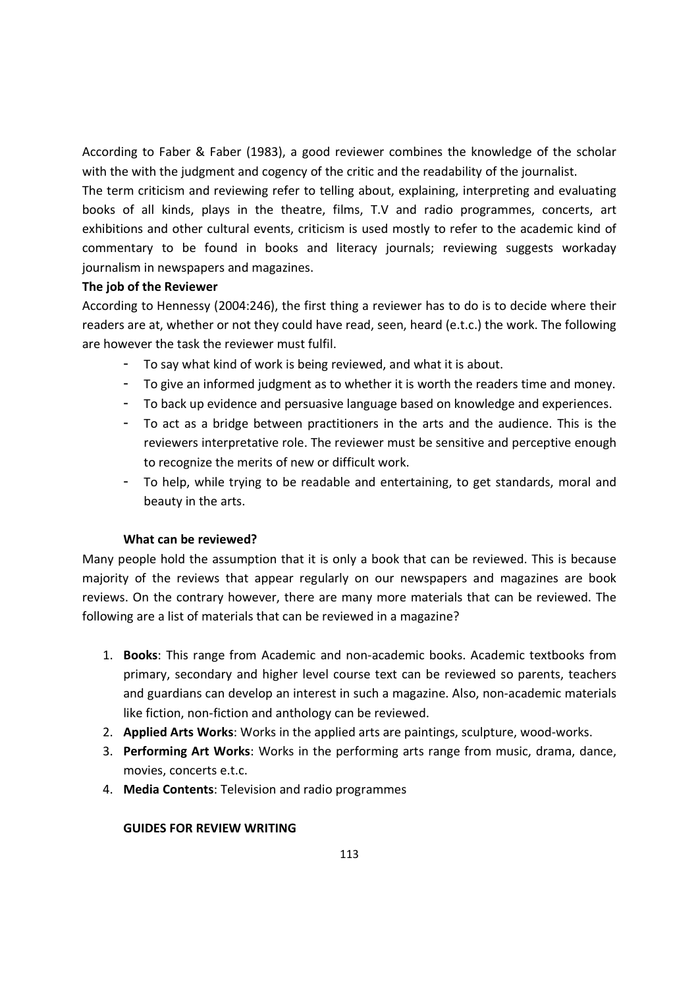According to Faber & Faber (1983), a good reviewer combines the knowledge of the scholar with the with the judgment and cogency of the critic and the readability of the journalist.

The term criticism and reviewing refer to telling about, explaining, interpreting and evaluating books of all kinds, plays in the theatre, films, T.V and radio programmes, concerts, art exhibitions and other cultural events, criticism is used mostly to refer to the academic kind of commentary to be found in books and literacy journals; reviewing suggests workaday journalism in newspapers and magazines.

# **The job of the Reviewer**

According to Hennessy (2004:246), the first thing a reviewer has to do is to decide where their readers are at, whether or not they could have read, seen, heard (e.t.c.) the work. The following are however the task the reviewer must fulfil.

- To say what kind of work is being reviewed, and what it is about.
- To give an informed judgment as to whether it is worth the readers time and money.
- To back up evidence and persuasive language based on knowledge and experiences.
- To act as a bridge between practitioners in the arts and the audience. This is the reviewers interpretative role. The reviewer must be sensitive and perceptive enough to recognize the merits of new or difficult work.
- To help, while trying to be readable and entertaining, to get standards, moral and beauty in the arts.

## **What can be reviewed?**

Many people hold the assumption that it is only a book that can be reviewed. This is because majority of the reviews that appear regularly on our newspapers and magazines are book reviews. On the contrary however, there are many more materials that can be reviewed. The following are a list of materials that can be reviewed in a magazine?

- 1. **Books**: This range from Academic and non-academic books. Academic textbooks from primary, secondary and higher level course text can be reviewed so parents, teachers and guardians can develop an interest in such a magazine. Also, non-academic materials like fiction, non-fiction and anthology can be reviewed.
- 2. **Applied Arts Works**: Works in the applied arts are paintings, sculpture, wood-works.
- 3. **Performing Art Works**: Works in the performing arts range from music, drama, dance, movies, concerts e.t.c.
- 4. **Media Contents**: Television and radio programmes

# **GUIDES FOR REVIEW WRITING**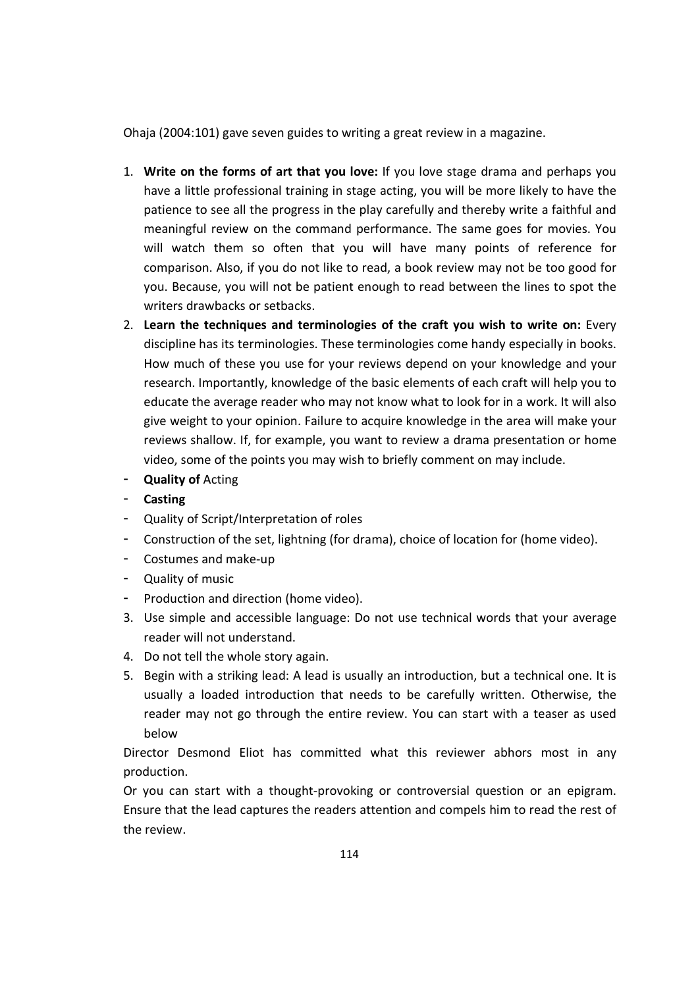Ohaja (2004:101) gave seven guides to writing a great review in a magazine.

- 1. **Write on the forms of art that you love:** If you love stage drama and perhaps you have a little professional training in stage acting, you will be more likely to have the patience to see all the progress in the play carefully and thereby write a faithful and meaningful review on the command performance. The same goes for movies. You will watch them so often that you will have many points of reference for comparison. Also, if you do not like to read, a book review may not be too good for you. Because, you will not be patient enough to read between the lines to spot the writers drawbacks or setbacks.
- 2. **Learn the techniques and terminologies of the craft you wish to write on:** Every discipline has its terminologies. These terminologies come handy especially in books. How much of these you use for your reviews depend on your knowledge and your research. Importantly, knowledge of the basic elements of each craft will help you to educate the average reader who may not know what to look for in a work. It will also give weight to your opinion. Failure to acquire knowledge in the area will make your reviews shallow. If, for example, you want to review a drama presentation or home video, some of the points you may wish to briefly comment on may include.
- **Quality of** Acting
- **Casting**
- Quality of Script/Interpretation of roles
- Construction of the set, lightning (for drama), choice of location for (home video).
- Costumes and make-up
- Quality of music
- Production and direction (home video).
- 3. Use simple and accessible language: Do not use technical words that your average reader will not understand.
- 4. Do not tell the whole story again.
- 5. Begin with a striking lead: A lead is usually an introduction, but a technical one. It is usually a loaded introduction that needs to be carefully written. Otherwise, the reader may not go through the entire review. You can start with a teaser as used below

Director Desmond Eliot has committed what this reviewer abhors most in any production.

Or you can start with a thought-provoking or controversial question or an epigram. Ensure that the lead captures the readers attention and compels him to read the rest of the review.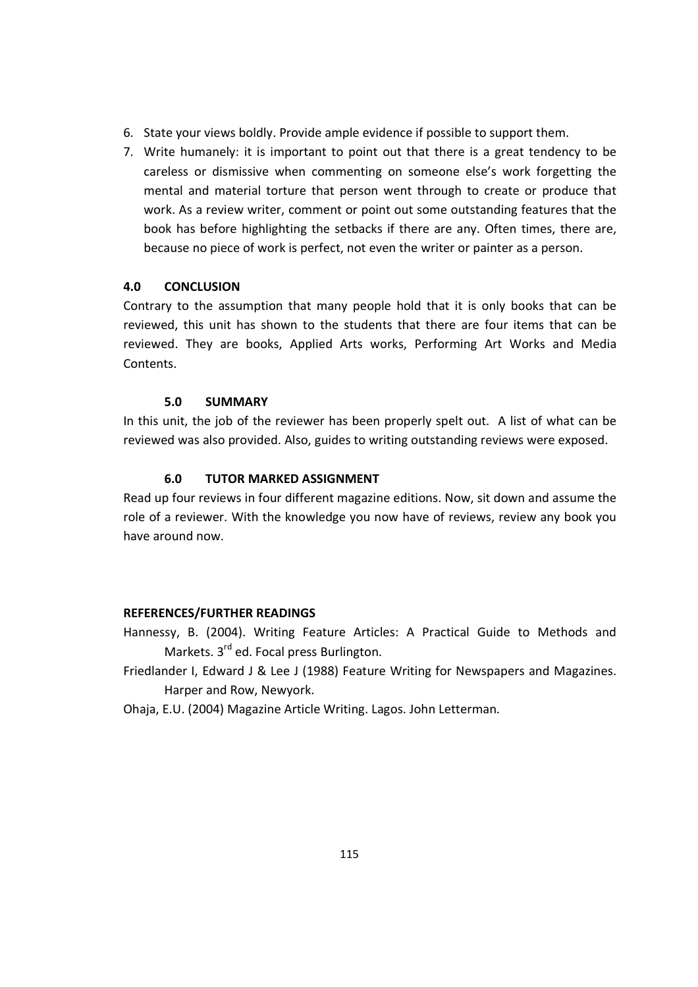- 6. State your views boldly. Provide ample evidence if possible to support them.
- 7. Write humanely: it is important to point out that there is a great tendency to be careless or dismissive when commenting on someone else's work forgetting the mental and material torture that person went through to create or produce that work. As a review writer, comment or point out some outstanding features that the book has before highlighting the setbacks if there are any. Often times, there are, because no piece of work is perfect, not even the writer or painter as a person.

## **4.0 CONCLUSION**

Contrary to the assumption that many people hold that it is only books that can be reviewed, this unit has shown to the students that there are four items that can be reviewed. They are books, Applied Arts works, Performing Art Works and Media Contents.

## **5.0 SUMMARY**

In this unit, the job of the reviewer has been properly spelt out. A list of what can be reviewed was also provided. Also, guides to writing outstanding reviews were exposed.

### **6.0 TUTOR MARKED ASSIGNMENT**

Read up four reviews in four different magazine editions. Now, sit down and assume the role of a reviewer. With the knowledge you now have of reviews, review any book you have around now.

### **REFERENCES/FURTHER READINGS**

- Hannessy, B. (2004). Writing Feature Articles: A Practical Guide to Methods and Markets. 3<sup>rd</sup> ed. Focal press Burlington.
- Friedlander I, Edward J & Lee J (1988) Feature Writing for Newspapers and Magazines. Harper and Row, Newyork.
- Ohaja, E.U. (2004) Magazine Article Writing. Lagos. John Letterman.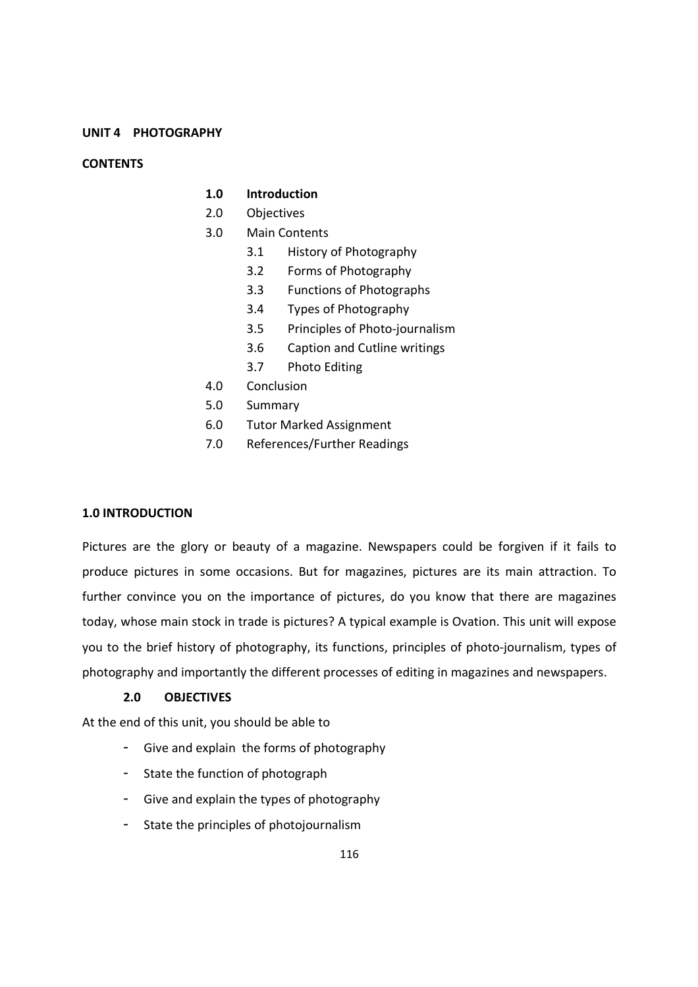### **UNIT 4 PHOTOGRAPHY**

## **CONTENTS**

## **1.0 Introduction**

- 2.0 Objectives
- 3.0 Main Contents
	- 3.1 History of Photography
	- 3.2 Forms of Photography
	- 3.3 Functions of Photographs
	- 3.4 Types of Photography
	- 3.5 Principles of Photo-journalism
	- 3.6 Caption and Cutline writings
	- 3.7 Photo Editing
- 4.0 Conclusion
- 5.0 Summary
- 6.0 Tutor Marked Assignment
- 7.0 References/Further Readings

### **1.0 INTRODUCTION**

Pictures are the glory or beauty of a magazine. Newspapers could be forgiven if it fails to produce pictures in some occasions. But for magazines, pictures are its main attraction. To further convince you on the importance of pictures, do you know that there are magazines today, whose main stock in trade is pictures? A typical example is Ovation. This unit will expose you to the brief history of photography, its functions, principles of photo-journalism, types of photography and importantly the different processes of editing in magazines and newspapers.

## **2.0 OBJECTIVES**

At the end of this unit, you should be able to

- Give and explain the forms of photography
- State the function of photograph
- Give and explain the types of photography
- State the principles of photojournalism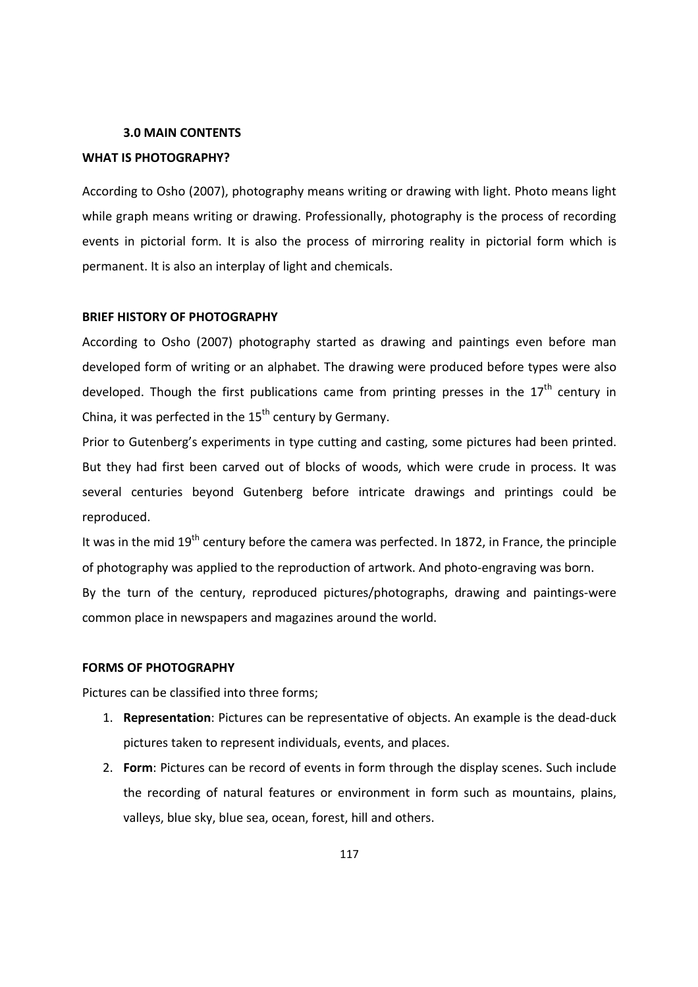#### **3.0 MAIN CONTENTS**

#### **WHAT IS PHOTOGRAPHY?**

According to Osho (2007), photography means writing or drawing with light. Photo means light while graph means writing or drawing. Professionally, photography is the process of recording events in pictorial form. It is also the process of mirroring reality in pictorial form which is permanent. It is also an interplay of light and chemicals.

#### **BRIEF HISTORY OF PHOTOGRAPHY**

According to Osho (2007) photography started as drawing and paintings even before man developed form of writing or an alphabet. The drawing were produced before types were also developed. Though the first publications came from printing presses in the  $17<sup>th</sup>$  century in China, it was perfected in the  $15<sup>th</sup>$  century by Germany.

Prior to Gutenberg's experiments in type cutting and casting, some pictures had been printed. But they had first been carved out of blocks of woods, which were crude in process. It was several centuries beyond Gutenberg before intricate drawings and printings could be reproduced.

It was in the mid 19<sup>th</sup> century before the camera was perfected. In 1872, in France, the principle of photography was applied to the reproduction of artwork. And photo-engraving was born. By the turn of the century, reproduced pictures/photographs, drawing and paintings-were common place in newspapers and magazines around the world.

#### **FORMS OF PHOTOGRAPHY**

Pictures can be classified into three forms;

- 1. **Representation**: Pictures can be representative of objects. An example is the dead-duck pictures taken to represent individuals, events, and places.
- 2. **Form**: Pictures can be record of events in form through the display scenes. Such include the recording of natural features or environment in form such as mountains, plains, valleys, blue sky, blue sea, ocean, forest, hill and others.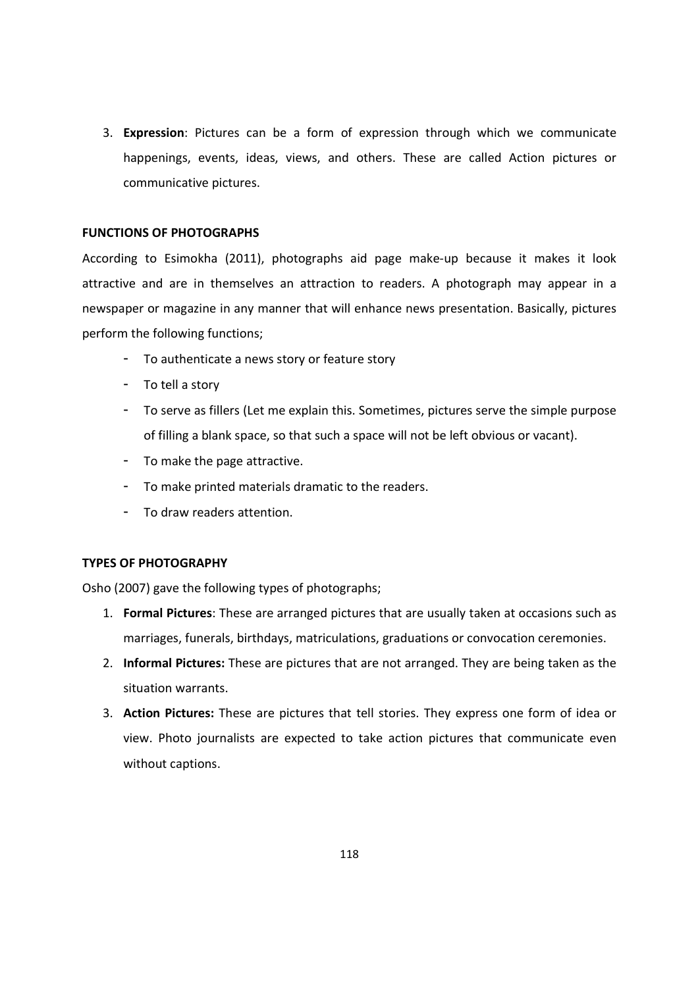3. **Expression**: Pictures can be a form of expression through which we communicate happenings, events, ideas, views, and others. These are called Action pictures or communicative pictures.

### **FUNCTIONS OF PHOTOGRAPHS**

According to Esimokha (2011), photographs aid page make-up because it makes it look attractive and are in themselves an attraction to readers. A photograph may appear in a newspaper or magazine in any manner that will enhance news presentation. Basically, pictures perform the following functions;

- To authenticate a news story or feature story
- To tell a story
- To serve as fillers (Let me explain this. Sometimes, pictures serve the simple purpose of filling a blank space, so that such a space will not be left obvious or vacant).
- To make the page attractive.
- To make printed materials dramatic to the readers.
- To draw readers attention.

## **TYPES OF PHOTOGRAPHY**

Osho (2007) gave the following types of photographs;

- 1. **Formal Pictures**: These are arranged pictures that are usually taken at occasions such as marriages, funerals, birthdays, matriculations, graduations or convocation ceremonies.
- 2. **Informal Pictures:** These are pictures that are not arranged. They are being taken as the situation warrants.
- 3. **Action Pictures:** These are pictures that tell stories. They express one form of idea or view. Photo journalists are expected to take action pictures that communicate even without captions.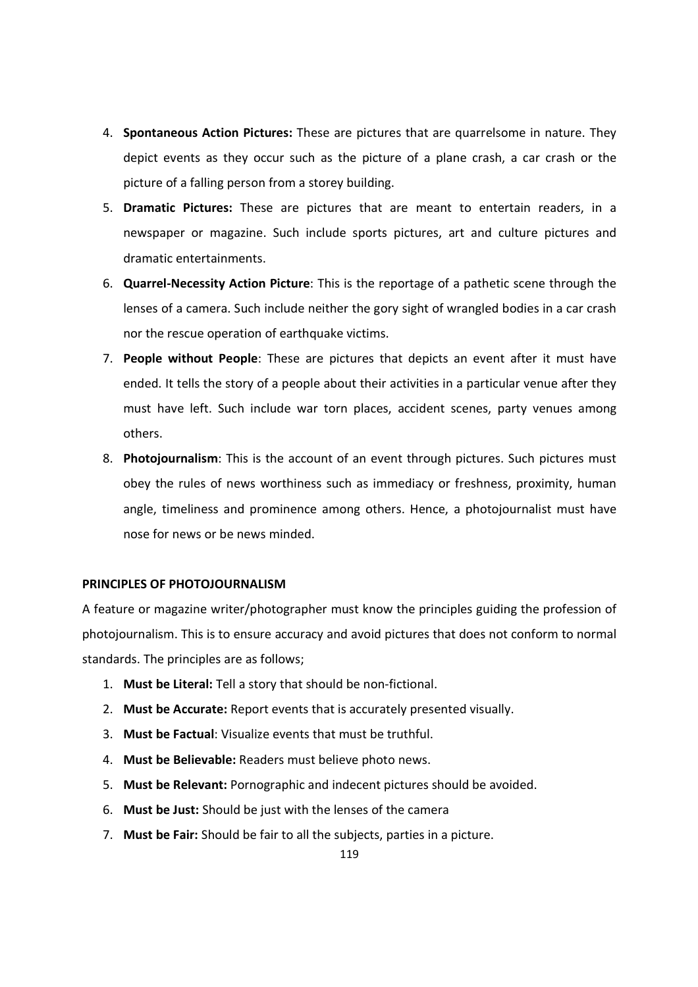- 4. **Spontaneous Action Pictures:** These are pictures that are quarrelsome in nature. They depict events as they occur such as the picture of a plane crash, a car crash or the picture of a falling person from a storey building.
- 5. **Dramatic Pictures:** These are pictures that are meant to entertain readers, in a newspaper or magazine. Such include sports pictures, art and culture pictures and dramatic entertainments.
- 6. **Quarrel-Necessity Action Picture**: This is the reportage of a pathetic scene through the lenses of a camera. Such include neither the gory sight of wrangled bodies in a car crash nor the rescue operation of earthquake victims.
- 7. **People without People**: These are pictures that depicts an event after it must have ended. It tells the story of a people about their activities in a particular venue after they must have left. Such include war torn places, accident scenes, party venues among others.
- 8. **Photojournalism**: This is the account of an event through pictures. Such pictures must obey the rules of news worthiness such as immediacy or freshness, proximity, human angle, timeliness and prominence among others. Hence, a photojournalist must have nose for news or be news minded.

### **PRINCIPLES OF PHOTOJOURNALISM**

A feature or magazine writer/photographer must know the principles guiding the profession of photojournalism. This is to ensure accuracy and avoid pictures that does not conform to normal standards. The principles are as follows;

- 1. **Must be Literal:** Tell a story that should be non-fictional.
- 2. **Must be Accurate:** Report events that is accurately presented visually.
- 3. **Must be Factual**: Visualize events that must be truthful.
- 4. **Must be Believable:** Readers must believe photo news.
- 5. **Must be Relevant:** Pornographic and indecent pictures should be avoided.
- 6. **Must be Just:** Should be just with the lenses of the camera
- 7. **Must be Fair:** Should be fair to all the subjects, parties in a picture.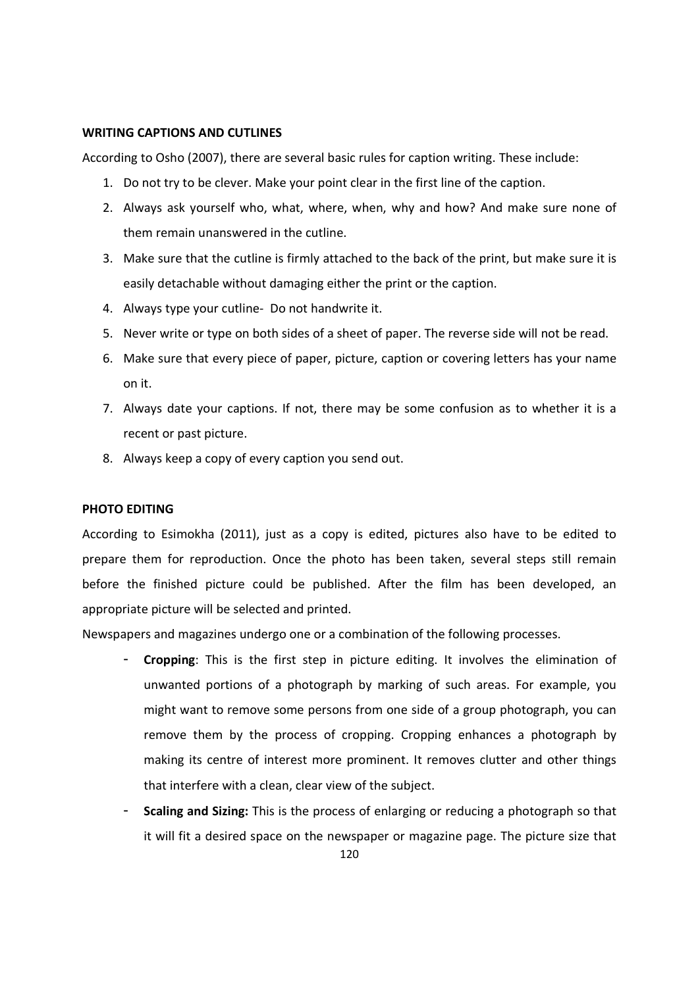#### **WRITING CAPTIONS AND CUTLINES**

According to Osho (2007), there are several basic rules for caption writing. These include:

- 1. Do not try to be clever. Make your point clear in the first line of the caption.
- 2. Always ask yourself who, what, where, when, why and how? And make sure none of them remain unanswered in the cutline.
- 3. Make sure that the cutline is firmly attached to the back of the print, but make sure it is easily detachable without damaging either the print or the caption.
- 4. Always type your cutline- Do not handwrite it.
- 5. Never write or type on both sides of a sheet of paper. The reverse side will not be read.
- 6. Make sure that every piece of paper, picture, caption or covering letters has your name on it.
- 7. Always date your captions. If not, there may be some confusion as to whether it is a recent or past picture.
- 8. Always keep a copy of every caption you send out.

## **PHOTO EDITING**

According to Esimokha (2011), just as a copy is edited, pictures also have to be edited to prepare them for reproduction. Once the photo has been taken, several steps still remain before the finished picture could be published. After the film has been developed, an appropriate picture will be selected and printed.

Newspapers and magazines undergo one or a combination of the following processes.

- **Cropping**: This is the first step in picture editing. It involves the elimination of unwanted portions of a photograph by marking of such areas. For example, you might want to remove some persons from one side of a group photograph, you can remove them by the process of cropping. Cropping enhances a photograph by making its centre of interest more prominent. It removes clutter and other things that interfere with a clean, clear view of the subject.
- **Scaling and Sizing:** This is the process of enlarging or reducing a photograph so that it will fit a desired space on the newspaper or magazine page. The picture size that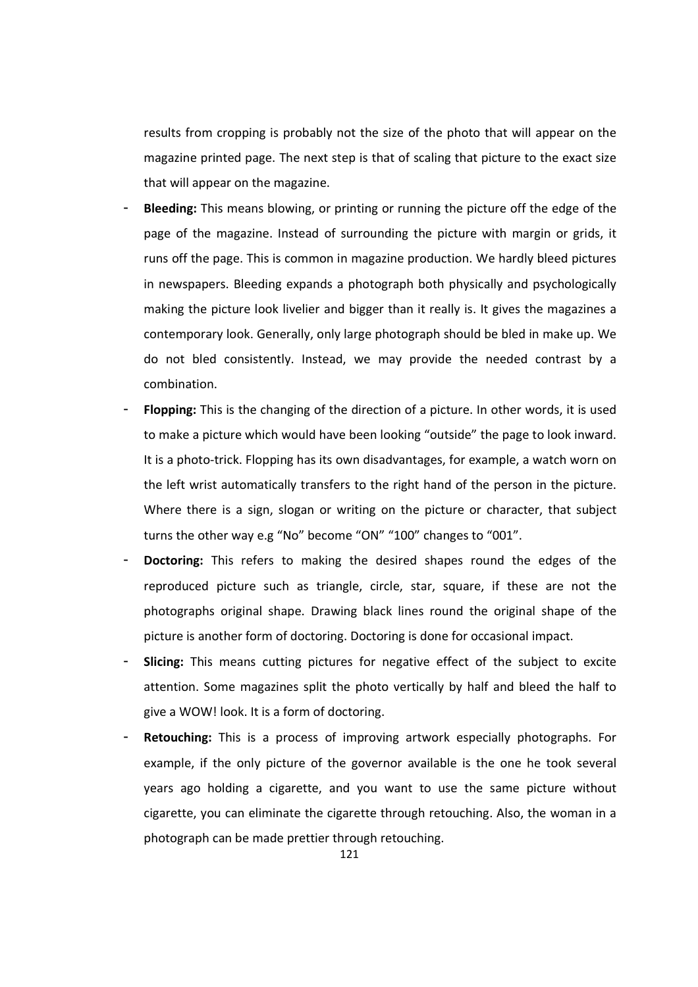results from cropping is probably not the size of the photo that will appear on the magazine printed page. The next step is that of scaling that picture to the exact size that will appear on the magazine.

- **Bleeding:** This means blowing, or printing or running the picture off the edge of the page of the magazine. Instead of surrounding the picture with margin or grids, it runs off the page. This is common in magazine production. We hardly bleed pictures in newspapers. Bleeding expands a photograph both physically and psychologically making the picture look livelier and bigger than it really is. It gives the magazines a contemporary look. Generally, only large photograph should be bled in make up. We do not bled consistently. Instead, we may provide the needed contrast by a combination.
- **Flopping:** This is the changing of the direction of a picture. In other words, it is used to make a picture which would have been looking "outside" the page to look inward. It is a photo-trick. Flopping has its own disadvantages, for example, a watch worn on the left wrist automatically transfers to the right hand of the person in the picture. Where there is a sign, slogan or writing on the picture or character, that subject turns the other way e.g "No" become "ON" "100" changes to "001".
- **Doctoring:** This refers to making the desired shapes round the edges of the reproduced picture such as triangle, circle, star, square, if these are not the photographs original shape. Drawing black lines round the original shape of the picture is another form of doctoring. Doctoring is done for occasional impact.
- **Slicing:** This means cutting pictures for negative effect of the subject to excite attention. Some magazines split the photo vertically by half and bleed the half to give a WOW! look. It is a form of doctoring.
- Retouching: This is a process of improving artwork especially photographs. For example, if the only picture of the governor available is the one he took several years ago holding a cigarette, and you want to use the same picture without cigarette, you can eliminate the cigarette through retouching. Also, the woman in a photograph can be made prettier through retouching.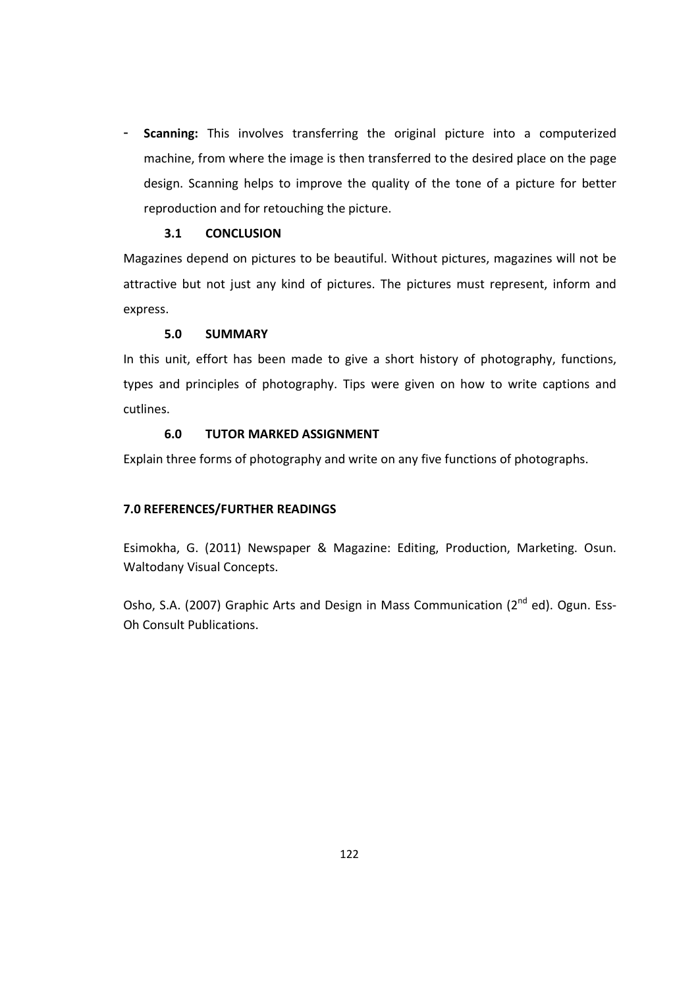- **Scanning:** This involves transferring the original picture into a computerized machine, from where the image is then transferred to the desired place on the page design. Scanning helps to improve the quality of the tone of a picture for better reproduction and for retouching the picture.

### **3.1 CONCLUSION**

Magazines depend on pictures to be beautiful. Without pictures, magazines will not be attractive but not just any kind of pictures. The pictures must represent, inform and express.

#### **5.0 SUMMARY**

In this unit, effort has been made to give a short history of photography, functions, types and principles of photography. Tips were given on how to write captions and cutlines.

#### **6.0 TUTOR MARKED ASSIGNMENT**

Explain three forms of photography and write on any five functions of photographs.

### **7.0 REFERENCES/FURTHER READINGS**

Esimokha, G. (2011) Newspaper & Magazine: Editing, Production, Marketing. Osun. Waltodany Visual Concepts.

Osho, S.A. (2007) Graphic Arts and Design in Mass Communication (2<sup>nd</sup> ed). Ogun. Ess-Oh Consult Publications.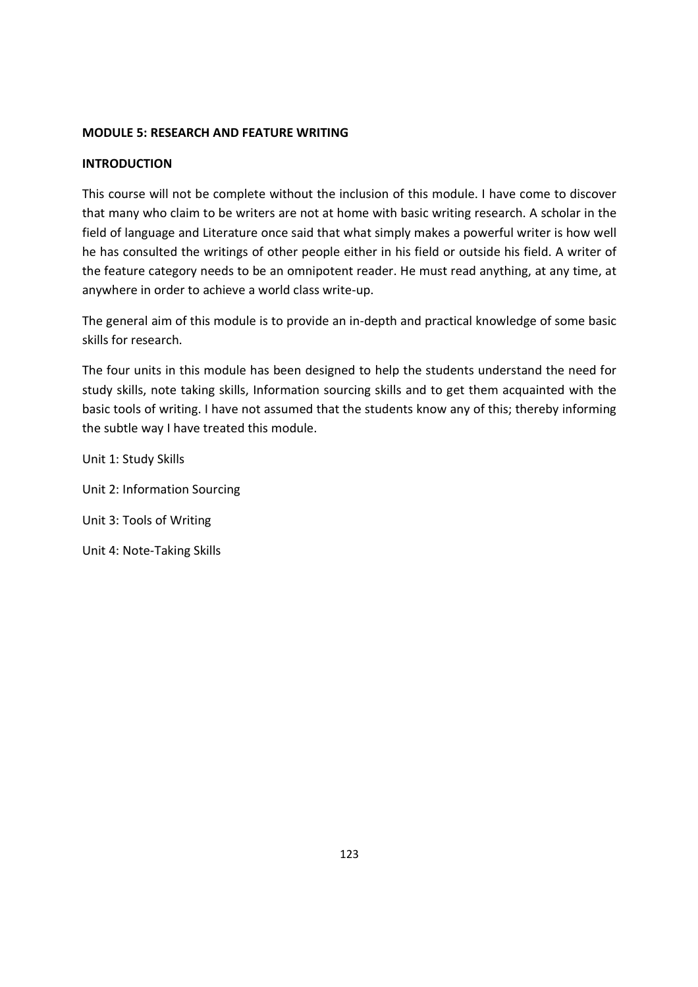## **MODULE 5: RESEARCH AND FEATURE WRITING**

### **INTRODUCTION**

This course will not be complete without the inclusion of this module. I have come to discover that many who claim to be writers are not at home with basic writing research. A scholar in the field of language and Literature once said that what simply makes a powerful writer is how well he has consulted the writings of other people either in his field or outside his field. A writer of the feature category needs to be an omnipotent reader. He must read anything, at any time, at anywhere in order to achieve a world class write-up.

The general aim of this module is to provide an in-depth and practical knowledge of some basic skills for research.

The four units in this module has been designed to help the students understand the need for study skills, note taking skills, Information sourcing skills and to get them acquainted with the basic tools of writing. I have not assumed that the students know any of this; thereby informing the subtle way I have treated this module.

Unit 1: Study Skills

Unit 2: Information Sourcing

Unit 3: Tools of Writing

Unit 4: Note-Taking Skills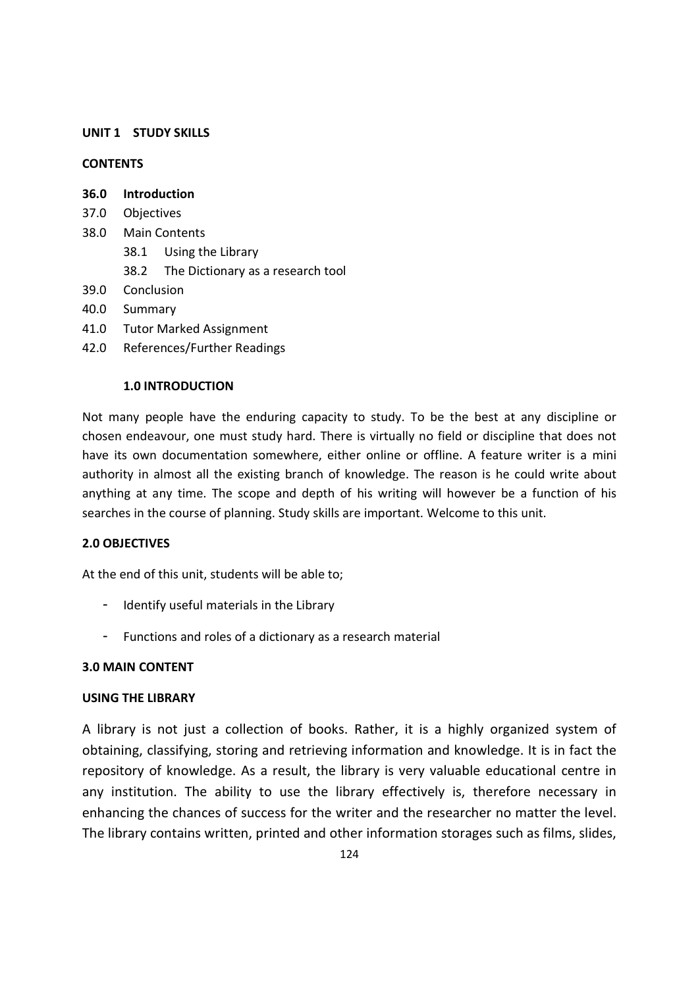### **UNIT 1 STUDY SKILLS**

### **CONTENTS**

#### **36.0 Introduction**

- 37.0 Objectives
- 38.0 Main Contents
	- 38.1 Using the Library
	- 38.2 The Dictionary as a research tool
- 39.0 Conclusion
- 40.0 Summary
- 41.0 Tutor Marked Assignment
- 42.0 References/Further Readings

### **1.0 INTRODUCTION**

Not many people have the enduring capacity to study. To be the best at any discipline or chosen endeavour, one must study hard. There is virtually no field or discipline that does not have its own documentation somewhere, either online or offline. A feature writer is a mini authority in almost all the existing branch of knowledge. The reason is he could write about anything at any time. The scope and depth of his writing will however be a function of his searches in the course of planning. Study skills are important. Welcome to this unit.

### **2.0 OBJECTIVES**

At the end of this unit, students will be able to;

- Identify useful materials in the Library
- Functions and roles of a dictionary as a research material

### **3.0 MAIN CONTENT**

#### **USING THE LIBRARY**

A library is not just a collection of books. Rather, it is a highly organized system of obtaining, classifying, storing and retrieving information and knowledge. It is in fact the repository of knowledge. As a result, the library is very valuable educational centre in any institution. The ability to use the library effectively is, therefore necessary in enhancing the chances of success for the writer and the researcher no matter the level. The library contains written, printed and other information storages such as films, slides,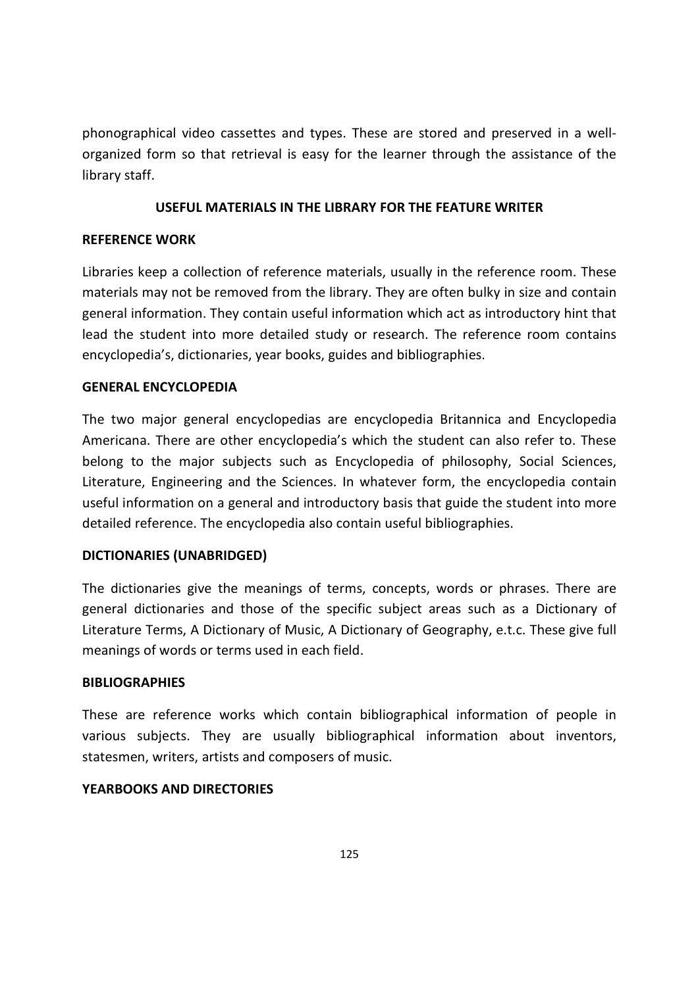phonographical video cassettes and types. These are stored and preserved in a wellorganized form so that retrieval is easy for the learner through the assistance of the library staff.

# **USEFUL MATERIALS IN THE LIBRARY FOR THE FEATURE WRITER**

## **REFERENCE WORK**

Libraries keep a collection of reference materials, usually in the reference room. These materials may not be removed from the library. They are often bulky in size and contain general information. They contain useful information which act as introductory hint that lead the student into more detailed study or research. The reference room contains encyclopedia's, dictionaries, year books, guides and bibliographies.

# **GENERAL ENCYCLOPEDIA**

The two major general encyclopedias are encyclopedia Britannica and Encyclopedia Americana. There are other encyclopedia's which the student can also refer to. These belong to the major subjects such as Encyclopedia of philosophy, Social Sciences, Literature, Engineering and the Sciences. In whatever form, the encyclopedia contain useful information on a general and introductory basis that guide the student into more detailed reference. The encyclopedia also contain useful bibliographies.

## **DICTIONARIES (UNABRIDGED)**

The dictionaries give the meanings of terms, concepts, words or phrases. There are general dictionaries and those of the specific subject areas such as a Dictionary of Literature Terms, A Dictionary of Music, A Dictionary of Geography, e.t.c. These give full meanings of words or terms used in each field.

## **BIBLIOGRAPHIES**

These are reference works which contain bibliographical information of people in various subjects. They are usually bibliographical information about inventors, statesmen, writers, artists and composers of music.

# **YEARBOOKS AND DIRECTORIES**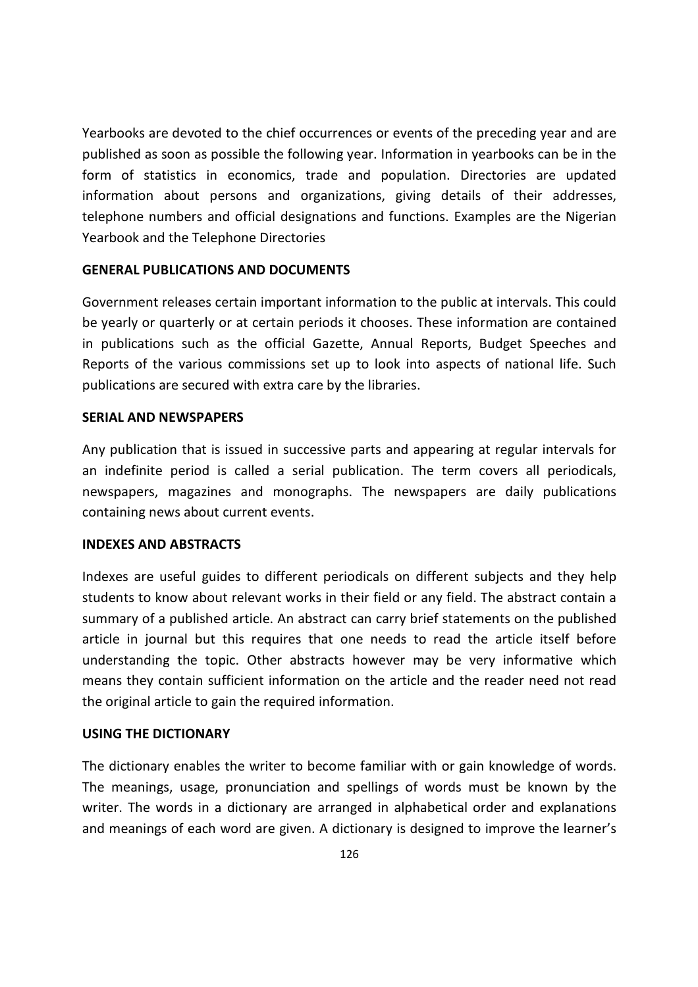Yearbooks are devoted to the chief occurrences or events of the preceding year and are published as soon as possible the following year. Information in yearbooks can be in the form of statistics in economics, trade and population. Directories are updated information about persons and organizations, giving details of their addresses, telephone numbers and official designations and functions. Examples are the Nigerian Yearbook and the Telephone Directories

## **GENERAL PUBLICATIONS AND DOCUMENTS**

Government releases certain important information to the public at intervals. This could be yearly or quarterly or at certain periods it chooses. These information are contained in publications such as the official Gazette, Annual Reports, Budget Speeches and Reports of the various commissions set up to look into aspects of national life. Such publications are secured with extra care by the libraries.

# **SERIAL AND NEWSPAPERS**

Any publication that is issued in successive parts and appearing at regular intervals for an indefinite period is called a serial publication. The term covers all periodicals, newspapers, magazines and monographs. The newspapers are daily publications containing news about current events.

## **INDEXES AND ABSTRACTS**

Indexes are useful guides to different periodicals on different subjects and they help students to know about relevant works in their field or any field. The abstract contain a summary of a published article. An abstract can carry brief statements on the published article in journal but this requires that one needs to read the article itself before understanding the topic. Other abstracts however may be very informative which means they contain sufficient information on the article and the reader need not read the original article to gain the required information.

# **USING THE DICTIONARY**

The dictionary enables the writer to become familiar with or gain knowledge of words. The meanings, usage, pronunciation and spellings of words must be known by the writer. The words in a dictionary are arranged in alphabetical order and explanations and meanings of each word are given. A dictionary is designed to improve the learner's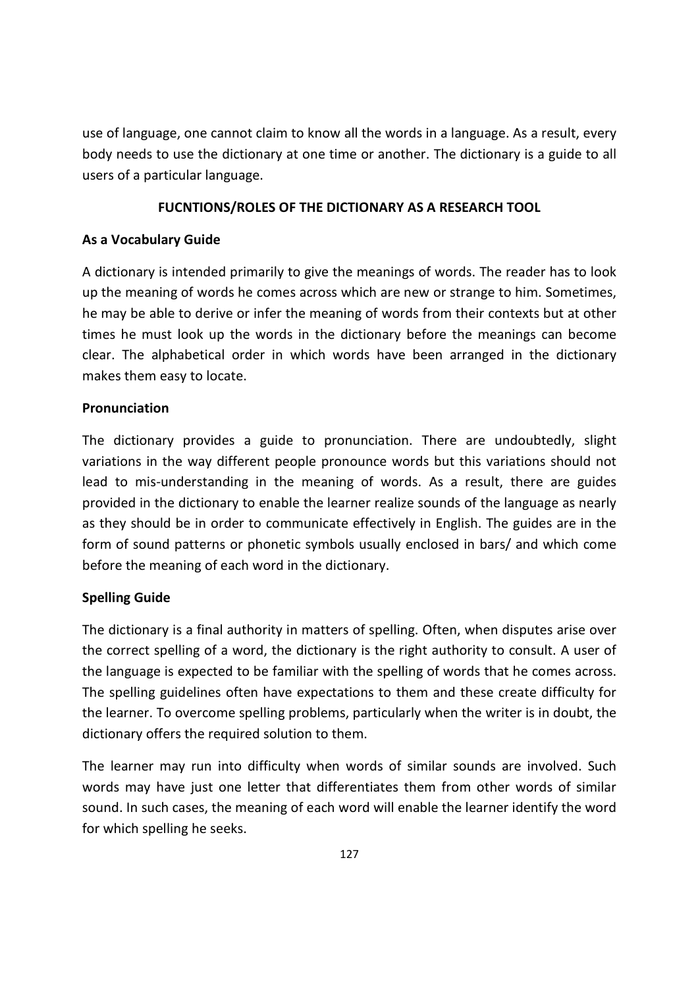use of language, one cannot claim to know all the words in a language. As a result, every body needs to use the dictionary at one time or another. The dictionary is a guide to all users of a particular language.

# **FUCNTIONS/ROLES OF THE DICTIONARY AS A RESEARCH TOOL**

# **As a Vocabulary Guide**

A dictionary is intended primarily to give the meanings of words. The reader has to look up the meaning of words he comes across which are new or strange to him. Sometimes, he may be able to derive or infer the meaning of words from their contexts but at other times he must look up the words in the dictionary before the meanings can become clear. The alphabetical order in which words have been arranged in the dictionary makes them easy to locate.

# **Pronunciation**

The dictionary provides a guide to pronunciation. There are undoubtedly, slight variations in the way different people pronounce words but this variations should not lead to mis-understanding in the meaning of words. As a result, there are guides provided in the dictionary to enable the learner realize sounds of the language as nearly as they should be in order to communicate effectively in English. The guides are in the form of sound patterns or phonetic symbols usually enclosed in bars/ and which come before the meaning of each word in the dictionary.

# **Spelling Guide**

The dictionary is a final authority in matters of spelling. Often, when disputes arise over the correct spelling of a word, the dictionary is the right authority to consult. A user of the language is expected to be familiar with the spelling of words that he comes across. The spelling guidelines often have expectations to them and these create difficulty for the learner. To overcome spelling problems, particularly when the writer is in doubt, the dictionary offers the required solution to them.

The learner may run into difficulty when words of similar sounds are involved. Such words may have just one letter that differentiates them from other words of similar sound. In such cases, the meaning of each word will enable the learner identify the word for which spelling he seeks.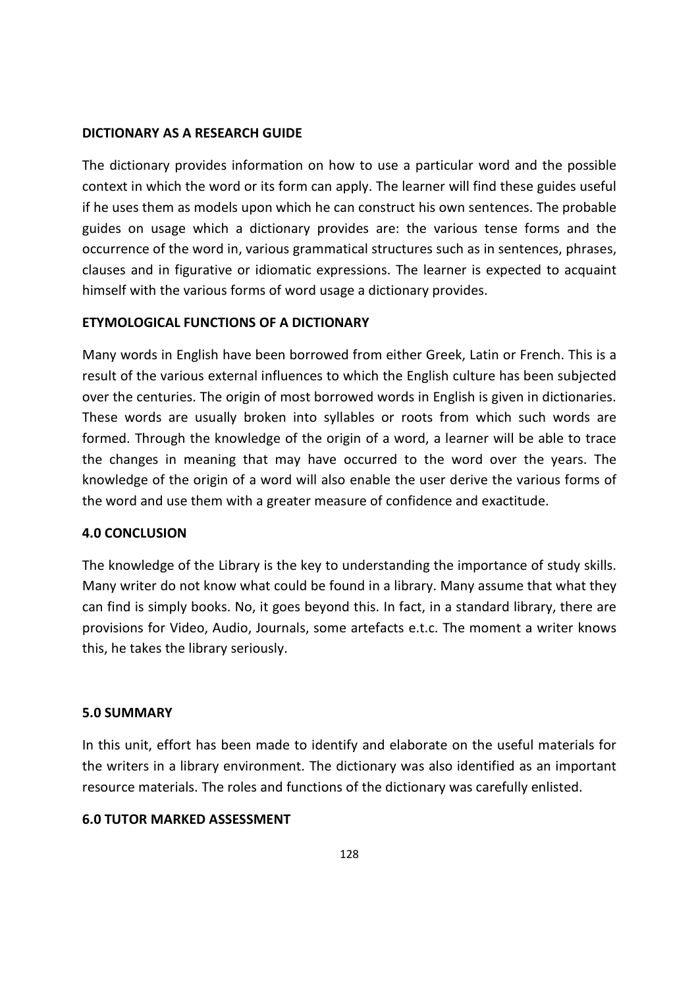# **DICTIONARY AS A RESEARCH GUIDE**

The dictionary provides information on how to use a particular word and the possible context in which the word or its form can apply. The learner will find these guides useful if he uses them as models upon which he can construct his own sentences. The probable guides on usage which a dictionary provides are: the various tense forms and the occurrence of the word in, various grammatical structures such as in sentences, phrases, clauses and in figurative or idiomatic expressions. The learner is expected to acquaint himself with the various forms of word usage a dictionary provides.

# **ETYMOLOGICAL FUNCTIONS OF A DICTIONARY**

Many words in English have been borrowed from either Greek, Latin or French. This is a result of the various external influences to which the English culture has been subjected over the centuries. The origin of most borrowed words in English is given in dictionaries. These words are usually broken into syllables or roots from which such words are formed. Through the knowledge of the origin of a word, a learner will be able to trace the changes in meaning that may have occurred to the word over the years. The knowledge of the origin of a word will also enable the user derive the various forms of the word and use them with a greater measure of confidence and exactitude.

# **4.0 CONCLUSION**

The knowledge of the Library is the key to understanding the importance of study skills. Many writer do not know what could be found in a library. Many assume that what they can find is simply books. No, it goes beyond this. In fact, in a standard library, there are provisions for Video, Audio, Journals, some artefacts e.t.c. The moment a writer knows this, he takes the library seriously.

## **5.0 SUMMARY**

In this unit, effort has been made to identify and elaborate on the useful materials for the writers in a library environment. The dictionary was also identified as an important resource materials. The roles and functions of the dictionary was carefully enlisted.

# **6.0 TUTOR MARKED ASSESSMENT**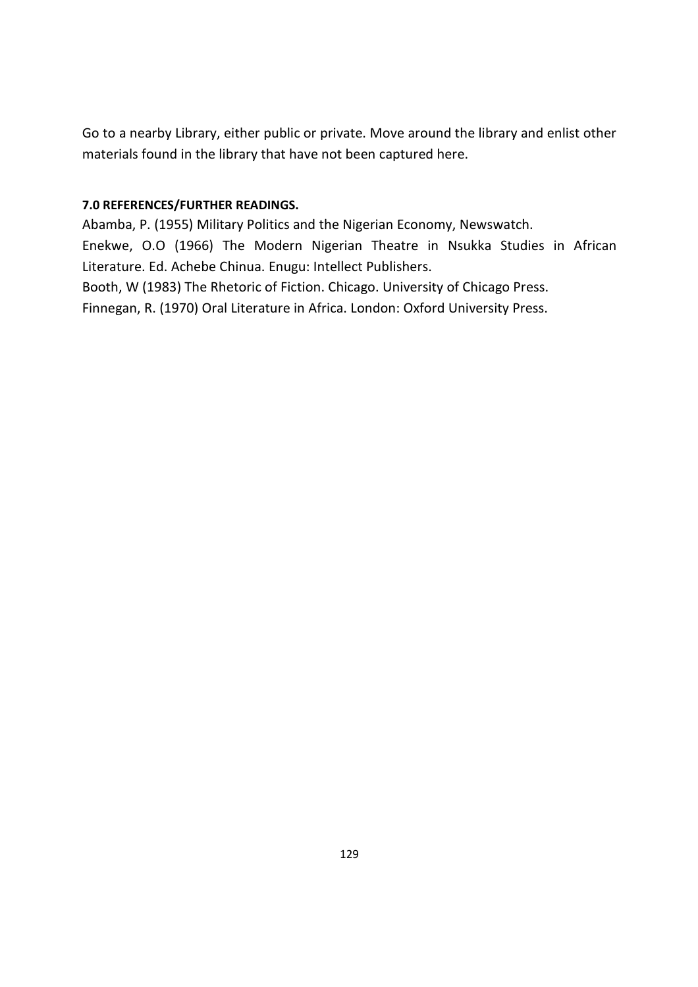Go to a nearby Library, either public or private. Move around the library and enlist other materials found in the library that have not been captured here.

# **7.0 REFERENCES/FURTHER READINGS.**

Abamba, P. (1955) Military Politics and the Nigerian Economy, Newswatch.

Enekwe, O.O (1966) The Modern Nigerian Theatre in Nsukka Studies in African Literature. Ed. Achebe Chinua. Enugu: Intellect Publishers.

Booth, W (1983) The Rhetoric of Fiction. Chicago. University of Chicago Press.

Finnegan, R. (1970) Oral Literature in Africa. London: Oxford University Press.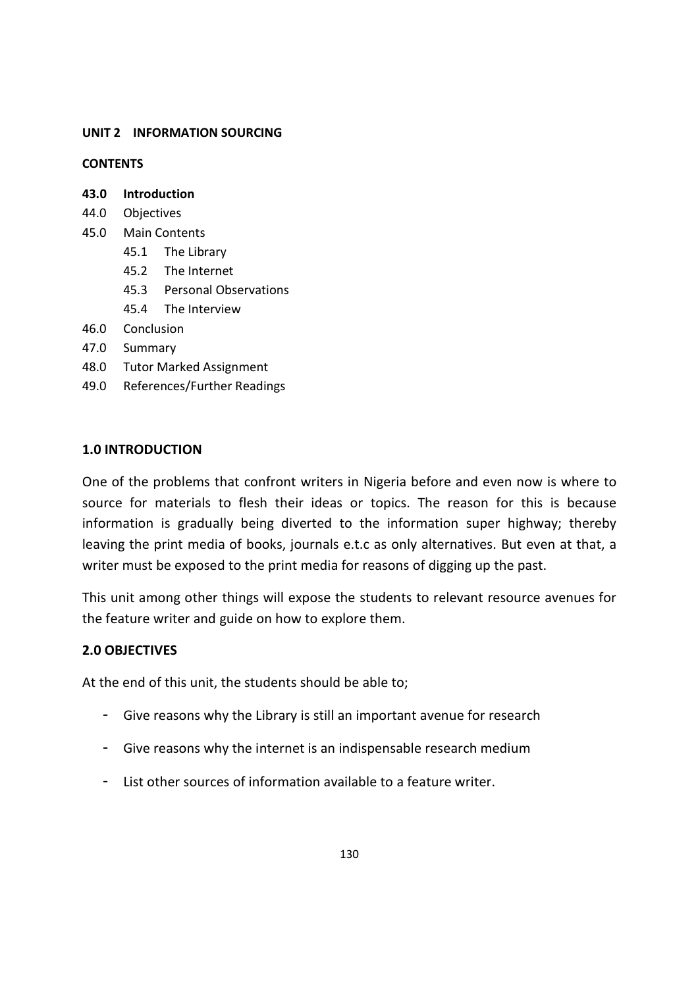## **UNIT 2 INFORMATION SOURCING**

### **CONTENTS**

## **43.0 Introduction**

- 44.0 Objectives
- 45.0 Main Contents
	- 45.1 The Library
	- 45.2 The Internet
	- 45.3 Personal Observations
	- 45.4 The Interview
- 46.0 Conclusion
- 47.0 Summary
- 48.0 Tutor Marked Assignment
- 49.0 References/Further Readings

# **1.0 INTRODUCTION**

One of the problems that confront writers in Nigeria before and even now is where to source for materials to flesh their ideas or topics. The reason for this is because information is gradually being diverted to the information super highway; thereby leaving the print media of books, journals e.t.c as only alternatives. But even at that, a writer must be exposed to the print media for reasons of digging up the past.

This unit among other things will expose the students to relevant resource avenues for the feature writer and guide on how to explore them.

# **2.0 OBJECTIVES**

At the end of this unit, the students should be able to;

- Give reasons why the Library is still an important avenue for research
- Give reasons why the internet is an indispensable research medium
- List other sources of information available to a feature writer.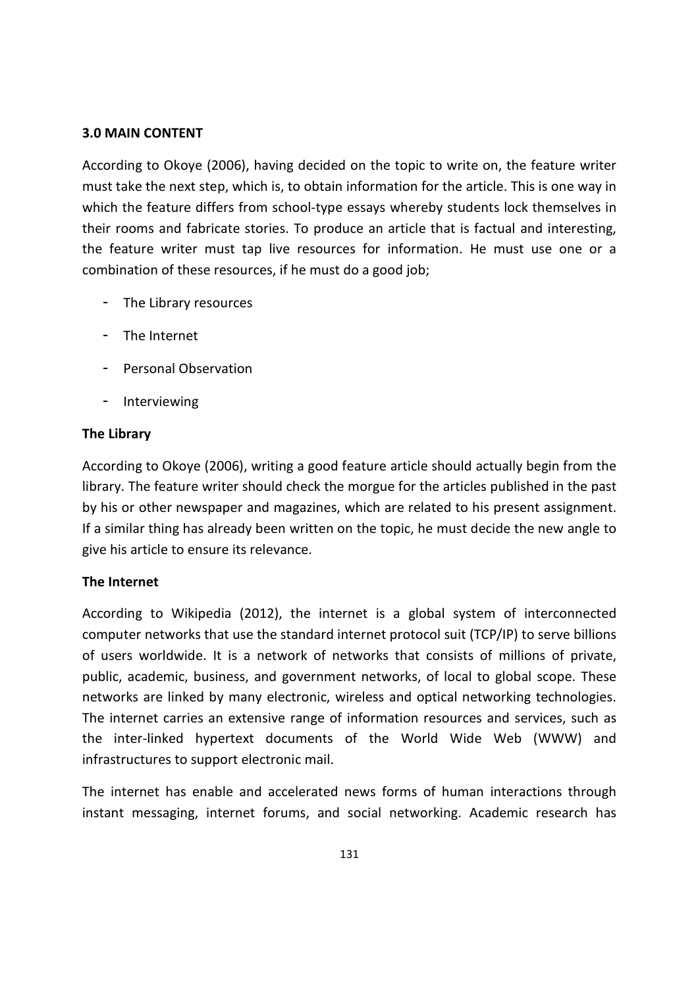# **3.0 MAIN CONTENT**

According to Okoye (2006), having decided on the topic to write on, the feature writer must take the next step, which is, to obtain information for the article. This is one way in which the feature differs from school-type essays whereby students lock themselves in their rooms and fabricate stories. To produce an article that is factual and interesting, the feature writer must tap live resources for information. He must use one or a combination of these resources, if he must do a good job;

- The Library resources
- The Internet
- Personal Observation
- Interviewing

# **The Library**

According to Okoye (2006), writing a good feature article should actually begin from the library. The feature writer should check the morgue for the articles published in the past by his or other newspaper and magazines, which are related to his present assignment. If a similar thing has already been written on the topic, he must decide the new angle to give his article to ensure its relevance.

# **The Internet**

According to Wikipedia (2012), the internet is a global system of interconnected computer networks that use the standard internet protocol suit (TCP/IP) to serve billions of users worldwide. It is a network of networks that consists of millions of private, public, academic, business, and government networks, of local to global scope. These networks are linked by many electronic, wireless and optical networking technologies. The internet carries an extensive range of information resources and services, such as the inter-linked hypertext documents of the World Wide Web (WWW) and infrastructures to support electronic mail.

The internet has enable and accelerated news forms of human interactions through instant messaging, internet forums, and social networking. Academic research has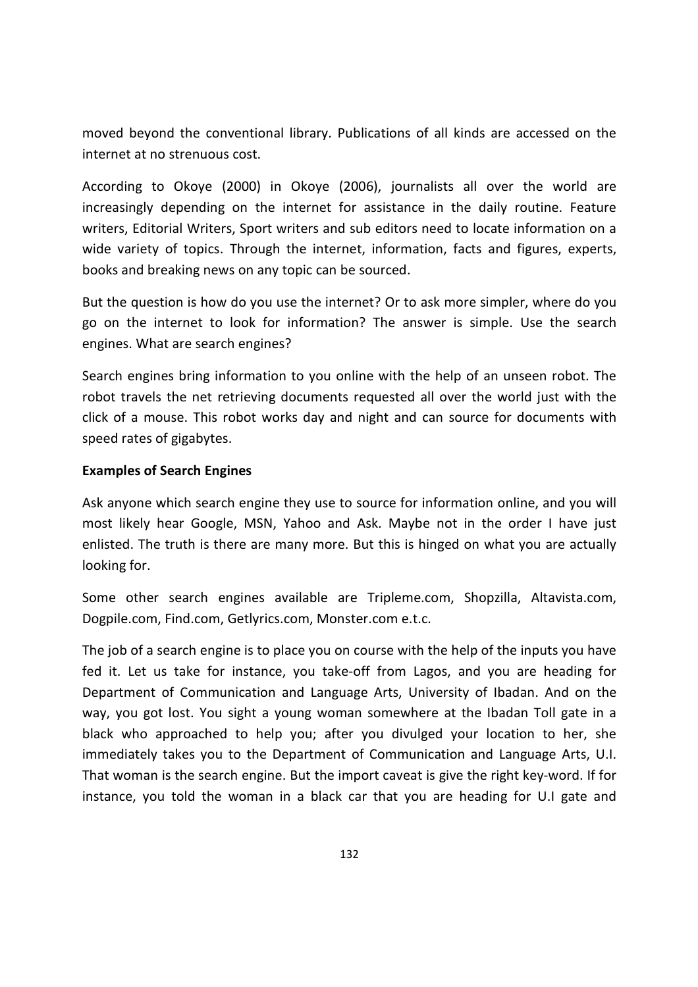moved beyond the conventional library. Publications of all kinds are accessed on the internet at no strenuous cost.

According to Okoye (2000) in Okoye (2006), journalists all over the world are increasingly depending on the internet for assistance in the daily routine. Feature writers, Editorial Writers, Sport writers and sub editors need to locate information on a wide variety of topics. Through the internet, information, facts and figures, experts, books and breaking news on any topic can be sourced.

But the question is how do you use the internet? Or to ask more simpler, where do you go on the internet to look for information? The answer is simple. Use the search engines. What are search engines?

Search engines bring information to you online with the help of an unseen robot. The robot travels the net retrieving documents requested all over the world just with the click of a mouse. This robot works day and night and can source for documents with speed rates of gigabytes.

# **Examples of Search Engines**

Ask anyone which search engine they use to source for information online, and you will most likely hear Google, MSN, Yahoo and Ask. Maybe not in the order I have just enlisted. The truth is there are many more. But this is hinged on what you are actually looking for.

Some other search engines available are Tripleme.com, Shopzilla, Altavista.com, Dogpile.com, Find.com, Getlyrics.com, Monster.com e.t.c.

The job of a search engine is to place you on course with the help of the inputs you have fed it. Let us take for instance, you take-off from Lagos, and you are heading for Department of Communication and Language Arts, University of Ibadan. And on the way, you got lost. You sight a young woman somewhere at the Ibadan Toll gate in a black who approached to help you; after you divulged your location to her, she immediately takes you to the Department of Communication and Language Arts, U.I. That woman is the search engine. But the import caveat is give the right key-word. If for instance, you told the woman in a black car that you are heading for U.I gate and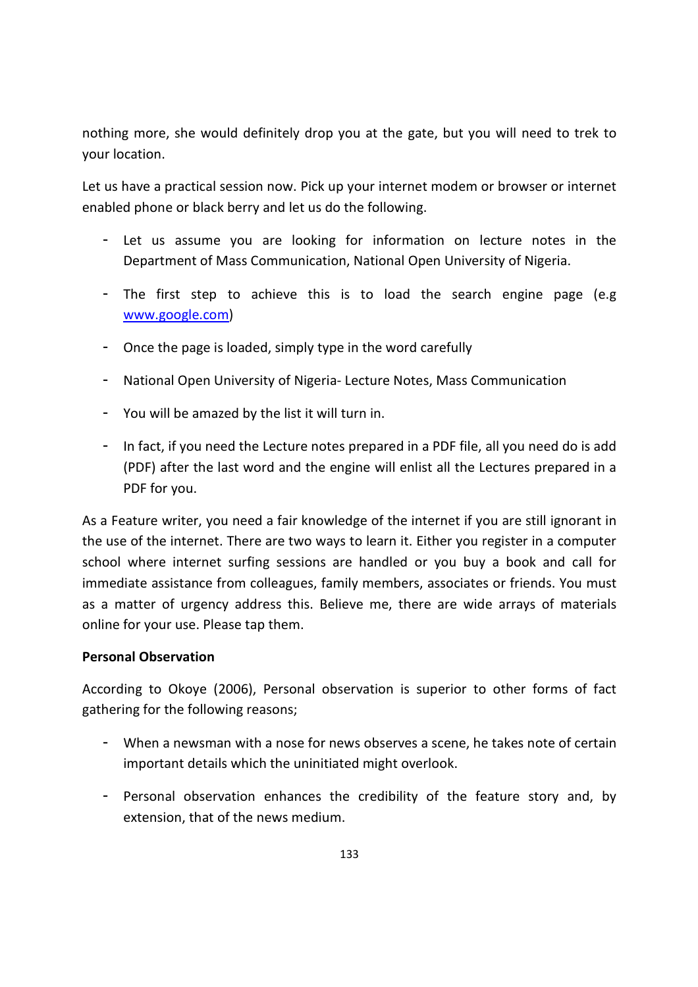nothing more, she would definitely drop you at the gate, but you will need to trek to your location.

Let us have a practical session now. Pick up your internet modem or browser or internet enabled phone or black berry and let us do the following.

- Let us assume you are looking for information on lecture notes in the Department of Mass Communication, National Open University of Nigeria.
- The first step to achieve this is to load the search engine page (e.g www.google.com)
- Once the page is loaded, simply type in the word carefully
- National Open University of Nigeria- Lecture Notes, Mass Communication
- You will be amazed by the list it will turn in.
- In fact, if you need the Lecture notes prepared in a PDF file, all you need do is add (PDF) after the last word and the engine will enlist all the Lectures prepared in a PDF for you.

As a Feature writer, you need a fair knowledge of the internet if you are still ignorant in the use of the internet. There are two ways to learn it. Either you register in a computer school where internet surfing sessions are handled or you buy a book and call for immediate assistance from colleagues, family members, associates or friends. You must as a matter of urgency address this. Believe me, there are wide arrays of materials online for your use. Please tap them.

# **Personal Observation**

According to Okoye (2006), Personal observation is superior to other forms of fact gathering for the following reasons;

- When a newsman with a nose for news observes a scene, he takes note of certain important details which the uninitiated might overlook.
- Personal observation enhances the credibility of the feature story and, by extension, that of the news medium.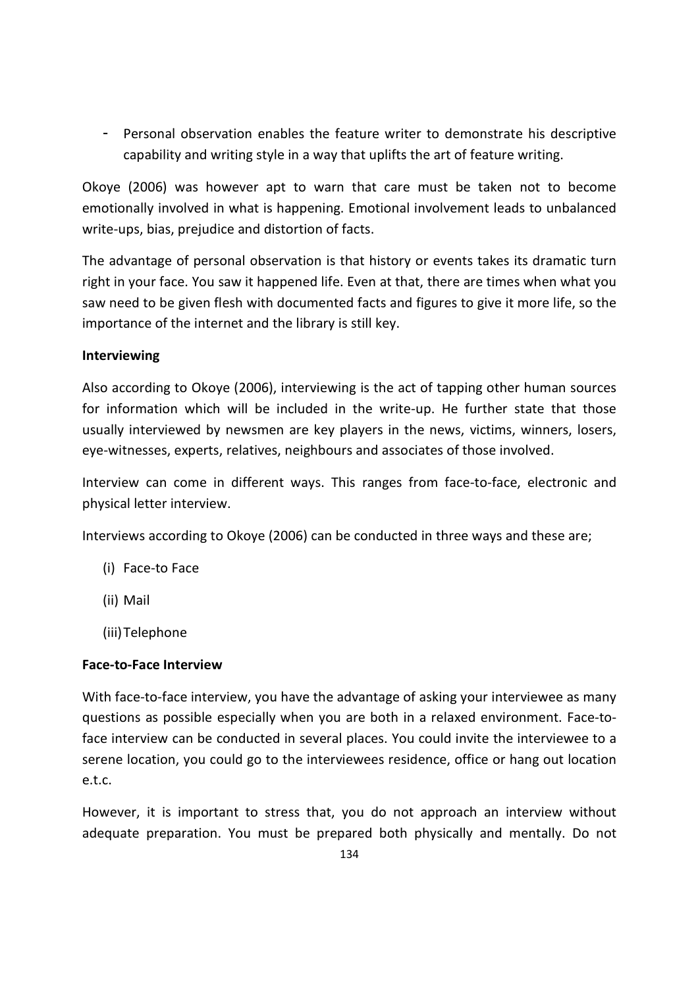- Personal observation enables the feature writer to demonstrate his descriptive capability and writing style in a way that uplifts the art of feature writing.

Okoye (2006) was however apt to warn that care must be taken not to become emotionally involved in what is happening. Emotional involvement leads to unbalanced write-ups, bias, prejudice and distortion of facts.

The advantage of personal observation is that history or events takes its dramatic turn right in your face. You saw it happened life. Even at that, there are times when what you saw need to be given flesh with documented facts and figures to give it more life, so the importance of the internet and the library is still key.

# **Interviewing**

Also according to Okoye (2006), interviewing is the act of tapping other human sources for information which will be included in the write-up. He further state that those usually interviewed by newsmen are key players in the news, victims, winners, losers, eye-witnesses, experts, relatives, neighbours and associates of those involved.

Interview can come in different ways. This ranges from face-to-face, electronic and physical letter interview.

Interviews according to Okoye (2006) can be conducted in three ways and these are;

- (i) Face-to Face
- (ii) Mail
- (iii)Telephone

# **Face-to-Face Interview**

With face-to-face interview, you have the advantage of asking your interviewee as many questions as possible especially when you are both in a relaxed environment. Face-toface interview can be conducted in several places. You could invite the interviewee to a serene location, you could go to the interviewees residence, office or hang out location e.t.c.

However, it is important to stress that, you do not approach an interview without adequate preparation. You must be prepared both physically and mentally. Do not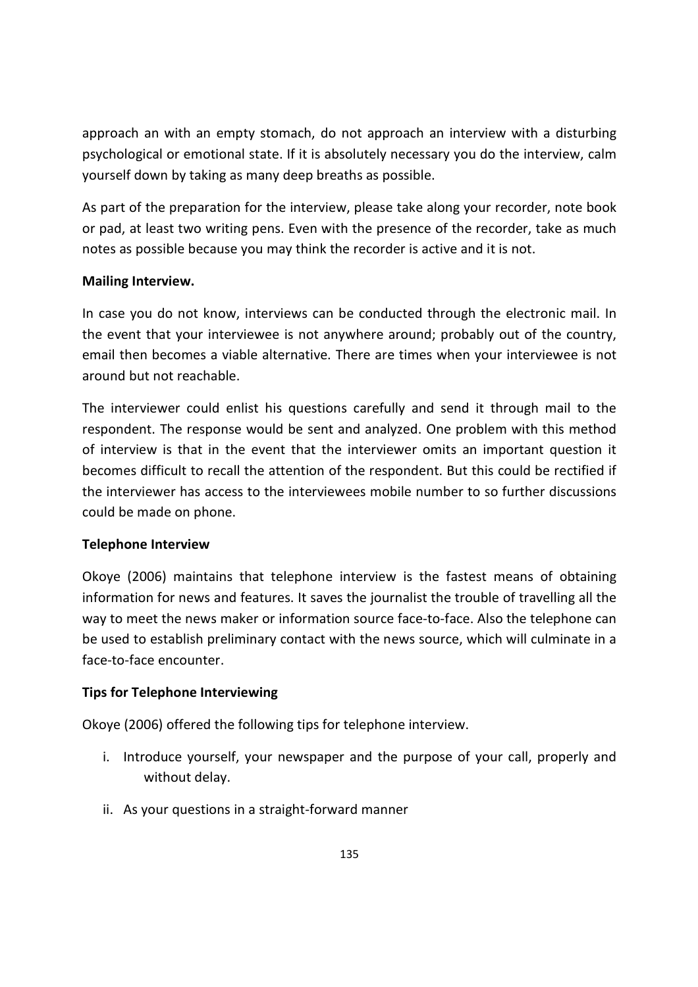approach an with an empty stomach, do not approach an interview with a disturbing psychological or emotional state. If it is absolutely necessary you do the interview, calm yourself down by taking as many deep breaths as possible.

As part of the preparation for the interview, please take along your recorder, note book or pad, at least two writing pens. Even with the presence of the recorder, take as much notes as possible because you may think the recorder is active and it is not.

# **Mailing Interview.**

In case you do not know, interviews can be conducted through the electronic mail. In the event that your interviewee is not anywhere around; probably out of the country, email then becomes a viable alternative. There are times when your interviewee is not around but not reachable.

The interviewer could enlist his questions carefully and send it through mail to the respondent. The response would be sent and analyzed. One problem with this method of interview is that in the event that the interviewer omits an important question it becomes difficult to recall the attention of the respondent. But this could be rectified if the interviewer has access to the interviewees mobile number to so further discussions could be made on phone.

# **Telephone Interview**

Okoye (2006) maintains that telephone interview is the fastest means of obtaining information for news and features. It saves the journalist the trouble of travelling all the way to meet the news maker or information source face-to-face. Also the telephone can be used to establish preliminary contact with the news source, which will culminate in a face-to-face encounter.

# **Tips for Telephone Interviewing**

Okoye (2006) offered the following tips for telephone interview.

- i. Introduce yourself, your newspaper and the purpose of your call, properly and without delay.
- ii. As your questions in a straight-forward manner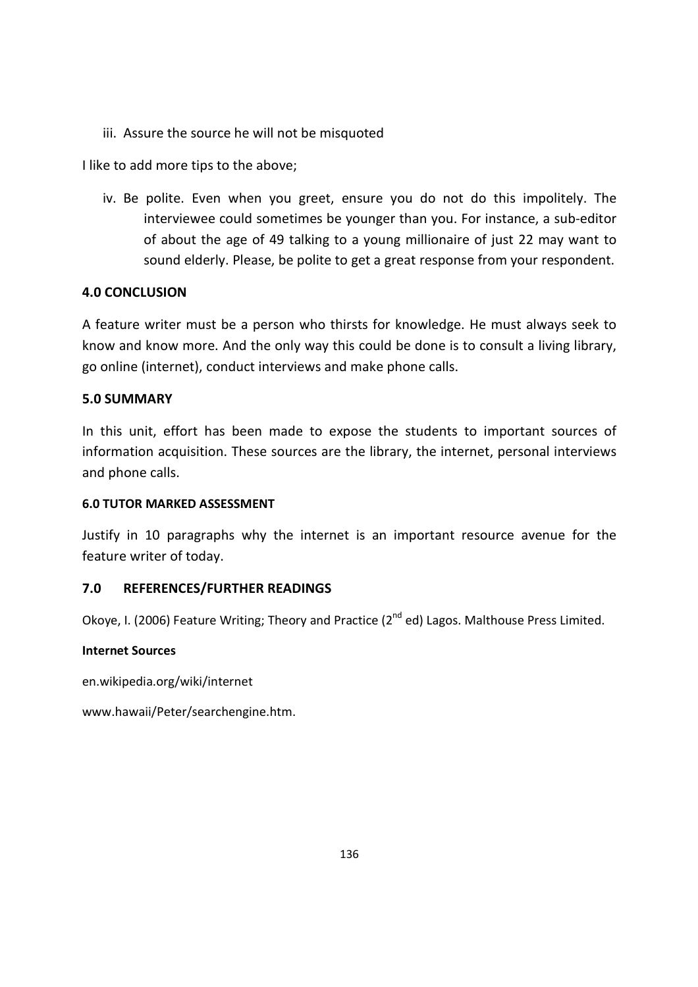iii. Assure the source he will not be misquoted

I like to add more tips to the above;

iv. Be polite. Even when you greet, ensure you do not do this impolitely. The interviewee could sometimes be younger than you. For instance, a sub-editor of about the age of 49 talking to a young millionaire of just 22 may want to sound elderly. Please, be polite to get a great response from your respondent.

# **4.0 CONCLUSION**

A feature writer must be a person who thirsts for knowledge. He must always seek to know and know more. And the only way this could be done is to consult a living library, go online (internet), conduct interviews and make phone calls.

# **5.0 SUMMARY**

In this unit, effort has been made to expose the students to important sources of information acquisition. These sources are the library, the internet, personal interviews and phone calls.

# **6.0 TUTOR MARKED ASSESSMENT**

Justify in 10 paragraphs why the internet is an important resource avenue for the feature writer of today.

# **7.0 REFERENCES/FURTHER READINGS**

Okoye, I. (2006) Feature Writing; Theory and Practice (2<sup>nd</sup> ed) Lagos. Malthouse Press Limited.

# **Internet Sources**

en.wikipedia.org/wiki/internet

www.hawaii/Peter/searchengine.htm.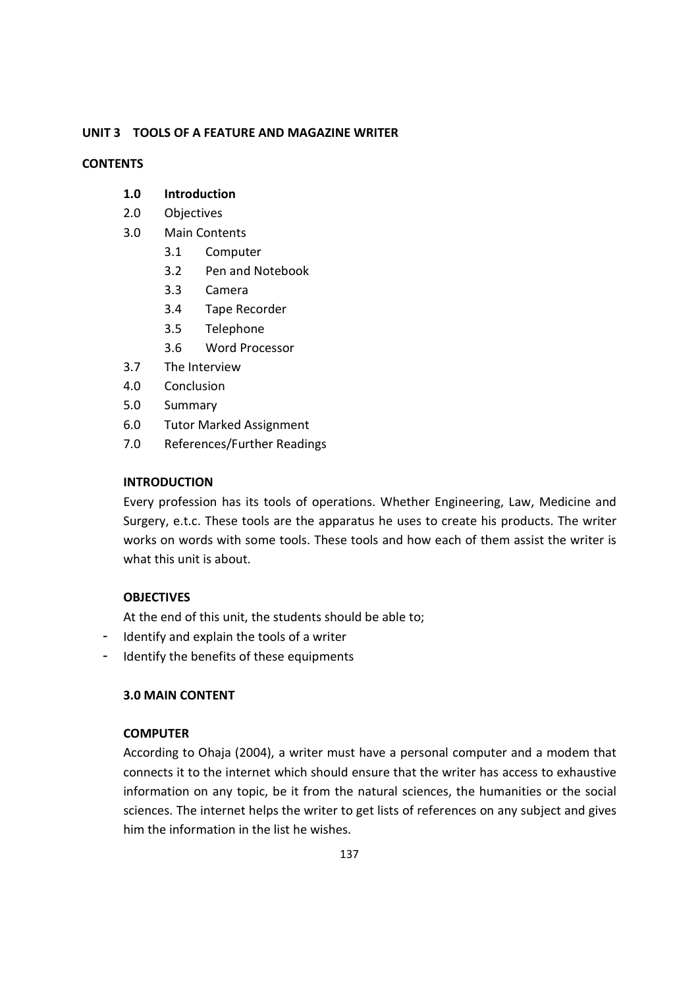## **UNIT 3 TOOLS OF A FEATURE AND MAGAZINE WRITER**

## **CONTENTS**

## **1.0 Introduction**

- 2.0 Objectives
- 3.0 Main Contents
	- 3.1 Computer
		- 3.2 Pen and Notebook
		- 3.3 Camera
		- 3.4 Tape Recorder
		- 3.5 Telephone
		- 3.6 Word Processor
- 3.7 The Interview
- 4.0 Conclusion
- 5.0 Summary
- 6.0 Tutor Marked Assignment
- 7.0 References/Further Readings

## **INTRODUCTION**

Every profession has its tools of operations. Whether Engineering, Law, Medicine and Surgery, e.t.c. These tools are the apparatus he uses to create his products. The writer works on words with some tools. These tools and how each of them assist the writer is what this unit is about.

## **OBJECTIVES**

At the end of this unit, the students should be able to;

- Identify and explain the tools of a writer
- Identify the benefits of these equipments

## **3.0 MAIN CONTENT**

### **COMPUTER**

According to Ohaja (2004), a writer must have a personal computer and a modem that connects it to the internet which should ensure that the writer has access to exhaustive information on any topic, be it from the natural sciences, the humanities or the social sciences. The internet helps the writer to get lists of references on any subject and gives him the information in the list he wishes.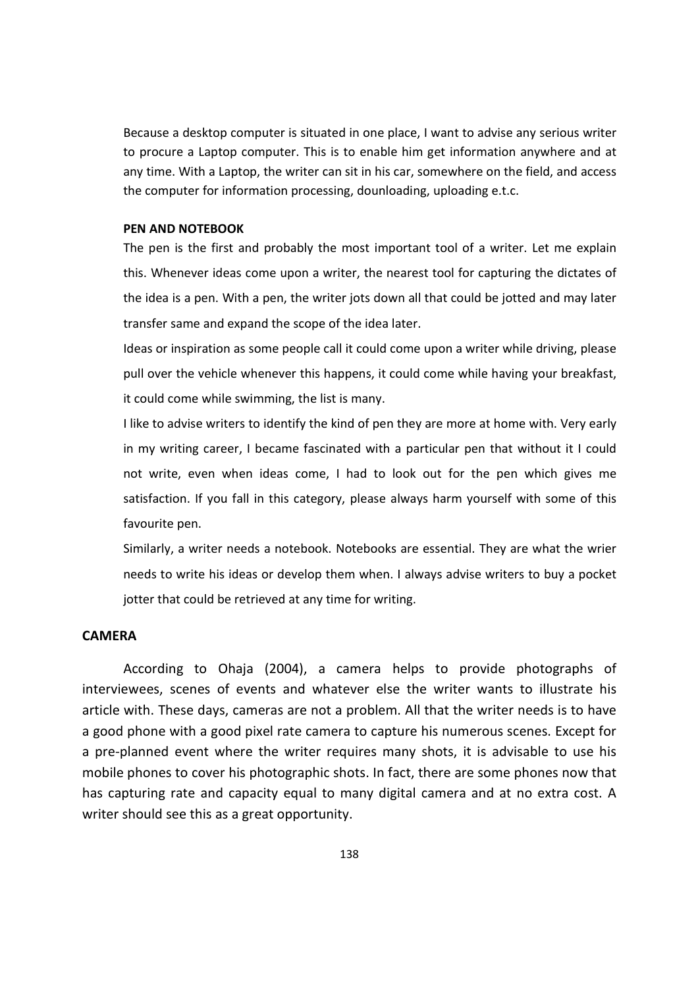Because a desktop computer is situated in one place, I want to advise any serious writer to procure a Laptop computer. This is to enable him get information anywhere and at any time. With a Laptop, the writer can sit in his car, somewhere on the field, and access the computer for information processing, dounloading, uploading e.t.c.

#### **PEN AND NOTEBOOK**

The pen is the first and probably the most important tool of a writer. Let me explain this. Whenever ideas come upon a writer, the nearest tool for capturing the dictates of the idea is a pen. With a pen, the writer jots down all that could be jotted and may later transfer same and expand the scope of the idea later.

Ideas or inspiration as some people call it could come upon a writer while driving, please pull over the vehicle whenever this happens, it could come while having your breakfast, it could come while swimming, the list is many.

I like to advise writers to identify the kind of pen they are more at home with. Very early in my writing career, I became fascinated with a particular pen that without it I could not write, even when ideas come, I had to look out for the pen which gives me satisfaction. If you fall in this category, please always harm yourself with some of this favourite pen.

Similarly, a writer needs a notebook. Notebooks are essential. They are what the wrier needs to write his ideas or develop them when. I always advise writers to buy a pocket jotter that could be retrieved at any time for writing.

# **CAMERA**

According to Ohaja (2004), a camera helps to provide photographs of interviewees, scenes of events and whatever else the writer wants to illustrate his article with. These days, cameras are not a problem. All that the writer needs is to have a good phone with a good pixel rate camera to capture his numerous scenes. Except for a pre-planned event where the writer requires many shots, it is advisable to use his mobile phones to cover his photographic shots. In fact, there are some phones now that has capturing rate and capacity equal to many digital camera and at no extra cost. A writer should see this as a great opportunity.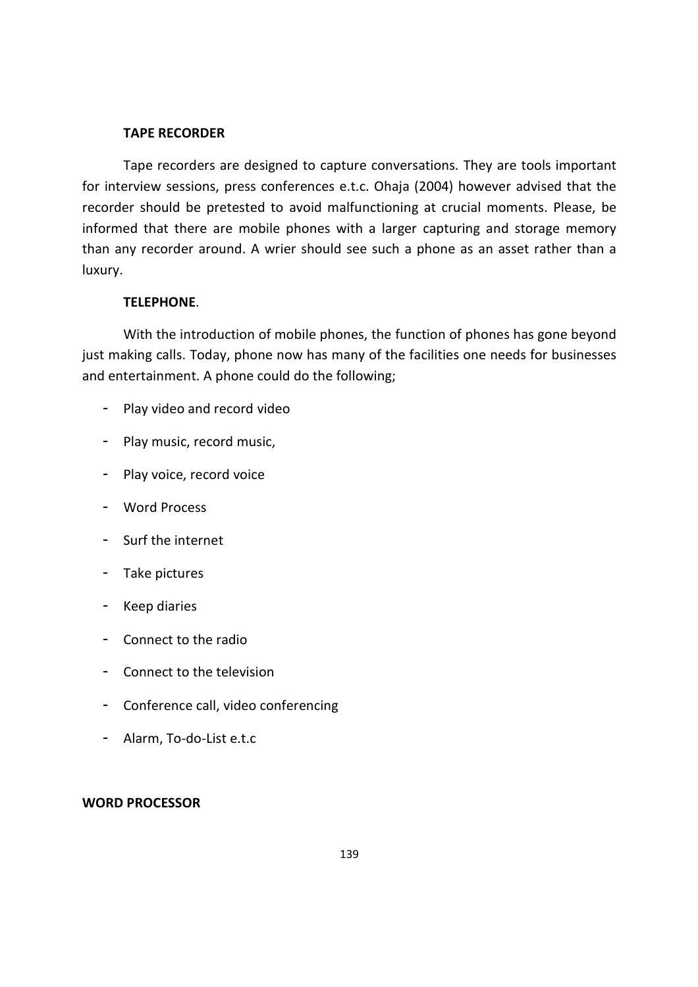## **TAPE RECORDER**

Tape recorders are designed to capture conversations. They are tools important for interview sessions, press conferences e.t.c. Ohaja (2004) however advised that the recorder should be pretested to avoid malfunctioning at crucial moments. Please, be informed that there are mobile phones with a larger capturing and storage memory than any recorder around. A wrier should see such a phone as an asset rather than a luxury.

# **TELEPHONE**.

With the introduction of mobile phones, the function of phones has gone beyond just making calls. Today, phone now has many of the facilities one needs for businesses and entertainment. A phone could do the following;

- Play video and record video
- Play music, record music,
- Play voice, record voice
- Word Process
- Surf the internet
- Take pictures
- Keep diaries
- Connect to the radio
- Connect to the television
- Conference call, video conferencing
- Alarm, To-do-List e.t.c

# **WORD PROCESSOR**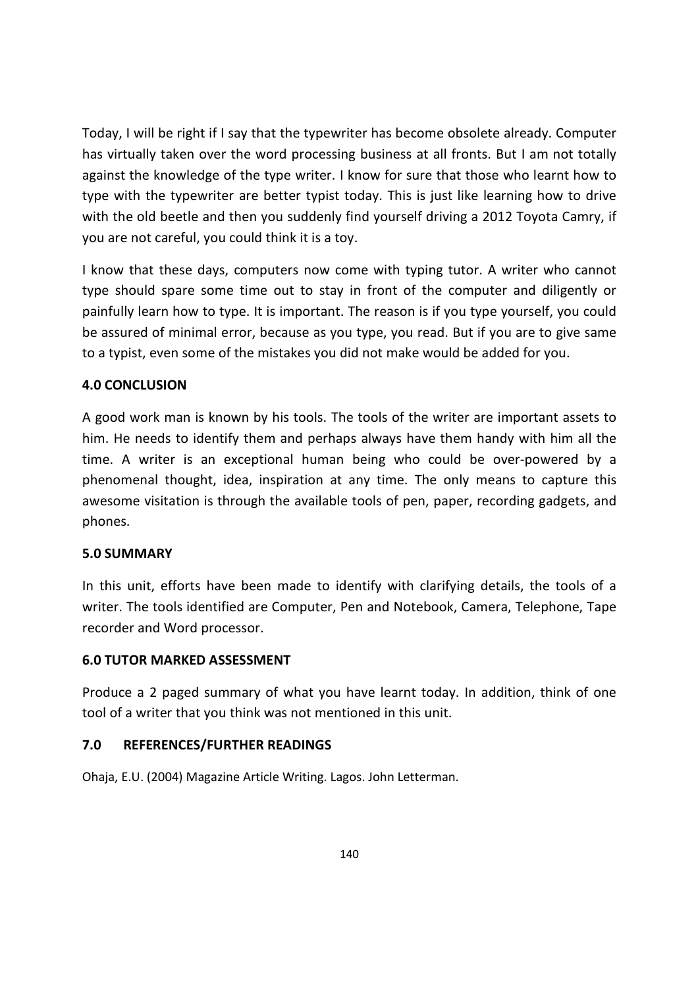Today, I will be right if I say that the typewriter has become obsolete already. Computer has virtually taken over the word processing business at all fronts. But I am not totally against the knowledge of the type writer. I know for sure that those who learnt how to type with the typewriter are better typist today. This is just like learning how to drive with the old beetle and then you suddenly find yourself driving a 2012 Toyota Camry, if you are not careful, you could think it is a toy.

I know that these days, computers now come with typing tutor. A writer who cannot type should spare some time out to stay in front of the computer and diligently or painfully learn how to type. It is important. The reason is if you type yourself, you could be assured of minimal error, because as you type, you read. But if you are to give same to a typist, even some of the mistakes you did not make would be added for you.

# **4.0 CONCLUSION**

A good work man is known by his tools. The tools of the writer are important assets to him. He needs to identify them and perhaps always have them handy with him all the time. A writer is an exceptional human being who could be over-powered by a phenomenal thought, idea, inspiration at any time. The only means to capture this awesome visitation is through the available tools of pen, paper, recording gadgets, and phones.

# **5.0 SUMMARY**

In this unit, efforts have been made to identify with clarifying details, the tools of a writer. The tools identified are Computer, Pen and Notebook, Camera, Telephone, Tape recorder and Word processor.

# **6.0 TUTOR MARKED ASSESSMENT**

Produce a 2 paged summary of what you have learnt today. In addition, think of one tool of a writer that you think was not mentioned in this unit.

# **7.0 REFERENCES/FURTHER READINGS**

Ohaja, E.U. (2004) Magazine Article Writing. Lagos. John Letterman.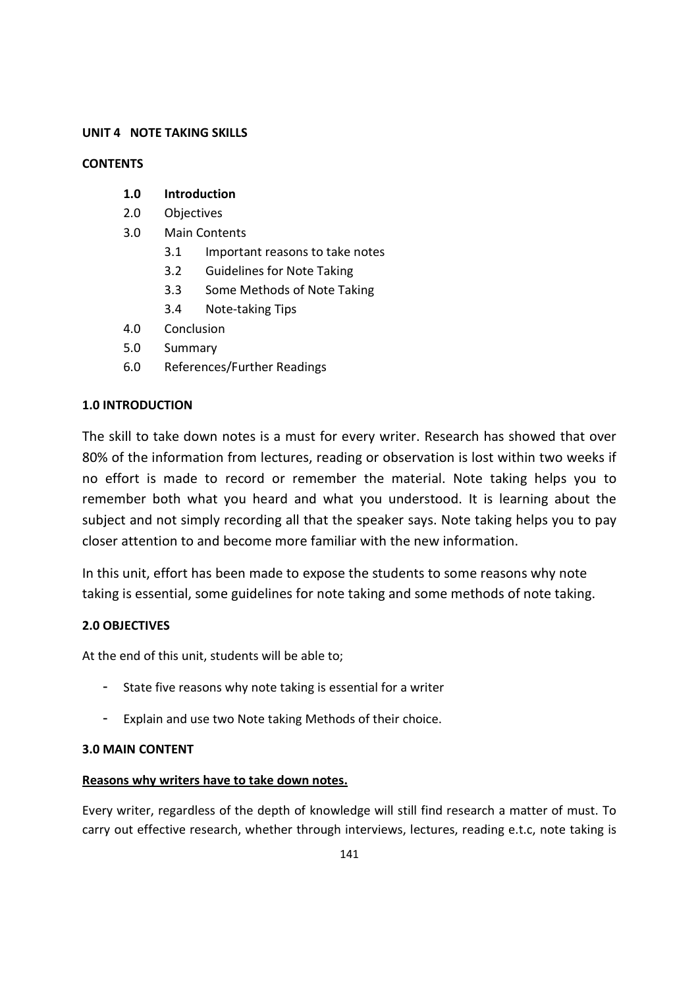### **UNIT 4 NOTE TAKING SKILLS**

## **CONTENTS**

- **1.0 Introduction**
- 2.0 Objectives
- 3.0 Main Contents
	- 3.1 Important reasons to take notes
	- 3.2 Guidelines for Note Taking
	- 3.3 Some Methods of Note Taking
	- 3.4 Note-taking Tips
- 4.0 Conclusion
- 5.0 Summary
- 6.0 References/Further Readings

## **1.0 INTRODUCTION**

The skill to take down notes is a must for every writer. Research has showed that over 80% of the information from lectures, reading or observation is lost within two weeks if no effort is made to record or remember the material. Note taking helps you to remember both what you heard and what you understood. It is learning about the subject and not simply recording all that the speaker says. Note taking helps you to pay closer attention to and become more familiar with the new information.

In this unit, effort has been made to expose the students to some reasons why note taking is essential, some guidelines for note taking and some methods of note taking.

## **2.0 OBJECTIVES**

At the end of this unit, students will be able to;

- State five reasons why note taking is essential for a writer
- Explain and use two Note taking Methods of their choice.

### **3.0 MAIN CONTENT**

### **Reasons why writers have to take down notes.**

Every writer, regardless of the depth of knowledge will still find research a matter of must. To carry out effective research, whether through interviews, lectures, reading e.t.c, note taking is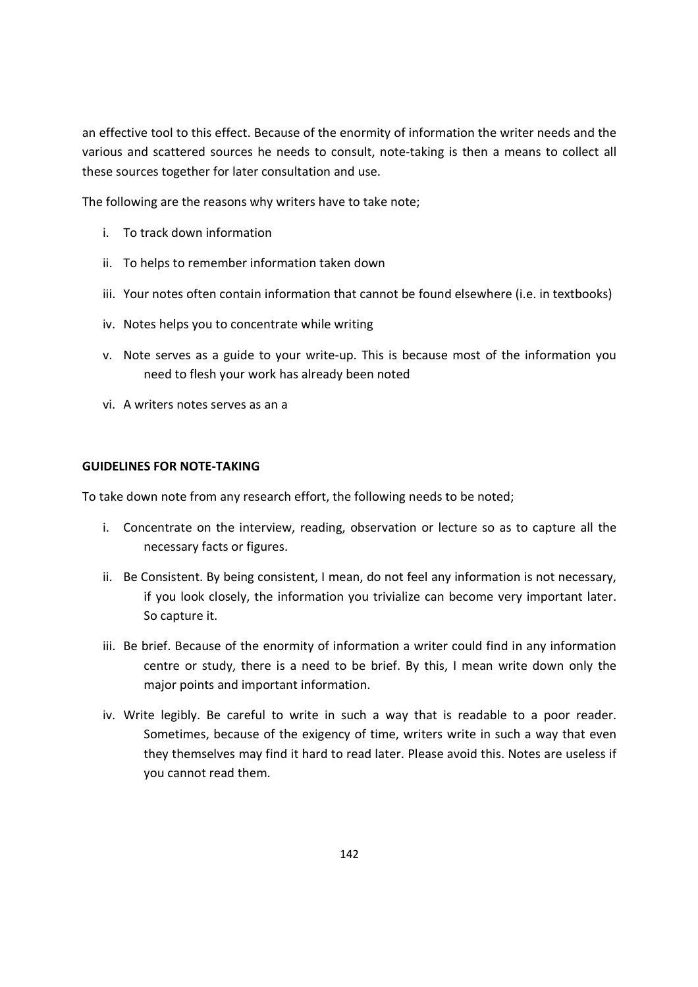an effective tool to this effect. Because of the enormity of information the writer needs and the various and scattered sources he needs to consult, note-taking is then a means to collect all these sources together for later consultation and use.

The following are the reasons why writers have to take note;

- i. To track down information
- ii. To helps to remember information taken down
- iii. Your notes often contain information that cannot be found elsewhere (i.e. in textbooks)
- iv. Notes helps you to concentrate while writing
- v. Note serves as a guide to your write-up. This is because most of the information you need to flesh your work has already been noted
- vi. A writers notes serves as an a

### **GUIDELINES FOR NOTE-TAKING**

To take down note from any research effort, the following needs to be noted;

- i. Concentrate on the interview, reading, observation or lecture so as to capture all the necessary facts or figures.
- ii. Be Consistent. By being consistent, I mean, do not feel any information is not necessary, if you look closely, the information you trivialize can become very important later. So capture it.
- iii. Be brief. Because of the enormity of information a writer could find in any information centre or study, there is a need to be brief. By this, I mean write down only the major points and important information.
- iv. Write legibly. Be careful to write in such a way that is readable to a poor reader. Sometimes, because of the exigency of time, writers write in such a way that even they themselves may find it hard to read later. Please avoid this. Notes are useless if you cannot read them.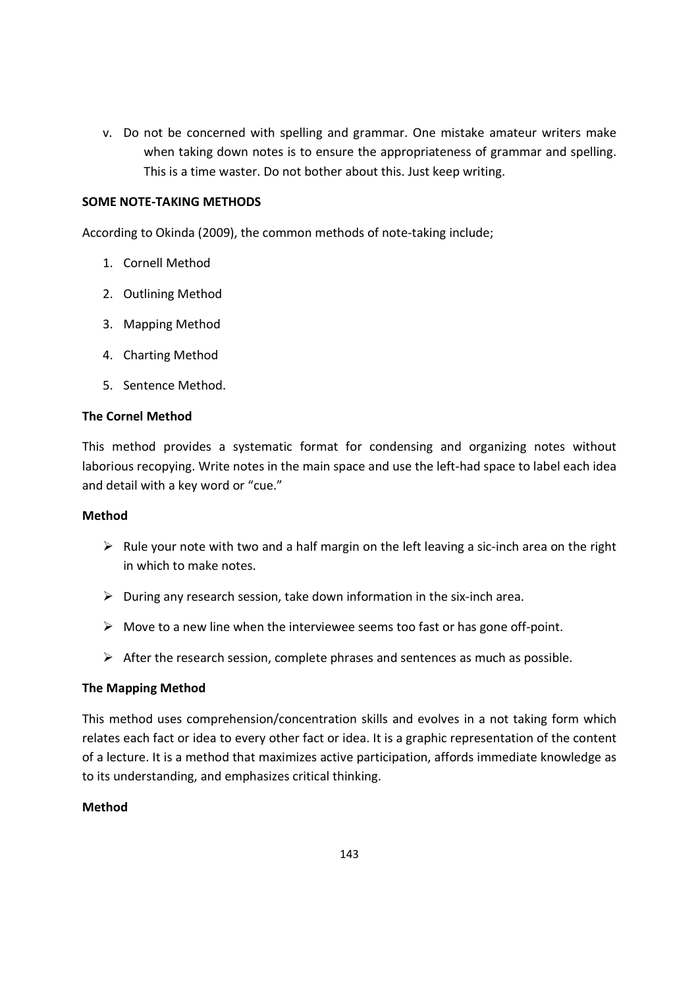v. Do not be concerned with spelling and grammar. One mistake amateur writers make when taking down notes is to ensure the appropriateness of grammar and spelling. This is a time waster. Do not bother about this. Just keep writing.

## **SOME NOTE-TAKING METHODS**

According to Okinda (2009), the common methods of note-taking include;

- 1. Cornell Method
- 2. Outlining Method
- 3. Mapping Method
- 4. Charting Method
- 5. Sentence Method.

## **The Cornel Method**

This method provides a systematic format for condensing and organizing notes without laborious recopying. Write notes in the main space and use the left-had space to label each idea and detail with a key word or "cue."

### **Method**

- $\triangleright$  Rule your note with two and a half margin on the left leaving a sic-inch area on the right in which to make notes.
- $\triangleright$  During any research session, take down information in the six-inch area.
- $\triangleright$  Move to a new line when the interviewee seems too fast or has gone off-point.
- $\triangleright$  After the research session, complete phrases and sentences as much as possible.

## **The Mapping Method**

This method uses comprehension/concentration skills and evolves in a not taking form which relates each fact or idea to every other fact or idea. It is a graphic representation of the content of a lecture. It is a method that maximizes active participation, affords immediate knowledge as to its understanding, and emphasizes critical thinking.

### **Method**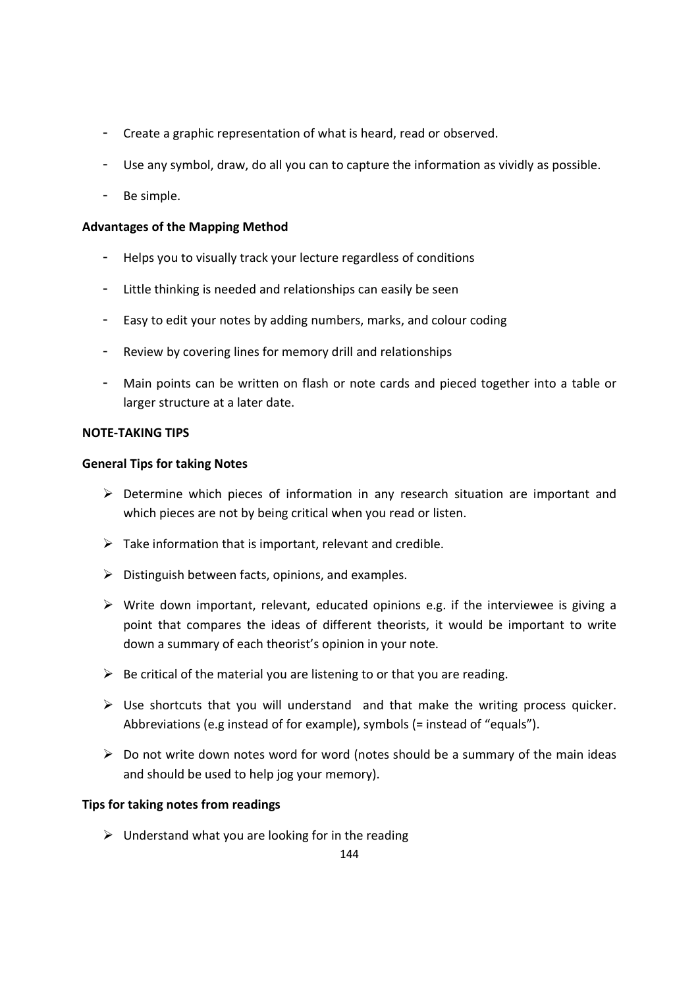- Create a graphic representation of what is heard, read or observed.
- Use any symbol, draw, do all you can to capture the information as vividly as possible.
- Be simple.

## **Advantages of the Mapping Method**

- Helps you to visually track your lecture regardless of conditions
- Little thinking is needed and relationships can easily be seen
- Easy to edit your notes by adding numbers, marks, and colour coding
- Review by covering lines for memory drill and relationships
- Main points can be written on flash or note cards and pieced together into a table or larger structure at a later date.

## **NOTE-TAKING TIPS**

### **General Tips for taking Notes**

- Determine which pieces of information in any research situation are important and which pieces are not by being critical when you read or listen.
- $\triangleright$  Take information that is important, relevant and credible.
- $\triangleright$  Distinguish between facts, opinions, and examples.
- $\triangleright$  Write down important, relevant, educated opinions e.g. if the interviewee is giving a point that compares the ideas of different theorists, it would be important to write down a summary of each theorist's opinion in your note.
- $\triangleright$  Be critical of the material you are listening to or that you are reading.
- $\triangleright$  Use shortcuts that you will understand and that make the writing process quicker. Abbreviations (e.g instead of for example), symbols (= instead of "equals").
- $\triangleright$  Do not write down notes word for word (notes should be a summary of the main ideas and should be used to help jog your memory).

### **Tips for taking notes from readings**

 $\triangleright$  Understand what you are looking for in the reading